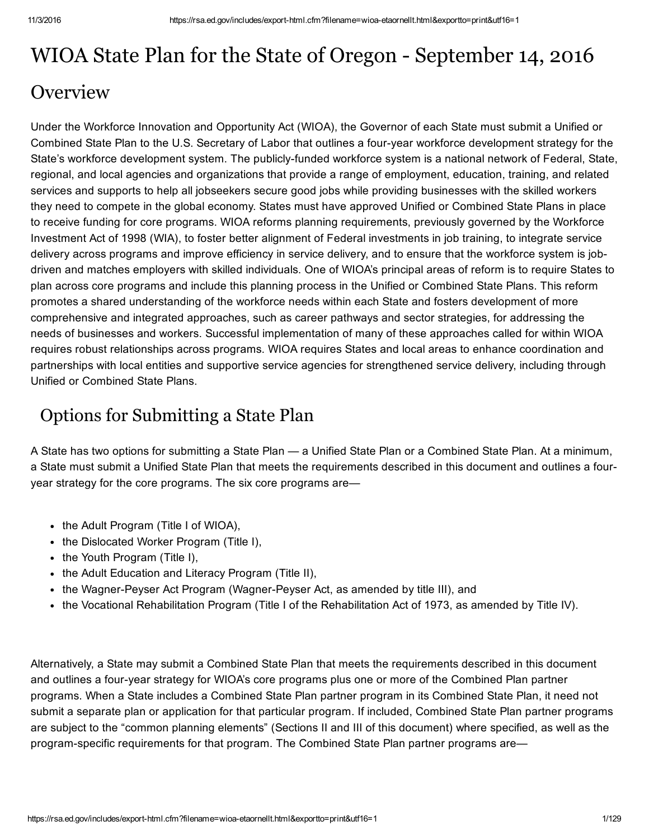# WIOA State Plan for the State of Oregon - September 14, 2016

## **Overview**

Under the Workforce Innovation and Opportunity Act (WIOA), the Governor of each State must submit a Unified or Combined State Plan to the U.S. Secretary of Labor that outlines a four-year workforce development strategy for the State's workforce development system. The publicly-funded workforce system is a national network of Federal, State, regional, and local agencies and organizations that provide a range of employment, education, training, and related services and supports to help all jobseekers secure good jobs while providing businesses with the skilled workers they need to compete in the global economy. States must have approved Unified or Combined State Plans in place to receive funding for core programs. WIOA reforms planning requirements, previously governed by the Workforce Investment Act of 1998 (WIA), to foster better alignment of Federal investments in job training, to integrate service delivery across programs and improve efficiency in service delivery, and to ensure that the workforce system is jobdriven and matches employers with skilled individuals. One of WIOA's principal areas of reform is to require States to plan across core programs and include this planning process in the Unified or Combined State Plans. This reform promotes a shared understanding of the workforce needs within each State and fosters development of more comprehensive and integrated approaches, such as career pathways and sector strategies, for addressing the needs of businesses and workers. Successful implementation of many of these approaches called for within WIOA requires robust relationships across programs. WIOA requires States and local areas to enhance coordination and partnerships with local entities and supportive service agencies for strengthened service delivery, including through Unified or Combined State Plans.

## Options for Submitting a State Plan

A State has two options for submitting a State Plan — a Unified State Plan or a Combined State Plan. At a minimum, a State must submit a Unified State Plan that meets the requirements described in this document and outlines a fouryear strategy for the core programs. The six core programs are—

- the Adult Program (Title I of WIOA),
- the Dislocated Worker Program (Title I),
- $\bullet$  the Youth Program (Title I),
- the Adult Education and Literacy Program (Title II),
- the Wagner-Peyser Act Program (Wagner-Peyser Act, as amended by title III), and
- the Vocational Rehabilitation Program (Title I of the Rehabilitation Act of 1973, as amended by Title IV).

Alternatively, a State may submit a Combined State Plan that meets the requirements described in this document and outlines a four-year strategy for WIOA's core programs plus one or more of the Combined Plan partner programs. When a State includes a Combined State Plan partner program in its Combined State Plan, it need not submit a separate plan or application for that particular program. If included, Combined State Plan partner programs are subject to the "common planning elements" (Sections II and III of this document) where specified, as well as the program-specific requirements for that program. The Combined State Plan partner programs are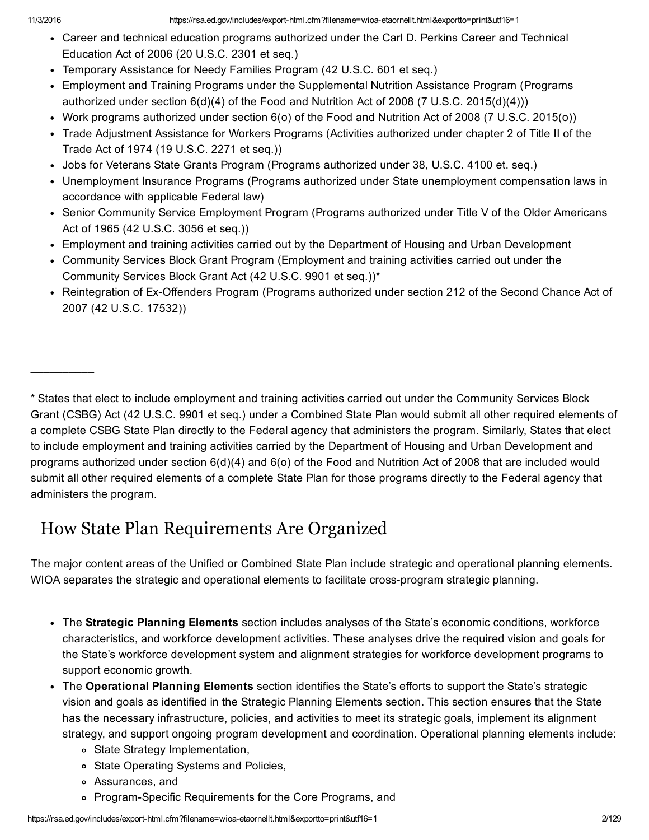$\frac{1}{2}$ 

- Career and technical education programs authorized under the Carl D. Perkins Career and Technical Education Act of 2006 (20 U.S.C. 2301 et seq.)
- Temporary Assistance for Needy Families Program (42 U.S.C. 601 et seq.)
- Employment and Training Programs under the Supplemental Nutrition Assistance Program (Programs authorized under section  $6(d)(4)$  of the Food and Nutrition Act of 2008 (7 U.S.C. 2015(d)(4)))
- Work programs authorized under section 6(o) of the Food and Nutrition Act of 2008 (7 U.S.C. 2015(o))
- Trade Adjustment Assistance for Workers Programs (Activities authorized under chapter 2 of Title II of the Trade Act of 1974 (19 U.S.C. 2271 et seq.))
- Jobs for Veterans State Grants Program (Programs authorized under 38, U.S.C. 4100 et. seq.)
- Unemployment Insurance Programs (Programs authorized under State unemployment compensation laws in accordance with applicable Federal law)
- Senior Community Service Employment Program (Programs authorized under Title V of the Older Americans Act of 1965 (42 U.S.C. 3056 et seq.))
- Employment and training activities carried out by the Department of Housing and Urban Development
- Community Services Block Grant Program (Employment and training activities carried out under the Community Services Block Grant Act (42 U.S.C. 9901 et seq.))\*
- Reintegration of Ex-Offenders Program (Programs authorized under section 212 of the Second Chance Act of 2007 (42 U.S.C. 17532))

## How State Plan Requirements Are Organized

The major content areas of the Unified or Combined State Plan include strategic and operational planning elements. WIOA separates the strategic and operational elements to facilitate cross-program strategic planning.

- The Strategic Planning Elements section includes analyses of the State's economic conditions, workforce characteristics, and workforce development activities. These analyses drive the required vision and goals for the State's workforce development system and alignment strategies for workforce development programs to support economic growth.
- The Operational Planning Elements section identifies the State's efforts to support the State's strategic vision and goals as identified in the Strategic Planning Elements section. This section ensures that the State has the necessary infrastructure, policies, and activities to meet its strategic goals, implement its alignment strategy, and support ongoing program development and coordination. Operational planning elements include:
	- State Strategy Implementation,
	- State Operating Systems and Policies,
	- Assurances, and
	- Program-Specific Requirements for the Core Programs, and

<sup>\*</sup> States that elect to include employment and training activities carried out under the Community Services Block Grant (CSBG) Act (42 U.S.C. 9901 et seq.) under a Combined State Plan would submit all other required elements of a complete CSBG State Plan directly to the Federal agency that administers the program. Similarly, States that elect to include employment and training activities carried by the Department of Housing and Urban Development and programs authorized under section 6(d)(4) and 6(o) of the Food and Nutrition Act of 2008 that are included would submit all other required elements of a complete State Plan for those programs directly to the Federal agency that administers the program.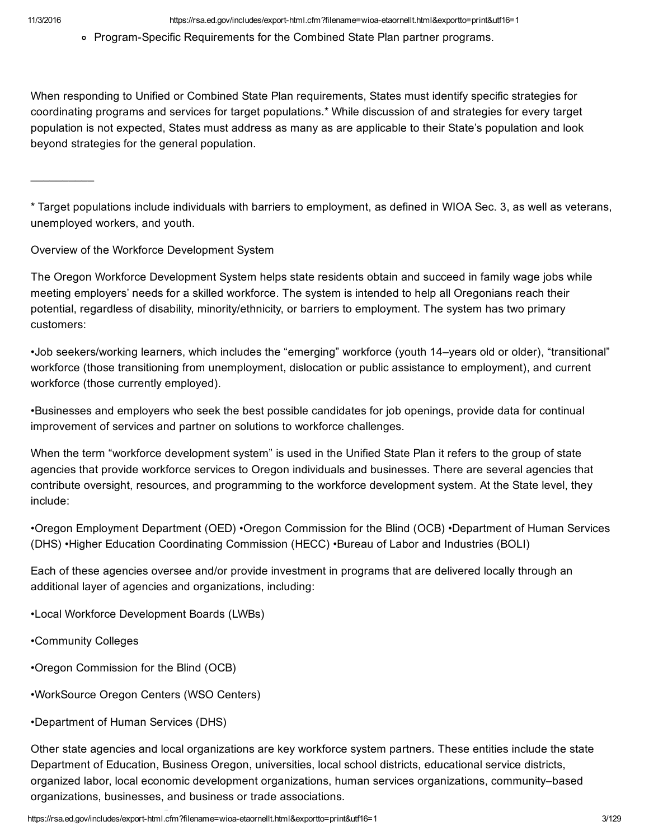$\frac{1}{2}$ 

o Program-Specific Requirements for the Combined State Plan partner programs.

When responding to Unified or Combined State Plan requirements, States must identify specific strategies for coordinating programs and services for target populations.\* While discussion of and strategies for every target population is not expected, States must address as many as are applicable to their State's population and look beyond strategies for the general population.

\* Target populations include individuals with barriers to employment, as defined in WIOA Sec. 3, as well as veterans, unemployed workers, and youth.

Overview of the Workforce Development System

The Oregon Workforce Development System helps state residents obtain and succeed in family wage jobs while meeting employers' needs for a skilled workforce. The system is intended to help all Oregonians reach their potential, regardless of disability, minority/ethnicity, or barriers to employment. The system has two primary customers:

•Job seekers/working learners, which includes the "emerging" workforce (youth 14–years old or older), "transitional" workforce (those transitioning from unemployment, dislocation or public assistance to employment), and current workforce (those currently employed).

•Businesses and employers who seek the best possible candidates for job openings, provide data for continual improvement of services and partner on solutions to workforce challenges.

When the term "workforce development system" is used in the Unified State Plan it refers to the group of state agencies that provide workforce services to Oregon individuals and businesses. There are several agencies that contribute oversight, resources, and programming to the workforce development system. At the State level, they include:

•Oregon Employment Department (OED) •Oregon Commission for the Blind (OCB) •Department of Human Services (DHS) •Higher Education Coordinating Commission (HECC) •Bureau of Labor and Industries (BOLI)

Each of these agencies oversee and/or provide investment in programs that are delivered locally through an additional layer of agencies and organizations, including:

- •Local Workforce Development Boards (LWBs)
- •Community Colleges
- •Oregon Commission for the Blind (OCB)
- •WorkSource Oregon Centers (WSO Centers)
- •Department of Human Services (DHS)

Other state agencies and local organizations are key workforce system partners. These entities include the state Department of Education, Business Oregon, universities, local school districts, educational service districts, organized labor, local economic development organizations, human services organizations, community–based organizations, businesses, and business or trade associations.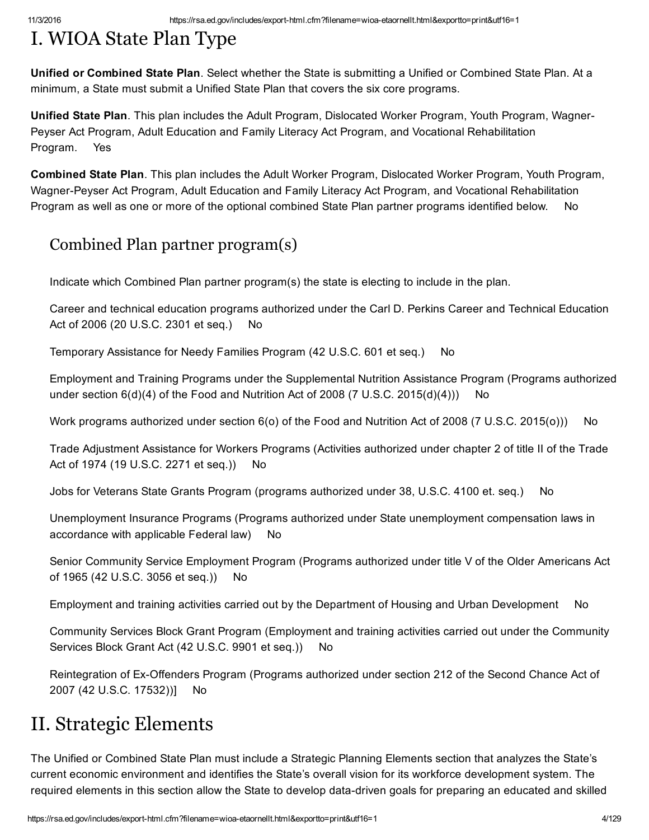## I. WIOA State Plan Type

Unified or Combined State Plan. Select whether the State is submitting a Unified or Combined State Plan. At a minimum, a State must submit a Unified State Plan that covers the six core programs.

Unified State Plan. This plan includes the Adult Program, Dislocated Worker Program, Youth Program, Wagner-Peyser Act Program, Adult Education and Family Literacy Act Program, and Vocational Rehabilitation Program. Yes

Combined State Plan. This plan includes the Adult Worker Program, Dislocated Worker Program, Youth Program, Wagner-Peyser Act Program, Adult Education and Family Literacy Act Program, and Vocational Rehabilitation Program as well as one or more of the optional combined State Plan partner programs identified below. No

## Combined Plan partner program(s)

Indicate which Combined Plan partner program(s) the state is electing to include in the plan.

Career and technical education programs authorized under the Carl D. Perkins Career and Technical Education Act of 2006 (20 U.S.C. 2301 et seq.) No

Temporary Assistance for Needy Families Program (42 U.S.C. 601 et seq.) No

Employment and Training Programs under the Supplemental Nutrition Assistance Program (Programs authorized under section  $6(d)(4)$  of the Food and Nutrition Act of 2008 (7 U.S.C. 2015 $(d)(4)$ )) No

Work programs authorized under section 6(o) of the Food and Nutrition Act of 2008 (7 U.S.C. 2015(o))) No

Trade Adjustment Assistance for Workers Programs (Activities authorized under chapter 2 of title II of the Trade Act of 1974 (19 U.S.C. 2271 et seq.)) No

Jobs for Veterans State Grants Program (programs authorized under 38, U.S.C. 4100 et. seq.) No

Unemployment Insurance Programs (Programs authorized under State unemployment compensation laws in accordance with applicable Federal law) No

Senior Community Service Employment Program (Programs authorized under title V of the Older Americans Act of 1965 (42 U.S.C. 3056 et seq.)) No

Employment and training activities carried out by the Department of Housing and Urban Development No

Community Services Block Grant Program (Employment and training activities carried out under the Community Services Block Grant Act (42 U.S.C. 9901 et seq.)) No

Reintegration of Ex-Offenders Program (Programs authorized under section 212 of the Second Chance Act of 2007 (42 U.S.C. 17532))] No

## II. Strategic Elements

The Unified or Combined State Plan must include a Strategic Planning Elements section that analyzes the State's current economic environment and identifies the State's overall vision for its workforce development system. The required elements in this section allow the State to develop data-driven goals for preparing an educated and skilled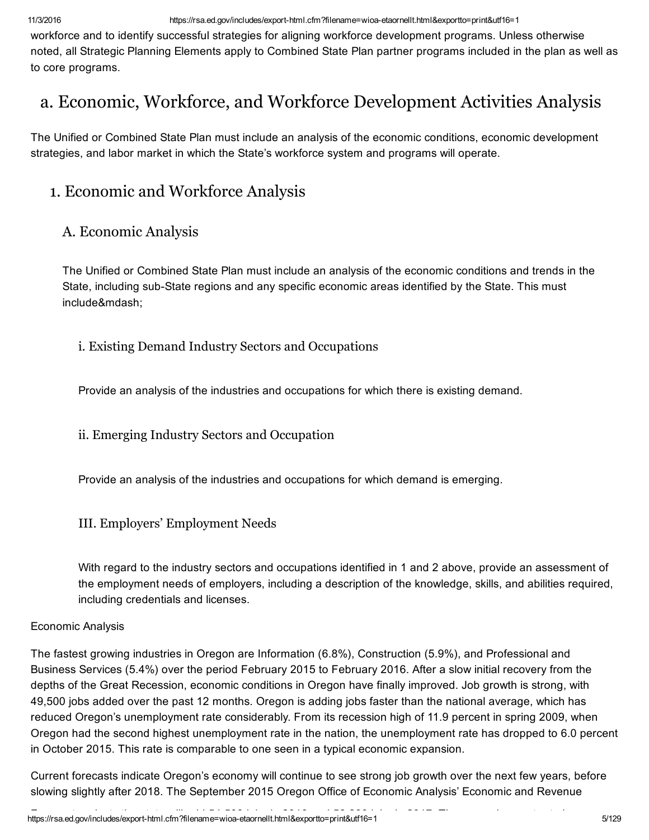workforce and to identify successful strategies for aligning workforce development programs. Unless otherwise noted, all Strategic Planning Elements apply to Combined State Plan partner programs included in the plan as well as to core programs.

## a. Economic, Workforce, and Workforce Development Activities Analysis

The Unified or Combined State Plan must include an analysis of the economic conditions, economic development strategies, and labor market in which the State's workforce system and programs will operate.

### 1. Economic and Workforce Analysis

### A. Economic Analysis

The Unified or Combined State Plan must include an analysis of the economic conditions and trends in the State, including sub-State regions and any specific economic areas identified by the State. This must include&mdash:

i. Existing Demand Industry Sectors and Occupations

Provide an analysis of the industries and occupations for which there is existing demand.

ii. Emerging Industry Sectors and Occupation

Provide an analysis of the industries and occupations for which demand is emerging.

III. Employers' Employment Needs

With regard to the industry sectors and occupations identified in 1 and 2 above, provide an assessment of the employment needs of employers, including a description of the knowledge, skills, and abilities required, including credentials and licenses.

#### Economic Analysis

The fastest growing industries in Oregon are Information (6.8%), Construction (5.9%), and Professional and Business Services (5.4%) over the period February 2015 to February 2016. After a slow initial recovery from the depths of the Great Recession, economic conditions in Oregon have finally improved. Job growth is strong, with 49,500 jobs added over the past 12 months. Oregon is adding jobs faster than the national average, which has reduced Oregon's unemployment rate considerably. From its recession high of 11.9 percent in spring 2009, when Oregon had the second highest unemployment rate in the nation, the unemployment rate has dropped to 6.0 percent in October 2015. This rate is comparable to one seen in a typical economic expansion.

Current forecasts indicate Oregon's economy will continue to see strong job growth over the next few years, before slowing slightly after 2018. The September 2015 Oregon Office of Economic Analysis' Economic and Revenue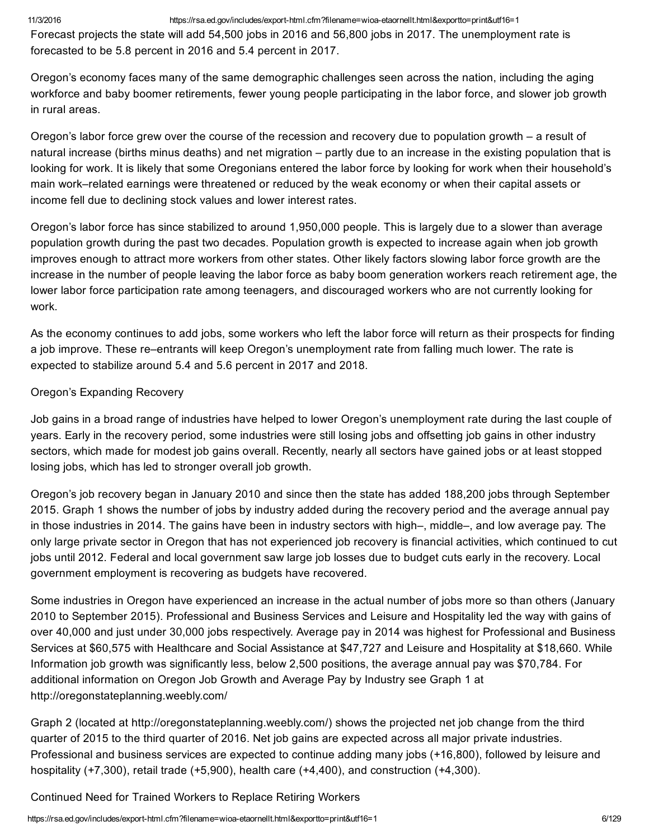Forecast projects the state will add 54,500 jobs in 2016 and 56,800 jobs in 2017. The unemployment rate is forecasted to be 5.8 percent in 2016 and 5.4 percent in 2017.

Oregon's economy faces many of the same demographic challenges seen across the nation, including the aging workforce and baby boomer retirements, fewer young people participating in the labor force, and slower job growth in rural areas.

Oregon's labor force grew over the course of the recession and recovery due to population growth – a result of natural increase (births minus deaths) and net migration – partly due to an increase in the existing population that is looking for work. It is likely that some Oregonians entered the labor force by looking for work when their household's main work–related earnings were threatened or reduced by the weak economy or when their capital assets or income fell due to declining stock values and lower interest rates.

Oregon's labor force has since stabilized to around 1,950,000 people. This is largely due to a slower than average population growth during the past two decades. Population growth is expected to increase again when job growth improves enough to attract more workers from other states. Other likely factors slowing labor force growth are the increase in the number of people leaving the labor force as baby boom generation workers reach retirement age, the lower labor force participation rate among teenagers, and discouraged workers who are not currently looking for work.

As the economy continues to add jobs, some workers who left the labor force will return as their prospects for finding a job improve. These re–entrants will keep Oregon's unemployment rate from falling much lower. The rate is expected to stabilize around 5.4 and 5.6 percent in 2017 and 2018.

#### Oregon's Expanding Recovery

Job gains in a broad range of industries have helped to lower Oregon's unemployment rate during the last couple of years. Early in the recovery period, some industries were still losing jobs and offsetting job gains in other industry sectors, which made for modest job gains overall. Recently, nearly all sectors have gained jobs or at least stopped losing jobs, which has led to stronger overall job growth.

Oregon's job recovery began in January 2010 and since then the state has added 188,200 jobs through September 2015. Graph 1 shows the number of jobs by industry added during the recovery period and the average annual pay in those industries in 2014. The gains have been in industry sectors with high–, middle–, and low average pay. The only large private sector in Oregon that has not experienced job recovery is financial activities, which continued to cut jobs until 2012. Federal and local government saw large job losses due to budget cuts early in the recovery. Local government employment is recovering as budgets have recovered.

Some industries in Oregon have experienced an increase in the actual number of jobs more so than others (January 2010 to September 2015). Professional and Business Services and Leisure and Hospitality led the way with gains of over 40,000 and just under 30,000 jobs respectively. Average pay in 2014 was highest for Professional and Business Services at \$60,575 with Healthcare and Social Assistance at \$47,727 and Leisure and Hospitality at \$18,660. While Information job growth was significantly less, below 2,500 positions, the average annual pay was \$70,784. For additional information on Oregon Job Growth and Average Pay by Industry see Graph 1 at http://oregonstateplanning.weebly.com/

Graph 2 (located at http://oregonstateplanning.weebly.com/) shows the projected net job change from the third quarter of 2015 to the third quarter of 2016. Net job gains are expected across all major private industries. Professional and business services are expected to continue adding many jobs (+16,800), followed by leisure and hospitality (+7,300), retail trade (+5,900), health care (+4,400), and construction (+4,300).

Continued Need for Trained Workers to Replace Retiring Workers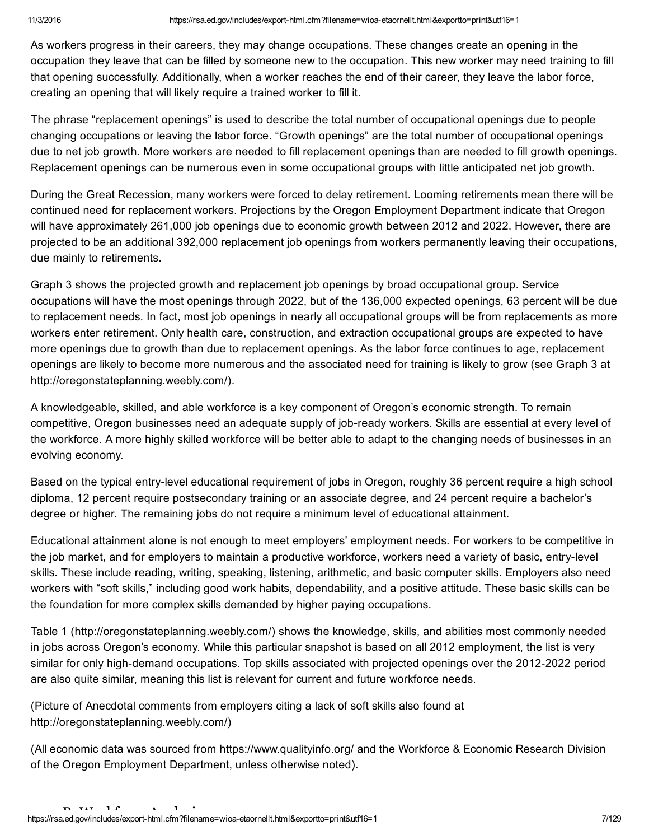As workers progress in their careers, they may change occupations. These changes create an opening in the occupation they leave that can be filled by someone new to the occupation. This new worker may need training to fill that opening successfully. Additionally, when a worker reaches the end of their career, they leave the labor force, creating an opening that will likely require a trained worker to fill it.

The phrase "replacement openings" is used to describe the total number of occupational openings due to people changing occupations or leaving the labor force. "Growth openings" are the total number of occupational openings due to net job growth. More workers are needed to fill replacement openings than are needed to fill growth openings. Replacement openings can be numerous even in some occupational groups with little anticipated net job growth.

During the Great Recession, many workers were forced to delay retirement. Looming retirements mean there will be continued need for replacement workers. Projections by the Oregon Employment Department indicate that Oregon will have approximately 261,000 job openings due to economic growth between 2012 and 2022. However, there are projected to be an additional 392,000 replacement job openings from workers permanently leaving their occupations, due mainly to retirements.

Graph 3 shows the projected growth and replacement job openings by broad occupational group. Service occupations will have the most openings through 2022, but of the 136,000 expected openings, 63 percent will be due to replacement needs. In fact, most job openings in nearly all occupational groups will be from replacements as more workers enter retirement. Only health care, construction, and extraction occupational groups are expected to have more openings due to growth than due to replacement openings. As the labor force continues to age, replacement openings are likely to become more numerous and the associated need for training is likely to grow (see Graph 3 at http://oregonstateplanning.weebly.com/).

A knowledgeable, skilled, and able workforce is a key component of Oregon's economic strength. To remain competitive, Oregon businesses need an adequate supply of job-ready workers. Skills are essential at every level of the workforce. A more highly skilled workforce will be better able to adapt to the changing needs of businesses in an evolving economy.

Based on the typical entry-level educational requirement of jobs in Oregon, roughly 36 percent require a high school diploma, 12 percent require postsecondary training or an associate degree, and 24 percent require a bachelor's degree or higher. The remaining jobs do not require a minimum level of educational attainment.

Educational attainment alone is not enough to meet employers' employment needs. For workers to be competitive in the job market, and for employers to maintain a productive workforce, workers need a variety of basic, entrylevel skills. These include reading, writing, speaking, listening, arithmetic, and basic computer skills. Employers also need workers with "soft skills," including good work habits, dependability, and a positive attitude. These basic skills can be the foundation for more complex skills demanded by higher paying occupations.

Table 1 (http://oregonstateplanning.weebly.com/) shows the knowledge, skills, and abilities most commonly needed in jobs across Oregon's economy. While this particular snapshot is based on all 2012 employment, the list is very similar for only high-demand occupations. Top skills associated with projected openings over the 2012-2022 period are also quite similar, meaning this list is relevant for current and future workforce needs.

(Picture of Anecdotal comments from employers citing a lack of soft skills also found at http://oregonstateplanning.weebly.com/)

(All economic data was sourced from https://www.qualityinfo.org/ and the Workforce & Economic Research Division of the Oregon Employment Department, unless otherwise noted).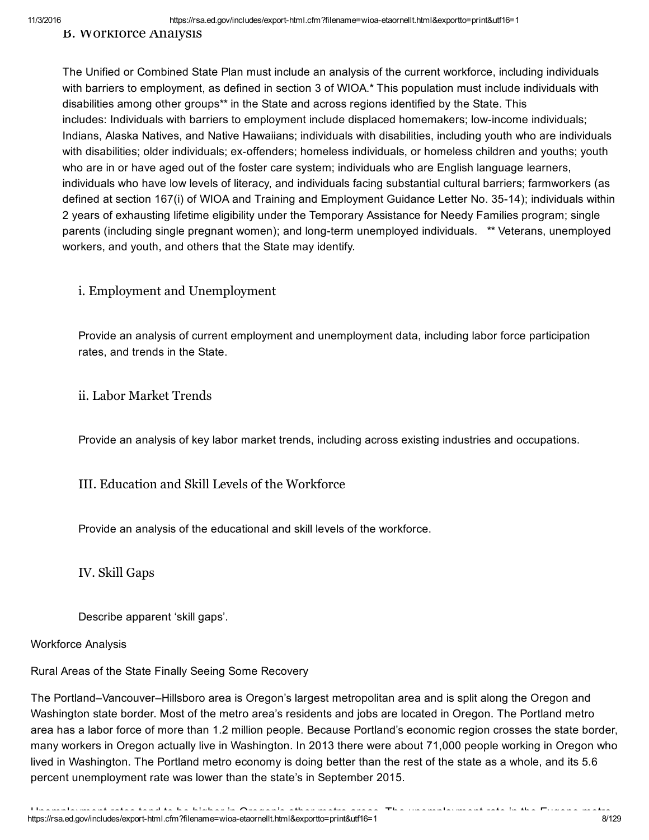#### B. Workforce Analysis

The Unified or Combined State Plan must include an analysis of the current workforce, including individuals with barriers to employment, as defined in section 3 of WIOA.<sup>\*</sup> This population must include individuals with disabilities among other groups\*\* in the State and across regions identified by the State. This includes: Individuals with barriers to employment include displaced homemakers; low-income individuals; Indians, Alaska Natives, and Native Hawaiians; individuals with disabilities, including youth who are individuals with disabilities; older individuals; ex-offenders; homeless individuals, or homeless children and youths; youth who are in or have aged out of the foster care system; individuals who are English language learners, individuals who have low levels of literacy, and individuals facing substantial cultural barriers; farmworkers (as defined at section 167(i) of WIOA and Training and Employment Guidance Letter No. 35-14); individuals within 2 years of exhausting lifetime eligibility under the Temporary Assistance for Needy Families program; single parents (including single pregnant women); and long-term unemployed individuals. \*\* Veterans, unemployed workers, and youth, and others that the State may identify.

#### i. Employment and Unemployment

Provide an analysis of current employment and unemployment data, including labor force participation rates, and trends in the State.

#### ii. Labor Market Trends

Provide an analysis of key labor market trends, including across existing industries and occupations.

#### III. Education and Skill Levels of the Workforce

Provide an analysis of the educational and skill levels of the workforce.

IV. Skill Gaps

Describe apparent 'skill gaps'.

#### Workforce Analysis

Rural Areas of the State Finally Seeing Some Recovery

The Portland–Vancouver–Hillsboro area is Oregon's largest metropolitan area and is split along the Oregon and Washington state border. Most of the metro area's residents and jobs are located in Oregon. The Portland metro area has a labor force of more than 1.2 million people. Because Portland's economic region crosses the state border, many workers in Oregon actually live in Washington. In 2013 there were about 71,000 people working in Oregon who lived in Washington. The Portland metro economy is doing better than the rest of the state as a whole, and its 5.6 percent unemployment rate was lower than the state's in September 2015.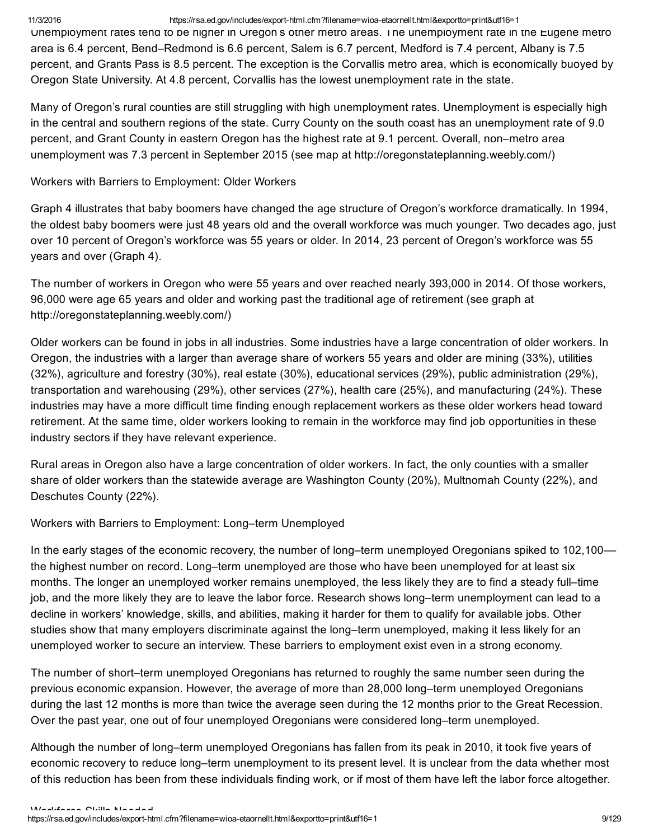Unemployment rates tend to be higher in Oregon's other metro areas. The unemployment rate in the Eugene metro area is 6.4 percent, Bend–Redmond is 6.6 percent, Salem is 6.7 percent, Medford is 7.4 percent, Albany is 7.5 percent, and Grants Pass is 8.5 percent. The exception is the Corvallis metro area, which is economically buoyed by Oregon State University. At 4.8 percent, Corvallis has the lowest unemployment rate in the state.

Many of Oregon's rural counties are still struggling with high unemployment rates. Unemployment is especially high in the central and southern regions of the state. Curry County on the south coast has an unemployment rate of 9.0 percent, and Grant County in eastern Oregon has the highest rate at 9.1 percent. Overall, non–metro area unemployment was 7.3 percent in September 2015 (see map at http://oregonstateplanning.weebly.com/)

#### Workers with Barriers to Employment: Older Workers

Graph 4 illustrates that baby boomers have changed the age structure of Oregon's workforce dramatically. In 1994, the oldest baby boomers were just 48 years old and the overall workforce was much younger. Two decades ago, just over 10 percent of Oregon's workforce was 55 years or older. In 2014, 23 percent of Oregon's workforce was 55 years and over (Graph 4).

The number of workers in Oregon who were 55 years and over reached nearly 393,000 in 2014. Of those workers, 96,000 were age 65 years and older and working past the traditional age of retirement (see graph at http://oregonstateplanning.weebly.com/)

Older workers can be found in jobs in all industries. Some industries have a large concentration of older workers. In Oregon, the industries with a larger than average share of workers 55 years and older are mining (33%), utilities (32%), agriculture and forestry (30%), real estate (30%), educational services (29%), public administration (29%), transportation and warehousing (29%), other services (27%), health care (25%), and manufacturing (24%). These industries may have a more difficult time finding enough replacement workers as these older workers head toward retirement. At the same time, older workers looking to remain in the workforce may find job opportunities in these industry sectors if they have relevant experience.

Rural areas in Oregon also have a large concentration of older workers. In fact, the only counties with a smaller share of older workers than the statewide average are Washington County (20%), Multnomah County (22%), and Deschutes County (22%).

#### Workers with Barriers to Employment: Long–term Unemployed

In the early stages of the economic recovery, the number of long–term unemployed Oregonians spiked to 102,100–– the highest number on record. Long–term unemployed are those who have been unemployed for at least six months. The longer an unemployed worker remains unemployed, the less likely they are to find a steady full–time job, and the more likely they are to leave the labor force. Research shows long–term unemployment can lead to a decline in workers' knowledge, skills, and abilities, making it harder for them to qualify for available jobs. Other studies show that many employers discriminate against the long–term unemployed, making it less likely for an unemployed worker to secure an interview. These barriers to employment exist even in a strong economy.

The number of short–term unemployed Oregonians has returned to roughly the same number seen during the previous economic expansion. However, the average of more than 28,000 long–term unemployed Oregonians during the last 12 months is more than twice the average seen during the 12 months prior to the Great Recession. Over the past year, one out of four unemployed Oregonians were considered long–term unemployed.

Although the number of long–term unemployed Oregonians has fallen from its peak in 2010, it took five years of economic recovery to reduce long–term unemployment to its present level. It is unclear from the data whether most of this reduction has been from these individuals finding work, or if most of them have left the labor force altogether.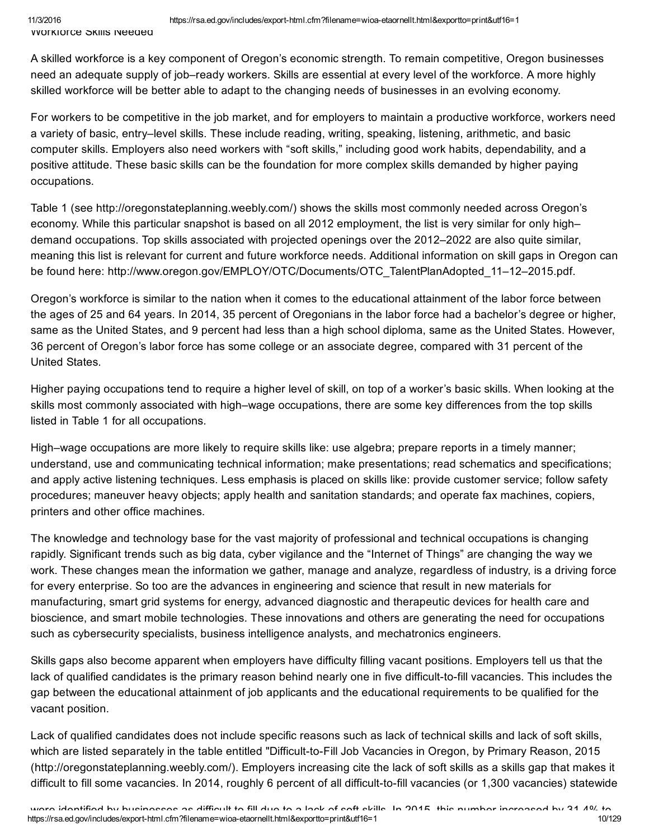A skilled workforce is a key component of Oregon's economic strength. To remain competitive, Oregon businesses need an adequate supply of job–ready workers. Skills are essential at every level of the workforce. A more highly skilled workforce will be better able to adapt to the changing needs of businesses in an evolving economy.

For workers to be competitive in the job market, and for employers to maintain a productive workforce, workers need a variety of basic, entry–level skills. These include reading, writing, speaking, listening, arithmetic, and basic computer skills. Employers also need workers with "soft skills," including good work habits, dependability, and a positive attitude. These basic skills can be the foundation for more complex skills demanded by higher paying occupations.

Table 1 (see http://oregonstateplanning.weebly.com/) shows the skills most commonly needed across Oregon's economy. While this particular snapshot is based on all 2012 employment, the list is very similar for only high– demand occupations. Top skills associated with projected openings over the 2012–2022 are also quite similar, meaning this list is relevant for current and future workforce needs. Additional information on skill gaps in Oregon can be found here: http://www.oregon.gov/EMPLOY/OTC/Documents/OTC\_TalentPlanAdopted\_11–12–2015.pdf.

Oregon's workforce is similar to the nation when it comes to the educational attainment of the labor force between the ages of 25 and 64 years. In 2014, 35 percent of Oregonians in the labor force had a bachelor's degree or higher, same as the United States, and 9 percent had less than a high school diploma, same as the United States. However, 36 percent of Oregon's labor force has some college or an associate degree, compared with 31 percent of the United States.

Higher paying occupations tend to require a higher level of skill, on top of a worker's basic skills. When looking at the skills most commonly associated with high–wage occupations, there are some key differences from the top skills listed in Table 1 for all occupations.

High–wage occupations are more likely to require skills like: use algebra; prepare reports in a timely manner; understand, use and communicating technical information; make presentations; read schematics and specifications; and apply active listening techniques. Less emphasis is placed on skills like: provide customer service; follow safety procedures; maneuver heavy objects; apply health and sanitation standards; and operate fax machines, copiers, printers and other office machines.

The knowledge and technology base for the vast majority of professional and technical occupations is changing rapidly. Significant trends such as big data, cyber vigilance and the "Internet of Things" are changing the way we work. These changes mean the information we gather, manage and analyze, regardless of industry, is a driving force for every enterprise. So too are the advances in engineering and science that result in new materials for manufacturing, smart grid systems for energy, advanced diagnostic and therapeutic devices for health care and bioscience, and smart mobile technologies. These innovations and others are generating the need for occupations such as cybersecurity specialists, business intelligence analysts, and mechatronics engineers.

Skills gaps also become apparent when employers have difficulty filling vacant positions. Employers tell us that the lack of qualified candidates is the primary reason behind nearly one in five difficult-to-fill vacancies. This includes the gap between the educational attainment of job applicants and the educational requirements to be qualified for the vacant position.

Lack of qualified candidates does not include specific reasons such as lack of technical skills and lack of soft skills, which are listed separately in the table entitled "Difficult-to-Fill Job Vacancies in Oregon, by Primary Reason, 2015 (http://oregonstateplanning.weebly.com/). Employers increasing cite the lack of soft skills as a skills gap that makes it difficult to fill some vacancies. In 2014, roughly 6 percent of all difficult-to-fill vacancies (or 1,300 vacancies) statewide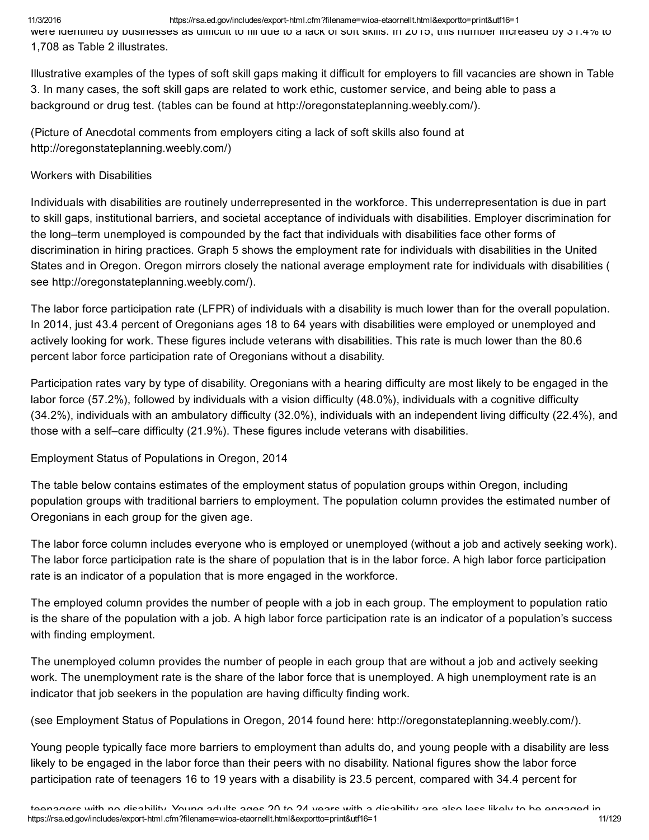were identified by businesses as difficult to fill due to a lack of soft skills. In 2015, this number increased by 31.4% to 1,708 as Table 2 illustrates.

Illustrative examples of the types of soft skill gaps making it difficult for employers to fill vacancies are shown in Table 3. In many cases, the soft skill gaps are related to work ethic, customer service, and being able to pass a background or drug test. (tables can be found at http://oregonstateplanning.weebly.com/).

(Picture of Anecdotal comments from employers citing a lack of soft skills also found at http://oregonstateplanning.weebly.com/)

#### Workers with Disabilities

Individuals with disabilities are routinely underrepresented in the workforce. This underrepresentation is due in part to skill gaps, institutional barriers, and societal acceptance of individuals with disabilities. Employer discrimination for the long–term unemployed is compounded by the fact that individuals with disabilities face other forms of discrimination in hiring practices. Graph 5 shows the employment rate for individuals with disabilities in the United States and in Oregon. Oregon mirrors closely the national average employment rate for individuals with disabilities ( see http://oregonstateplanning.weebly.com/).

The labor force participation rate (LFPR) of individuals with a disability is much lower than for the overall population. In 2014, just 43.4 percent of Oregonians ages 18 to 64 years with disabilities were employed or unemployed and actively looking for work. These figures include veterans with disabilities. This rate is much lower than the 80.6 percent labor force participation rate of Oregonians without a disability.

Participation rates vary by type of disability. Oregonians with a hearing difficulty are most likely to be engaged in the labor force (57.2%), followed by individuals with a vision difficulty (48.0%), individuals with a cognitive difficulty (34.2%), individuals with an ambulatory difficulty (32.0%), individuals with an independent living difficulty (22.4%), and those with a self–care difficulty (21.9%). These figures include veterans with disabilities.

#### Employment Status of Populations in Oregon, 2014

The table below contains estimates of the employment status of population groups within Oregon, including population groups with traditional barriers to employment. The population column provides the estimated number of Oregonians in each group for the given age.

The labor force column includes everyone who is employed or unemployed (without a job and actively seeking work). The labor force participation rate is the share of population that is in the labor force. A high labor force participation rate is an indicator of a population that is more engaged in the workforce.

The employed column provides the number of people with a job in each group. The employment to population ratio is the share of the population with a job. A high labor force participation rate is an indicator of a population's success with finding employment.

The unemployed column provides the number of people in each group that are without a job and actively seeking work. The unemployment rate is the share of the labor force that is unemployed. A high unemployment rate is an indicator that job seekers in the population are having difficulty finding work.

(see Employment Status of Populations in Oregon, 2014 found here: http://oregonstateplanning.weebly.com/).

Young people typically face more barriers to employment than adults do, and young people with a disability are less likely to be engaged in the labor force than their peers with no disability. National figures show the labor force participation rate of teenagers 16 to 19 years with a disability is 23.5 percent, compared with 34.4 percent for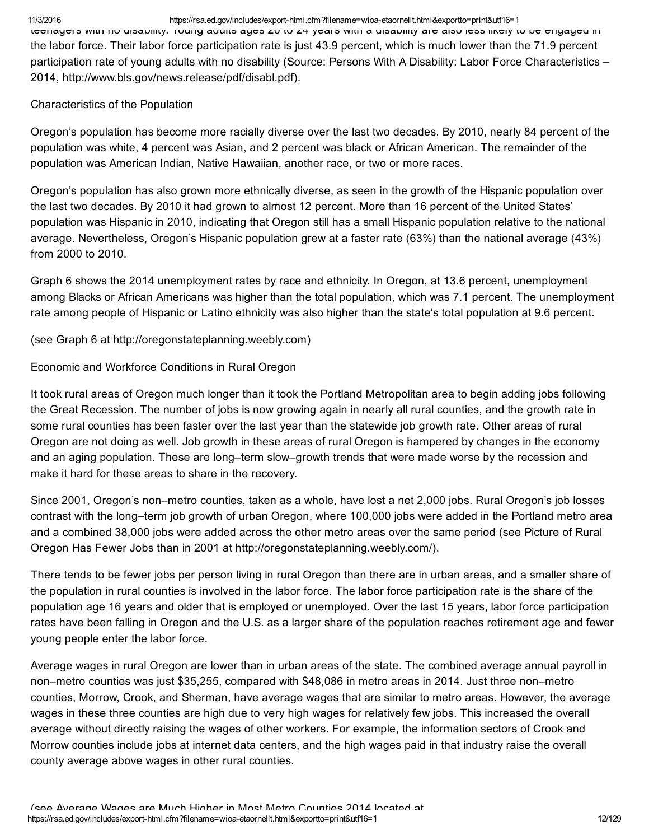teenagers with no disability. Young adults ages 20 to 24 years with a disability are also less likely to be engaged in the labor force. Their labor force participation rate is just 43.9 percent, which is much lower than the 71.9 percent participation rate of young adults with no disability (Source: Persons With A Disability: Labor Force Characteristics – 2014, http://www.bls.gov/news.release/pdf/disabl.pdf).

#### Characteristics of the Population

Oregon's population has become more racially diverse over the last two decades. By 2010, nearly 84 percent of the population was white, 4 percent was Asian, and 2 percent was black or African American. The remainder of the population was American Indian, Native Hawaiian, another race, or two or more races.

Oregon's population has also grown more ethnically diverse, as seen in the growth of the Hispanic population over the last two decades. By 2010 it had grown to almost 12 percent. More than 16 percent of the United States' population was Hispanic in 2010, indicating that Oregon still has a small Hispanic population relative to the national average. Nevertheless, Oregon's Hispanic population grew at a faster rate (63%) than the national average (43%) from 2000 to 2010.

Graph 6 shows the 2014 unemployment rates by race and ethnicity. In Oregon, at 13.6 percent, unemployment among Blacks or African Americans was higher than the total population, which was 7.1 percent. The unemployment rate among people of Hispanic or Latino ethnicity was also higher than the state's total population at 9.6 percent.

(see Graph 6 at http://oregonstateplanning.weebly.com)

#### Economic and Workforce Conditions in Rural Oregon

It took rural areas of Oregon much longer than it took the Portland Metropolitan area to begin adding jobs following the Great Recession. The number of jobs is now growing again in nearly all rural counties, and the growth rate in some rural counties has been faster over the last year than the statewide job growth rate. Other areas of rural Oregon are not doing as well. Job growth in these areas of rural Oregon is hampered by changes in the economy and an aging population. These are long–term slow–growth trends that were made worse by the recession and make it hard for these areas to share in the recovery.

Since 2001, Oregon's non–metro counties, taken as a whole, have lost a net 2,000 jobs. Rural Oregon's job losses contrast with the long–term job growth of urban Oregon, where 100,000 jobs were added in the Portland metro area and a combined 38,000 jobs were added across the other metro areas over the same period (see Picture of Rural Oregon Has Fewer Jobs than in 2001 at http://oregonstateplanning.weebly.com/).

There tends to be fewer jobs per person living in rural Oregon than there are in urban areas, and a smaller share of the population in rural counties is involved in the labor force. The labor force participation rate is the share of the population age 16 years and older that is employed or unemployed. Over the last 15 years, labor force participation rates have been falling in Oregon and the U.S. as a larger share of the population reaches retirement age and fewer young people enter the labor force.

Average wages in rural Oregon are lower than in urban areas of the state. The combined average annual payroll in non–metro counties was just \$35,255, compared with \$48,086 in metro areas in 2014. Just three non–metro counties, Morrow, Crook, and Sherman, have average wages that are similar to metro areas. However, the average wages in these three counties are high due to very high wages for relatively few jobs. This increased the overall average without directly raising the wages of other workers. For example, the information sectors of Crook and Morrow counties include jobs at internet data centers, and the high wages paid in that industry raise the overall county average above wages in other rural counties.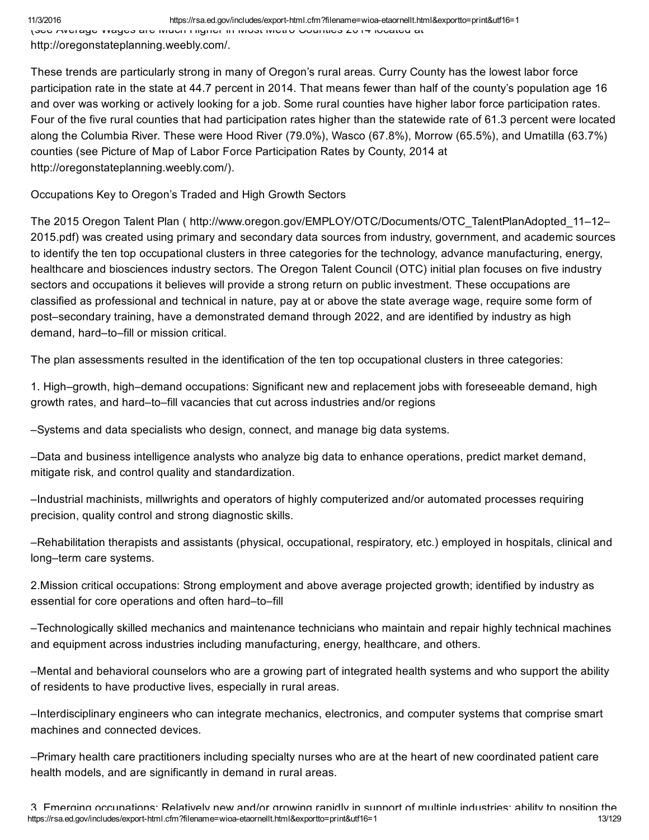(see Average Wages are Much Higher in Most Metro Counties 2014 located at http://oregonstateplanning.weebly.com/.

These trends are particularly strong in many of Oregon's rural areas. Curry County has the lowest labor force participation rate in the state at 44.7 percent in 2014. That means fewer than half of the county's population age 16 and over was working or actively looking for a job. Some rural counties have higher labor force participation rates. Four of the five rural counties that had participation rates higher than the statewide rate of 61.3 percent were located along the Columbia River. These were Hood River (79.0%), Wasco (67.8%), Morrow (65.5%), and Umatilla (63.7%) counties (see Picture of Map of Labor Force Participation Rates by County, 2014 at http://oregonstateplanning.weebly.com/).

Occupations Key to Oregon's Traded and High Growth Sectors

The 2015 Oregon Talent Plan ( http://www.oregon.gov/EMPLOY/OTC/Documents/OTC\_TalentPlanAdopted\_11–12– 2015.pdf) was created using primary and secondary data sources from industry, government, and academic sources to identify the ten top occupational clusters in three categories for the technology, advance manufacturing, energy, healthcare and biosciences industry sectors. The Oregon Talent Council (OTC) initial plan focuses on five industry sectors and occupations it believes will provide a strong return on public investment. These occupations are classified as professional and technical in nature, pay at or above the state average wage, require some form of post–secondary training, have a demonstrated demand through 2022, and are identified by industry as high demand, hard–to–fill or mission critical.

The plan assessments resulted in the identification of the ten top occupational clusters in three categories:

1. High–growth, high–demand occupations: Significant new and replacement jobs with foreseeable demand, high growth rates, and hard–to–fill vacancies that cut across industries and/or regions

–Systems and data specialists who design, connect, and manage big data systems.

–Data and business intelligence analysts who analyze big data to enhance operations, predict market demand, mitigate risk, and control quality and standardization.

–Industrial machinists, millwrights and operators of highly computerized and/or automated processes requiring precision, quality control and strong diagnostic skills.

–Rehabilitation therapists and assistants (physical, occupational, respiratory, etc.) employed in hospitals, clinical and long–term care systems.

2.Mission critical occupations: Strong employment and above average projected growth; identified by industry as essential for core operations and often hard–to–fill

–Technologically skilled mechanics and maintenance technicians who maintain and repair highly technical machines and equipment across industries including manufacturing, energy, healthcare, and others.

–Mental and behavioral counselors who are a growing part of integrated health systems and who support the ability of residents to have productive lives, especially in rural areas.

–Interdisciplinary engineers who can integrate mechanics, electronics, and computer systems that comprise smart machines and connected devices.

–Primary health care practitioners including specialty nurses who are at the heart of new coordinated patient care health models, and are significantly in demand in rural areas.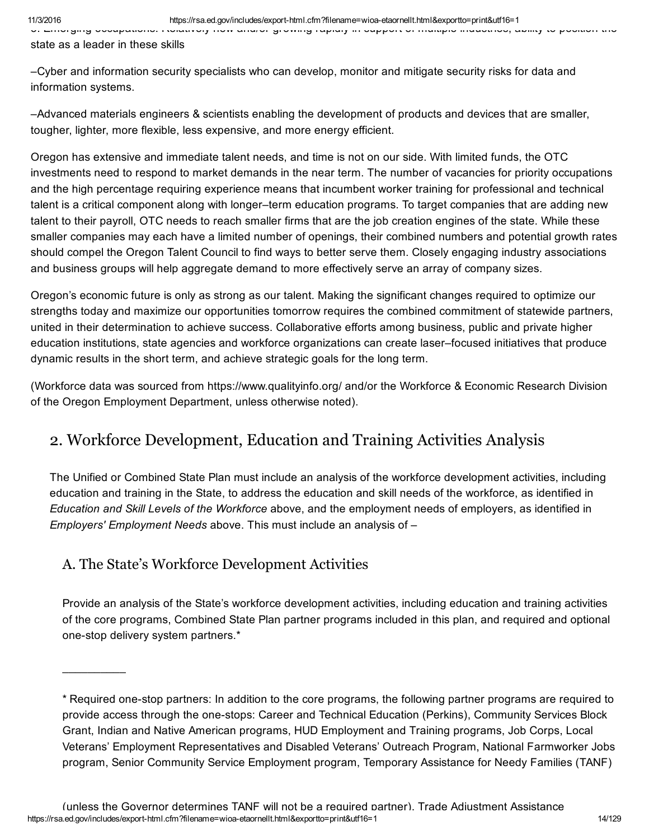3. Emerging occupations: Relatively new and/or growing rapidly in support of multiple industries; ability to position the state as a leader in these skills

–Cyber and information security specialists who can develop, monitor and mitigate security risks for data and information systems.

–Advanced materials engineers & scientists enabling the development of products and devices that are smaller, tougher, lighter, more flexible, less expensive, and more energy efficient.

Oregon has extensive and immediate talent needs, and time is not on our side. With limited funds, the OTC investments need to respond to market demands in the near term. The number of vacancies for priority occupations and the high percentage requiring experience means that incumbent worker training for professional and technical talent is a critical component along with longer–term education programs. To target companies that are adding new talent to their payroll, OTC needs to reach smaller firms that are the job creation engines of the state. While these smaller companies may each have a limited number of openings, their combined numbers and potential growth rates should compel the Oregon Talent Council to find ways to better serve them. Closely engaging industry associations and business groups will help aggregate demand to more effectively serve an array of company sizes.

Oregon's economic future is only as strong as our talent. Making the significant changes required to optimize our strengths today and maximize our opportunities tomorrow requires the combined commitment of statewide partners, united in their determination to achieve success. Collaborative efforts among business, public and private higher education institutions, state agencies and workforce organizations can create laser–focused initiatives that produce dynamic results in the short term, and achieve strategic goals for the long term.

(Workforce data was sourced from https://www.qualityinfo.org/ and/or the Workforce & Economic Research Division of the Oregon Employment Department, unless otherwise noted).

### 2. Workforce Development, Education and Training Activities Analysis

The Unified or Combined State Plan must include an analysis of the workforce development activities, including education and training in the State, to address the education and skill needs of the workforce, as identified in Education and Skill Levels of the Workforce above, and the employment needs of employers, as identified in Employers' Employment Needs above. This must include an analysis of –

### A. The State's Workforce Development Activities

 $\mathcal{L}=\mathcal{L}$ 

Provide an analysis of the State's workforce development activities, including education and training activities of the core programs, Combined State Plan partner programs included in this plan, and required and optional one-stop delivery system partners.\*

<sup>\*</sup> Required onestop partners: In addition to the core programs, the following partner programs are required to provide access through the onestops: Career and Technical Education (Perkins), Community Services Block Grant, Indian and Native American programs, HUD Employment and Training programs, Job Corps, Local Veterans' Employment Representatives and Disabled Veterans' Outreach Program, National Farmworker Jobs program, Senior Community Service Employment program, Temporary Assistance for Needy Families (TANF)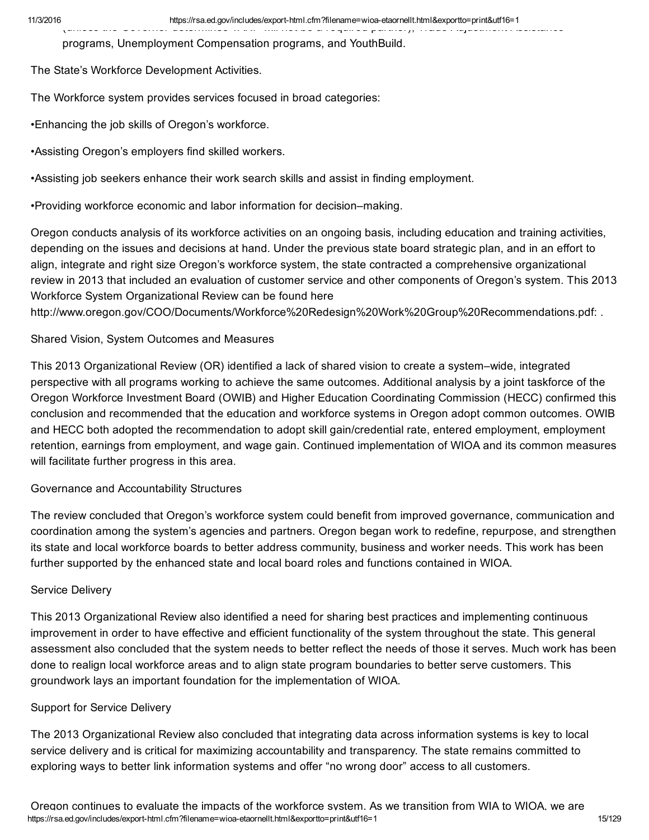(unless the Governor determines TANF will not be a required partner), Trade Adjustment Assistance programs, Unemployment Compensation programs, and YouthBuild.

The Workforce system provides services focused in broad categories:

•Enhancing the job skills of Oregon's workforce.

The State's Workforce Development Activities.

•Assisting Oregon's employers find skilled workers.

•Assisting job seekers enhance their work search skills and assist in finding employment.

•Providing workforce economic and labor information for decision–making.

Oregon conducts analysis of its workforce activities on an ongoing basis, including education and training activities, depending on the issues and decisions at hand. Under the previous state board strategic plan, and in an effort to align, integrate and right size Oregon's workforce system, the state contracted a comprehensive organizational review in 2013 that included an evaluation of customer service and other components of Oregon's system. This 2013 Workforce System Organizational Review can be found here

http://www.oregon.gov/COO/Documents/Workforce%20Redesign%20Work%20Group%20Recommendations.pdf: .

#### Shared Vision, System Outcomes and Measures

This 2013 Organizational Review (OR) identified a lack of shared vision to create a system–wide, integrated perspective with all programs working to achieve the same outcomes. Additional analysis by a joint taskforce of the Oregon Workforce Investment Board (OWIB) and Higher Education Coordinating Commission (HECC) confirmed this conclusion and recommended that the education and workforce systems in Oregon adopt common outcomes. OWIB and HECC both adopted the recommendation to adopt skill gain/credential rate, entered employment, employment retention, earnings from employment, and wage gain. Continued implementation of WIOA and its common measures will facilitate further progress in this area.

#### Governance and Accountability Structures

The review concluded that Oregon's workforce system could benefit from improved governance, communication and coordination among the system's agencies and partners. Oregon began work to redefine, repurpose, and strengthen its state and local workforce boards to better address community, business and worker needs. This work has been further supported by the enhanced state and local board roles and functions contained in WIOA.

#### Service Delivery

This 2013 Organizational Review also identified a need for sharing best practices and implementing continuous improvement in order to have effective and efficient functionality of the system throughout the state. This general assessment also concluded that the system needs to better reflect the needs of those it serves. Much work has been done to realign local workforce areas and to align state program boundaries to better serve customers. This groundwork lays an important foundation for the implementation of WIOA.

#### Support for Service Delivery

The 2013 Organizational Review also concluded that integrating data across information systems is key to local service delivery and is critical for maximizing accountability and transparency. The state remains committed to exploring ways to better link information systems and offer "no wrong door" access to all customers.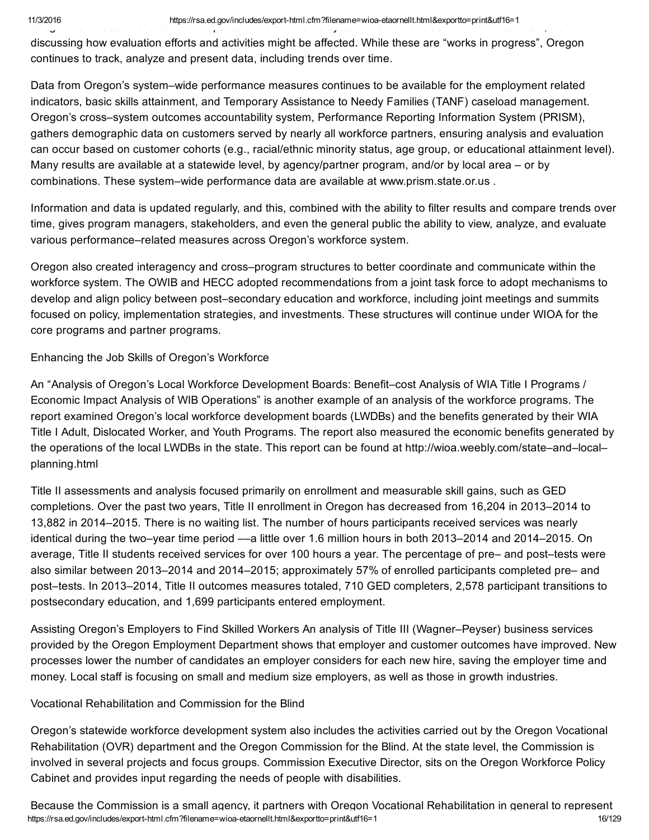Oregon continues to evaluate the impacts of the workforce system. As we transition from WIA to WIOA, we are discussing how evaluation efforts and activities might be affected. While these are "works in progress", Oregon continues to track, analyze and present data, including trends over time.

Data from Oregon's system–wide performance measures continues to be available for the employment related indicators, basic skills attainment, and Temporary Assistance to Needy Families (TANF) caseload management. Oregon's cross–system outcomes accountability system, Performance Reporting Information System (PRISM), gathers demographic data on customers served by nearly all workforce partners, ensuring analysis and evaluation can occur based on customer cohorts (e.g., racial/ethnic minority status, age group, or educational attainment level). Many results are available at a statewide level, by agency/partner program, and/or by local area – or by combinations. These system–wide performance data are available at www.prism.state.or.us .

Information and data is updated regularly, and this, combined with the ability to filter results and compare trends over time, gives program managers, stakeholders, and even the general public the ability to view, analyze, and evaluate various performance–related measures across Oregon's workforce system.

Oregon also created interagency and cross–program structures to better coordinate and communicate within the workforce system. The OWIB and HECC adopted recommendations from a joint task force to adopt mechanisms to develop and align policy between post–secondary education and workforce, including joint meetings and summits focused on policy, implementation strategies, and investments. These structures will continue under WIOA for the core programs and partner programs.

#### Enhancing the Job Skills of Oregon's Workforce

An "Analysis of Oregon's Local Workforce Development Boards: Benefit–cost Analysis of WIA Title I Programs / Economic Impact Analysis of WIB Operations" is another example of an analysis of the workforce programs. The report examined Oregon's local workforce development boards (LWDBs) and the benefits generated by their WIA Title I Adult, Dislocated Worker, and Youth Programs. The report also measured the economic benefits generated by the operations of the local LWDBs in the state. This report can be found at http://wioa.weebly.com/state–and–local– planning.html

Title II assessments and analysis focused primarily on enrollment and measurable skill gains, such as GED completions. Over the past two years, Title II enrollment in Oregon has decreased from 16,204 in 2013–2014 to 13,882 in 2014–2015. There is no waiting list. The number of hours participants received services was nearly identical during the two–year time period ––a little over 1.6 million hours in both 2013–2014 and 2014–2015. On average, Title II students received services for over 100 hours a year. The percentage of pre– and post–tests were also similar between 2013–2014 and 2014–2015; approximately 57% of enrolled participants completed pre– and post–tests. In 2013–2014, Title II outcomes measures totaled, 710 GED completers, 2,578 participant transitions to postsecondary education, and 1,699 participants entered employment.

Assisting Oregon's Employers to Find Skilled Workers An analysis of Title III (Wagner–Peyser) business services provided by the Oregon Employment Department shows that employer and customer outcomes have improved. New processes lower the number of candidates an employer considers for each new hire, saving the employer time and money. Local staff is focusing on small and medium size employers, as well as those in growth industries.

#### Vocational Rehabilitation and Commission for the Blind

Oregon's statewide workforce development system also includes the activities carried out by the Oregon Vocational Rehabilitation (OVR) department and the Oregon Commission for the Blind. At the state level, the Commission is involved in several projects and focus groups. Commission Executive Director, sits on the Oregon Workforce Policy Cabinet and provides input regarding the needs of people with disabilities.

https://rsa.ed.gov/includes/export-html.cfm?filename=wioa-etaornellt.html&exportto=print&utf16=1 16/129 Because the Commission is a small agency, it partners with Oregon Vocational Rehabilitation in general to represent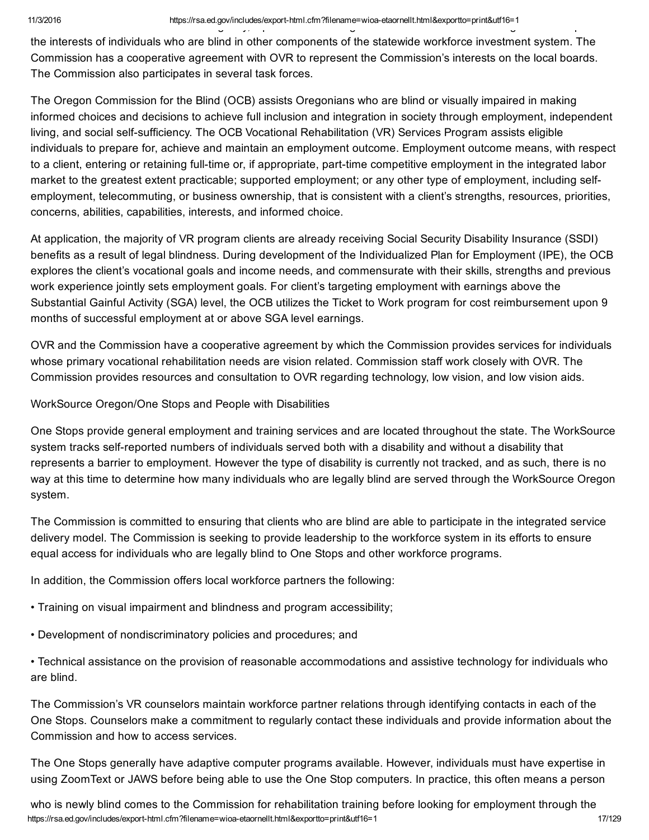### 11/3/2016 https://rsa.ed.gov/includes/export-html.cfm?filename=wioa-etaornellt.html&exportto=print&utf16=1<br>Letters with Oregon Vocation in the Commission in the Commission in the representation in the commission in th

the interests of individuals who are blind in other components of the statewide workforce investment system. The Commission has a cooperative agreement with OVR to represent the Commission's interests on the local boards. The Commission also participates in several task forces.

The Oregon Commission for the Blind (OCB) assists Oregonians who are blind or visually impaired in making informed choices and decisions to achieve full inclusion and integration in society through employment, independent living, and social self-sufficiency. The OCB Vocational Rehabilitation (VR) Services Program assists eligible individuals to prepare for, achieve and maintain an employment outcome. Employment outcome means, with respect to a client, entering or retaining full-time or, if appropriate, part-time competitive employment in the integrated labor market to the greatest extent practicable; supported employment; or any other type of employment, including selfemployment, telecommuting, or business ownership, that is consistent with a client's strengths, resources, priorities, concerns, abilities, capabilities, interests, and informed choice.

At application, the majority of VR program clients are already receiving Social Security Disability Insurance (SSDI) benefits as a result of legal blindness. During development of the Individualized Plan for Employment (IPE), the OCB explores the client's vocational goals and income needs, and commensurate with their skills, strengths and previous work experience jointly sets employment goals. For client's targeting employment with earnings above the Substantial Gainful Activity (SGA) level, the OCB utilizes the Ticket to Work program for cost reimbursement upon 9 months of successful employment at or above SGA level earnings.

OVR and the Commission have a cooperative agreement by which the Commission provides services for individuals whose primary vocational rehabilitation needs are vision related. Commission staff work closely with OVR. The Commission provides resources and consultation to OVR regarding technology, low vision, and low vision aids.

WorkSource Oregon/One Stops and People with Disabilities

One Stops provide general employment and training services and are located throughout the state. The WorkSource system tracks self-reported numbers of individuals served both with a disability and without a disability that represents a barrier to employment. However the type of disability is currently not tracked, and as such, there is no way at this time to determine how many individuals who are legally blind are served through the WorkSource Oregon system.

The Commission is committed to ensuring that clients who are blind are able to participate in the integrated service delivery model. The Commission is seeking to provide leadership to the workforce system in its efforts to ensure equal access for individuals who are legally blind to One Stops and other workforce programs.

In addition, the Commission offers local workforce partners the following:

- Training on visual impairment and blindness and program accessibility;
- Development of nondiscriminatory policies and procedures; and

• Technical assistance on the provision of reasonable accommodations and assistive technology for individuals who are blind.

The Commission's VR counselors maintain workforce partner relations through identifying contacts in each of the One Stops. Counselors make a commitment to regularly contact these individuals and provide information about the Commission and how to access services.

The One Stops generally have adaptive computer programs available. However, individuals must have expertise in using ZoomText or JAWS before being able to use the One Stop computers. In practice, this often means a person

https://rsa.ed.gov/includes/export-html.cfm?filename=wioa-etaornellt.html&exportto=print&utf16=1 17/129 17/129 who is newly blind comes to the Commission for rehabilitation training before looking for employment through the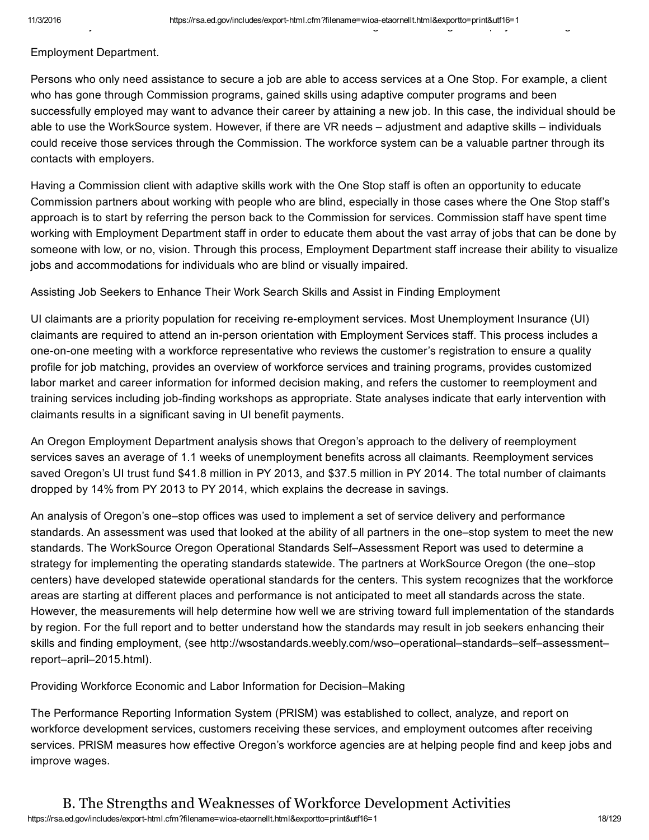Employment Department.

Persons who only need assistance to secure a job are able to access services at a One Stop. For example, a client who has gone through Commission programs, gained skills using adaptive computer programs and been successfully employed may want to advance their career by attaining a new job. In this case, the individual should be able to use the WorkSource system. However, if there are VR needs – adjustment and adaptive skills – individuals could receive those services through the Commission. The workforce system can be a valuable partner through its contacts with employers.

Having a Commission client with adaptive skills work with the One Stop staff is often an opportunity to educate Commission partners about working with people who are blind, especially in those cases where the One Stop staff's approach is to start by referring the person back to the Commission for services. Commission staff have spent time working with Employment Department staff in order to educate them about the vast array of jobs that can be done by someone with low, or no, vision. Through this process, Employment Department staff increase their ability to visualize jobs and accommodations for individuals who are blind or visually impaired.

Assisting Job Seekers to Enhance Their Work Search Skills and Assist in Finding Employment

UI claimants are a priority population for receiving re-employment services. Most Unemployment Insurance (UI) claimants are required to attend an in-person orientation with Employment Services staff. This process includes a one-on-one meeting with a workforce representative who reviews the customer's registration to ensure a quality profile for job matching, provides an overview of workforce services and training programs, provides customized labor market and career information for informed decision making, and refers the customer to reemployment and training services including job-finding workshops as appropriate. State analyses indicate that early intervention with claimants results in a significant saving in UI benefit payments.

An Oregon Employment Department analysis shows that Oregon's approach to the delivery of reemployment services saves an average of 1.1 weeks of unemployment benefits across all claimants. Reemployment services saved Oregon's UI trust fund \$41.8 million in PY 2013, and \$37.5 million in PY 2014. The total number of claimants dropped by 14% from PY 2013 to PY 2014, which explains the decrease in savings.

An analysis of Oregon's one–stop offices was used to implement a set of service delivery and performance standards. An assessment was used that looked at the ability of all partners in the one–stop system to meet the new standards. The WorkSource Oregon Operational Standards Self–Assessment Report was used to determine a strategy for implementing the operating standards statewide. The partners at WorkSource Oregon (the one–stop centers) have developed statewide operational standards for the centers. This system recognizes that the workforce areas are starting at different places and performance is not anticipated to meet all standards across the state. However, the measurements will help determine how well we are striving toward full implementation of the standards by region. For the full report and to better understand how the standards may result in job seekers enhancing their skills and finding employment, (see http://wsostandards.weebly.com/wso–operational–standards–self–assessment– report–april–2015.html).

Providing Workforce Economic and Labor Information for Decision–Making

The Performance Reporting Information System (PRISM) was established to collect, analyze, and report on workforce development services, customers receiving these services, and employment outcomes after receiving services. PRISM measures how effective Oregon's workforce agencies are at helping people find and keep jobs and improve wages.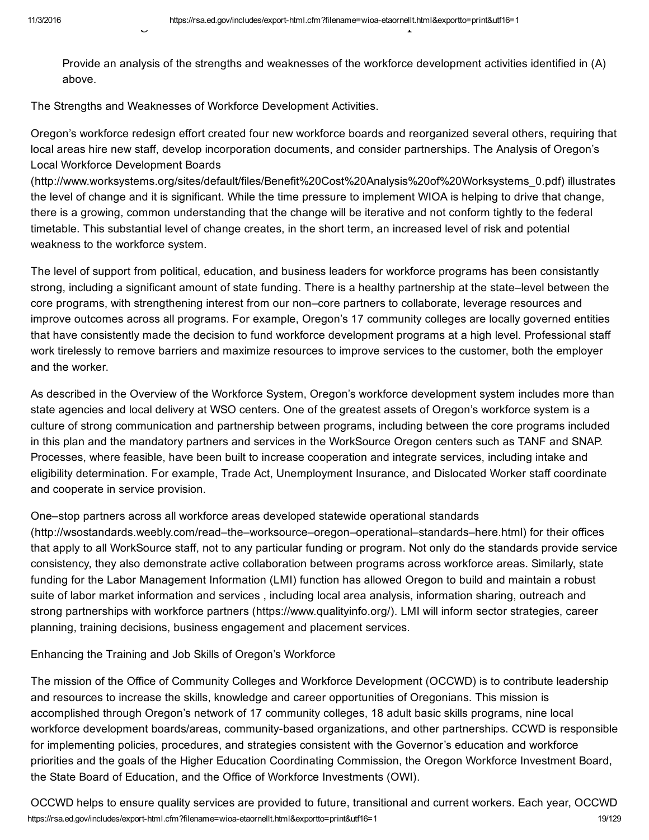Provide an analysis of the strengths and weaknesses of the workforce development activities identified in (A) above.

The Strengths and Weaknesses of Workforce Development Activities.

Oregon's workforce redesign effort created four new workforce boards and reorganized several others, requiring that local areas hire new staff, develop incorporation documents, and consider partnerships. The Analysis of Oregon's Local Workforce Development Boards

(http://www.worksystems.org/sites/default/files/Benefit%20Cost%20Analysis%20of%20Worksystems\_0.pdf) illustrates the level of change and it is significant. While the time pressure to implement WIOA is helping to drive that change, there is a growing, common understanding that the change will be iterative and not conform tightly to the federal timetable. This substantial level of change creates, in the short term, an increased level of risk and potential weakness to the workforce system.

The level of support from political, education, and business leaders for workforce programs has been consistantly strong, including a significant amount of state funding. There is a healthy partnership at the state–level between the core programs, with strengthening interest from our non–core partners to collaborate, leverage resources and improve outcomes across all programs. For example, Oregon's 17 community colleges are locally governed entities that have consistently made the decision to fund workforce development programs at a high level. Professional staff work tirelessly to remove barriers and maximize resources to improve services to the customer, both the employer and the worker.

As described in the Overview of the Workforce System, Oregon's workforce development system includes more than state agencies and local delivery at WSO centers. One of the greatest assets of Oregon's workforce system is a culture of strong communication and partnership between programs, including between the core programs included in this plan and the mandatory partners and services in the WorkSource Oregon centers such as TANF and SNAP. Processes, where feasible, have been built to increase cooperation and integrate services, including intake and eligibility determination. For example, Trade Act, Unemployment Insurance, and Dislocated Worker staff coordinate and cooperate in service provision.

One–stop partners across all workforce areas developed statewide operational standards

(http://wsostandards.weebly.com/read–the–worksource–oregon–operational–standards–here.html) for their offices that apply to all WorkSource staff, not to any particular funding or program. Not only do the standards provide service consistency, they also demonstrate active collaboration between programs across workforce areas. Similarly, state funding for the Labor Management Information (LMI) function has allowed Oregon to build and maintain a robust suite of labor market information and services , including local area analysis, information sharing, outreach and strong partnerships with workforce partners (https://www.qualityinfo.org/). LMI will inform sector strategies, career planning, training decisions, business engagement and placement services.

Enhancing the Training and Job Skills of Oregon's Workforce

The mission of the Office of Community Colleges and Workforce Development (OCCWD) is to contribute leadership and resources to increase the skills, knowledge and career opportunities of Oregonians. This mission is accomplished through Oregon's network of 17 community colleges, 18 adult basic skills programs, nine local workforce development boards/areas, community-based organizations, and other partnerships. CCWD is responsible for implementing policies, procedures, and strategies consistent with the Governor's education and workforce priorities and the goals of the Higher Education Coordinating Commission, the Oregon Workforce Investment Board, the State Board of Education, and the Office of Workforce Investments (OWI).

https://rsa.ed.gov/includes/export-html.cfm?filename=wioa-etaornellt.html&exportto=print&utf16=1 19/129 OCCWD helps to ensure quality services are provided to future, transitional and current workers. Each year, OCCWD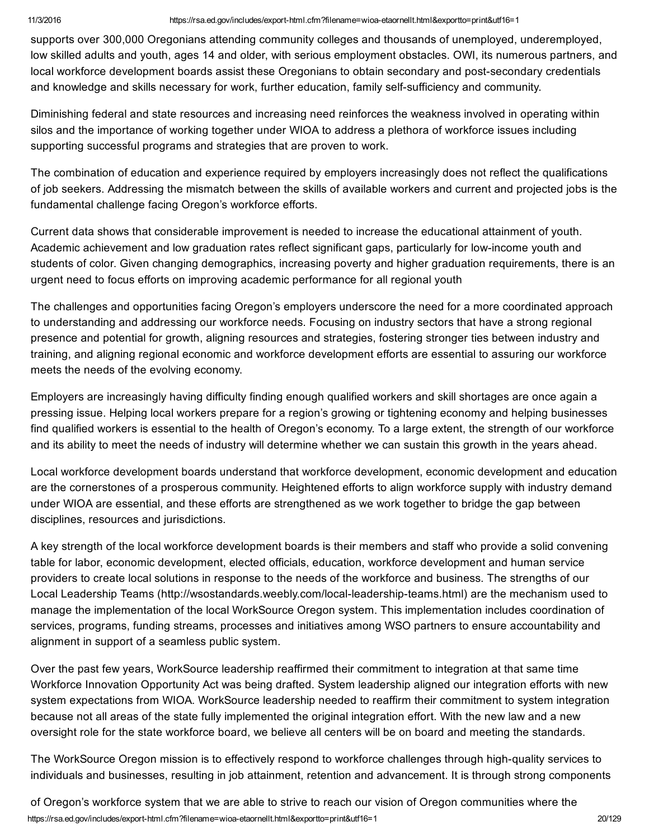supports over 300,000 Oregonians attending community colleges and thousands of unemployed, underemployed, low skilled adults and youth, ages 14 and older, with serious employment obstacles. OWI, its numerous partners, and local workforce development boards assist these Oregonians to obtain secondary and post-secondary credentials and knowledge and skills necessary for work, further education, family self-sufficiency and community.

Diminishing federal and state resources and increasing need reinforces the weakness involved in operating within silos and the importance of working together under WIOA to address a plethora of workforce issues including supporting successful programs and strategies that are proven to work.

The combination of education and experience required by employers increasingly does not reflect the qualifications of job seekers. Addressing the mismatch between the skills of available workers and current and projected jobs is the fundamental challenge facing Oregon's workforce efforts.

Current data shows that considerable improvement is needed to increase the educational attainment of youth. Academic achievement and low graduation rates reflect significant gaps, particularly for low-income youth and students of color. Given changing demographics, increasing poverty and higher graduation requirements, there is an urgent need to focus efforts on improving academic performance for all regional youth

The challenges and opportunities facing Oregon's employers underscore the need for a more coordinated approach to understanding and addressing our workforce needs. Focusing on industry sectors that have a strong regional presence and potential for growth, aligning resources and strategies, fostering stronger ties between industry and training, and aligning regional economic and workforce development efforts are essential to assuring our workforce meets the needs of the evolving economy.

Employers are increasingly having difficulty finding enough qualified workers and skill shortages are once again a pressing issue. Helping local workers prepare for a region's growing or tightening economy and helping businesses find qualified workers is essential to the health of Oregon's economy. To a large extent, the strength of our workforce and its ability to meet the needs of industry will determine whether we can sustain this growth in the years ahead.

Local workforce development boards understand that workforce development, economic development and education are the cornerstones of a prosperous community. Heightened efforts to align workforce supply with industry demand under WIOA are essential, and these efforts are strengthened as we work together to bridge the gap between disciplines, resources and jurisdictions.

A key strength of the local workforce development boards is their members and staff who provide a solid convening table for labor, economic development, elected officials, education, workforce development and human service providers to create local solutions in response to the needs of the workforce and business. The strengths of our Local Leadership Teams (http://wsostandards.weebly.com/local-leadership-teams.html) are the mechanism used to manage the implementation of the local WorkSource Oregon system. This implementation includes coordination of services, programs, funding streams, processes and initiatives among WSO partners to ensure accountability and alignment in support of a seamless public system.

Over the past few years, WorkSource leadership reaffirmed their commitment to integration at that same time Workforce Innovation Opportunity Act was being drafted. System leadership aligned our integration efforts with new system expectations from WIOA. WorkSource leadership needed to reaffirm their commitment to system integration because not all areas of the state fully implemented the original integration effort. With the new law and a new oversight role for the state workforce board, we believe all centers will be on board and meeting the standards.

The WorkSource Oregon mission is to effectively respond to workforce challenges through high-quality services to individuals and businesses, resulting in job attainment, retention and advancement. It is through strong components

https://rsa.ed.gov/includes/exporthtml.cfm?filename=wioaetaornellt.html&exportto=print&utf16=1 20/129 of Oregon's workforce system that we are able to strive to reach our vision of Oregon communities where the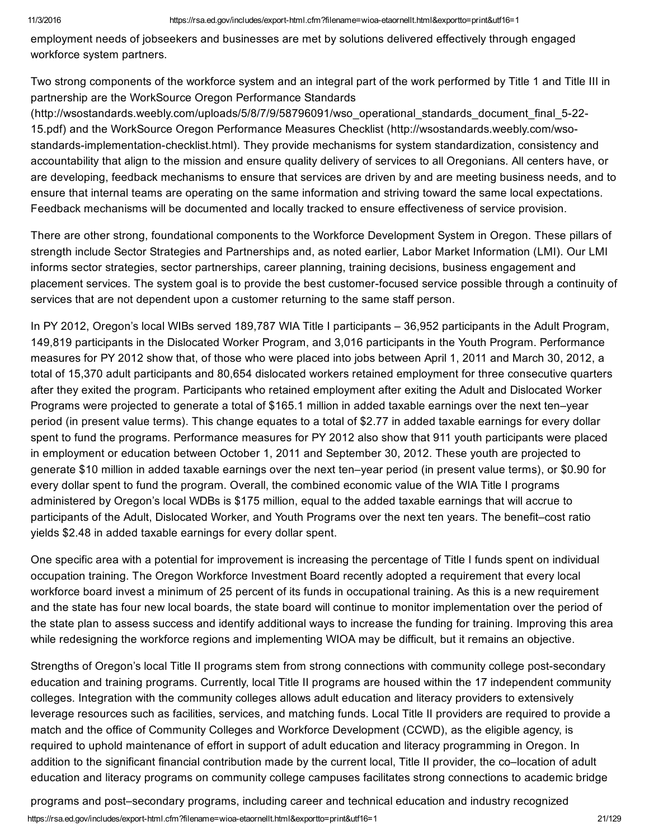employment needs of jobseekers and businesses are met by solutions delivered effectively through engaged workforce system partners.

Two strong components of the workforce system and an integral part of the work performed by Title 1 and Title III in partnership are the WorkSource Oregon Performance Standards

(http://wsostandards.weebly.com/uploads/5/8/7/9/58796091/wso\_operational\_standards\_document\_final\_522 15.pdf) and the WorkSource Oregon Performance Measures Checklist (http://wsostandards.weebly.com/wsostandards-implementation-checklist.html). They provide mechanisms for system standardization, consistency and accountability that align to the mission and ensure quality delivery of services to all Oregonians. All centers have, or are developing, feedback mechanisms to ensure that services are driven by and are meeting business needs, and to ensure that internal teams are operating on the same information and striving toward the same local expectations. Feedback mechanisms will be documented and locally tracked to ensure effectiveness of service provision.

There are other strong, foundational components to the Workforce Development System in Oregon. These pillars of strength include Sector Strategies and Partnerships and, as noted earlier, Labor Market Information (LMI). Our LMI informs sector strategies, sector partnerships, career planning, training decisions, business engagement and placement services. The system goal is to provide the best customer-focused service possible through a continuity of services that are not dependent upon a customer returning to the same staff person.

In PY 2012, Oregon's local WIBs served 189,787 WIA Title I participants – 36,952 participants in the Adult Program, 149,819 participants in the Dislocated Worker Program, and 3,016 participants in the Youth Program. Performance measures for PY 2012 show that, of those who were placed into jobs between April 1, 2011 and March 30, 2012, a total of 15,370 adult participants and 80,654 dislocated workers retained employment for three consecutive quarters after they exited the program. Participants who retained employment after exiting the Adult and Dislocated Worker Programs were projected to generate a total of \$165.1 million in added taxable earnings over the next ten–year period (in present value terms). This change equates to a total of \$2.77 in added taxable earnings for every dollar spent to fund the programs. Performance measures for PY 2012 also show that 911 youth participants were placed in employment or education between October 1, 2011 and September 30, 2012. These youth are projected to generate \$10 million in added taxable earnings over the next ten–year period (in present value terms), or \$0.90 for every dollar spent to fund the program. Overall, the combined economic value of the WIA Title I programs administered by Oregon's local WDBs is \$175 million, equal to the added taxable earnings that will accrue to participants of the Adult, Dislocated Worker, and Youth Programs over the next ten years. The benefit–cost ratio yields \$2.48 in added taxable earnings for every dollar spent.

One specific area with a potential for improvement is increasing the percentage of Title I funds spent on individual occupation training. The Oregon Workforce Investment Board recently adopted a requirement that every local workforce board invest a minimum of 25 percent of its funds in occupational training. As this is a new requirement and the state has four new local boards, the state board will continue to monitor implementation over the period of the state plan to assess success and identify additional ways to increase the funding for training. Improving this area while redesigning the workforce regions and implementing WIOA may be difficult, but it remains an objective.

Strengths of Oregon's local Title II programs stem from strong connections with community college post-secondary education and training programs. Currently, local Title II programs are housed within the 17 independent community colleges. Integration with the community colleges allows adult education and literacy providers to extensively leverage resources such as facilities, services, and matching funds. Local Title II providers are required to provide a match and the office of Community Colleges and Workforce Development (CCWD), as the eligible agency, is required to uphold maintenance of effort in support of adult education and literacy programming in Oregon. In addition to the significant financial contribution made by the current local, Title II provider, the co–location of adult education and literacy programs on community college campuses facilitates strong connections to academic bridge

programs and post–secondary programs, including career and technical education and industry recognized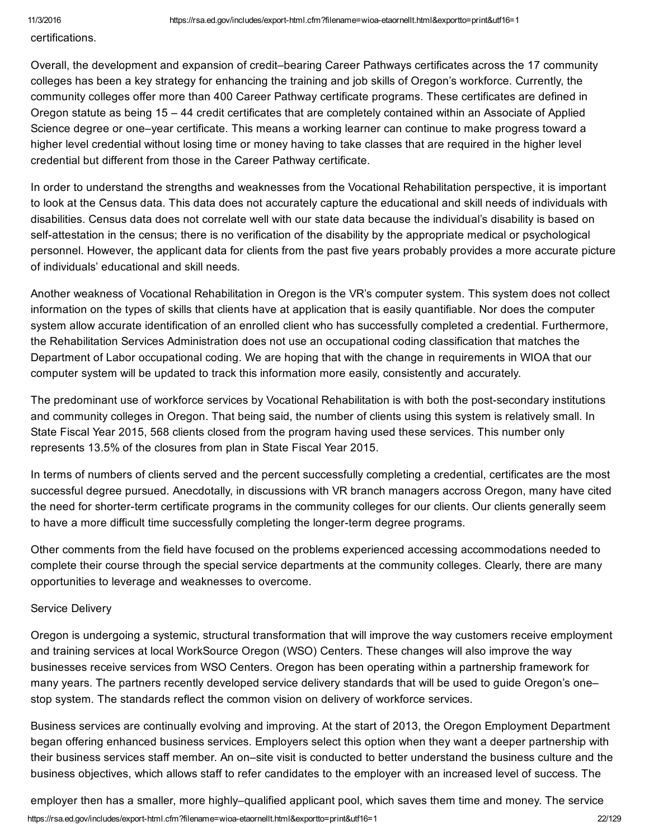certifications.

Overall, the development and expansion of credit–bearing Career Pathways certificates across the 17 community colleges has been a key strategy for enhancing the training and job skills of Oregon's workforce. Currently, the community colleges offer more than 400 Career Pathway certificate programs. These certificates are defined in Oregon statute as being 15 – 44 credit certificates that are completely contained within an Associate of Applied Science degree or one–year certificate. This means a working learner can continue to make progress toward a higher level credential without losing time or money having to take classes that are required in the higher level credential but different from those in the Career Pathway certificate.

In order to understand the strengths and weaknesses from the Vocational Rehabilitation perspective, it is important to look at the Census data. This data does not accurately capture the educational and skill needs of individuals with disabilities. Census data does not correlate well with our state data because the individual's disability is based on self-attestation in the census; there is no verification of the disability by the appropriate medical or psychological personnel. However, the applicant data for clients from the past five years probably provides a more accurate picture of individuals' educational and skill needs.

Another weakness of Vocational Rehabilitation in Oregon is the VR's computer system. This system does not collect information on the types of skills that clients have at application that is easily quantifiable. Nor does the computer system allow accurate identification of an enrolled client who has successfully completed a credential. Furthermore, the Rehabilitation Services Administration does not use an occupational coding classification that matches the Department of Labor occupational coding. We are hoping that with the change in requirements in WIOA that our computer system will be updated to track this information more easily, consistently and accurately.

The predominant use of workforce services by Vocational Rehabilitation is with both the post-secondary institutions and community colleges in Oregon. That being said, the number of clients using this system is relatively small. In State Fiscal Year 2015, 568 clients closed from the program having used these services. This number only represents 13.5% of the closures from plan in State Fiscal Year 2015.

In terms of numbers of clients served and the percent successfully completing a credential, certificates are the most successful degree pursued. Anecdotally, in discussions with VR branch managers accross Oregon, many have cited the need for shorter-term certificate programs in the community colleges for our clients. Our clients generally seem to have a more difficult time successfully completing the longer-term degree programs.

Other comments from the field have focused on the problems experienced accessing accommodations needed to complete their course through the special service departments at the community colleges. Clearly, there are many opportunities to leverage and weaknesses to overcome.

#### Service Delivery

Oregon is undergoing a systemic, structural transformation that will improve the way customers receive employment and training services at local WorkSource Oregon (WSO) Centers. These changes will also improve the way businesses receive services from WSO Centers. Oregon has been operating within a partnership framework for many years. The partners recently developed service delivery standards that will be used to guide Oregon's one– stop system. The standards reflect the common vision on delivery of workforce services.

Business services are continually evolving and improving. At the start of 2013, the Oregon Employment Department began offering enhanced business services. Employers select this option when they want a deeper partnership with their business services staff member. An on–site visit is conducted to better understand the business culture and the business objectives, which allows staff to refer candidates to the employer with an increased level of success. The

employer then has a smaller, more highly–qualified applicant pool, which saves them time and money. The service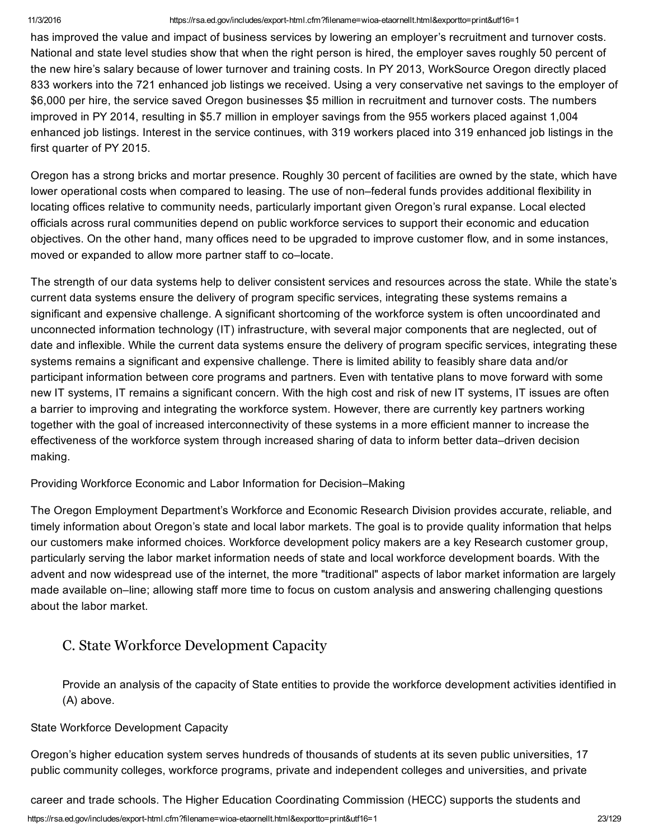has improved the value and impact of business services by lowering an employer's recruitment and turnover costs. National and state level studies show that when the right person is hired, the employer saves roughly 50 percent of the new hire's salary because of lower turnover and training costs. In PY 2013, WorkSource Oregon directly placed 833 workers into the 721 enhanced job listings we received. Using a very conservative net savings to the employer of \$6,000 per hire, the service saved Oregon businesses \$5 million in recruitment and turnover costs. The numbers improved in PY 2014, resulting in \$5.7 million in employer savings from the 955 workers placed against 1,004 enhanced job listings. Interest in the service continues, with 319 workers placed into 319 enhanced job listings in the first quarter of PY 2015.

Oregon has a strong bricks and mortar presence. Roughly 30 percent of facilities are owned by the state, which have lower operational costs when compared to leasing. The use of non–federal funds provides additional flexibility in locating offices relative to community needs, particularly important given Oregon's rural expanse. Local elected officials across rural communities depend on public workforce services to support their economic and education objectives. On the other hand, many offices need to be upgraded to improve customer flow, and in some instances, moved or expanded to allow more partner staff to co–locate.

The strength of our data systems help to deliver consistent services and resources across the state. While the state's current data systems ensure the delivery of program specific services, integrating these systems remains a significant and expensive challenge. A significant shortcoming of the workforce system is often uncoordinated and unconnected information technology (IT) infrastructure, with several major components that are neglected, out of date and inflexible. While the current data systems ensure the delivery of program specific services, integrating these systems remains a significant and expensive challenge. There is limited ability to feasibly share data and/or participant information between core programs and partners. Even with tentative plans to move forward with some new IT systems, IT remains a significant concern. With the high cost and risk of new IT systems, IT issues are often a barrier to improving and integrating the workforce system. However, there are currently key partners working together with the goal of increased interconnectivity of these systems in a more efficient manner to increase the effectiveness of the workforce system through increased sharing of data to inform better data–driven decision making.

#### Providing Workforce Economic and Labor Information for Decision–Making

The Oregon Employment Department's Workforce and Economic Research Division provides accurate, reliable, and timely information about Oregon's state and local labor markets. The goal is to provide quality information that helps our customers make informed choices. Workforce development policy makers are a key Research customer group, particularly serving the labor market information needs of state and local workforce development boards. With the advent and now widespread use of the internet, the more "traditional" aspects of labor market information are largely made available on–line; allowing staff more time to focus on custom analysis and answering challenging questions about the labor market.

### C. State Workforce Development Capacity

Provide an analysis of the capacity of State entities to provide the workforce development activities identified in (A) above.

#### State Workforce Development Capacity

Oregon's higher education system serves hundreds of thousands of students at its seven public universities, 17 public community colleges, workforce programs, private and independent colleges and universities, and private

career and trade schools. The Higher Education Coordinating Commission (HECC) supports the students and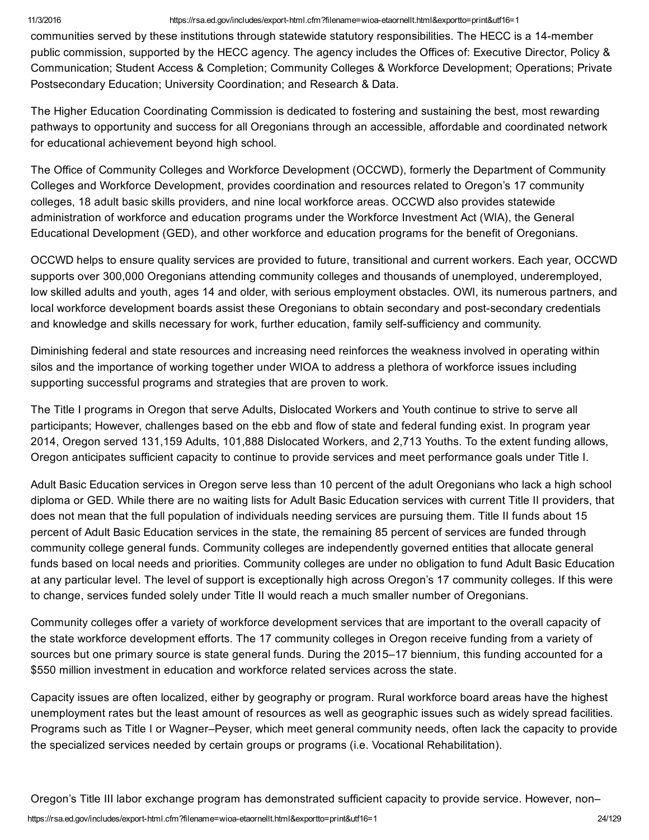communities served by these institutions through statewide statutory responsibilities. The HECC is a 14-member public commission, supported by the HECC agency. The agency includes the Offices of: Executive Director, Policy & Communication; Student Access & Completion; Community Colleges & Workforce Development; Operations; Private Postsecondary Education; University Coordination; and Research & Data.

The Higher Education Coordinating Commission is dedicated to fostering and sustaining the best, most rewarding pathways to opportunity and success for all Oregonians through an accessible, affordable and coordinated network for educational achievement beyond high school.

The Office of Community Colleges and Workforce Development (OCCWD), formerly the Department of Community Colleges and Workforce Development, provides coordination and resources related to Oregon's 17 community colleges, 18 adult basic skills providers, and nine local workforce areas. OCCWD also provides statewide administration of workforce and education programs under the Workforce Investment Act (WIA), the General Educational Development (GED), and other workforce and education programs for the benefit of Oregonians.

OCCWD helps to ensure quality services are provided to future, transitional and current workers. Each year, OCCWD supports over 300,000 Oregonians attending community colleges and thousands of unemployed, underemployed, low skilled adults and youth, ages 14 and older, with serious employment obstacles. OWI, its numerous partners, and local workforce development boards assist these Oregonians to obtain secondary and post-secondary credentials and knowledge and skills necessary for work, further education, family self-sufficiency and community.

Diminishing federal and state resources and increasing need reinforces the weakness involved in operating within silos and the importance of working together under WIOA to address a plethora of workforce issues including supporting successful programs and strategies that are proven to work.

The Title I programs in Oregon that serve Adults, Dislocated Workers and Youth continue to strive to serve all participants; However, challenges based on the ebb and flow of state and federal funding exist. In program year 2014, Oregon served 131,159 Adults, 101,888 Dislocated Workers, and 2,713 Youths. To the extent funding allows, Oregon anticipates sufficient capacity to continue to provide services and meet performance goals under Title I.

Adult Basic Education services in Oregon serve less than 10 percent of the adult Oregonians who lack a high school diploma or GED. While there are no waiting lists for Adult Basic Education services with current Title II providers, that does not mean that the full population of individuals needing services are pursuing them. Title II funds about 15 percent of Adult Basic Education services in the state, the remaining 85 percent of services are funded through community college general funds. Community colleges are independently governed entities that allocate general funds based on local needs and priorities. Community colleges are under no obligation to fund Adult Basic Education at any particular level. The level of support is exceptionally high across Oregon's 17 community colleges. If this were to change, services funded solely under Title II would reach a much smaller number of Oregonians.

Community colleges offer a variety of workforce development services that are important to the overall capacity of the state workforce development efforts. The 17 community colleges in Oregon receive funding from a variety of sources but one primary source is state general funds. During the 2015–17 biennium, this funding accounted for a \$550 million investment in education and workforce related services across the state.

Capacity issues are often localized, either by geography or program. Rural workforce board areas have the highest unemployment rates but the least amount of resources as well as geographic issues such as widely spread facilities. Programs such as Title I or Wagner–Peyser, which meet general community needs, often lack the capacity to provide the specialized services needed by certain groups or programs (i.e. Vocational Rehabilitation).

Oregon's Title III labor exchange program has demonstrated sufficient capacity to provide service. However, non–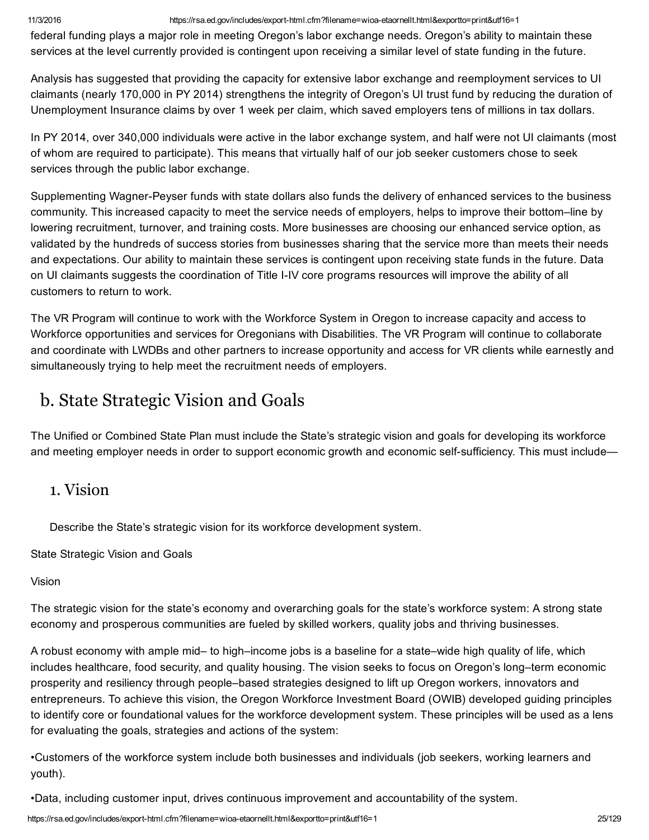federal funding plays a major role in meeting Oregon's labor exchange needs. Oregon's ability to maintain these services at the level currently provided is contingent upon receiving a similar level of state funding in the future.

Analysis has suggested that providing the capacity for extensive labor exchange and reemployment services to UI claimants (nearly 170,000 in PY 2014) strengthens the integrity of Oregon's UI trust fund by reducing the duration of Unemployment Insurance claims by over 1 week per claim, which saved employers tens of millions in tax dollars.

In PY 2014, over 340,000 individuals were active in the labor exchange system, and half were not UI claimants (most of whom are required to participate). This means that virtually half of our job seeker customers chose to seek services through the public labor exchange.

Supplementing Wagner-Peyser funds with state dollars also funds the delivery of enhanced services to the business community. This increased capacity to meet the service needs of employers, helps to improve their bottom–line by lowering recruitment, turnover, and training costs. More businesses are choosing our enhanced service option, as validated by the hundreds of success stories from businesses sharing that the service more than meets their needs and expectations. Our ability to maintain these services is contingent upon receiving state funds in the future. Data on UI claimants suggests the coordination of Title IIV core programs resources will improve the ability of all customers to return to work.

The VR Program will continue to work with the Workforce System in Oregon to increase capacity and access to Workforce opportunities and services for Oregonians with Disabilities. The VR Program will continue to collaborate and coordinate with LWDBs and other partners to increase opportunity and access for VR clients while earnestly and simultaneously trying to help meet the recruitment needs of employers.

## b. State Strategic Vision and Goals

The Unified or Combined State Plan must include the State's strategic vision and goals for developing its workforce and meeting employer needs in order to support economic growth and economic self-sufficiency. This must include—

### 1. Vision

Describe the State's strategic vision for its workforce development system.

State Strategic Vision and Goals

Vision

The strategic vision for the state's economy and overarching goals for the state's workforce system: A strong state economy and prosperous communities are fueled by skilled workers, quality jobs and thriving businesses.

A robust economy with ample mid– to high–income jobs is a baseline for a state–wide high quality of life, which includes healthcare, food security, and quality housing. The vision seeks to focus on Oregon's long–term economic prosperity and resiliency through people–based strategies designed to lift up Oregon workers, innovators and entrepreneurs. To achieve this vision, the Oregon Workforce Investment Board (OWIB) developed guiding principles to identify core or foundational values for the workforce development system. These principles will be used as a lens for evaluating the goals, strategies and actions of the system:

•Customers of the workforce system include both businesses and individuals (job seekers, working learners and youth).

•Data, including customer input, drives continuous improvement and accountability of the system.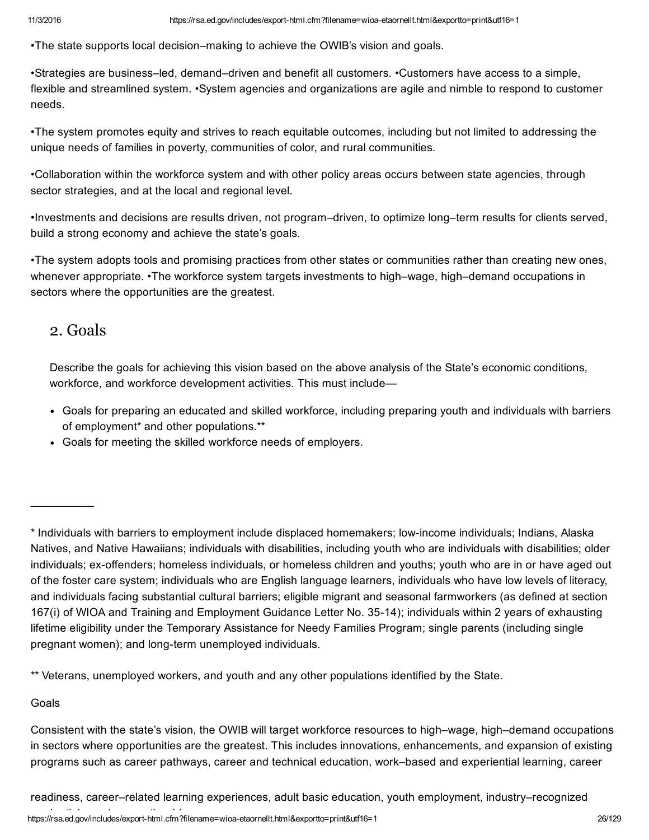•The state supports local decision–making to achieve the OWIB's vision and goals.

•Strategies are business–led, demand–driven and benefit all customers. •Customers have access to a simple, flexible and streamlined system. •System agencies and organizations are agile and nimble to respond to customer needs.

•The system promotes equity and strives to reach equitable outcomes, including but not limited to addressing the unique needs of families in poverty, communities of color, and rural communities.

•Collaboration within the workforce system and with other policy areas occurs between state agencies, through sector strategies, and at the local and regional level.

•Investments and decisions are results driven, not program–driven, to optimize long–term results for clients served, build a strong economy and achieve the state's goals.

•The system adopts tools and promising practices from other states or communities rather than creating new ones, whenever appropriate. •The workforce system targets investments to high–wage, high–demand occupations in sectors where the opportunities are the greatest.

### 2. Goals

 $\frac{1}{2}$ 

Describe the goals for achieving this vision based on the above analysis of the State's economic conditions, workforce, and workforce development activities. This must include—

- Goals for preparing an educated and skilled workforce, including preparing youth and individuals with barriers of employment\* and other populations.\*\*
- Goals for meeting the skilled workforce needs of employers.

\* Individuals with barriers to employment include displaced homemakers; lowincome individuals; Indians, Alaska Natives, and Native Hawaiians; individuals with disabilities, including youth who are individuals with disabilities; older individuals; ex-offenders; homeless individuals, or homeless children and youths; youth who are in or have aged out of the foster care system; individuals who are English language learners, individuals who have low levels of literacy, and individuals facing substantial cultural barriers; eligible migrant and seasonal farmworkers (as defined at section 167(i) of WIOA and Training and Employment Guidance Letter No. 3514); individuals within 2 years of exhausting lifetime eligibility under the Temporary Assistance for Needy Families Program; single parents (including single pregnant women); and long-term unemployed individuals.

\*\* Veterans, unemployed workers, and youth and any other populations identified by the State.

#### Goals

Consistent with the state's vision, the OWIB will target workforce resources to high–wage, high–demand occupations in sectors where opportunities are the greatest. This includes innovations, enhancements, and expansion of existing programs such as career pathways, career and technical education, work–based and experiential learning, career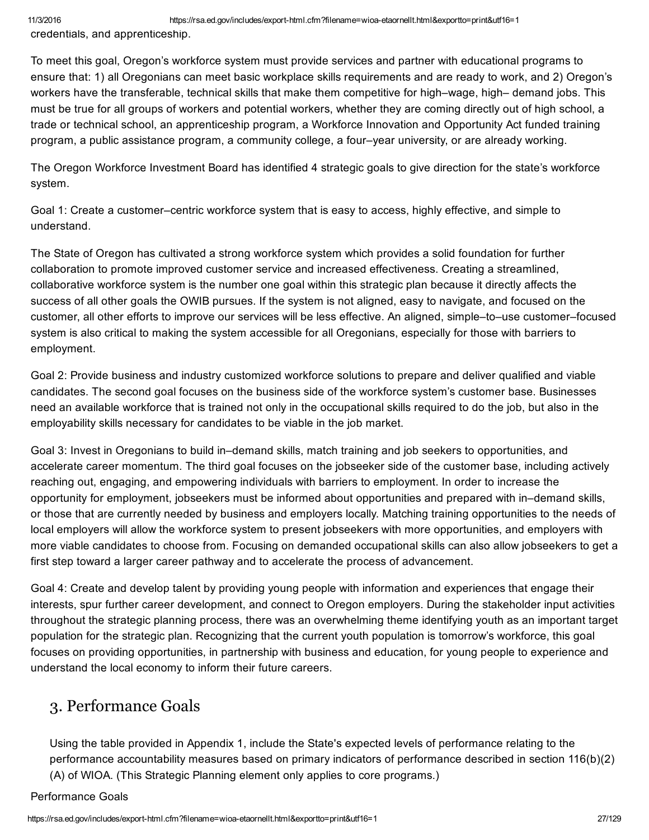credentials, and apprenticeship.

To meet this goal, Oregon's workforce system must provide services and partner with educational programs to ensure that: 1) all Oregonians can meet basic workplace skills requirements and are ready to work, and 2) Oregon's workers have the transferable, technical skills that make them competitive for high–wage, high– demand jobs. This must be true for all groups of workers and potential workers, whether they are coming directly out of high school, a trade or technical school, an apprenticeship program, a Workforce Innovation and Opportunity Act funded training program, a public assistance program, a community college, a four–year university, or are already working.

The Oregon Workforce Investment Board has identified 4 strategic goals to give direction for the state's workforce system.

Goal 1: Create a customer–centric workforce system that is easy to access, highly effective, and simple to understand.

The State of Oregon has cultivated a strong workforce system which provides a solid foundation for further collaboration to promote improved customer service and increased effectiveness. Creating a streamlined, collaborative workforce system is the number one goal within this strategic plan because it directly affects the success of all other goals the OWIB pursues. If the system is not aligned, easy to navigate, and focused on the customer, all other efforts to improve our services will be less effective. An aligned, simple–to–use customer–focused system is also critical to making the system accessible for all Oregonians, especially for those with barriers to employment.

Goal 2: Provide business and industry customized workforce solutions to prepare and deliver qualified and viable candidates. The second goal focuses on the business side of the workforce system's customer base. Businesses need an available workforce that is trained not only in the occupational skills required to do the job, but also in the employability skills necessary for candidates to be viable in the job market.

Goal 3: Invest in Oregonians to build in–demand skills, match training and job seekers to opportunities, and accelerate career momentum. The third goal focuses on the jobseeker side of the customer base, including actively reaching out, engaging, and empowering individuals with barriers to employment. In order to increase the opportunity for employment, jobseekers must be informed about opportunities and prepared with in–demand skills, or those that are currently needed by business and employers locally. Matching training opportunities to the needs of local employers will allow the workforce system to present jobseekers with more opportunities, and employers with more viable candidates to choose from. Focusing on demanded occupational skills can also allow jobseekers to get a first step toward a larger career pathway and to accelerate the process of advancement.

Goal 4: Create and develop talent by providing young people with information and experiences that engage their interests, spur further career development, and connect to Oregon employers. During the stakeholder input activities throughout the strategic planning process, there was an overwhelming theme identifying youth as an important target population for the strategic plan. Recognizing that the current youth population is tomorrow's workforce, this goal focuses on providing opportunities, in partnership with business and education, for young people to experience and understand the local economy to inform their future careers.

## 3. Performance Goals

Using the table provided in Appendix 1, include the State's expected levels of performance relating to the performance accountability measures based on primary indicators of performance described in section 116(b)(2) (A) of WIOA. (This Strategic Planning element only applies to core programs.)

Performance Goals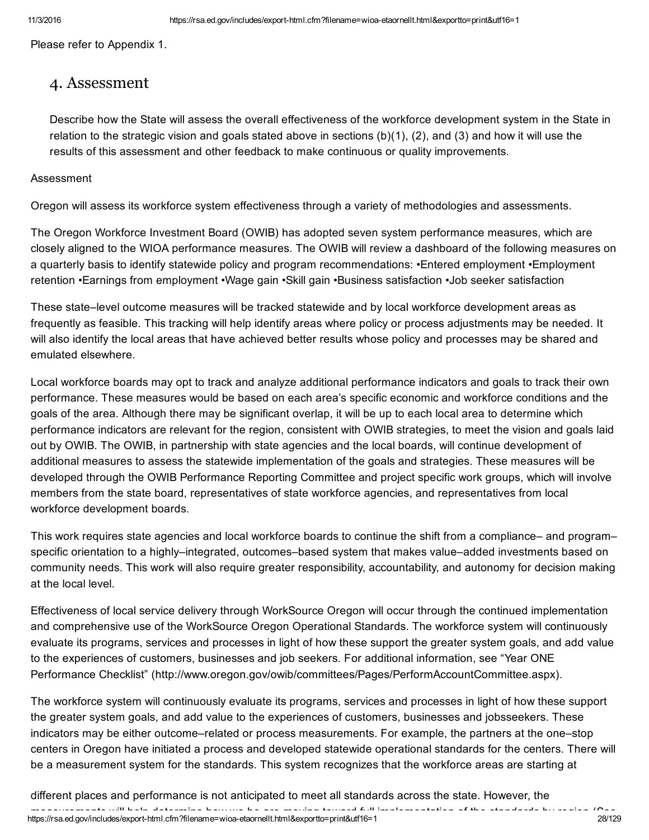Please refer to Appendix 1.

### 4. Assessment

Describe how the State will assess the overall effectiveness of the workforce development system in the State in relation to the strategic vision and goals stated above in sections (b)(1), (2), and (3) and how it will use the results of this assessment and other feedback to make continuous or quality improvements.

#### Assessment

Oregon will assess its workforce system effectiveness through a variety of methodologies and assessments.

The Oregon Workforce Investment Board (OWIB) has adopted seven system performance measures, which are closely aligned to the WIOA performance measures. The OWIB will review a dashboard of the following measures on a quarterly basis to identify statewide policy and program recommendations: •Entered employment •Employment retention •Earnings from employment •Wage gain •Skill gain •Business satisfaction •Job seeker satisfaction

These state–level outcome measures will be tracked statewide and by local workforce development areas as frequently as feasible. This tracking will help identify areas where policy or process adjustments may be needed. It will also identify the local areas that have achieved better results whose policy and processes may be shared and emulated elsewhere.

Local workforce boards may opt to track and analyze additional performance indicators and goals to track their own performance. These measures would be based on each area's specific economic and workforce conditions and the goals of the area. Although there may be significant overlap, it will be up to each local area to determine which performance indicators are relevant for the region, consistent with OWIB strategies, to meet the vision and goals laid out by OWIB. The OWIB, in partnership with state agencies and the local boards, will continue development of additional measures to assess the statewide implementation of the goals and strategies. These measures will be developed through the OWIB Performance Reporting Committee and project specific work groups, which will involve members from the state board, representatives of state workforce agencies, and representatives from local workforce development boards.

This work requires state agencies and local workforce boards to continue the shift from a compliance– and program– specific orientation to a highly–integrated, outcomes–based system that makes value–added investments based on community needs. This work will also require greater responsibility, accountability, and autonomy for decision making at the local level.

Effectiveness of local service delivery through WorkSource Oregon will occur through the continued implementation and comprehensive use of the WorkSource Oregon Operational Standards. The workforce system will continuously evaluate its programs, services and processes in light of how these support the greater system goals, and add value to the experiences of customers, businesses and job seekers. For additional information, see "Year ONE Performance Checklist" (http://www.oregon.gov/owib/committees/Pages/PerformAccountCommittee.aspx).

The workforce system will continuously evaluate its programs, services and processes in light of how these support the greater system goals, and add value to the experiences of customers, businesses and jobsseekers. These indicators may be either outcome–related or process measurements. For example, the partners at the one–stop centers in Oregon have initiated a process and developed statewide operational standards for the centers. There will be a measurement system for the standards. This system recognizes that the workforce areas are starting at

https://rsa.ed.gov/includes/export-html.cfm?filename=wioa-etaornellt.html&exportto=print&utf16=1 28/129 28/129 different places and performance is not anticipated to meet all standards across the state. However, the measurements will help determine how we be are moving toward full implementation of the standards by region (See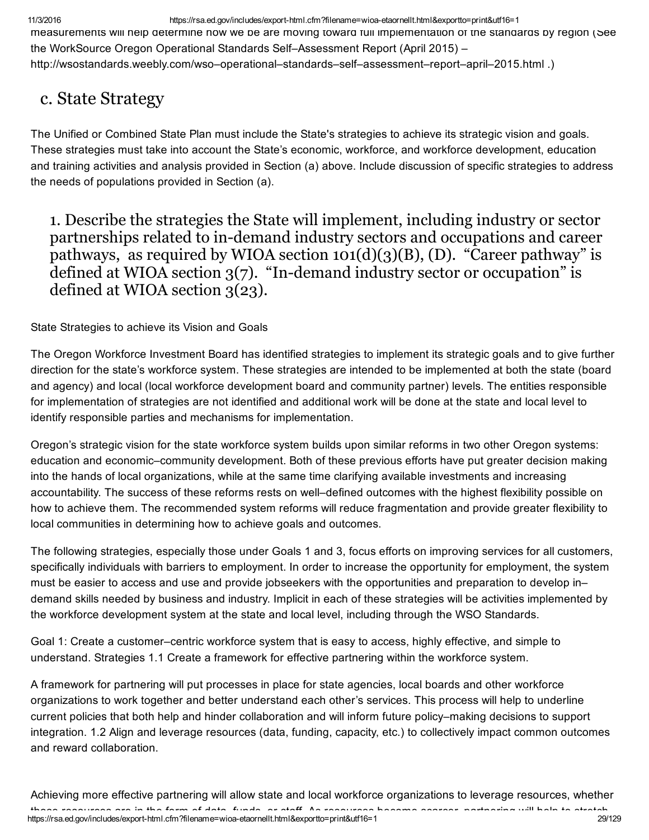measurements will help determine how we be are moving toward full implementation of the standards by region (See the WorkSource Oregon Operational Standards Self–Assessment Report (April 2015) – http://wsostandards.weebly.com/wso–operational–standards–self–assessment–report–april–2015.html .)

## c. State Strategy

The Unified or Combined State Plan must include the State's strategies to achieve its strategic vision and goals. These strategies must take into account the State's economic, workforce, and workforce development, education and training activities and analysis provided in Section (a) above. Include discussion of specific strategies to address the needs of populations provided in Section (a).

1. Describe the strategies the State will implement, including industry or sector partnerships related to in-demand industry sectors and occupations and career pathways, as required by WIOA section  $101(d)(3)(B)$ , (D). "Career pathway" is defined at WIOA section  $3(7)$ . "In-demand industry sector or occupation" is defined at WIOA section 3(23).

State Strategies to achieve its Vision and Goals

The Oregon Workforce Investment Board has identified strategies to implement its strategic goals and to give further direction for the state's workforce system. These strategies are intended to be implemented at both the state (board and agency) and local (local workforce development board and community partner) levels. The entities responsible for implementation of strategies are not identified and additional work will be done at the state and local level to identify responsible parties and mechanisms for implementation.

Oregon's strategic vision for the state workforce system builds upon similar reforms in two other Oregon systems: education and economic–community development. Both of these previous efforts have put greater decision making into the hands of local organizations, while at the same time clarifying available investments and increasing accountability. The success of these reforms rests on well–defined outcomes with the highest flexibility possible on how to achieve them. The recommended system reforms will reduce fragmentation and provide greater flexibility to local communities in determining how to achieve goals and outcomes.

The following strategies, especially those under Goals 1 and 3, focus efforts on improving services for all customers, specifically individuals with barriers to employment. In order to increase the opportunity for employment, the system must be easier to access and use and provide jobseekers with the opportunities and preparation to develop in– demand skills needed by business and industry. Implicit in each of these strategies will be activities implemented by the workforce development system at the state and local level, including through the WSO Standards.

Goal 1: Create a customer–centric workforce system that is easy to access, highly effective, and simple to understand. Strategies 1.1 Create a framework for effective partnering within the workforce system.

A framework for partnering will put processes in place for state agencies, local boards and other workforce organizations to work together and better understand each other's services. This process will help to underline current policies that both help and hinder collaboration and will inform future policy–making decisions to support integration. 1.2 Align and leverage resources (data, funding, capacity, etc.) to collectively impact common outcomes and reward collaboration.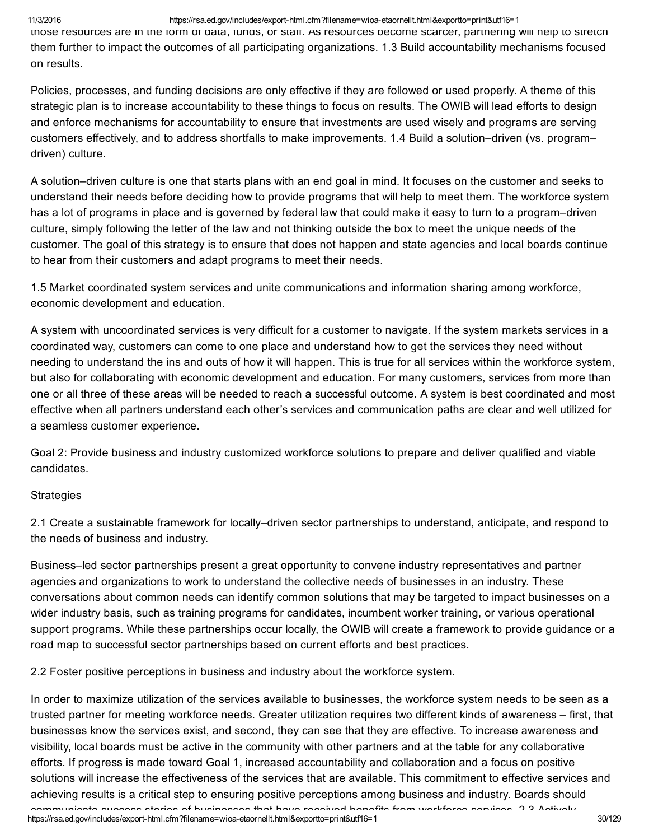those resources are in the form of data, funds, or staff. As resources become scarcer, partnering will help to stretch them further to impact the outcomes of all participating organizations. 1.3 Build accountability mechanisms focused on results.

Policies, processes, and funding decisions are only effective if they are followed or used properly. A theme of this strategic plan is to increase accountability to these things to focus on results. The OWIB will lead efforts to design and enforce mechanisms for accountability to ensure that investments are used wisely and programs are serving customers effectively, and to address shortfalls to make improvements. 1.4 Build a solution–driven (vs. program– driven) culture.

A solution–driven culture is one that starts plans with an end goal in mind. It focuses on the customer and seeks to understand their needs before deciding how to provide programs that will help to meet them. The workforce system has a lot of programs in place and is governed by federal law that could make it easy to turn to a program–driven culture, simply following the letter of the law and not thinking outside the box to meet the unique needs of the customer. The goal of this strategy is to ensure that does not happen and state agencies and local boards continue to hear from their customers and adapt programs to meet their needs.

1.5 Market coordinated system services and unite communications and information sharing among workforce, economic development and education.

A system with uncoordinated services is very difficult for a customer to navigate. If the system markets services in a coordinated way, customers can come to one place and understand how to get the services they need without needing to understand the ins and outs of how it will happen. This is true for all services within the workforce system, but also for collaborating with economic development and education. For many customers, services from more than one or all three of these areas will be needed to reach a successful outcome. A system is best coordinated and most effective when all partners understand each other's services and communication paths are clear and well utilized for a seamless customer experience.

Goal 2: Provide business and industry customized workforce solutions to prepare and deliver qualified and viable candidates.

#### **Strategies**

2.1 Create a sustainable framework for locally–driven sector partnerships to understand, anticipate, and respond to the needs of business and industry.

Business–led sector partnerships present a great opportunity to convene industry representatives and partner agencies and organizations to work to understand the collective needs of businesses in an industry. These conversations about common needs can identify common solutions that may be targeted to impact businesses on a wider industry basis, such as training programs for candidates, incumbent worker training, or various operational support programs. While these partnerships occur locally, the OWIB will create a framework to provide guidance or a road map to successful sector partnerships based on current efforts and best practices.

2.2 Foster positive perceptions in business and industry about the workforce system.

In order to maximize utilization of the services available to businesses, the workforce system needs to be seen as a trusted partner for meeting workforce needs. Greater utilization requires two different kinds of awareness – first, that businesses know the services exist, and second, they can see that they are effective. To increase awareness and visibility, local boards must be active in the community with other partners and at the table for any collaborative efforts. If progress is made toward Goal 1, increased accountability and collaboration and a focus on positive solutions will increase the effectiveness of the services that are available. This commitment to effective services and achieving results is a critical step to ensuring positive perceptions among business and industry. Boards should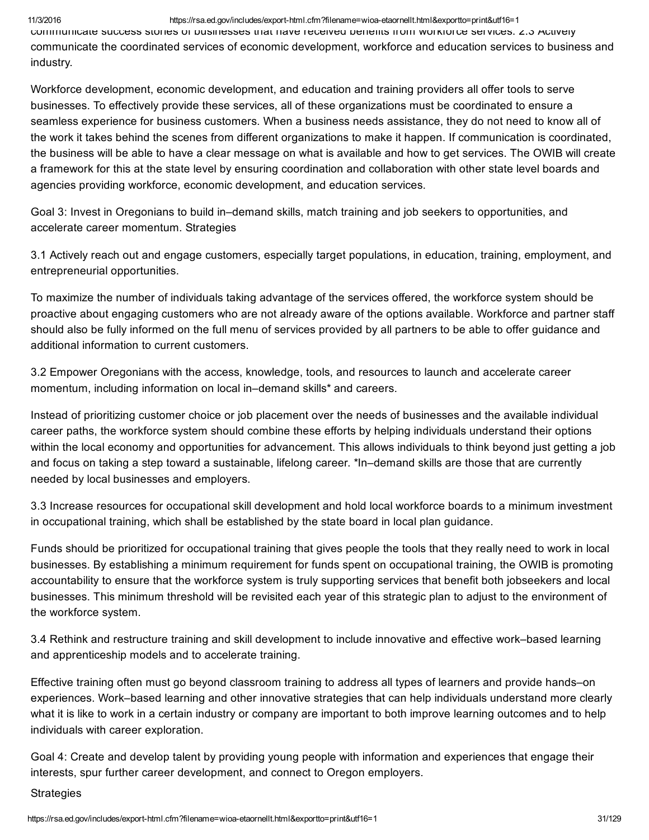communicate success stories of businesses that have received benefits from workforce services. 2.3 Actively communicate the coordinated services of economic development, workforce and education services to business and industry.

Workforce development, economic development, and education and training providers all offer tools to serve businesses. To effectively provide these services, all of these organizations must be coordinated to ensure a seamless experience for business customers. When a business needs assistance, they do not need to know all of the work it takes behind the scenes from different organizations to make it happen. If communication is coordinated, the business will be able to have a clear message on what is available and how to get services. The OWIB will create a framework for this at the state level by ensuring coordination and collaboration with other state level boards and agencies providing workforce, economic development, and education services.

Goal 3: Invest in Oregonians to build in–demand skills, match training and job seekers to opportunities, and accelerate career momentum. Strategies

3.1 Actively reach out and engage customers, especially target populations, in education, training, employment, and entrepreneurial opportunities.

To maximize the number of individuals taking advantage of the services offered, the workforce system should be proactive about engaging customers who are not already aware of the options available. Workforce and partner staff should also be fully informed on the full menu of services provided by all partners to be able to offer guidance and additional information to current customers.

3.2 Empower Oregonians with the access, knowledge, tools, and resources to launch and accelerate career momentum, including information on local in–demand skills\* and careers.

Instead of prioritizing customer choice or job placement over the needs of businesses and the available individual career paths, the workforce system should combine these efforts by helping individuals understand their options within the local economy and opportunities for advancement. This allows individuals to think beyond just getting a job and focus on taking a step toward a sustainable, lifelong career. \*In–demand skills are those that are currently needed by local businesses and employers.

3.3 Increase resources for occupational skill development and hold local workforce boards to a minimum investment in occupational training, which shall be established by the state board in local plan guidance.

Funds should be prioritized for occupational training that gives people the tools that they really need to work in local businesses. By establishing a minimum requirement for funds spent on occupational training, the OWIB is promoting accountability to ensure that the workforce system is truly supporting services that benefit both jobseekers and local businesses. This minimum threshold will be revisited each year of this strategic plan to adjust to the environment of the workforce system.

3.4 Rethink and restructure training and skill development to include innovative and effective work–based learning and apprenticeship models and to accelerate training.

Effective training often must go beyond classroom training to address all types of learners and provide hands–on experiences. Work–based learning and other innovative strategies that can help individuals understand more clearly what it is like to work in a certain industry or company are important to both improve learning outcomes and to help individuals with career exploration.

Goal 4: Create and develop talent by providing young people with information and experiences that engage their interests, spur further career development, and connect to Oregon employers.

#### **Strategies**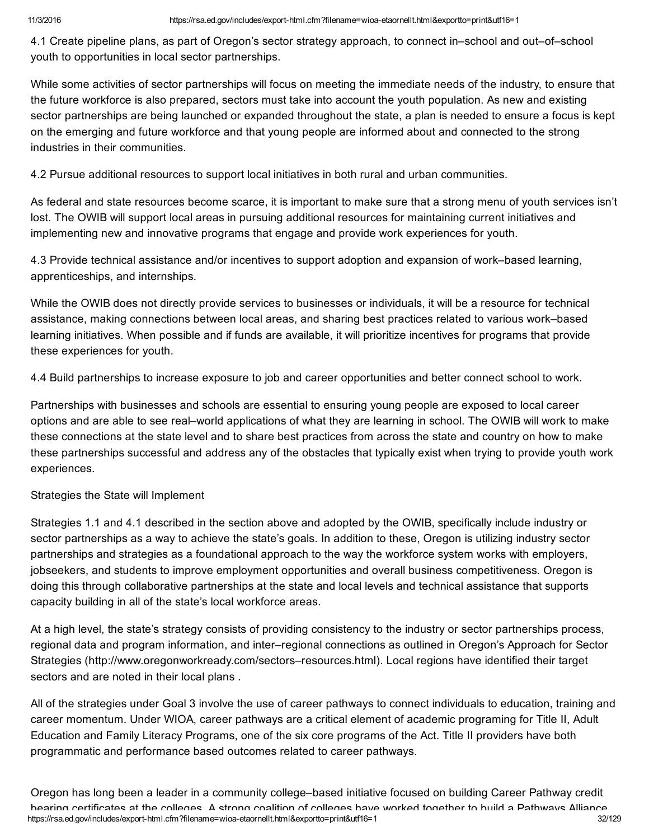4.1 Create pipeline plans, as part of Oregon's sector strategy approach, to connect in–school and out–of–school youth to opportunities in local sector partnerships.

While some activities of sector partnerships will focus on meeting the immediate needs of the industry, to ensure that the future workforce is also prepared, sectors must take into account the youth population. As new and existing sector partnerships are being launched or expanded throughout the state, a plan is needed to ensure a focus is kept on the emerging and future workforce and that young people are informed about and connected to the strong industries in their communities.

4.2 Pursue additional resources to support local initiatives in both rural and urban communities.

As federal and state resources become scarce, it is important to make sure that a strong menu of youth services isn't lost. The OWIB will support local areas in pursuing additional resources for maintaining current initiatives and implementing new and innovative programs that engage and provide work experiences for youth.

4.3 Provide technical assistance and/or incentives to support adoption and expansion of work–based learning, apprenticeships, and internships.

While the OWIB does not directly provide services to businesses or individuals, it will be a resource for technical assistance, making connections between local areas, and sharing best practices related to various work–based learning initiatives. When possible and if funds are available, it will prioritize incentives for programs that provide these experiences for youth.

4.4 Build partnerships to increase exposure to job and career opportunities and better connect school to work.

Partnerships with businesses and schools are essential to ensuring young people are exposed to local career options and are able to see real–world applications of what they are learning in school. The OWIB will work to make these connections at the state level and to share best practices from across the state and country on how to make these partnerships successful and address any of the obstacles that typically exist when trying to provide youth work experiences.

#### Strategies the State will Implement

Strategies 1.1 and 4.1 described in the section above and adopted by the OWIB, specifically include industry or sector partnerships as a way to achieve the state's goals. In addition to these, Oregon is utilizing industry sector partnerships and strategies as a foundational approach to the way the workforce system works with employers, jobseekers, and students to improve employment opportunities and overall business competitiveness. Oregon is doing this through collaborative partnerships at the state and local levels and technical assistance that supports capacity building in all of the state's local workforce areas.

At a high level, the state's strategy consists of providing consistency to the industry or sector partnerships process, regional data and program information, and inter–regional connections as outlined in Oregon's Approach for Sector Strategies (http://www.oregonworkready.com/sectors–resources.html). Local regions have identified their target sectors and are noted in their local plans .

All of the strategies under Goal 3 involve the use of career pathways to connect individuals to education, training and career momentum. Under WIOA, career pathways are a critical element of academic programing for Title II, Adult Education and Family Literacy Programs, one of the six core programs of the Act. Title II providers have both programmatic and performance based outcomes related to career pathways.

https://rsa.ed.gov/includes/exporthtml.cfm?filename=wioaetaornellt.html&exportto=print&utf16=1 32/129 Oregon has long been a leader in a community college–based initiative focused on building Career Pathway credit bearing certificates at the colleges. A strong coalition of colleges have worked together to build a Pathways Alliance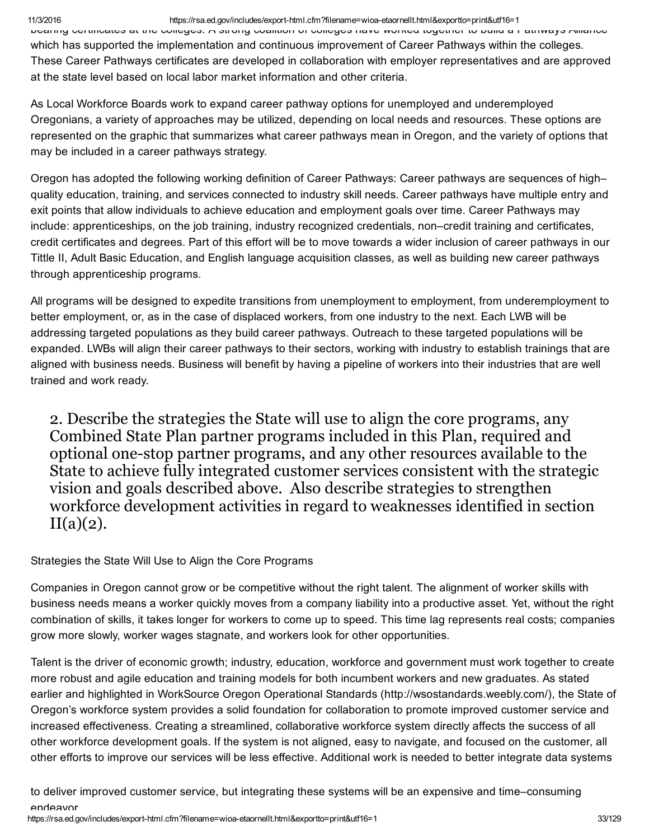bearing certificates at the colleges. A strong coalition of colleges have worked together to build a Pathways Alliance which has supported the implementation and continuous improvement of Career Pathways within the colleges. These Career Pathways certificates are developed in collaboration with employer representatives and are approved at the state level based on local labor market information and other criteria.

As Local Workforce Boards work to expand career pathway options for unemployed and underemployed Oregonians, a variety of approaches may be utilized, depending on local needs and resources. These options are represented on the graphic that summarizes what career pathways mean in Oregon, and the variety of options that may be included in a career pathways strategy.

Oregon has adopted the following working definition of Career Pathways: Career pathways are sequences of high– quality education, training, and services connected to industry skill needs. Career pathways have multiple entry and exit points that allow individuals to achieve education and employment goals over time. Career Pathways may include: apprenticeships, on the job training, industry recognized credentials, non–credit training and certificates, credit certificates and degrees. Part of this effort will be to move towards a wider inclusion of career pathways in our Tittle II, Adult Basic Education, and English language acquisition classes, as well as building new career pathways through apprenticeship programs.

All programs will be designed to expedite transitions from unemployment to employment, from underemployment to better employment, or, as in the case of displaced workers, from one industry to the next. Each LWB will be addressing targeted populations as they build career pathways. Outreach to these targeted populations will be expanded. LWBs will align their career pathways to their sectors, working with industry to establish trainings that are aligned with business needs. Business will benefit by having a pipeline of workers into their industries that are well trained and work ready.

2. Describe the strategies the State will use to align the core programs, any Combined State Plan partner programs included in this Plan, required and optional onestop partner programs, and any other resources available to the State to achieve fully integrated customer services consistent with the strategic vision and goals described above. Also describe strategies to strengthen workforce development activities in regard to weaknesses identified in section  $II(a)(2)$ .

Strategies the State Will Use to Align the Core Programs

Companies in Oregon cannot grow or be competitive without the right talent. The alignment of worker skills with business needs means a worker quickly moves from a company liability into a productive asset. Yet, without the right combination of skills, it takes longer for workers to come up to speed. This time lag represents real costs; companies grow more slowly, worker wages stagnate, and workers look for other opportunities.

Talent is the driver of economic growth; industry, education, workforce and government must work together to create more robust and agile education and training models for both incumbent workers and new graduates. As stated earlier and highlighted in WorkSource Oregon Operational Standards (http://wsostandards.weebly.com/), the State of Oregon's workforce system provides a solid foundation for collaboration to promote improved customer service and increased effectiveness. Creating a streamlined, collaborative workforce system directly affects the success of all other workforce development goals. If the system is not aligned, easy to navigate, and focused on the customer, all other efforts to improve our services will be less effective. Additional work is needed to better integrate data systems

to deliver improved customer service, but integrating these systems will be an expensive and time–consuming endeavor.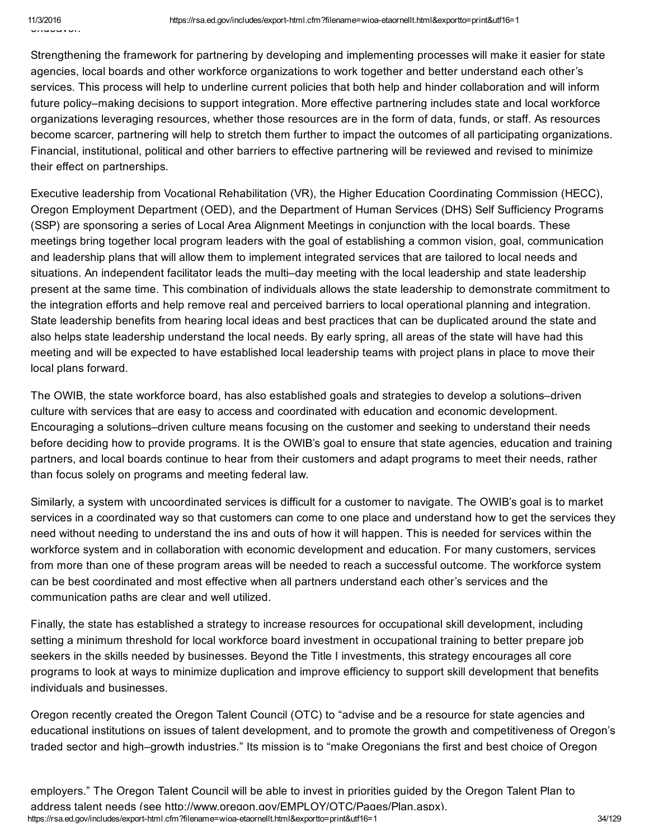Strengthening the framework for partnering by developing and implementing processes will make it easier for state agencies, local boards and other workforce organizations to work together and better understand each other's services. This process will help to underline current policies that both help and hinder collaboration and will inform future policy–making decisions to support integration. More effective partnering includes state and local workforce organizations leveraging resources, whether those resources are in the form of data, funds, or staff. As resources become scarcer, partnering will help to stretch them further to impact the outcomes of all participating organizations. Financial, institutional, political and other barriers to effective partnering will be reviewed and revised to minimize their effect on partnerships.

Executive leadership from Vocational Rehabilitation (VR), the Higher Education Coordinating Commission (HECC), Oregon Employment Department (OED), and the Department of Human Services (DHS) Self Sufficiency Programs (SSP) are sponsoring a series of Local Area Alignment Meetings in conjunction with the local boards. These meetings bring together local program leaders with the goal of establishing a common vision, goal, communication and leadership plans that will allow them to implement integrated services that are tailored to local needs and situations. An independent facilitator leads the multi–day meeting with the local leadership and state leadership present at the same time. This combination of individuals allows the state leadership to demonstrate commitment to the integration efforts and help remove real and perceived barriers to local operational planning and integration. State leadership benefits from hearing local ideas and best practices that can be duplicated around the state and also helps state leadership understand the local needs. By early spring, all areas of the state will have had this meeting and will be expected to have established local leadership teams with project plans in place to move their local plans forward.

The OWIB, the state workforce board, has also established goals and strategies to develop a solutions–driven culture with services that are easy to access and coordinated with education and economic development. Encouraging a solutions–driven culture means focusing on the customer and seeking to understand their needs before deciding how to provide programs. It is the OWIB's goal to ensure that state agencies, education and training partners, and local boards continue to hear from their customers and adapt programs to meet their needs, rather than focus solely on programs and meeting federal law.

Similarly, a system with uncoordinated services is difficult for a customer to navigate. The OWIB's goal is to market services in a coordinated way so that customers can come to one place and understand how to get the services they need without needing to understand the ins and outs of how it will happen. This is needed for services within the workforce system and in collaboration with economic development and education. For many customers, services from more than one of these program areas will be needed to reach a successful outcome. The workforce system can be best coordinated and most effective when all partners understand each other's services and the communication paths are clear and well utilized.

Finally, the state has established a strategy to increase resources for occupational skill development, including setting a minimum threshold for local workforce board investment in occupational training to better prepare job seekers in the skills needed by businesses. Beyond the Title I investments, this strategy encourages all core programs to look at ways to minimize duplication and improve efficiency to support skill development that benefits individuals and businesses.

Oregon recently created the Oregon Talent Council (OTC) to "advise and be a resource for state agencies and educational institutions on issues of talent development, and to promote the growth and competitiveness of Oregon's traded sector and high–growth industries." Its mission is to "make Oregonians the first and best choice of Oregon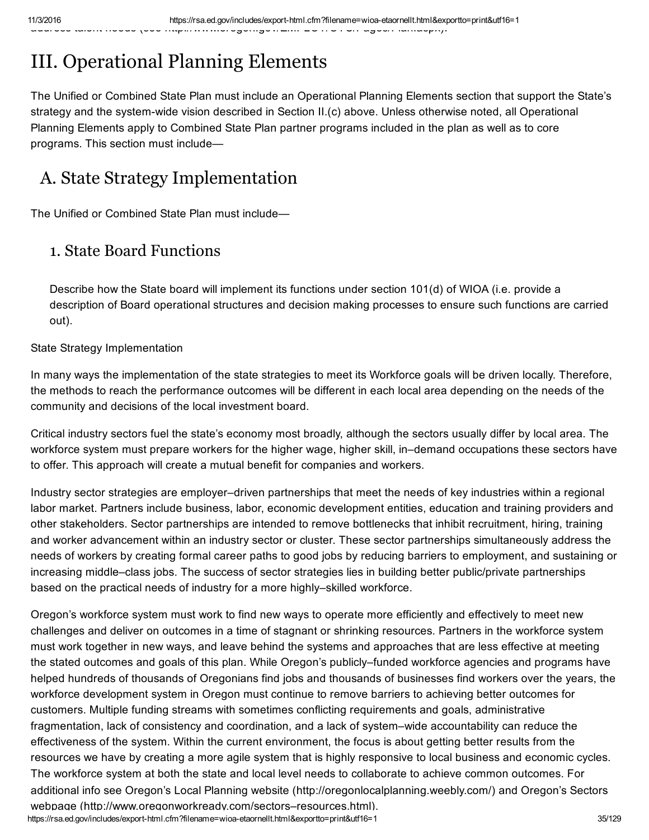## III. Operational Planning Elements

The Unified or Combined State Plan must include an Operational Planning Elements section that support the State's strategy and the system-wide vision described in Section II.(c) above. Unless otherwise noted, all Operational Planning Elements apply to Combined State Plan partner programs included in the plan as well as to core programs. This section must include—

## A. State Strategy Implementation

The Unified or Combined State Plan must include—

## 1. State Board Functions

Describe how the State board will implement its functions under section 101(d) of WIOA (i.e. provide a description of Board operational structures and decision making processes to ensure such functions are carried out).

### State Strategy Implementation

In many ways the implementation of the state strategies to meet its Workforce goals will be driven locally. Therefore, the methods to reach the performance outcomes will be different in each local area depending on the needs of the community and decisions of the local investment board.

Critical industry sectors fuel the state's economy most broadly, although the sectors usually differ by local area. The workforce system must prepare workers for the higher wage, higher skill, in–demand occupations these sectors have to offer. This approach will create a mutual benefit for companies and workers.

Industry sector strategies are employer–driven partnerships that meet the needs of key industries within a regional labor market. Partners include business, labor, economic development entities, education and training providers and other stakeholders. Sector partnerships are intended to remove bottlenecks that inhibit recruitment, hiring, training and worker advancement within an industry sector or cluster. These sector partnerships simultaneously address the needs of workers by creating formal career paths to good jobs by reducing barriers to employment, and sustaining or increasing middle–class jobs. The success of sector strategies lies in building better public/private partnerships based on the practical needs of industry for a more highly–skilled workforce.

https://rsa.ed.gov/includes/exporthtml.cfm?filename=wioaetaornellt.html&exportto=print&utf16=1 35/129 Oregon's workforce system must work to find new ways to operate more efficiently and effectively to meet new challenges and deliver on outcomes in a time of stagnant or shrinking resources. Partners in the workforce system must work together in new ways, and leave behind the systems and approaches that are less effective at meeting the stated outcomes and goals of this plan. While Oregon's publicly–funded workforce agencies and programs have helped hundreds of thousands of Oregonians find jobs and thousands of businesses find workers over the years, the workforce development system in Oregon must continue to remove barriers to achieving better outcomes for customers. Multiple funding streams with sometimes conflicting requirements and goals, administrative fragmentation, lack of consistency and coordination, and a lack of system–wide accountability can reduce the effectiveness of the system. Within the current environment, the focus is about getting better results from the resources we have by creating a more agile system that is highly responsive to local business and economic cycles. The workforce system at both the state and local level needs to collaborate to achieve common outcomes. For additional info see Oregon's Local Planning website (http://oregonlocalplanning.weebly.com/) and Oregon's Sectors webpage (http://www.oregonworkready.com/sectors–resources.html).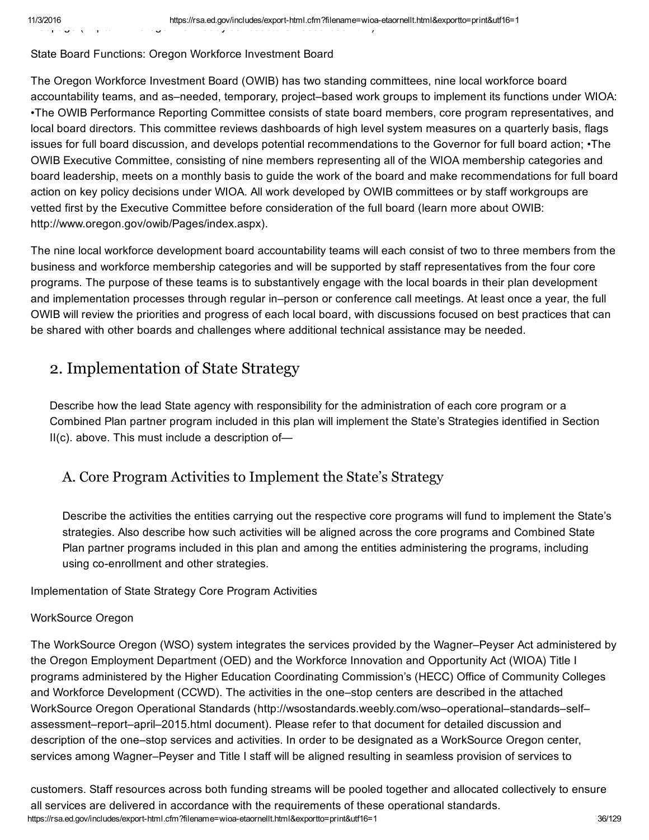State Board Functions: Oregon Workforce Investment Board

The Oregon Workforce Investment Board (OWIB) has two standing committees, nine local workforce board accountability teams, and as–needed, temporary, project–based work groups to implement its functions under WIOA: •The OWIB Performance Reporting Committee consists of state board members, core program representatives, and local board directors. This committee reviews dashboards of high level system measures on a quarterly basis, flags issues for full board discussion, and develops potential recommendations to the Governor for full board action; •The OWIB Executive Committee, consisting of nine members representing all of the WIOA membership categories and board leadership, meets on a monthly basis to guide the work of the board and make recommendations for full board action on key policy decisions under WIOA. All work developed by OWIB committees or by staff workgroups are vetted first by the Executive Committee before consideration of the full board (learn more about OWIB: http://www.oregon.gov/owib/Pages/index.aspx).

The nine local workforce development board accountability teams will each consist of two to three members from the business and workforce membership categories and will be supported by staff representatives from the four core programs. The purpose of these teams is to substantively engage with the local boards in their plan development and implementation processes through regular in–person or conference call meetings. At least once a year, the full OWIB will review the priorities and progress of each local board, with discussions focused on best practices that can be shared with other boards and challenges where additional technical assistance may be needed.

### 2. Implementation of State Strategy

Describe how the lead State agency with responsibility for the administration of each core program or a Combined Plan partner program included in this plan will implement the State's Strategies identified in Section II(c). above. This must include a description of—

### A. Core Program Activities to Implement the State's Strategy

Describe the activities the entities carrying out the respective core programs will fund to implement the State's strategies. Also describe how such activities will be aligned across the core programs and Combined State Plan partner programs included in this plan and among the entities administering the programs, including using co-enrollment and other strategies.

Implementation of State Strategy Core Program Activities

#### WorkSource Oregon

The WorkSource Oregon (WSO) system integrates the services provided by the Wagner–Peyser Act administered by the Oregon Employment Department (OED) and the Workforce Innovation and Opportunity Act (WIOA) Title I programs administered by the Higher Education Coordinating Commission's (HECC) Office of Community Colleges and Workforce Development (CCWD). The activities in the one–stop centers are described in the attached WorkSource Oregon Operational Standards (http://wsostandards.weebly.com/wso–operational–standards–self– assessment–report–april–2015.html document). Please refer to that document for detailed discussion and description of the one–stop services and activities. In order to be designated as a WorkSource Oregon center, services among Wagner–Peyser and Title I staff will be aligned resulting in seamless provision of services to

https://rsa.ed.gov/includes/exporthtml.cfm?filename=wioaetaornellt.html&exportto=print&utf16=1 36/129 customers. Staff resources across both funding streams will be pooled together and allocated collectively to ensure all services are delivered in accordance with the requirements of these operational standards.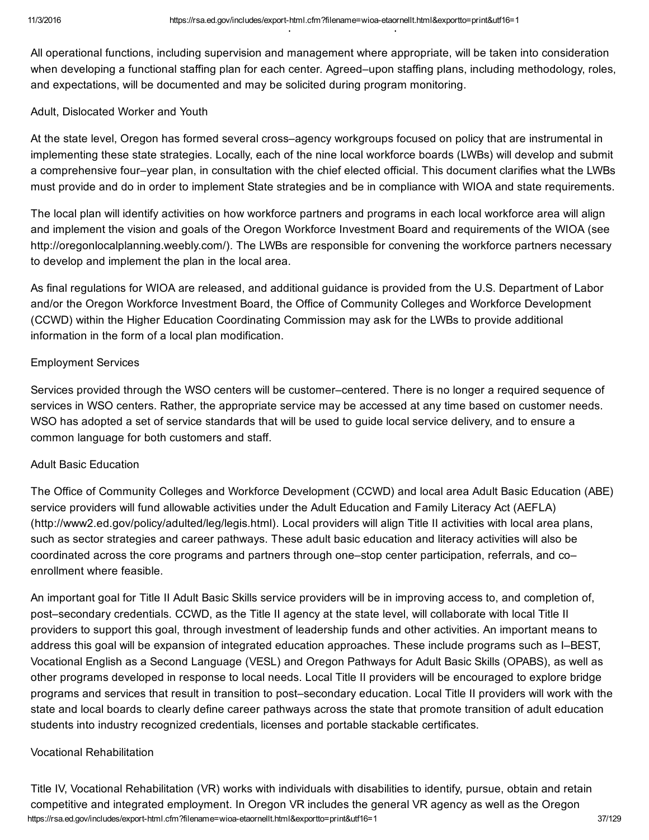All operational functions, including supervision and management where appropriate, will be taken into consideration when developing a functional staffing plan for each center. Agreed–upon staffing plans, including methodology, roles, and expectations, will be documented and may be solicited during program monitoring.

### Adult, Dislocated Worker and Youth

At the state level, Oregon has formed several cross–agency workgroups focused on policy that are instrumental in implementing these state strategies. Locally, each of the nine local workforce boards (LWBs) will develop and submit a comprehensive four–year plan, in consultation with the chief elected official. This document clarifies what the LWBs must provide and do in order to implement State strategies and be in compliance with WIOA and state requirements.

The local plan will identify activities on how workforce partners and programs in each local workforce area will align and implement the vision and goals of the Oregon Workforce Investment Board and requirements of the WIOA (see http://oregonlocalplanning.weebly.com/). The LWBs are responsible for convening the workforce partners necessary to develop and implement the plan in the local area.

As final regulations for WIOA are released, and additional guidance is provided from the U.S. Department of Labor and/or the Oregon Workforce Investment Board, the Office of Community Colleges and Workforce Development (CCWD) within the Higher Education Coordinating Commission may ask for the LWBs to provide additional information in the form of a local plan modification.

### Employment Services

Services provided through the WSO centers will be customer–centered. There is no longer a required sequence of services in WSO centers. Rather, the appropriate service may be accessed at any time based on customer needs. WSO has adopted a set of service standards that will be used to guide local service delivery, and to ensure a common language for both customers and staff.

### Adult Basic Education

The Office of Community Colleges and Workforce Development (CCWD) and local area Adult Basic Education (ABE) service providers will fund allowable activities under the Adult Education and Family Literacy Act (AEFLA) (http://www2.ed.gov/policy/adulted/leg/legis.html). Local providers will align Title II activities with local area plans, such as sector strategies and career pathways. These adult basic education and literacy activities will also be coordinated across the core programs and partners through one–stop center participation, referrals, and co– enrollment where feasible.

An important goal for Title II Adult Basic Skills service providers will be in improving access to, and completion of, post–secondary credentials. CCWD, as the Title II agency at the state level, will collaborate with local Title II providers to support this goal, through investment of leadership funds and other activities. An important means to address this goal will be expansion of integrated education approaches. These include programs such as I–BEST, Vocational English as a Second Language (VESL) and Oregon Pathways for Adult Basic Skills (OPABS), as well as other programs developed in response to local needs. Local Title II providers will be encouraged to explore bridge programs and services that result in transition to post–secondary education. Local Title II providers will work with the state and local boards to clearly define career pathways across the state that promote transition of adult education students into industry recognized credentials, licenses and portable stackable certificates.

### Vocational Rehabilitation

https://rsa.ed.gov/includes/exporthtml.cfm?filename=wioaetaornellt.html&exportto=print&utf16=1 37/129 Title IV, Vocational Rehabilitation (VR) works with individuals with disabilities to identify, pursue, obtain and retain competitive and integrated employment. In Oregon VR includes the general VR agency as well as the Oregon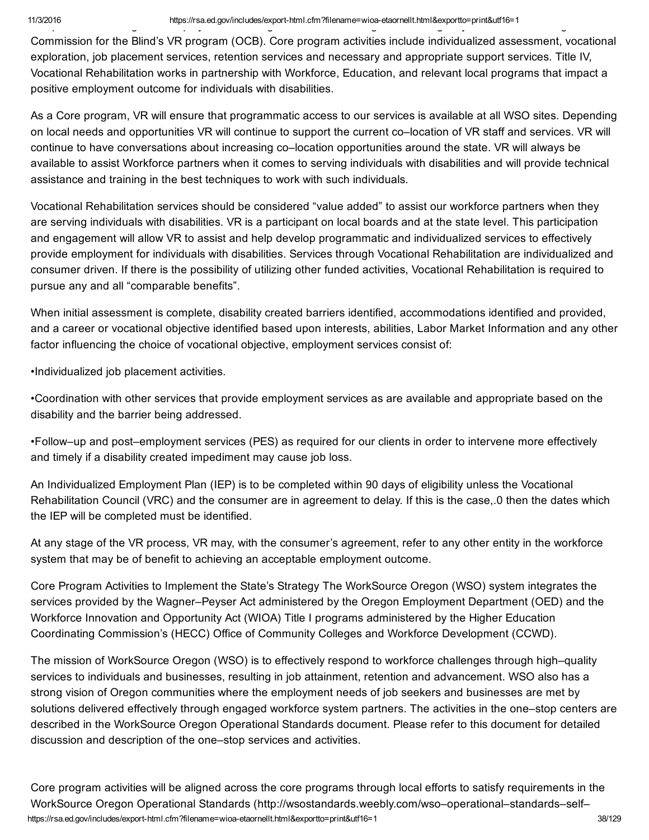Commission for the Blind's VR program (OCB). Core program activities include individualized assessment, vocational exploration, job placement services, retention services and necessary and appropriate support services. Title IV, Vocational Rehabilitation works in partnership with Workforce, Education, and relevant local programs that impact a positive employment outcome for individuals with disabilities.

As a Core program, VR will ensure that programmatic access to our services is available at all WSO sites. Depending on local needs and opportunities VR will continue to support the current co–location of VR staff and services. VR will continue to have conversations about increasing co–location opportunities around the state. VR will always be available to assist Workforce partners when it comes to serving individuals with disabilities and will provide technical assistance and training in the best techniques to work with such individuals.

Vocational Rehabilitation services should be considered "value added" to assist our workforce partners when they are serving individuals with disabilities. VR is a participant on local boards and at the state level. This participation and engagement will allow VR to assist and help develop programmatic and individualized services to effectively provide employment for individuals with disabilities. Services through Vocational Rehabilitation are individualized and consumer driven. If there is the possibility of utilizing other funded activities, Vocational Rehabilitation is required to pursue any and all "comparable benefits".

When initial assessment is complete, disability created barriers identified, accommodations identified and provided, and a career or vocational objective identified based upon interests, abilities, Labor Market Information and any other factor influencing the choice of vocational objective, employment services consist of:

•Individualized job placement activities.

•Coordination with other services that provide employment services as are available and appropriate based on the disability and the barrier being addressed.

•Follow–up and post–employment services (PES) as required for our clients in order to intervene more effectively and timely if a disability created impediment may cause job loss.

An Individualized Employment Plan (IEP) is to be completed within 90 days of eligibility unless the Vocational Rehabilitation Council (VRC) and the consumer are in agreement to delay. If this is the case,.0 then the dates which the IEP will be completed must be identified.

At any stage of the VR process, VR may, with the consumer's agreement, refer to any other entity in the workforce system that may be of benefit to achieving an acceptable employment outcome.

Core Program Activities to Implement the State's Strategy The WorkSource Oregon (WSO) system integrates the services provided by the Wagner–Peyser Act administered by the Oregon Employment Department (OED) and the Workforce Innovation and Opportunity Act (WIOA) Title I programs administered by the Higher Education Coordinating Commission's (HECC) Office of Community Colleges and Workforce Development (CCWD).

The mission of WorkSource Oregon (WSO) is to effectively respond to workforce challenges through high–quality services to individuals and businesses, resulting in job attainment, retention and advancement. WSO also has a strong vision of Oregon communities where the employment needs of job seekers and businesses are met by solutions delivered effectively through engaged workforce system partners. The activities in the one–stop centers are described in the WorkSource Oregon Operational Standards document. Please refer to this document for detailed discussion and description of the one–stop services and activities.

https://rsa.ed.gov/includes/exporthtml.cfm?filename=wioaetaornellt.html&exportto=print&utf16=1 38/129 Core program activities will be aligned across the core programs through local efforts to satisfy requirements in the WorkSource Oregon Operational Standards (http://wsostandards.weebly.com/wso–operational–standards–self–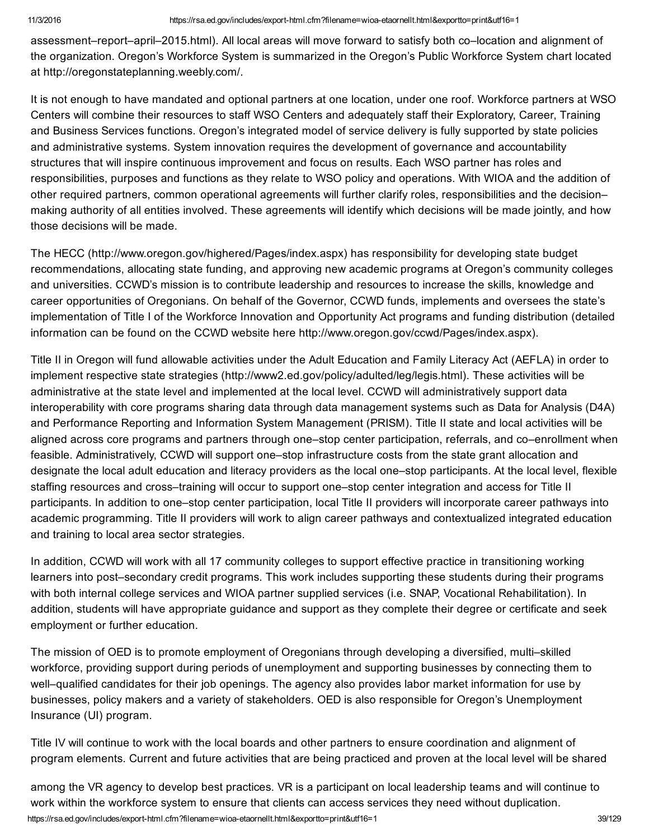assessment–report–april–2015.html). All local areas will move forward to satisfy both co–location and alignment of the organization. Oregon's Workforce System is summarized in the Oregon's Public Workforce System chart located at http://oregonstateplanning.weebly.com/.

It is not enough to have mandated and optional partners at one location, under one roof. Workforce partners at WSO Centers will combine their resources to staff WSO Centers and adequately staff their Exploratory, Career, Training and Business Services functions. Oregon's integrated model of service delivery is fully supported by state policies and administrative systems. System innovation requires the development of governance and accountability structures that will inspire continuous improvement and focus on results. Each WSO partner has roles and responsibilities, purposes and functions as they relate to WSO policy and operations. With WIOA and the addition of other required partners, common operational agreements will further clarify roles, responsibilities and the decision– making authority of all entities involved. These agreements will identify which decisions will be made jointly, and how those decisions will be made.

The HECC (http://www.oregon.gov/highered/Pages/index.aspx) has responsibility for developing state budget recommendations, allocating state funding, and approving new academic programs at Oregon's community colleges and universities. CCWD's mission is to contribute leadership and resources to increase the skills, knowledge and career opportunities of Oregonians. On behalf of the Governor, CCWD funds, implements and oversees the state's implementation of Title I of the Workforce Innovation and Opportunity Act programs and funding distribution (detailed information can be found on the CCWD website here http://www.oregon.gov/ccwd/Pages/index.aspx).

Title II in Oregon will fund allowable activities under the Adult Education and Family Literacy Act (AEFLA) in order to implement respective state strategies (http://www2.ed.gov/policy/adulted/leg/legis.html). These activities will be administrative at the state level and implemented at the local level. CCWD will administratively support data interoperability with core programs sharing data through data management systems such as Data for Analysis (D4A) and Performance Reporting and Information System Management (PRISM). Title II state and local activities will be aligned across core programs and partners through one–stop center participation, referrals, and co–enrollment when feasible. Administratively, CCWD will support one–stop infrastructure costs from the state grant allocation and designate the local adult education and literacy providers as the local one–stop participants. At the local level, flexible staffing resources and cross–training will occur to support one–stop center integration and access for Title II participants. In addition to one–stop center participation, local Title II providers will incorporate career pathways into academic programming. Title II providers will work to align career pathways and contextualized integrated education and training to local area sector strategies.

In addition, CCWD will work with all 17 community colleges to support effective practice in transitioning working learners into post–secondary credit programs. This work includes supporting these students during their programs with both internal college services and WIOA partner supplied services (i.e. SNAP, Vocational Rehabilitation). In addition, students will have appropriate guidance and support as they complete their degree or certificate and seek employment or further education.

The mission of OED is to promote employment of Oregonians through developing a diversified, multi–skilled workforce, providing support during periods of unemployment and supporting businesses by connecting them to well–qualified candidates for their job openings. The agency also provides labor market information for use by businesses, policy makers and a variety of stakeholders. OED is also responsible for Oregon's Unemployment Insurance (UI) program.

Title IV will continue to work with the local boards and other partners to ensure coordination and alignment of program elements. Current and future activities that are being practiced and proven at the local level will be shared

https://rsa.ed.gov/includes/exporthtml.cfm?filename=wioaetaornellt.html&exportto=print&utf16=1 39/129 among the VR agency to develop best practices. VR is a participant on local leadership teams and will continue to work within the workforce system to ensure that clients can access services they need without duplication.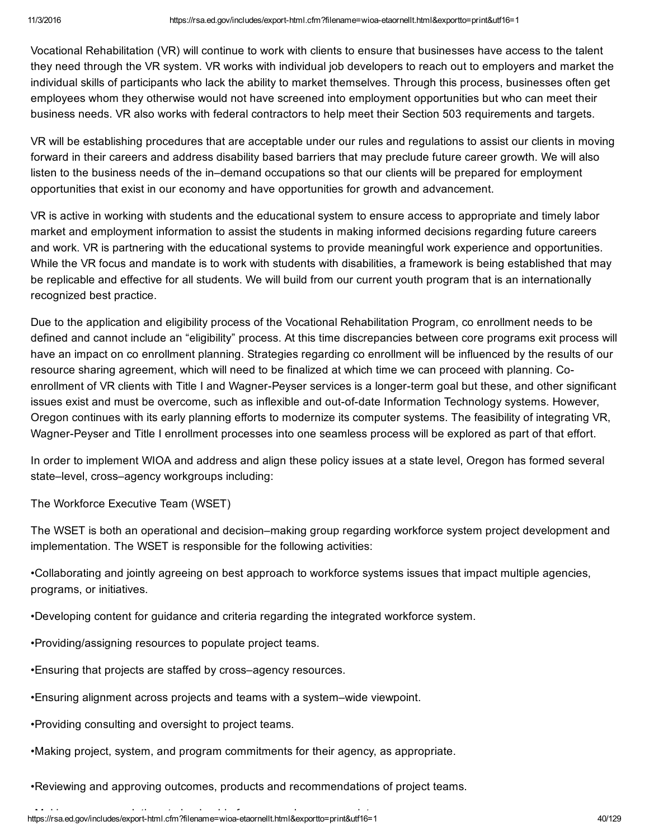Vocational Rehabilitation (VR) will continue to work with clients to ensure that businesses have access to the talent they need through the VR system. VR works with individual job developers to reach out to employers and market the individual skills of participants who lack the ability to market themselves. Through this process, businesses often get employees whom they otherwise would not have screened into employment opportunities but who can meet their business needs. VR also works with federal contractors to help meet their Section 503 requirements and targets.

VR will be establishing procedures that are acceptable under our rules and regulations to assist our clients in moving forward in their careers and address disability based barriers that may preclude future career growth. We will also listen to the business needs of the in–demand occupations so that our clients will be prepared for employment opportunities that exist in our economy and have opportunities for growth and advancement.

VR is active in working with students and the educational system to ensure access to appropriate and timely labor market and employment information to assist the students in making informed decisions regarding future careers and work. VR is partnering with the educational systems to provide meaningful work experience and opportunities. While the VR focus and mandate is to work with students with disabilities, a framework is being established that may be replicable and effective for all students. We will build from our current youth program that is an internationally recognized best practice.

Due to the application and eligibility process of the Vocational Rehabilitation Program, co enrollment needs to be defined and cannot include an "eligibility" process. At this time discrepancies between core programs exit process will have an impact on co enrollment planning. Strategies regarding co enrollment will be influenced by the results of our resource sharing agreement, which will need to be finalized at which time we can proceed with planning. Coenrollment of VR clients with Title I and Wagner-Peyser services is a longer-term goal but these, and other significant issues exist and must be overcome, such as inflexible and out-of-date Information Technology systems. However, Oregon continues with its early planning efforts to modernize its computer systems. The feasibility of integrating VR, Wagner-Peyser and Title I enrollment processes into one seamless process will be explored as part of that effort.

In order to implement WIOA and address and align these policy issues at a state level, Oregon has formed several state–level, cross–agency workgroups including:

The Workforce Executive Team (WSET)

The WSET is both an operational and decision–making group regarding workforce system project development and implementation. The WSET is responsible for the following activities:

•Collaborating and jointly agreeing on best approach to workforce systems issues that impact multiple agencies, programs, or initiatives.

•Developing content for guidance and criteria regarding the integrated workforce system.

•Providing/assigning resources to populate project teams.

•Ensuring that projects are staffed by cross–agency resources.

•Ensuring alignment across projects and teams with a system–wide viewpoint.

•Providing consulting and oversight to project teams.

•Making project, system, and program commitments for their agency, as appropriate.

•Reviewing and approving outcomes, products and recommendations of project teams.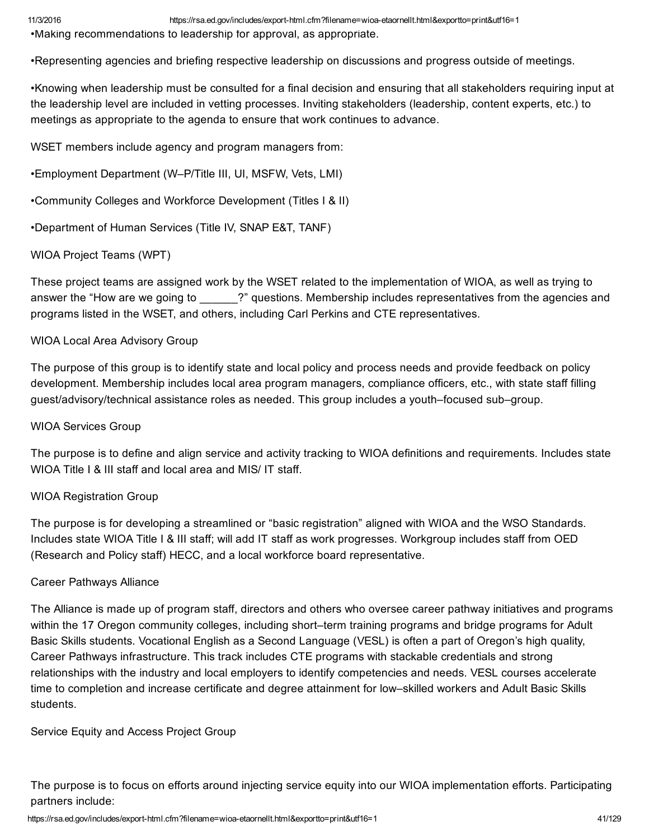•Making recommendations to leadership for approval, as appropriate.

•Representing agencies and briefing respective leadership on discussions and progress outside of meetings.

•Knowing when leadership must be consulted for a final decision and ensuring that all stakeholders requiring input at the leadership level are included in vetting processes. Inviting stakeholders (leadership, content experts, etc.) to meetings as appropriate to the agenda to ensure that work continues to advance.

WSET members include agency and program managers from:

•Employment Department (W–P/Title III, UI, MSFW, Vets, LMI)

•Community Colleges and Workforce Development (Titles I & II)

•Department of Human Services (Title IV, SNAP E&T, TANF)

## WIOA Project Teams (WPT)

These project teams are assigned work by the WSET related to the implementation of WIOA, as well as trying to answer the "How are we going to \_\_\_\_\_\_?" questions. Membership includes representatives from the agencies and programs listed in the WSET, and others, including Carl Perkins and CTE representatives.

## WIOA Local Area Advisory Group

The purpose of this group is to identify state and local policy and process needs and provide feedback on policy development. Membership includes local area program managers, compliance officers, etc., with state staff filling guest/advisory/technical assistance roles as needed. This group includes a youth–focused sub–group.

## WIOA Services Group

The purpose is to define and align service and activity tracking to WIOA definitions and requirements. Includes state WIOA Title I & III staff and local area and MIS/ IT staff.

## WIOA Registration Group

The purpose is for developing a streamlined or "basic registration" aligned with WIOA and the WSO Standards. Includes state WIOA Title I & III staff; will add IT staff as work progresses. Workgroup includes staff from OED (Research and Policy staff) HECC, and a local workforce board representative.

## Career Pathways Alliance

The Alliance is made up of program staff, directors and others who oversee career pathway initiatives and programs within the 17 Oregon community colleges, including short–term training programs and bridge programs for Adult Basic Skills students. Vocational English as a Second Language (VESL) is often a part of Oregon's high quality, Career Pathways infrastructure. This track includes CTE programs with stackable credentials and strong relationships with the industry and local employers to identify competencies and needs. VESL courses accelerate time to completion and increase certificate and degree attainment for low–skilled workers and Adult Basic Skills students.

## Service Equity and Access Project Group

The purpose is to focus on efforts around injecting service equity into our WIOA implementation efforts. Participating partners include: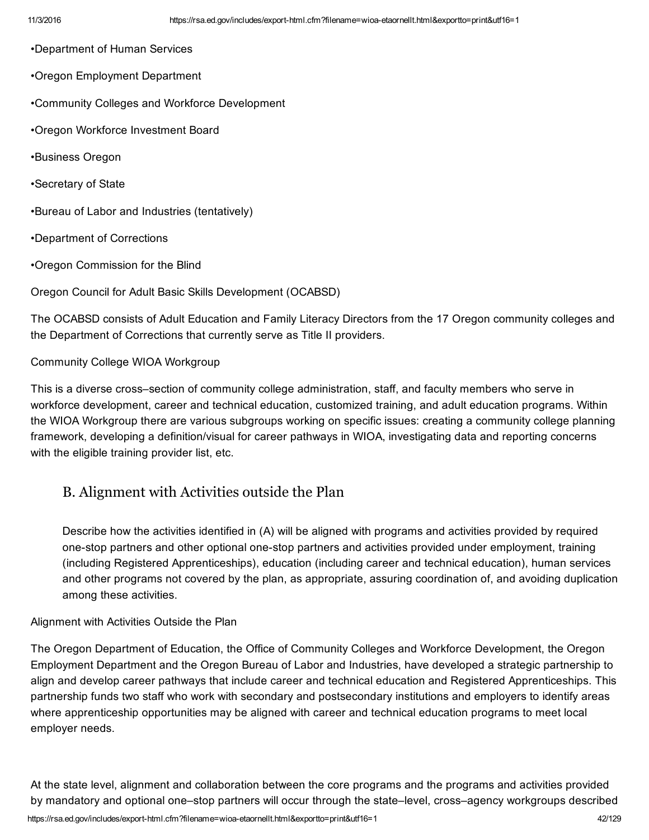- •Department of Human Services
- •Oregon Employment Department
- •Community Colleges and Workforce Development
- •Oregon Workforce Investment Board
- •Business Oregon
- •Secretary of State

•Bureau of Labor and Industries (tentatively)

- •Department of Corrections
- •Oregon Commission for the Blind
- Oregon Council for Adult Basic Skills Development (OCABSD)

The OCABSD consists of Adult Education and Family Literacy Directors from the 17 Oregon community colleges and the Department of Corrections that currently serve as Title II providers.

### Community College WIOA Workgroup

This is a diverse cross–section of community college administration, staff, and faculty members who serve in workforce development, career and technical education, customized training, and adult education programs. Within the WIOA Workgroup there are various subgroups working on specific issues: creating a community college planning framework, developing a definition/visual for career pathways in WIOA, investigating data and reporting concerns with the eligible training provider list, etc.

## B. Alignment with Activities outside the Plan

Describe how the activities identified in (A) will be aligned with programs and activities provided by required one-stop partners and other optional one-stop partners and activities provided under employment, training (including Registered Apprenticeships), education (including career and technical education), human services and other programs not covered by the plan, as appropriate, assuring coordination of, and avoiding duplication among these activities.

### Alignment with Activities Outside the Plan

The Oregon Department of Education, the Office of Community Colleges and Workforce Development, the Oregon Employment Department and the Oregon Bureau of Labor and Industries, have developed a strategic partnership to align and develop career pathways that include career and technical education and Registered Apprenticeships. This partnership funds two staff who work with secondary and postsecondary institutions and employers to identify areas where apprenticeship opportunities may be aligned with career and technical education programs to meet local employer needs.

At the state level, alignment and collaboration between the core programs and the programs and activities provided by mandatory and optional one–stop partners will occur through the state–level, cross–agency workgroups described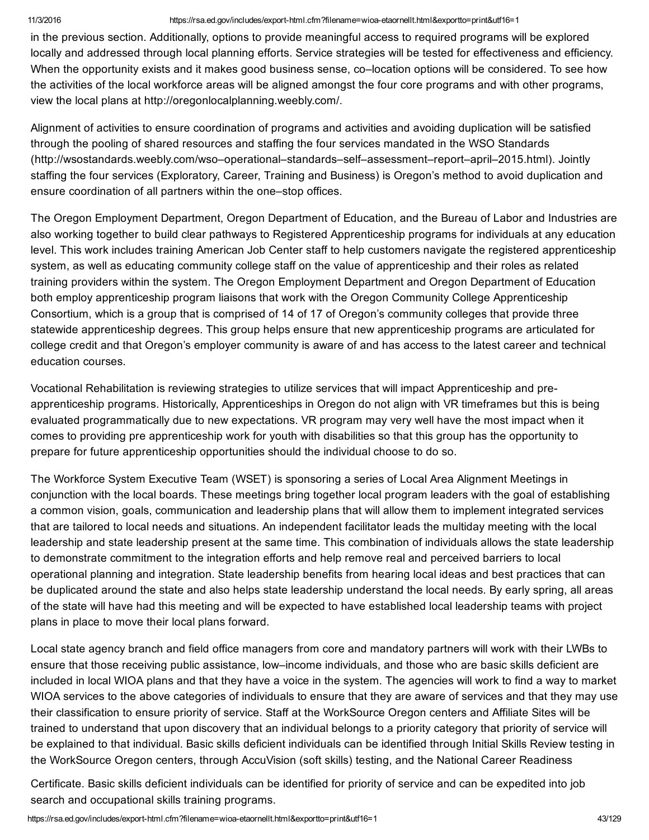in the previous section. Additionally, options to provide meaningful access to required programs will be explored locally and addressed through local planning efforts. Service strategies will be tested for effectiveness and efficiency. When the opportunity exists and it makes good business sense, co-location options will be considered. To see how the activities of the local workforce areas will be aligned amongst the four core programs and with other programs, view the local plans at http://oregonlocalplanning.weebly.com/.

Alignment of activities to ensure coordination of programs and activities and avoiding duplication will be satisfied through the pooling of shared resources and staffing the four services mandated in the WSO Standards (http://wsostandards.weebly.com/wso–operational–standards–self–assessment–report–april–2015.html). Jointly staffing the four services (Exploratory, Career, Training and Business) is Oregon's method to avoid duplication and ensure coordination of all partners within the one–stop offices.

The Oregon Employment Department, Oregon Department of Education, and the Bureau of Labor and Industries are also working together to build clear pathways to Registered Apprenticeship programs for individuals at any education level. This work includes training American Job Center staff to help customers navigate the registered apprenticeship system, as well as educating community college staff on the value of apprenticeship and their roles as related training providers within the system. The Oregon Employment Department and Oregon Department of Education both employ apprenticeship program liaisons that work with the Oregon Community College Apprenticeship Consortium, which is a group that is comprised of 14 of 17 of Oregon's community colleges that provide three statewide apprenticeship degrees. This group helps ensure that new apprenticeship programs are articulated for college credit and that Oregon's employer community is aware of and has access to the latest career and technical education courses.

Vocational Rehabilitation is reviewing strategies to utilize services that will impact Apprenticeship and preapprenticeship programs. Historically, Apprenticeships in Oregon do not align with VR timeframes but this is being evaluated programmatically due to new expectations. VR program may very well have the most impact when it comes to providing pre apprenticeship work for youth with disabilities so that this group has the opportunity to prepare for future apprenticeship opportunities should the individual choose to do so.

The Workforce System Executive Team (WSET) is sponsoring a series of Local Area Alignment Meetings in conjunction with the local boards. These meetings bring together local program leaders with the goal of establishing a common vision, goals, communication and leadership plans that will allow them to implement integrated services that are tailored to local needs and situations. An independent facilitator leads the multiday meeting with the local leadership and state leadership present at the same time. This combination of individuals allows the state leadership to demonstrate commitment to the integration efforts and help remove real and perceived barriers to local operational planning and integration. State leadership benefits from hearing local ideas and best practices that can be duplicated around the state and also helps state leadership understand the local needs. By early spring, all areas of the state will have had this meeting and will be expected to have established local leadership teams with project plans in place to move their local plans forward.

Local state agency branch and field office managers from core and mandatory partners will work with their LWBs to ensure that those receiving public assistance, low–income individuals, and those who are basic skills deficient are included in local WIOA plans and that they have a voice in the system. The agencies will work to find a way to market WIOA services to the above categories of individuals to ensure that they are aware of services and that they may use their classification to ensure priority of service. Staff at the WorkSource Oregon centers and Affiliate Sites will be trained to understand that upon discovery that an individual belongs to a priority category that priority of service will be explained to that individual. Basic skills deficient individuals can be identified through Initial Skills Review testing in the WorkSource Oregon centers, through AccuVision (soft skills) testing, and the National Career Readiness

Certificate. Basic skills deficient individuals can be identified for priority of service and can be expedited into job search and occupational skills training programs.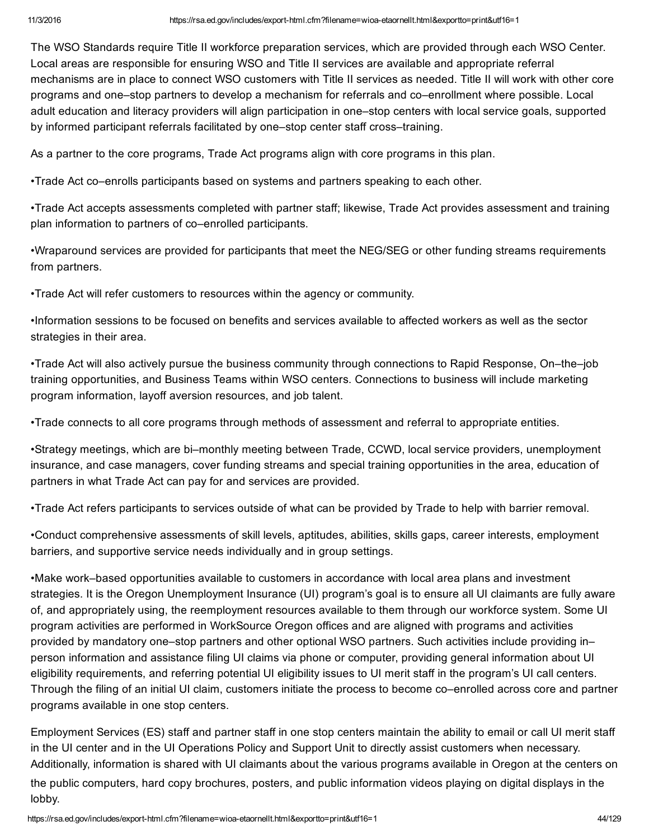The WSO Standards require Title II workforce preparation services, which are provided through each WSO Center. Local areas are responsible for ensuring WSO and Title II services are available and appropriate referral mechanisms are in place to connect WSO customers with Title II services as needed. Title II will work with other core programs and one–stop partners to develop a mechanism for referrals and co–enrollment where possible. Local adult education and literacy providers will align participation in one–stop centers with local service goals, supported by informed participant referrals facilitated by one–stop center staff cross–training.

As a partner to the core programs, Trade Act programs align with core programs in this plan.

•Trade Act co–enrolls participants based on systems and partners speaking to each other.

•Trade Act accepts assessments completed with partner staff; likewise, Trade Act provides assessment and training plan information to partners of co–enrolled participants.

•Wraparound services are provided for participants that meet the NEG/SEG or other funding streams requirements from partners.

•Trade Act will refer customers to resources within the agency or community.

•Information sessions to be focused on benefits and services available to affected workers as well as the sector strategies in their area.

•Trade Act will also actively pursue the business community through connections to Rapid Response, On–the–job training opportunities, and Business Teams within WSO centers. Connections to business will include marketing program information, layoff aversion resources, and job talent.

•Trade connects to all core programs through methods of assessment and referral to appropriate entities.

•Strategy meetings, which are bi–monthly meeting between Trade, CCWD, local service providers, unemployment insurance, and case managers, cover funding streams and special training opportunities in the area, education of partners in what Trade Act can pay for and services are provided.

•Trade Act refers participants to services outside of what can be provided by Trade to help with barrier removal.

•Conduct comprehensive assessments of skill levels, aptitudes, abilities, skills gaps, career interests, employment barriers, and supportive service needs individually and in group settings.

•Make work–based opportunities available to customers in accordance with local area plans and investment strategies. It is the Oregon Unemployment Insurance (UI) program's goal is to ensure all UI claimants are fully aware of, and appropriately using, the reemployment resources available to them through our workforce system. Some UI program activities are performed in WorkSource Oregon offices and are aligned with programs and activities provided by mandatory one–stop partners and other optional WSO partners. Such activities include providing in– person information and assistance filing UI claims via phone or computer, providing general information about UI eligibility requirements, and referring potential UI eligibility issues to UI merit staff in the program's UI call centers. Through the filing of an initial UI claim, customers initiate the process to become co–enrolled across core and partner programs available in one stop centers.

Employment Services (ES) staff and partner staff in one stop centers maintain the ability to email or call UI merit staff in the UI center and in the UI Operations Policy and Support Unit to directly assist customers when necessary. Additionally, information is shared with UI claimants about the various programs available in Oregon at the centers on the public computers, hard copy brochures, posters, and public information videos playing on digital displays in the lobby.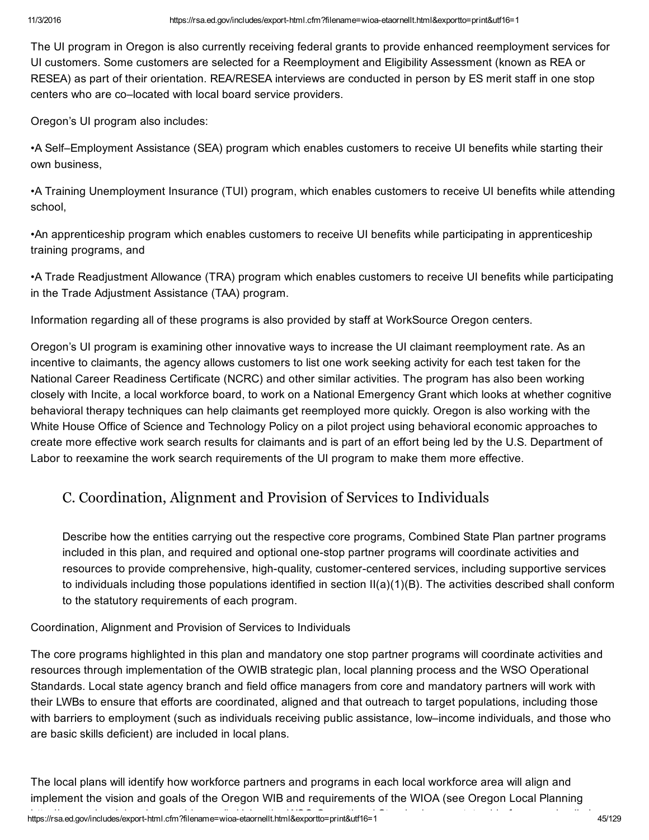The UI program in Oregon is also currently receiving federal grants to provide enhanced reemployment services for UI customers. Some customers are selected for a Reemployment and Eligibility Assessment (known as REA or RESEA) as part of their orientation. REA/RESEA interviews are conducted in person by ES merit staff in one stop centers who are co–located with local board service providers.

Oregon's UI program also includes:

•A Self–Employment Assistance (SEA) program which enables customers to receive UI benefits while starting their own business,

•A Training Unemployment Insurance (TUI) program, which enables customers to receive UI benefits while attending school,

•An apprenticeship program which enables customers to receive UI benefits while participating in apprenticeship training programs, and

•A Trade Readjustment Allowance (TRA) program which enables customers to receive UI benefits while participating in the Trade Adjustment Assistance (TAA) program.

Information regarding all of these programs is also provided by staff at WorkSource Oregon centers.

Oregon's UI program is examining other innovative ways to increase the UI claimant reemployment rate. As an incentive to claimants, the agency allows customers to list one work seeking activity for each test taken for the National Career Readiness Certificate (NCRC) and other similar activities. The program has also been working closely with Incite, a local workforce board, to work on a National Emergency Grant which looks at whether cognitive behavioral therapy techniques can help claimants get reemployed more quickly. Oregon is also working with the White House Office of Science and Technology Policy on a pilot project using behavioral economic approaches to create more effective work search results for claimants and is part of an effort being led by the U.S. Department of Labor to reexamine the work search requirements of the UI program to make them more effective.

## C. Coordination, Alignment and Provision of Services to Individuals

Describe how the entities carrying out the respective core programs, Combined State Plan partner programs included in this plan, and required and optional onestop partner programs will coordinate activities and resources to provide comprehensive, high-quality, customer-centered services, including supportive services to individuals including those populations identified in section II(a)(1)(B). The activities described shall conform to the statutory requirements of each program.

Coordination, Alignment and Provision of Services to Individuals

The core programs highlighted in this plan and mandatory one stop partner programs will coordinate activities and resources through implementation of the OWIB strategic plan, local planning process and the WSO Operational Standards. Local state agency branch and field office managers from core and mandatory partners will work with their LWBs to ensure that efforts are coordinated, aligned and that outreach to target populations, including those with barriers to employment (such as individuals receiving public assistance, low–income individuals, and those who are basic skills deficient) are included in local plans.

https://rsa.ed.gov/includes/export-html.cfm?filename=wioa-etaornellt.html&exportto=print&utf16=1 45/129 45/129 The local plans will identify how workforce partners and programs in each local workforce area will align and implement the vision and goals of the Oregon WIB and requirements of the WIOA (see Oregon Local Planning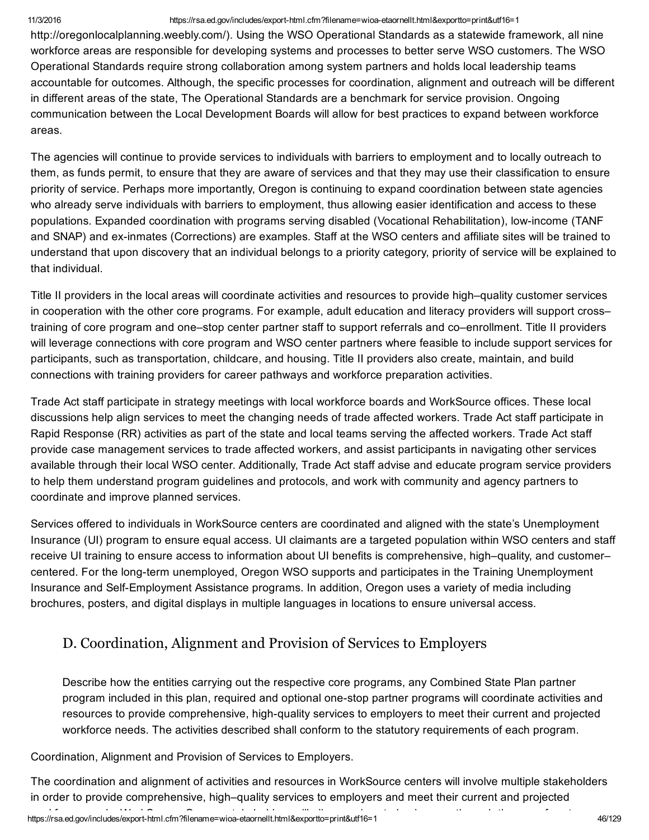http://oregonlocalplanning.weebly.com/). Using the WSO Operational Standards as a statewide framework, all nine workforce areas are responsible for developing systems and processes to better serve WSO customers. The WSO Operational Standards require strong collaboration among system partners and holds local leadership teams accountable for outcomes. Although, the specific processes for coordination, alignment and outreach will be different in different areas of the state, The Operational Standards are a benchmark for service provision. Ongoing communication between the Local Development Boards will allow for best practices to expand between workforce areas.

The agencies will continue to provide services to individuals with barriers to employment and to locally outreach to them, as funds permit, to ensure that they are aware of services and that they may use their classification to ensure priority of service. Perhaps more importantly, Oregon is continuing to expand coordination between state agencies who already serve individuals with barriers to employment, thus allowing easier identification and access to these populations. Expanded coordination with programs serving disabled (Vocational Rehabilitation), lowincome (TANF and SNAP) and ex-inmates (Corrections) are examples. Staff at the WSO centers and affiliate sites will be trained to understand that upon discovery that an individual belongs to a priority category, priority of service will be explained to that individual.

Title II providers in the local areas will coordinate activities and resources to provide high–quality customer services in cooperation with the other core programs. For example, adult education and literacy providers will support cross– training of core program and one–stop center partner staff to support referrals and co–enrollment. Title II providers will leverage connections with core program and WSO center partners where feasible to include support services for participants, such as transportation, childcare, and housing. Title II providers also create, maintain, and build connections with training providers for career pathways and workforce preparation activities.

Trade Act staff participate in strategy meetings with local workforce boards and WorkSource offices. These local discussions help align services to meet the changing needs of trade affected workers. Trade Act staff participate in Rapid Response (RR) activities as part of the state and local teams serving the affected workers. Trade Act staff provide case management services to trade affected workers, and assist participants in navigating other services available through their local WSO center. Additionally, Trade Act staff advise and educate program service providers to help them understand program guidelines and protocols, and work with community and agency partners to coordinate and improve planned services.

Services offered to individuals in WorkSource centers are coordinated and aligned with the state's Unemployment Insurance (UI) program to ensure equal access. UI claimants are a targeted population within WSO centers and staff receive UI training to ensure access to information about UI benefits is comprehensive, high–quality, and customer– centered. For the long-term unemployed, Oregon WSO supports and participates in the Training Unemployment Insurance and SelfEmployment Assistance programs. In addition, Oregon uses a variety of media including brochures, posters, and digital displays in multiple languages in locations to ensure universal access.

## D. Coordination, Alignment and Provision of Services to Employers

Describe how the entities carrying out the respective core programs, any Combined State Plan partner program included in this plan, required and optional onestop partner programs will coordinate activities and resources to provide comprehensive, high-quality services to employers to meet their current and projected workforce needs. The activities described shall conform to the statutory requirements of each program.

Coordination, Alignment and Provision of Services to Employers.

ست بالدين المستقل المستقل المستقل المستقل المستقل المستقل المستقل المستقل المستقل المستقل المستقل المستقل المستقل ال<br>سابق المستقل المستقل المستقل المستقل المستقل المستقل المستقل المستقل المستقل المستقل المستقل المستقل الم The coordination and alignment of activities and resources in WorkSource centers will involve multiple stakeholders in order to provide comprehensive, high–quality services to employers and meet their current and projected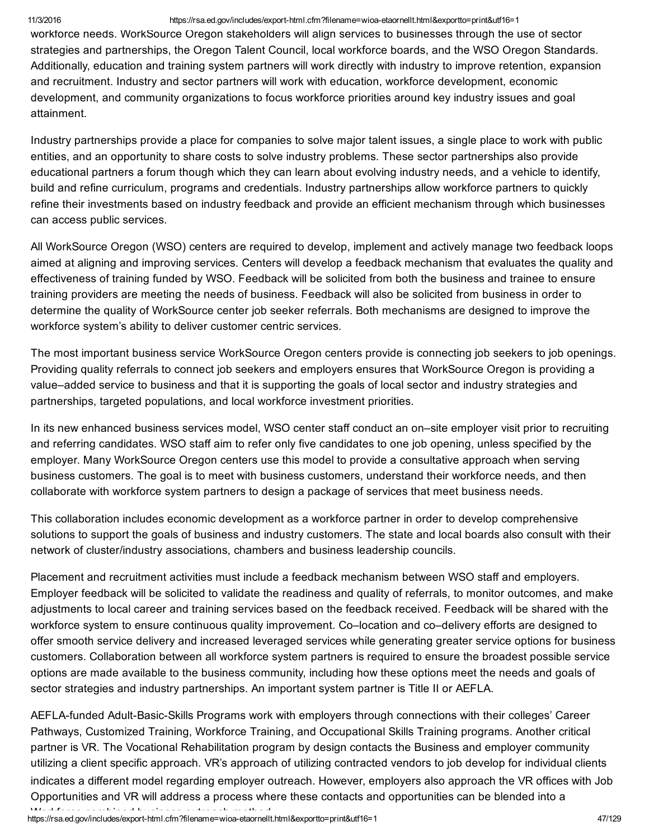workforce needs. WorkSource Oregon stakeholders will align services to businesses through the use of sector strategies and partnerships, the Oregon Talent Council, local workforce boards, and the WSO Oregon Standards. Additionally, education and training system partners will work directly with industry to improve retention, expansion and recruitment. Industry and sector partners will work with education, workforce development, economic development, and community organizations to focus workforce priorities around key industry issues and goal attainment.

Industry partnerships provide a place for companies to solve major talent issues, a single place to work with public entities, and an opportunity to share costs to solve industry problems. These sector partnerships also provide educational partners a forum though which they can learn about evolving industry needs, and a vehicle to identify, build and refine curriculum, programs and credentials. Industry partnerships allow workforce partners to quickly refine their investments based on industry feedback and provide an efficient mechanism through which businesses can access public services.

All WorkSource Oregon (WSO) centers are required to develop, implement and actively manage two feedback loops aimed at aligning and improving services. Centers will develop a feedback mechanism that evaluates the quality and effectiveness of training funded by WSO. Feedback will be solicited from both the business and trainee to ensure training providers are meeting the needs of business. Feedback will also be solicited from business in order to determine the quality of WorkSource center job seeker referrals. Both mechanisms are designed to improve the workforce system's ability to deliver customer centric services.

The most important business service WorkSource Oregon centers provide is connecting job seekers to job openings. Providing quality referrals to connect job seekers and employers ensures that WorkSource Oregon is providing a value–added service to business and that it is supporting the goals of local sector and industry strategies and partnerships, targeted populations, and local workforce investment priorities.

In its new enhanced business services model, WSO center staff conduct an on–site employer visit prior to recruiting and referring candidates. WSO staff aim to refer only five candidates to one job opening, unless specified by the employer. Many WorkSource Oregon centers use this model to provide a consultative approach when serving business customers. The goal is to meet with business customers, understand their workforce needs, and then collaborate with workforce system partners to design a package of services that meet business needs.

This collaboration includes economic development as a workforce partner in order to develop comprehensive solutions to support the goals of business and industry customers. The state and local boards also consult with their network of cluster/industry associations, chambers and business leadership councils.

Placement and recruitment activities must include a feedback mechanism between WSO staff and employers. Employer feedback will be solicited to validate the readiness and quality of referrals, to monitor outcomes, and make adjustments to local career and training services based on the feedback received. Feedback will be shared with the workforce system to ensure continuous quality improvement. Co–location and co–delivery efforts are designed to offer smooth service delivery and increased leveraged services while generating greater service options for business customers. Collaboration between all workforce system partners is required to ensure the broadest possible service options are made available to the business community, including how these options meet the needs and goals of sector strategies and industry partnerships. An important system partner is Title II or AEFLA.

AEFLA-funded Adult-Basic-Skills Programs work with employers through connections with their colleges' Career Pathways, Customized Training, Workforce Training, and Occupational Skills Training programs. Another critical partner is VR. The Vocational Rehabilitation program by design contacts the Business and employer community utilizing a client specific approach. VR's approach of utilizing contracted vendors to job develop for individual clients indicates a different model regarding employer outreach. However, employers also approach the VR offices with Job Opportunities and VR will address a process where these contacts and opportunities can be blended into a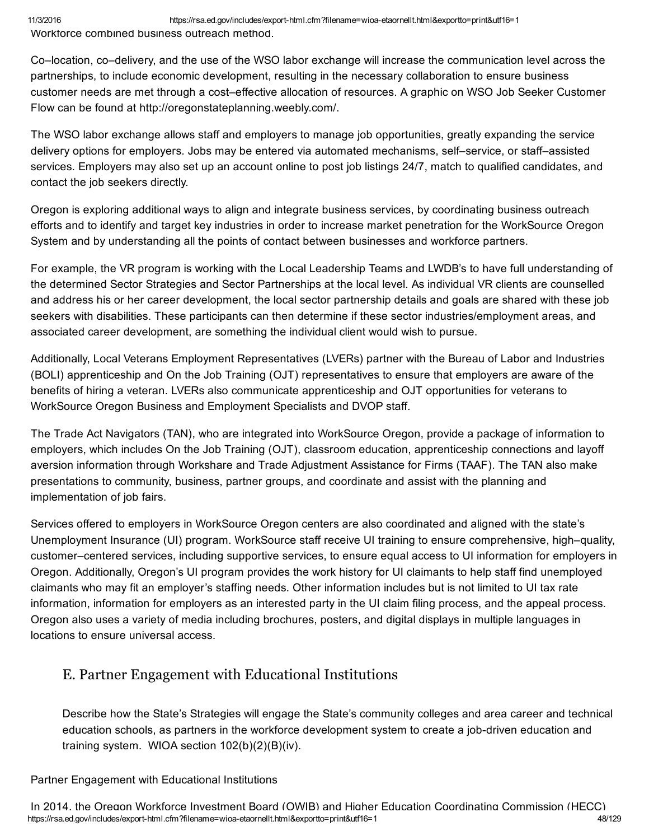Workforce combined business outreach method.

Co–location, co–delivery, and the use of the WSO labor exchange will increase the communication level across the partnerships, to include economic development, resulting in the necessary collaboration to ensure business customer needs are met through a cost–effective allocation of resources. A graphic on WSO Job Seeker Customer Flow can be found at http://oregonstateplanning.weebly.com/.

The WSO labor exchange allows staff and employers to manage job opportunities, greatly expanding the service delivery options for employers. Jobs may be entered via automated mechanisms, self–service, or staff–assisted services. Employers may also set up an account online to post job listings 24/7, match to qualified candidates, and contact the job seekers directly.

Oregon is exploring additional ways to align and integrate business services, by coordinating business outreach efforts and to identify and target key industries in order to increase market penetration for the WorkSource Oregon System and by understanding all the points of contact between businesses and workforce partners.

For example, the VR program is working with the Local Leadership Teams and LWDB's to have full understanding of the determined Sector Strategies and Sector Partnerships at the local level. As individual VR clients are counselled and address his or her career development, the local sector partnership details and goals are shared with these job seekers with disabilities. These participants can then determine if these sector industries/employment areas, and associated career development, are something the individual client would wish to pursue.

Additionally, Local Veterans Employment Representatives (LVERs) partner with the Bureau of Labor and Industries (BOLI) apprenticeship and On the Job Training (OJT) representatives to ensure that employers are aware of the benefits of hiring a veteran. LVERs also communicate apprenticeship and OJT opportunities for veterans to WorkSource Oregon Business and Employment Specialists and DVOP staff.

The Trade Act Navigators (TAN), who are integrated into WorkSource Oregon, provide a package of information to employers, which includes On the Job Training (OJT), classroom education, apprenticeship connections and layoff aversion information through Workshare and Trade Adjustment Assistance for Firms (TAAF). The TAN also make presentations to community, business, partner groups, and coordinate and assist with the planning and implementation of job fairs.

Services offered to employers in WorkSource Oregon centers are also coordinated and aligned with the state's Unemployment Insurance (UI) program. WorkSource staff receive UI training to ensure comprehensive, high–quality, customer–centered services, including supportive services, to ensure equal access to UI information for employers in Oregon. Additionally, Oregon's UI program provides the work history for UI claimants to help staff find unemployed claimants who may fit an employer's staffing needs. Other information includes but is not limited to UI tax rate information, information for employers as an interested party in the UI claim filing process, and the appeal process. Oregon also uses a variety of media including brochures, posters, and digital displays in multiple languages in locations to ensure universal access.

## E. Partner Engagement with Educational Institutions

Describe how the State's Strategies will engage the State's community colleges and area career and technical education schools, as partners in the workforce development system to create a job-driven education and training system. WIOA section 102(b)(2)(B)(iv).

### Partner Engagement with Educational Institutions

https://rsa.ed.gov/includes/exporthtml.cfm?filename=wioaetaornellt.html&exportto=print&utf16=1 48/129 In 2014, the Oregon Workforce Investment Board (OWIB) and Higher Education Coordinating Commission (HECC)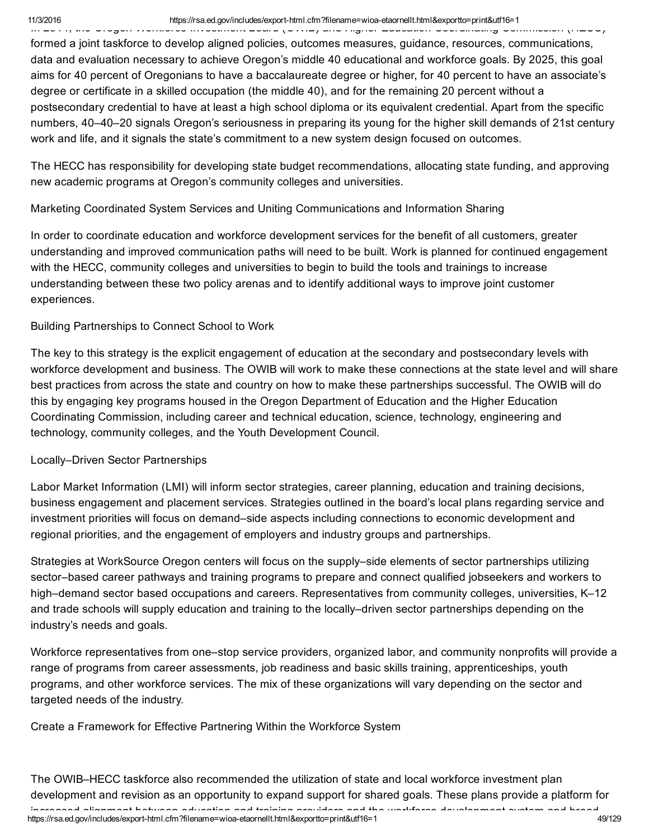In 2014, the Oregon Workforce Investment Board (OWIB) and Higher Education Coordinating Commission (HECC) formed a joint taskforce to develop aligned policies, outcomes measures, guidance, resources, communications, data and evaluation necessary to achieve Oregon's middle 40 educational and workforce goals. By 2025, this goal aims for 40 percent of Oregonians to have a baccalaureate degree or higher, for 40 percent to have an associate's degree or certificate in a skilled occupation (the middle 40), and for the remaining 20 percent without a postsecondary credential to have at least a high school diploma or its equivalent credential. Apart from the specific numbers, 40–40–20 signals Oregon's seriousness in preparing its young for the higher skill demands of 21st century work and life, and it signals the state's commitment to a new system design focused on outcomes.

The HECC has responsibility for developing state budget recommendations, allocating state funding, and approving new academic programs at Oregon's community colleges and universities.

### Marketing Coordinated System Services and Uniting Communications and Information Sharing

In order to coordinate education and workforce development services for the benefit of all customers, greater understanding and improved communication paths will need to be built. Work is planned for continued engagement with the HECC, community colleges and universities to begin to build the tools and trainings to increase understanding between these two policy arenas and to identify additional ways to improve joint customer experiences.

### Building Partnerships to Connect School to Work

The key to this strategy is the explicit engagement of education at the secondary and postsecondary levels with workforce development and business. The OWIB will work to make these connections at the state level and will share best practices from across the state and country on how to make these partnerships successful. The OWIB will do this by engaging key programs housed in the Oregon Department of Education and the Higher Education Coordinating Commission, including career and technical education, science, technology, engineering and technology, community colleges, and the Youth Development Council.

### Locally–Driven Sector Partnerships

Labor Market Information (LMI) will inform sector strategies, career planning, education and training decisions, business engagement and placement services. Strategies outlined in the board's local plans regarding service and investment priorities will focus on demand–side aspects including connections to economic development and regional priorities, and the engagement of employers and industry groups and partnerships.

Strategies at WorkSource Oregon centers will focus on the supply–side elements of sector partnerships utilizing sector–based career pathways and training programs to prepare and connect qualified jobseekers and workers to high–demand sector based occupations and careers. Representatives from community colleges, universities, K–12 and trade schools will supply education and training to the locally–driven sector partnerships depending on the industry's needs and goals.

Workforce representatives from one–stop service providers, organized labor, and community nonprofits will provide a range of programs from career assessments, job readiness and basic skills training, apprenticeships, youth programs, and other workforce services. The mix of these organizations will vary depending on the sector and targeted needs of the industry.

Create a Framework for Effective Partnering Within the Workforce System

https://rsa.ed.gov/includes/exporthtml.cfm?filename=wioaetaornellt.html&exportto=print&utf16=1 49/129 The OWIB–HECC taskforce also recommended the utilization of state and local workforce investment plan development and revision as an opportunity to expand support for shared goals. These plans provide a platform for increased alignment between education and training providers and the workforce development system and broad–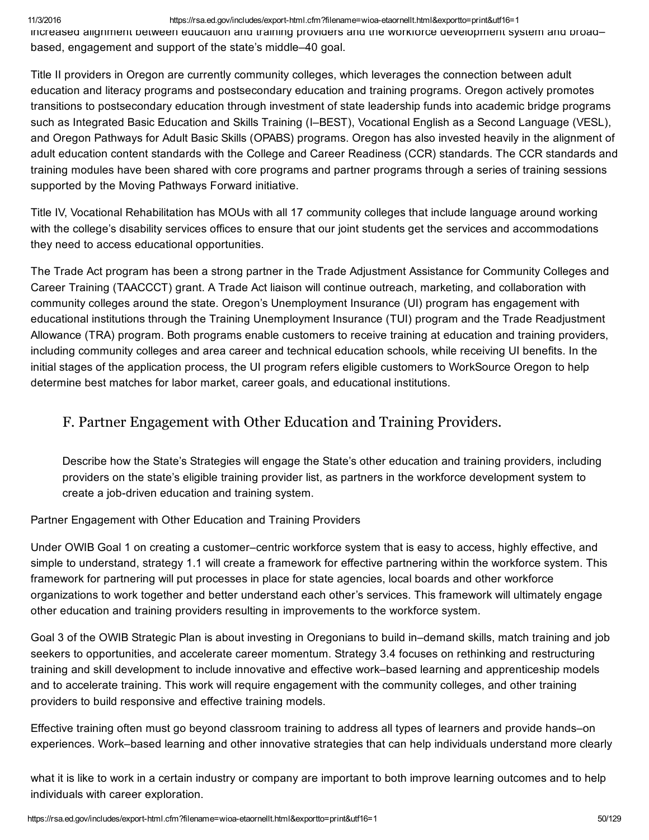increased alignment between education and training providers and the workforce development system and broad– based, engagement and support of the state's middle–40 goal.

Title II providers in Oregon are currently community colleges, which leverages the connection between adult education and literacy programs and postsecondary education and training programs. Oregon actively promotes transitions to postsecondary education through investment of state leadership funds into academic bridge programs such as Integrated Basic Education and Skills Training (I–BEST), Vocational English as a Second Language (VESL), and Oregon Pathways for Adult Basic Skills (OPABS) programs. Oregon has also invested heavily in the alignment of adult education content standards with the College and Career Readiness (CCR) standards. The CCR standards and training modules have been shared with core programs and partner programs through a series of training sessions supported by the Moving Pathways Forward initiative.

Title IV, Vocational Rehabilitation has MOUs with all 17 community colleges that include language around working with the college's disability services offices to ensure that our joint students get the services and accommodations they need to access educational opportunities.

The Trade Act program has been a strong partner in the Trade Adjustment Assistance for Community Colleges and Career Training (TAACCCT) grant. A Trade Act liaison will continue outreach, marketing, and collaboration with community colleges around the state. Oregon's Unemployment Insurance (UI) program has engagement with educational institutions through the Training Unemployment Insurance (TUI) program and the Trade Readjustment Allowance (TRA) program. Both programs enable customers to receive training at education and training providers, including community colleges and area career and technical education schools, while receiving UI benefits. In the initial stages of the application process, the UI program refers eligible customers to WorkSource Oregon to help determine best matches for labor market, career goals, and educational institutions.

## F. Partner Engagement with Other Education and Training Providers.

Describe how the State's Strategies will engage the State's other education and training providers, including providers on the state's eligible training provider list, as partners in the workforce development system to create a job-driven education and training system.

### Partner Engagement with Other Education and Training Providers

Under OWIB Goal 1 on creating a customer–centric workforce system that is easy to access, highly effective, and simple to understand, strategy 1.1 will create a framework for effective partnering within the workforce system. This framework for partnering will put processes in place for state agencies, local boards and other workforce organizations to work together and better understand each other's services. This framework will ultimately engage other education and training providers resulting in improvements to the workforce system.

Goal 3 of the OWIB Strategic Plan is about investing in Oregonians to build in–demand skills, match training and job seekers to opportunities, and accelerate career momentum. Strategy 3.4 focuses on rethinking and restructuring training and skill development to include innovative and effective work–based learning and apprenticeship models and to accelerate training. This work will require engagement with the community colleges, and other training providers to build responsive and effective training models.

Effective training often must go beyond classroom training to address all types of learners and provide hands–on experiences. Work–based learning and other innovative strategies that can help individuals understand more clearly

what it is like to work in a certain industry or company are important to both improve learning outcomes and to help individuals with career exploration.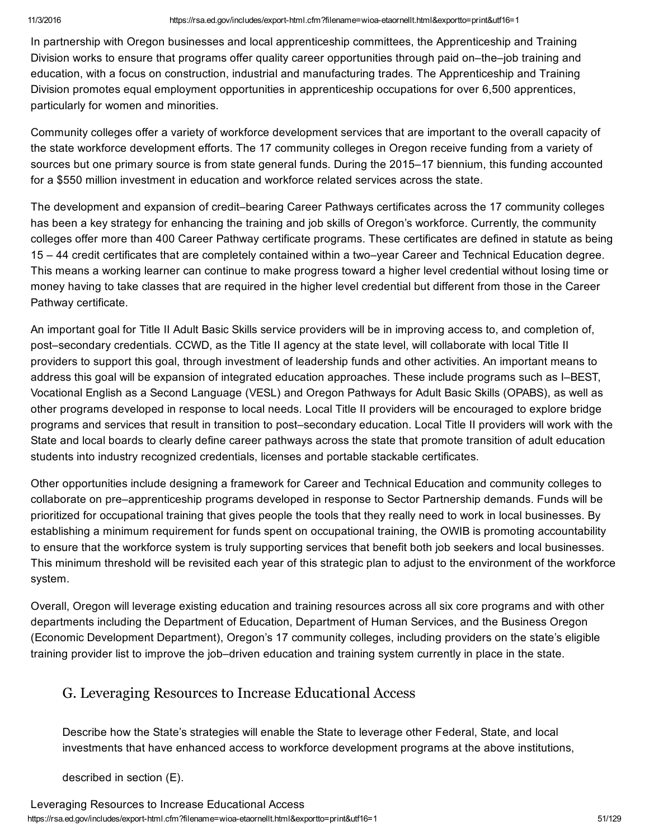In partnership with Oregon businesses and local apprenticeship committees, the Apprenticeship and Training Division works to ensure that programs offer quality career opportunities through paid on–the–job training and education, with a focus on construction, industrial and manufacturing trades. The Apprenticeship and Training Division promotes equal employment opportunities in apprenticeship occupations for over 6,500 apprentices, particularly for women and minorities.

Community colleges offer a variety of workforce development services that are important to the overall capacity of the state workforce development efforts. The 17 community colleges in Oregon receive funding from a variety of sources but one primary source is from state general funds. During the 2015–17 biennium, this funding accounted for a \$550 million investment in education and workforce related services across the state.

The development and expansion of credit–bearing Career Pathways certificates across the 17 community colleges has been a key strategy for enhancing the training and job skills of Oregon's workforce. Currently, the community colleges offer more than 400 Career Pathway certificate programs. These certificates are defined in statute as being 15 – 44 credit certificates that are completely contained within a two–year Career and Technical Education degree. This means a working learner can continue to make progress toward a higher level credential without losing time or money having to take classes that are required in the higher level credential but different from those in the Career Pathway certificate.

An important goal for Title II Adult Basic Skills service providers will be in improving access to, and completion of, post–secondary credentials. CCWD, as the Title II agency at the state level, will collaborate with local Title II providers to support this goal, through investment of leadership funds and other activities. An important means to address this goal will be expansion of integrated education approaches. These include programs such as I–BEST, Vocational English as a Second Language (VESL) and Oregon Pathways for Adult Basic Skills (OPABS), as well as other programs developed in response to local needs. Local Title II providers will be encouraged to explore bridge programs and services that result in transition to post–secondary education. Local Title II providers will work with the State and local boards to clearly define career pathways across the state that promote transition of adult education students into industry recognized credentials, licenses and portable stackable certificates.

Other opportunities include designing a framework for Career and Technical Education and community colleges to collaborate on pre–apprenticeship programs developed in response to Sector Partnership demands. Funds will be prioritized for occupational training that gives people the tools that they really need to work in local businesses. By establishing a minimum requirement for funds spent on occupational training, the OWIB is promoting accountability to ensure that the workforce system is truly supporting services that benefit both job seekers and local businesses. This minimum threshold will be revisited each year of this strategic plan to adjust to the environment of the workforce system.

Overall, Oregon will leverage existing education and training resources across all six core programs and with other departments including the Department of Education, Department of Human Services, and the Business Oregon (Economic Development Department), Oregon's 17 community colleges, including providers on the state's eligible training provider list to improve the job–driven education and training system currently in place in the state.

## G. Leveraging Resources to Increase Educational Access

Describe how the State's strategies will enable the State to leverage other Federal, State, and local investments that have enhanced access to workforce development programs at the above institutions,

described in section (E).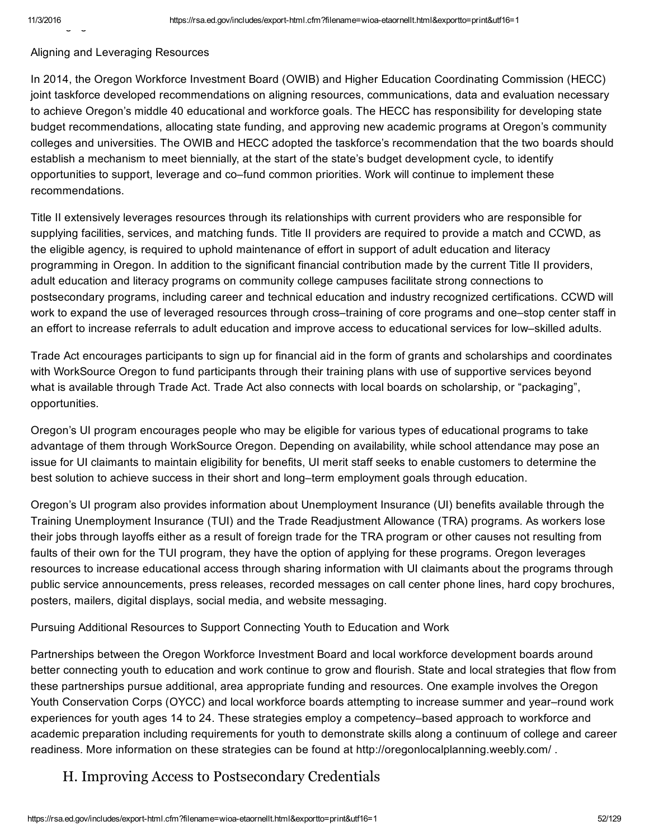### Aligning and Leveraging Resources

In 2014, the Oregon Workforce Investment Board (OWIB) and Higher Education Coordinating Commission (HECC) joint taskforce developed recommendations on aligning resources, communications, data and evaluation necessary to achieve Oregon's middle 40 educational and workforce goals. The HECC has responsibility for developing state budget recommendations, allocating state funding, and approving new academic programs at Oregon's community colleges and universities. The OWIB and HECC adopted the taskforce's recommendation that the two boards should establish a mechanism to meet biennially, at the start of the state's budget development cycle, to identify opportunities to support, leverage and co–fund common priorities. Work will continue to implement these recommendations.

Title II extensively leverages resources through its relationships with current providers who are responsible for supplying facilities, services, and matching funds. Title II providers are required to provide a match and CCWD, as the eligible agency, is required to uphold maintenance of effort in support of adult education and literacy programming in Oregon. In addition to the significant financial contribution made by the current Title II providers, adult education and literacy programs on community college campuses facilitate strong connections to postsecondary programs, including career and technical education and industry recognized certifications. CCWD will work to expand the use of leveraged resources through cross–training of core programs and one–stop center staff in an effort to increase referrals to adult education and improve access to educational services for low–skilled adults.

Trade Act encourages participants to sign up for financial aid in the form of grants and scholarships and coordinates with WorkSource Oregon to fund participants through their training plans with use of supportive services beyond what is available through Trade Act. Trade Act also connects with local boards on scholarship, or "packaging", opportunities.

Oregon's UI program encourages people who may be eligible for various types of educational programs to take advantage of them through WorkSource Oregon. Depending on availability, while school attendance may pose an issue for UI claimants to maintain eligibility for benefits, UI merit staff seeks to enable customers to determine the best solution to achieve success in their short and long–term employment goals through education.

Oregon's UI program also provides information about Unemployment Insurance (UI) benefits available through the Training Unemployment Insurance (TUI) and the Trade Readjustment Allowance (TRA) programs. As workers lose their jobs through layoffs either as a result of foreign trade for the TRA program or other causes not resulting from faults of their own for the TUI program, they have the option of applying for these programs. Oregon leverages resources to increase educational access through sharing information with UI claimants about the programs through public service announcements, press releases, recorded messages on call center phone lines, hard copy brochures, posters, mailers, digital displays, social media, and website messaging.

Pursuing Additional Resources to Support Connecting Youth to Education and Work

Partnerships between the Oregon Workforce Investment Board and local workforce development boards around better connecting youth to education and work continue to grow and flourish. State and local strategies that flow from these partnerships pursue additional, area appropriate funding and resources. One example involves the Oregon Youth Conservation Corps (OYCC) and local workforce boards attempting to increase summer and year–round work experiences for youth ages 14 to 24. These strategies employ a competency–based approach to workforce and academic preparation including requirements for youth to demonstrate skills along a continuum of college and career readiness. More information on these strategies can be found at http://oregonlocalplanning.weebly.com/ .

## H. Improving Access to Postsecondary Credentials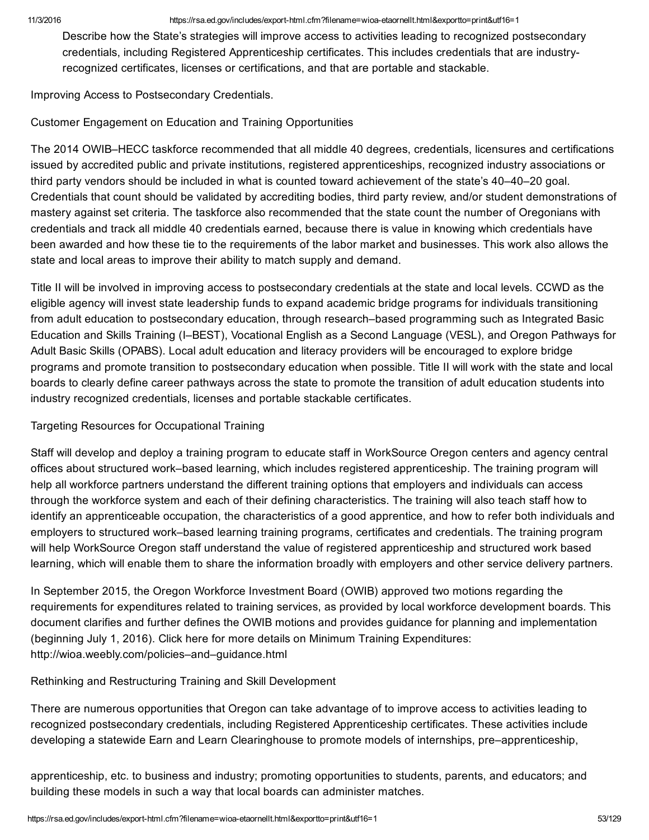Describe how the State's strategies will improve access to activities leading to recognized postsecondary credentials, including Registered Apprenticeship certificates. This includes credentials that are industryrecognized certificates, licenses or certifications, and that are portable and stackable.

Improving Access to Postsecondary Credentials.

Customer Engagement on Education and Training Opportunities

The 2014 OWIB–HECC taskforce recommended that all middle 40 degrees, credentials, licensures and certifications issued by accredited public and private institutions, registered apprenticeships, recognized industry associations or third party vendors should be included in what is counted toward achievement of the state's 40–40–20 goal. Credentials that count should be validated by accrediting bodies, third party review, and/or student demonstrations of mastery against set criteria. The taskforce also recommended that the state count the number of Oregonians with credentials and track all middle 40 credentials earned, because there is value in knowing which credentials have been awarded and how these tie to the requirements of the labor market and businesses. This work also allows the state and local areas to improve their ability to match supply and demand.

Title II will be involved in improving access to postsecondary credentials at the state and local levels. CCWD as the eligible agency will invest state leadership funds to expand academic bridge programs for individuals transitioning from adult education to postsecondary education, through research–based programming such as Integrated Basic Education and Skills Training (I–BEST), Vocational English as a Second Language (VESL), and Oregon Pathways for Adult Basic Skills (OPABS). Local adult education and literacy providers will be encouraged to explore bridge programs and promote transition to postsecondary education when possible. Title II will work with the state and local boards to clearly define career pathways across the state to promote the transition of adult education students into industry recognized credentials, licenses and portable stackable certificates.

### Targeting Resources for Occupational Training

Staff will develop and deploy a training program to educate staff in WorkSource Oregon centers and agency central offices about structured work–based learning, which includes registered apprenticeship. The training program will help all workforce partners understand the different training options that employers and individuals can access through the workforce system and each of their defining characteristics. The training will also teach staff how to identify an apprenticeable occupation, the characteristics of a good apprentice, and how to refer both individuals and employers to structured work–based learning training programs, certificates and credentials. The training program will help WorkSource Oregon staff understand the value of registered apprenticeship and structured work based learning, which will enable them to share the information broadly with employers and other service delivery partners.

In September 2015, the Oregon Workforce Investment Board (OWIB) approved two motions regarding the requirements for expenditures related to training services, as provided by local workforce development boards. This document clarifies and further defines the OWIB motions and provides guidance for planning and implementation (beginning July 1, 2016). Click here for more details on Minimum Training Expenditures: http://wioa.weebly.com/policies–and–guidance.html

Rethinking and Restructuring Training and Skill Development

There are numerous opportunities that Oregon can take advantage of to improve access to activities leading to recognized postsecondary credentials, including Registered Apprenticeship certificates. These activities include developing a statewide Earn and Learn Clearinghouse to promote models of internships, pre–apprenticeship,

apprenticeship, etc. to business and industry; promoting opportunities to students, parents, and educators; and building these models in such a way that local boards can administer matches.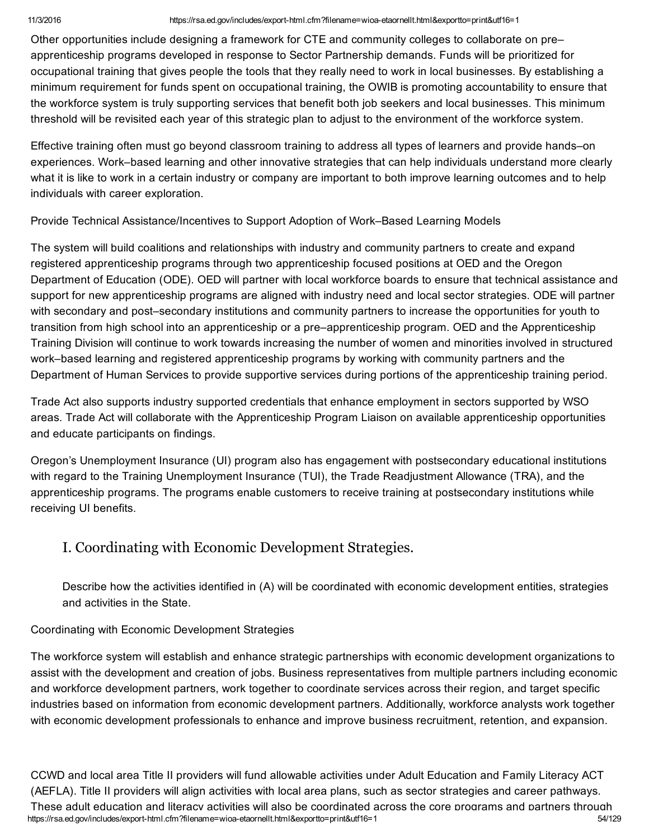Other opportunities include designing a framework for CTE and community colleges to collaborate on pre– apprenticeship programs developed in response to Sector Partnership demands. Funds will be prioritized for occupational training that gives people the tools that they really need to work in local businesses. By establishing a minimum requirement for funds spent on occupational training, the OWIB is promoting accountability to ensure that the workforce system is truly supporting services that benefit both job seekers and local businesses. This minimum threshold will be revisited each year of this strategic plan to adjust to the environment of the workforce system.

Effective training often must go beyond classroom training to address all types of learners and provide hands–on experiences. Work–based learning and other innovative strategies that can help individuals understand more clearly what it is like to work in a certain industry or company are important to both improve learning outcomes and to help individuals with career exploration.

Provide Technical Assistance/Incentives to Support Adoption of Work–Based Learning Models

The system will build coalitions and relationships with industry and community partners to create and expand registered apprenticeship programs through two apprenticeship focused positions at OED and the Oregon Department of Education (ODE). OED will partner with local workforce boards to ensure that technical assistance and support for new apprenticeship programs are aligned with industry need and local sector strategies. ODE will partner with secondary and post–secondary institutions and community partners to increase the opportunities for youth to transition from high school into an apprenticeship or a pre–apprenticeship program. OED and the Apprenticeship Training Division will continue to work towards increasing the number of women and minorities involved in structured work–based learning and registered apprenticeship programs by working with community partners and the Department of Human Services to provide supportive services during portions of the apprenticeship training period.

Trade Act also supports industry supported credentials that enhance employment in sectors supported by WSO areas. Trade Act will collaborate with the Apprenticeship Program Liaison on available apprenticeship opportunities and educate participants on findings.

Oregon's Unemployment Insurance (UI) program also has engagement with postsecondary educational institutions with regard to the Training Unemployment Insurance (TUI), the Trade Readjustment Allowance (TRA), and the apprenticeship programs. The programs enable customers to receive training at postsecondary institutions while receiving UI benefits.

# I. Coordinating with Economic Development Strategies.

Describe how the activities identified in (A) will be coordinated with economic development entities, strategies and activities in the State.

## Coordinating with Economic Development Strategies

The workforce system will establish and enhance strategic partnerships with economic development organizations to assist with the development and creation of jobs. Business representatives from multiple partners including economic and workforce development partners, work together to coordinate services across their region, and target specific industries based on information from economic development partners. Additionally, workforce analysts work together with economic development professionals to enhance and improve business recruitment, retention, and expansion.

https://rsa.ed.gov/includes/exporthtml.cfm?filename=wioaetaornellt.html&exportto=print&utf16=1 54/129 CCWD and local area Title II providers will fund allowable activities under Adult Education and Family Literacy ACT (AEFLA). Title II providers will align activities with local area plans, such as sector strategies and career pathways. These adult education and literacy activities will also be coordinated across the core programs and partners through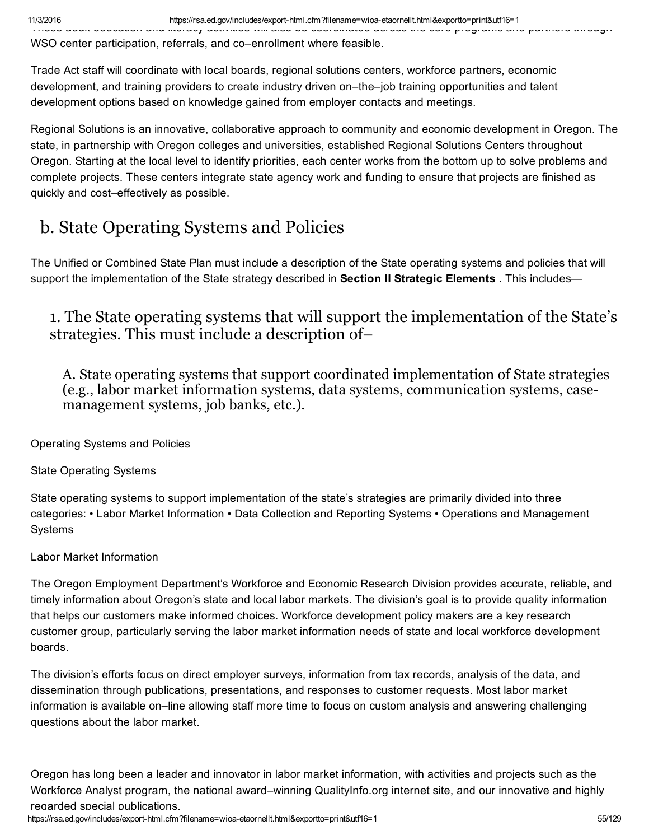These adult education and literacy activities will also be coordinated across the core programs and partners through WSO center participation, referrals, and co–enrollment where feasible.

Trade Act staff will coordinate with local boards, regional solutions centers, workforce partners, economic development, and training providers to create industry driven on–the–job training opportunities and talent development options based on knowledge gained from employer contacts and meetings.

Regional Solutions is an innovative, collaborative approach to community and economic development in Oregon. The state, in partnership with Oregon colleges and universities, established Regional Solutions Centers throughout Oregon. Starting at the local level to identify priorities, each center works from the bottom up to solve problems and complete projects. These centers integrate state agency work and funding to ensure that projects are finished as quickly and cost–effectively as possible.

# b. State Operating Systems and Policies

The Unified or Combined State Plan must include a description of the State operating systems and policies that will support the implementation of the State strategy described in Section II Strategic Elements . This includes—

## 1. The State operating systems that will support the implementation of the State's strategies. This must include a description of–

A. State operating systems that support coordinated implementation of State strategies (e.g., labor market information systems, data systems, communication systems, casemanagement systems, job banks, etc.).

Operating Systems and Policies

State Operating Systems

State operating systems to support implementation of the state's strategies are primarily divided into three categories: • Labor Market Information • Data Collection and Reporting Systems • Operations and Management Systems

Labor Market Information

The Oregon Employment Department's Workforce and Economic Research Division provides accurate, reliable, and timely information about Oregon's state and local labor markets. The division's goal is to provide quality information that helps our customers make informed choices. Workforce development policy makers are a key research customer group, particularly serving the labor market information needs of state and local workforce development boards.

The division's efforts focus on direct employer surveys, information from tax records, analysis of the data, and dissemination through publications, presentations, and responses to customer requests. Most labor market information is available on–line allowing staff more time to focus on custom analysis and answering challenging questions about the labor market.

https://rsa.ed.gov/includes/export-html.cfm?filename=wioa-etaornellt.html&exportto=print&utf16=1 55/129 Oregon has long been a leader and innovator in labor market information, with activities and projects such as the Workforce Analyst program, the national award–winning QualityInfo.org internet site, and our innovative and highly regarded special publications.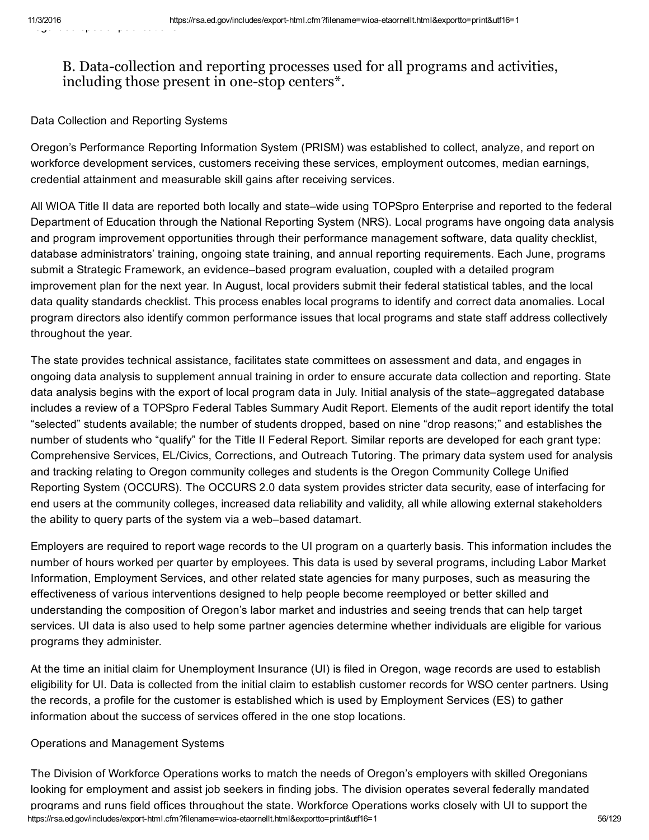ring/2010<br>- محت محت المحت المحت المحت المحت المحت المحت المحت المحت المحت المحت المحت المحت المحت المحت المحت ا

## B. Data-collection and reporting processes used for all programs and activities, including those present in one-stop centers\*.

### Data Collection and Reporting Systems

Oregon's Performance Reporting Information System (PRISM) was established to collect, analyze, and report on workforce development services, customers receiving these services, employment outcomes, median earnings, credential attainment and measurable skill gains after receiving services.

All WIOA Title II data are reported both locally and state–wide using TOPSpro Enterprise and reported to the federal Department of Education through the National Reporting System (NRS). Local programs have ongoing data analysis and program improvement opportunities through their performance management software, data quality checklist, database administrators' training, ongoing state training, and annual reporting requirements. Each June, programs submit a Strategic Framework, an evidence–based program evaluation, coupled with a detailed program improvement plan for the next year. In August, local providers submit their federal statistical tables, and the local data quality standards checklist. This process enables local programs to identify and correct data anomalies. Local program directors also identify common performance issues that local programs and state staff address collectively throughout the year.

The state provides technical assistance, facilitates state committees on assessment and data, and engages in ongoing data analysis to supplement annual training in order to ensure accurate data collection and reporting. State data analysis begins with the export of local program data in July. Initial analysis of the state–aggregated database includes a review of a TOPSpro Federal Tables Summary Audit Report. Elements of the audit report identify the total "selected" students available; the number of students dropped, based on nine "drop reasons;" and establishes the number of students who "qualify" for the Title II Federal Report. Similar reports are developed for each grant type: Comprehensive Services, EL/Civics, Corrections, and Outreach Tutoring. The primary data system used for analysis and tracking relating to Oregon community colleges and students is the Oregon Community College Unified Reporting System (OCCURS). The OCCURS 2.0 data system provides stricter data security, ease of interfacing for end users at the community colleges, increased data reliability and validity, all while allowing external stakeholders the ability to query parts of the system via a web–based datamart.

Employers are required to report wage records to the UI program on a quarterly basis. This information includes the number of hours worked per quarter by employees. This data is used by several programs, including Labor Market Information, Employment Services, and other related state agencies for many purposes, such as measuring the effectiveness of various interventions designed to help people become reemployed or better skilled and understanding the composition of Oregon's labor market and industries and seeing trends that can help target services. UI data is also used to help some partner agencies determine whether individuals are eligible for various programs they administer.

At the time an initial claim for Unemployment Insurance (UI) is filed in Oregon, wage records are used to establish eligibility for UI. Data is collected from the initial claim to establish customer records for WSO center partners. Using the records, a profile for the customer is established which is used by Employment Services (ES) to gather information about the success of services offered in the one stop locations.

### Operations and Management Systems

https://rsa.ed.gov/includes/export-html.cfm?filename=wioa-etaornellt.html&exportto=print&utf16=1 56/129 The Division of Workforce Operations works to match the needs of Oregon's employers with skilled Oregonians looking for employment and assist job seekers in finding jobs. The division operates several federally mandated programs and runs field offices throughout the state. Workforce Operations works closely with UI to support the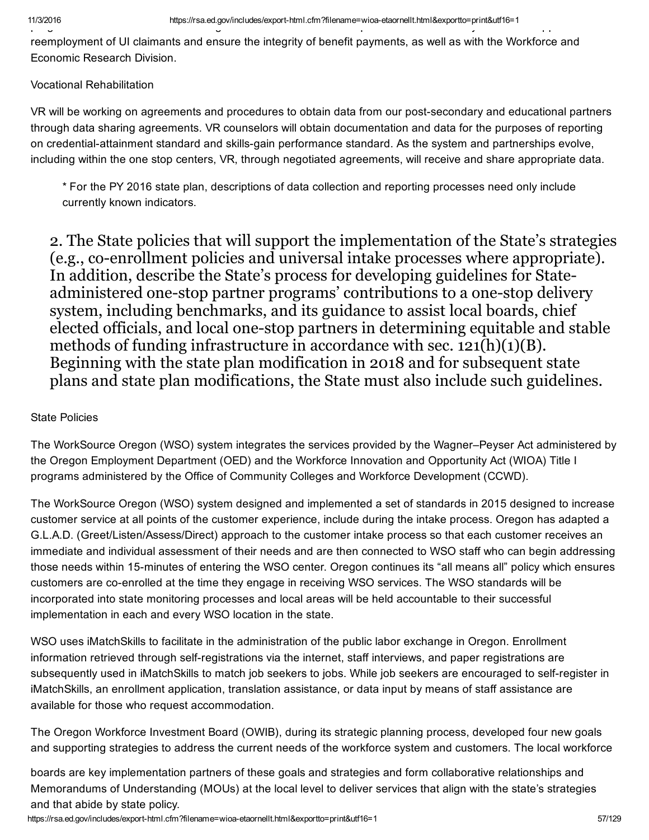reemployment of UI claimants and ensure the integrity of benefit payments, as well as with the Workforce and Economic Research Division.

### Vocational Rehabilitation

VR will be working on agreements and procedures to obtain data from our post-secondary and educational partners through data sharing agreements. VR counselors will obtain documentation and data for the purposes of reporting on credential-attainment standard and skills-gain performance standard. As the system and partnerships evolve, including within the one stop centers, VR, through negotiated agreements, will receive and share appropriate data.

\* For the PY 2016 state plan, descriptions of data collection and reporting processes need only include currently known indicators.

2. The State policies that will support the implementation of the State's strategies (e.g., co-enrollment policies and universal intake processes where appropriate). In addition, describe the State's process for developing guidelines for Stateadministered one-stop partner programs' contributions to a one-stop delivery system, including benchmarks, and its guidance to assist local boards, chief elected officials, and local one-stop partners in determining equitable and stable methods of funding infrastructure in accordance with sec. 121(h)(1)(B). Beginning with the state plan modification in 2018 and for subsequent state plans and state plan modifications, the State must also include such guidelines.

### State Policies

The WorkSource Oregon (WSO) system integrates the services provided by the Wagner–Peyser Act administered by the Oregon Employment Department (OED) and the Workforce Innovation and Opportunity Act (WIOA) Title I programs administered by the Office of Community Colleges and Workforce Development (CCWD).

The WorkSource Oregon (WSO) system designed and implemented a set of standards in 2015 designed to increase customer service at all points of the customer experience, include during the intake process. Oregon has adapted a G.L.A.D. (Greet/Listen/Assess/Direct) approach to the customer intake process so that each customer receives an immediate and individual assessment of their needs and are then connected to WSO staff who can begin addressing those needs within 15-minutes of entering the WSO center. Oregon continues its "all means all" policy which ensures customers are co-enrolled at the time they engage in receiving WSO services. The WSO standards will be incorporated into state monitoring processes and local areas will be held accountable to their successful implementation in each and every WSO location in the state.

WSO uses iMatchSkills to facilitate in the administration of the public labor exchange in Oregon. Enrollment information retrieved through self-registrations via the internet, staff interviews, and paper registrations are subsequently used in iMatchSkills to match job seekers to jobs. While job seekers are encouraged to self-register in iMatchSkills, an enrollment application, translation assistance, or data input by means of staff assistance are available for those who request accommodation.

The Oregon Workforce Investment Board (OWIB), during its strategic planning process, developed four new goals and supporting strategies to address the current needs of the workforce system and customers. The local workforce

https://rsa.ed.gov/includes/exporthtml.cfm?filename=wioaetaornellt.html&exportto=print&utf16=1 57/129 boards are key implementation partners of these goals and strategies and form collaborative relationships and Memorandums of Understanding (MOUs) at the local level to deliver services that align with the state's strategies and that abide by state policy.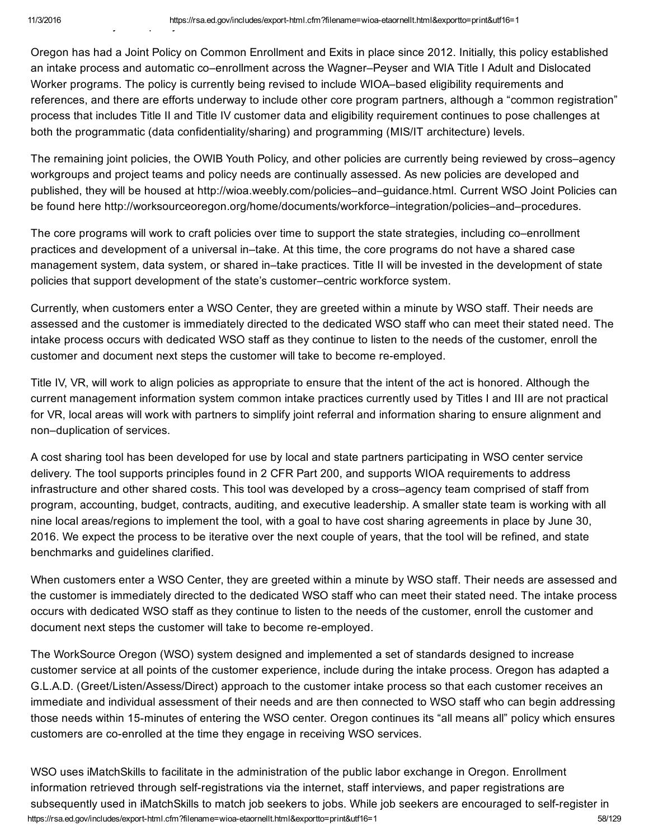Oregon has had a Joint Policy on Common Enrollment and Exits in place since 2012. Initially, this policy established an intake process and automatic co–enrollment across the Wagner–Peyser and WIA Title I Adult and Dislocated Worker programs. The policy is currently being revised to include WIOA–based eligibility requirements and references, and there are efforts underway to include other core program partners, although a "common registration" process that includes Title II and Title IV customer data and eligibility requirement continues to pose challenges at both the programmatic (data confidentiality/sharing) and programming (MIS/IT architecture) levels.

The remaining joint policies, the OWIB Youth Policy, and other policies are currently being reviewed by cross–agency workgroups and project teams and policy needs are continually assessed. As new policies are developed and published, they will be housed at http://wioa.weebly.com/policies–and–guidance.html. Current WSO Joint Policies can be found here http://worksourceoregon.org/home/documents/workforce–integration/policies–and–procedures.

The core programs will work to craft policies over time to support the state strategies, including co–enrollment practices and development of a universal in–take. At this time, the core programs do not have a shared case management system, data system, or shared in–take practices. Title II will be invested in the development of state policies that support development of the state's customer–centric workforce system.

Currently, when customers enter a WSO Center, they are greeted within a minute by WSO staff. Their needs are assessed and the customer is immediately directed to the dedicated WSO staff who can meet their stated need. The intake process occurs with dedicated WSO staff as they continue to listen to the needs of the customer, enroll the customer and document next steps the customer will take to become re-employed.

Title IV, VR, will work to align policies as appropriate to ensure that the intent of the act is honored. Although the current management information system common intake practices currently used by Titles I and III are not practical for VR, local areas will work with partners to simplify joint referral and information sharing to ensure alignment and non–duplication of services.

A cost sharing tool has been developed for use by local and state partners participating in WSO center service delivery. The tool supports principles found in 2 CFR Part 200, and supports WIOA requirements to address infrastructure and other shared costs. This tool was developed by a cross–agency team comprised of staff from program, accounting, budget, contracts, auditing, and executive leadership. A smaller state team is working with all nine local areas/regions to implement the tool, with a goal to have cost sharing agreements in place by June 30, 2016. We expect the process to be iterative over the next couple of years, that the tool will be refined, and state benchmarks and guidelines clarified.

When customers enter a WSO Center, they are greeted within a minute by WSO staff. Their needs are assessed and the customer is immediately directed to the dedicated WSO staff who can meet their stated need. The intake process occurs with dedicated WSO staff as they continue to listen to the needs of the customer, enroll the customer and document next steps the customer will take to become re-employed.

The WorkSource Oregon (WSO) system designed and implemented a set of standards designed to increase customer service at all points of the customer experience, include during the intake process. Oregon has adapted a G.L.A.D. (Greet/Listen/Assess/Direct) approach to the customer intake process so that each customer receives an immediate and individual assessment of their needs and are then connected to WSO staff who can begin addressing those needs within 15-minutes of entering the WSO center. Oregon continues its "all means all" policy which ensures customers are co-enrolled at the time they engage in receiving WSO services.

https://rsa.ed.gov/includes/exporthtml.cfm?filename=wioaetaornellt.html&exportto=print&utf16=1 58/129 WSO uses iMatchSkills to facilitate in the administration of the public labor exchange in Oregon. Enrollment information retrieved through self-registrations via the internet, staff interviews, and paper registrations are subsequently used in iMatchSkills to match job seekers to jobs. While job seekers are encouraged to self-register in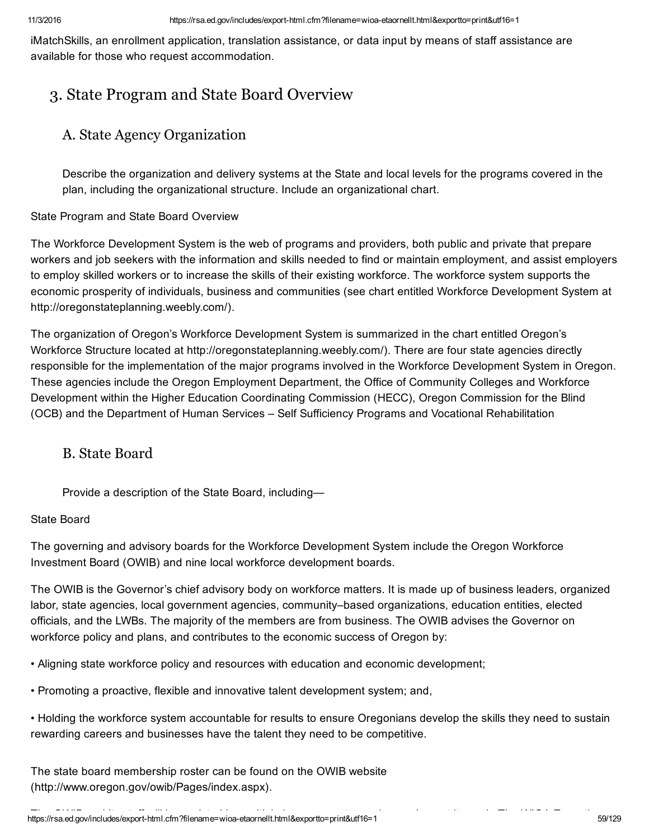iMatchSkills, an enrollment application, translation assistance, or data input by means of staff assistance are available for those who request accommodation.

# 3. State Program and State Board Overview

## A. State Agency Organization

Describe the organization and delivery systems at the State and local levels for the programs covered in the plan, including the organizational structure. Include an organizational chart.

### State Program and State Board Overview

The Workforce Development System is the web of programs and providers, both public and private that prepare workers and job seekers with the information and skills needed to find or maintain employment, and assist employers to employ skilled workers or to increase the skills of their existing workforce. The workforce system supports the economic prosperity of individuals, business and communities (see chart entitled Workforce Development System at http://oregonstateplanning.weebly.com/).

The organization of Oregon's Workforce Development System is summarized in the chart entitled Oregon's Workforce Structure located at http://oregonstateplanning.weebly.com/). There are four state agencies directly responsible for the implementation of the major programs involved in the Workforce Development System in Oregon. These agencies include the Oregon Employment Department, the Office of Community Colleges and Workforce Development within the Higher Education Coordinating Commission (HECC), Oregon Commission for the Blind (OCB) and the Department of Human Services – Self Sufficiency Programs and Vocational Rehabilitation

## B. State Board

Provide a description of the State Board, including—

### State Board

The governing and advisory boards for the Workforce Development System include the Oregon Workforce Investment Board (OWIB) and nine local workforce development boards.

The OWIB is the Governor's chief advisory body on workforce matters. It is made up of business leaders, organized labor, state agencies, local government agencies, community–based organizations, education entities, elected officials, and the LWBs. The majority of the members are from business. The OWIB advises the Governor on workforce policy and plans, and contributes to the economic success of Oregon by:

• Aligning state workforce policy and resources with education and economic development;

• Promoting a proactive, flexible and innovative talent development system; and,

• Holding the workforce system accountable for results to ensure Oregonians develop the skills they need to sustain rewarding careers and businesses have the talent they need to be competitive.

The state board membership roster can be found on the OWIB website (http://www.oregon.gov/owib/Pages/index.aspx).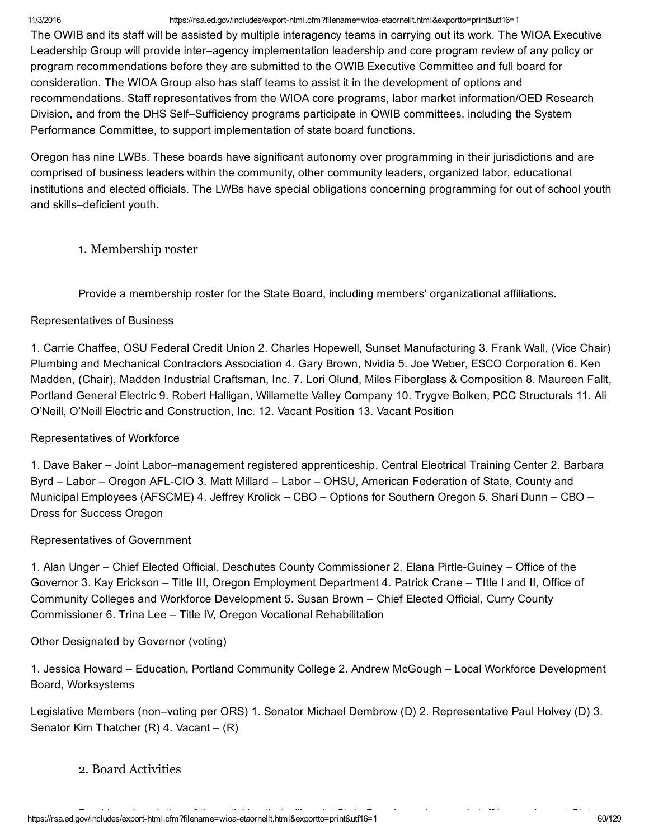The OWIB and its staff will be assisted by multiple interagency teams in carrying out its work. The WIOA Executive Leadership Group will provide inter–agency implementation leadership and core program review of any policy or program recommendations before they are submitted to the OWIB Executive Committee and full board for consideration. The WIOA Group also has staff teams to assist it in the development of options and recommendations. Staff representatives from the WIOA core programs, labor market information/OED Research Division, and from the DHS Self–Sufficiency programs participate in OWIB committees, including the System Performance Committee, to support implementation of state board functions.

Oregon has nine LWBs. These boards have significant autonomy over programming in their jurisdictions and are comprised of business leaders within the community, other community leaders, organized labor, educational institutions and elected officials. The LWBs have special obligations concerning programming for out of school youth and skills–deficient youth.

### 1. Membership roster

Provide a membership roster for the State Board, including members' organizational affiliations.

### Representatives of Business

1. Carrie Chaffee, OSU Federal Credit Union 2. Charles Hopewell, Sunset Manufacturing 3. Frank Wall, (Vice Chair) Plumbing and Mechanical Contractors Association 4. Gary Brown, Nvidia 5. Joe Weber, ESCO Corporation 6. Ken Madden, (Chair), Madden Industrial Craftsman, Inc. 7. Lori Olund, Miles Fiberglass & Composition 8. Maureen Fallt, Portland General Electric 9. Robert Halligan, Willamette Valley Company 10. Trygve Bolken, PCC Structurals 11. Ali O'Neill, O'Neill Electric and Construction, Inc. 12. Vacant Position 13. Vacant Position

### Representatives of Workforce

1. Dave Baker – Joint Labor–management registered apprenticeship, Central Electrical Training Center 2. Barbara Byrd – Labor – Oregon AFL-CIO 3. Matt Millard – Labor – OHSU, American Federation of State, County and Municipal Employees (AFSCME) 4. Jeffrey Krolick – CBO – Options for Southern Oregon 5. Shari Dunn – CBO – Dress for Success Oregon

### Representatives of Government

1. Alan Unger – Chief Elected Official, Deschutes County Commissioner 2. Elana Pirtle-Guiney – Office of the Governor 3. Kay Erickson – Title III, Oregon Employment Department 4. Patrick Crane – TItle I and II, Office of Community Colleges and Workforce Development 5. Susan Brown – Chief Elected Official, Curry County Commissioner 6. Trina Lee – Title IV, Oregon Vocational Rehabilitation

Other Designated by Governor (voting)

1. Jessica Howard – Education, Portland Community College 2. Andrew McGough – Local Workforce Development Board, Worksystems

Legislative Members (non–voting per ORS) 1. Senator Michael Dembrow (D) 2. Representative Paul Holvey (D) 3. Senator Kim Thatcher (R) 4. Vacant – (R)

## 2. Board Activities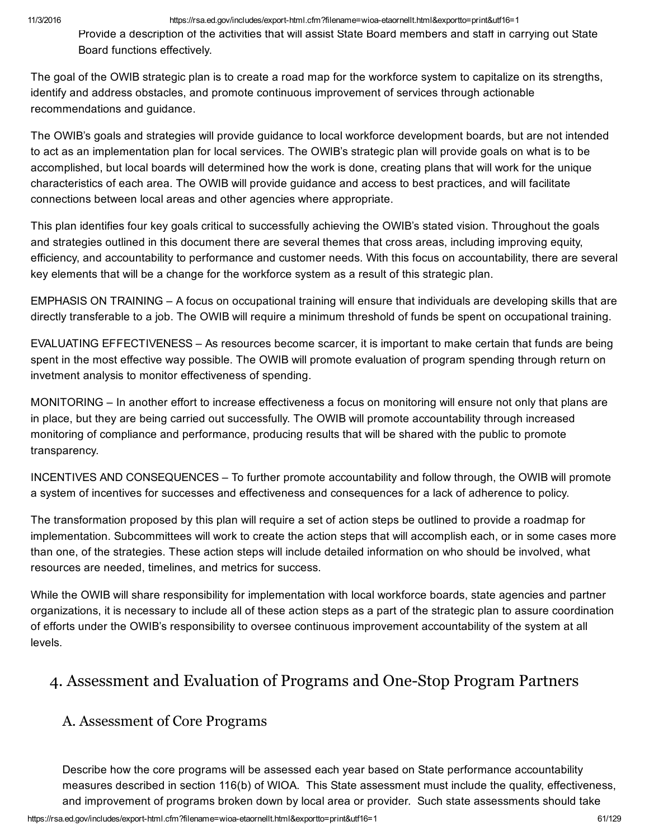Provide a description of the activities that will assist State Board members and staff in carrying out State Board functions effectively.

The goal of the OWIB strategic plan is to create a road map for the workforce system to capitalize on its strengths, identify and address obstacles, and promote continuous improvement of services through actionable recommendations and guidance.

The OWIB's goals and strategies will provide guidance to local workforce development boards, but are not intended to act as an implementation plan for local services. The OWIB's strategic plan will provide goals on what is to be accomplished, but local boards will determined how the work is done, creating plans that will work for the unique characteristics of each area. The OWIB will provide guidance and access to best practices, and will facilitate connections between local areas and other agencies where appropriate.

This plan identifies four key goals critical to successfully achieving the OWIB's stated vision. Throughout the goals and strategies outlined in this document there are several themes that cross areas, including improving equity, efficiency, and accountability to performance and customer needs. With this focus on accountability, there are several key elements that will be a change for the workforce system as a result of this strategic plan.

EMPHASIS ON TRAINING – A focus on occupational training will ensure that individuals are developing skills that are directly transferable to a job. The OWIB will require a minimum threshold of funds be spent on occupational training.

EVALUATING EFFECTIVENESS – As resources become scarcer, it is important to make certain that funds are being spent in the most effective way possible. The OWIB will promote evaluation of program spending through return on invetment analysis to monitor effectiveness of spending.

MONITORING – In another effort to increase effectiveness a focus on monitoring will ensure not only that plans are in place, but they are being carried out successfully. The OWIB will promote accountability through increased monitoring of compliance and performance, producing results that will be shared with the public to promote transparency.

INCENTIVES AND CONSEQUENCES – To further promote accountability and follow through, the OWIB will promote a system of incentives for successes and effectiveness and consequences for a lack of adherence to policy.

The transformation proposed by this plan will require a set of action steps be outlined to provide a roadmap for implementation. Subcommittees will work to create the action steps that will accomplish each, or in some cases more than one, of the strategies. These action steps will include detailed information on who should be involved, what resources are needed, timelines, and metrics for success.

While the OWIB will share responsibility for implementation with local workforce boards, state agencies and partner organizations, it is necessary to include all of these action steps as a part of the strategic plan to assure coordination of efforts under the OWIB's responsibility to oversee continuous improvement accountability of the system at all levels.

# 4. Assessment and Evaluation of Programs and One-Stop Program Partners

## A. Assessment of Core Programs

Describe how the core programs will be assessed each year based on State performance accountability measures described in section 116(b) of WIOA. This State assessment must include the quality, effectiveness, and improvement of programs broken down by local area or provider. Such state assessments should take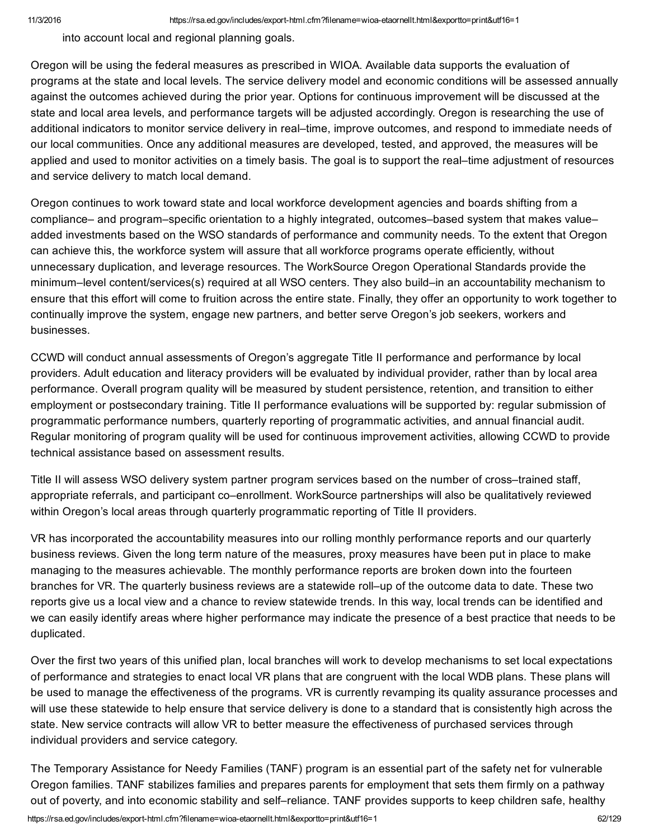into account local and regional planning goals.

Oregon will be using the federal measures as prescribed in WIOA. Available data supports the evaluation of programs at the state and local levels. The service delivery model and economic conditions will be assessed annually against the outcomes achieved during the prior year. Options for continuous improvement will be discussed at the state and local area levels, and performance targets will be adjusted accordingly. Oregon is researching the use of additional indicators to monitor service delivery in real–time, improve outcomes, and respond to immediate needs of our local communities. Once any additional measures are developed, tested, and approved, the measures will be applied and used to monitor activities on a timely basis. The goal is to support the real–time adjustment of resources and service delivery to match local demand.

Oregon continues to work toward state and local workforce development agencies and boards shifting from a compliance– and program–specific orientation to a highly integrated, outcomes–based system that makes value– added investments based on the WSO standards of performance and community needs. To the extent that Oregon can achieve this, the workforce system will assure that all workforce programs operate efficiently, without unnecessary duplication, and leverage resources. The WorkSource Oregon Operational Standards provide the minimum–level content/services(s) required at all WSO centers. They also build–in an accountability mechanism to ensure that this effort will come to fruition across the entire state. Finally, they offer an opportunity to work together to continually improve the system, engage new partners, and better serve Oregon's job seekers, workers and businesses.

CCWD will conduct annual assessments of Oregon's aggregate Title II performance and performance by local providers. Adult education and literacy providers will be evaluated by individual provider, rather than by local area performance. Overall program quality will be measured by student persistence, retention, and transition to either employment or postsecondary training. Title II performance evaluations will be supported by: regular submission of programmatic performance numbers, quarterly reporting of programmatic activities, and annual financial audit. Regular monitoring of program quality will be used for continuous improvement activities, allowing CCWD to provide technical assistance based on assessment results.

Title II will assess WSO delivery system partner program services based on the number of cross–trained staff, appropriate referrals, and participant co–enrollment. WorkSource partnerships will also be qualitatively reviewed within Oregon's local areas through quarterly programmatic reporting of Title II providers.

VR has incorporated the accountability measures into our rolling monthly performance reports and our quarterly business reviews. Given the long term nature of the measures, proxy measures have been put in place to make managing to the measures achievable. The monthly performance reports are broken down into the fourteen branches for VR. The quarterly business reviews are a statewide roll–up of the outcome data to date. These two reports give us a local view and a chance to review statewide trends. In this way, local trends can be identified and we can easily identify areas where higher performance may indicate the presence of a best practice that needs to be duplicated.

Over the first two years of this unified plan, local branches will work to develop mechanisms to set local expectations of performance and strategies to enact local VR plans that are congruent with the local WDB plans. These plans will be used to manage the effectiveness of the programs. VR is currently revamping its quality assurance processes and will use these statewide to help ensure that service delivery is done to a standard that is consistently high across the state. New service contracts will allow VR to better measure the effectiveness of purchased services through individual providers and service category.

The Temporary Assistance for Needy Families (TANF) program is an essential part of the safety net for vulnerable Oregon families. TANF stabilizes families and prepares parents for employment that sets them firmly on a pathway out of poverty, and into economic stability and self–reliance. TANF provides supports to keep children safe, healthy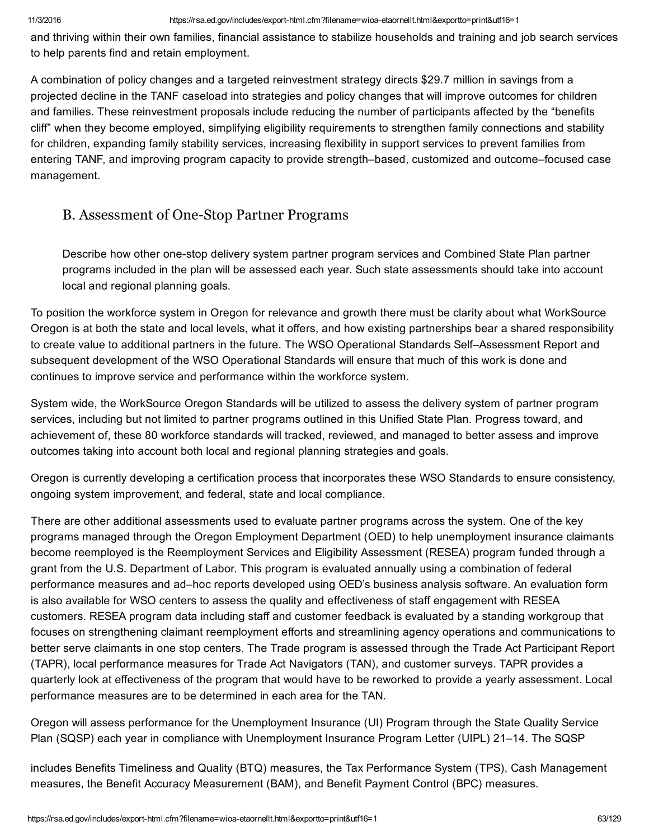and thriving within their own families, financial assistance to stabilize households and training and job search services to help parents find and retain employment.

A combination of policy changes and a targeted reinvestment strategy directs \$29.7 million in savings from a projected decline in the TANF caseload into strategies and policy changes that will improve outcomes for children and families. These reinvestment proposals include reducing the number of participants affected by the "benefits cliff" when they become employed, simplifying eligibility requirements to strengthen family connections and stability for children, expanding family stability services, increasing flexibility in support services to prevent families from entering TANF, and improving program capacity to provide strength–based, customized and outcome–focused case management.

## B. Assessment of One-Stop Partner Programs

Describe how other one-stop delivery system partner program services and Combined State Plan partner programs included in the plan will be assessed each year. Such state assessments should take into account local and regional planning goals.

To position the workforce system in Oregon for relevance and growth there must be clarity about what WorkSource Oregon is at both the state and local levels, what it offers, and how existing partnerships bear a shared responsibility to create value to additional partners in the future. The WSO Operational Standards Self–Assessment Report and subsequent development of the WSO Operational Standards will ensure that much of this work is done and continues to improve service and performance within the workforce system.

System wide, the WorkSource Oregon Standards will be utilized to assess the delivery system of partner program services, including but not limited to partner programs outlined in this Unified State Plan. Progress toward, and achievement of, these 80 workforce standards will tracked, reviewed, and managed to better assess and improve outcomes taking into account both local and regional planning strategies and goals.

Oregon is currently developing a certification process that incorporates these WSO Standards to ensure consistency, ongoing system improvement, and federal, state and local compliance.

There are other additional assessments used to evaluate partner programs across the system. One of the key programs managed through the Oregon Employment Department (OED) to help unemployment insurance claimants become reemployed is the Reemployment Services and Eligibility Assessment (RESEA) program funded through a grant from the U.S. Department of Labor. This program is evaluated annually using a combination of federal performance measures and ad–hoc reports developed using OED's business analysis software. An evaluation form is also available for WSO centers to assess the quality and effectiveness of staff engagement with RESEA customers. RESEA program data including staff and customer feedback is evaluated by a standing workgroup that focuses on strengthening claimant reemployment efforts and streamlining agency operations and communications to better serve claimants in one stop centers. The Trade program is assessed through the Trade Act Participant Report (TAPR), local performance measures for Trade Act Navigators (TAN), and customer surveys. TAPR provides a quarterly look at effectiveness of the program that would have to be reworked to provide a yearly assessment. Local performance measures are to be determined in each area for the TAN.

Oregon will assess performance for the Unemployment Insurance (UI) Program through the State Quality Service Plan (SQSP) each year in compliance with Unemployment Insurance Program Letter (UIPL) 21–14. The SQSP

includes Benefits Timeliness and Quality (BTQ) measures, the Tax Performance System (TPS), Cash Management measures, the Benefit Accuracy Measurement (BAM), and Benefit Payment Control (BPC) measures.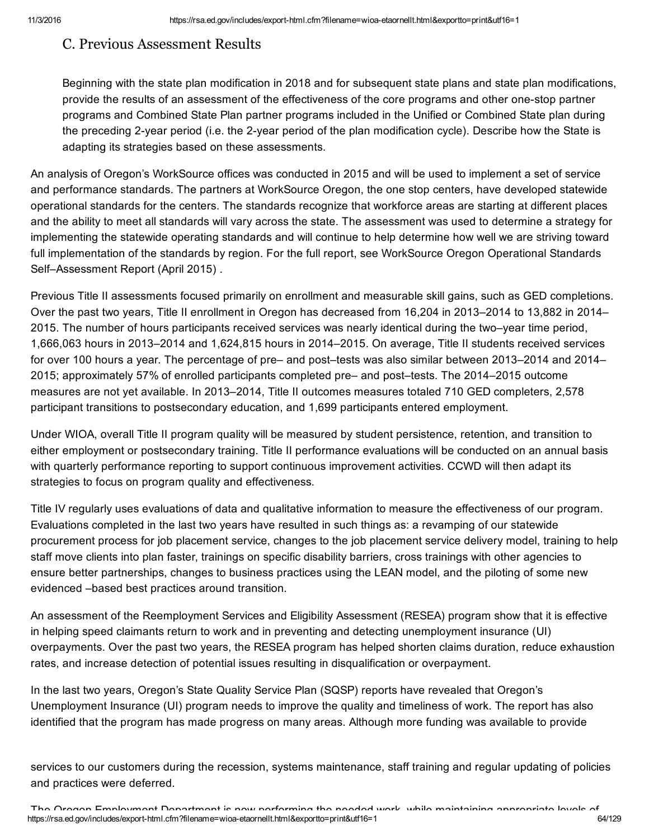## C. Previous Assessment Results

Beginning with the state plan modification in 2018 and for subsequent state plans and state plan modifications, provide the results of an assessment of the effectiveness of the core programs and other onestop partner programs and Combined State Plan partner programs included in the Unified or Combined State plan during the preceding 2-year period (i.e. the 2-year period of the plan modification cycle). Describe how the State is adapting its strategies based on these assessments.

An analysis of Oregon's WorkSource offices was conducted in 2015 and will be used to implement a set of service and performance standards. The partners at WorkSource Oregon, the one stop centers, have developed statewide operational standards for the centers. The standards recognize that workforce areas are starting at different places and the ability to meet all standards will vary across the state. The assessment was used to determine a strategy for implementing the statewide operating standards and will continue to help determine how well we are striving toward full implementation of the standards by region. For the full report, see WorkSource Oregon Operational Standards Self–Assessment Report (April 2015) .

Previous Title II assessments focused primarily on enrollment and measurable skill gains, such as GED completions. Over the past two years, Title II enrollment in Oregon has decreased from 16,204 in 2013–2014 to 13,882 in 2014– 2015. The number of hours participants received services was nearly identical during the two–year time period, 1,666,063 hours in 2013–2014 and 1,624,815 hours in 2014–2015. On average, Title II students received services for over 100 hours a year. The percentage of pre– and post–tests was also similar between 2013–2014 and 2014– 2015; approximately 57% of enrolled participants completed pre– and post–tests. The 2014–2015 outcome measures are not yet available. In 2013–2014, Title II outcomes measures totaled 710 GED completers, 2,578 participant transitions to postsecondary education, and 1,699 participants entered employment.

Under WIOA, overall Title II program quality will be measured by student persistence, retention, and transition to either employment or postsecondary training. Title II performance evaluations will be conducted on an annual basis with quarterly performance reporting to support continuous improvement activities. CCWD will then adapt its strategies to focus on program quality and effectiveness.

Title IV regularly uses evaluations of data and qualitative information to measure the effectiveness of our program. Evaluations completed in the last two years have resulted in such things as: a revamping of our statewide procurement process for job placement service, changes to the job placement service delivery model, training to help staff move clients into plan faster, trainings on specific disability barriers, cross trainings with other agencies to ensure better partnerships, changes to business practices using the LEAN model, and the piloting of some new evidenced –based best practices around transition.

An assessment of the Reemployment Services and Eligibility Assessment (RESEA) program show that it is effective in helping speed claimants return to work and in preventing and detecting unemployment insurance (UI) overpayments. Over the past two years, the RESEA program has helped shorten claims duration, reduce exhaustion rates, and increase detection of potential issues resulting in disqualification or overpayment.

In the last two years, Oregon's State Quality Service Plan (SQSP) reports have revealed that Oregon's Unemployment Insurance (UI) program needs to improve the quality and timeliness of work. The report has also identified that the program has made progress on many areas. Although more funding was available to provide

services to our customers during the recession, systems maintenance, staff training and regular updating of policies and practices were deferred.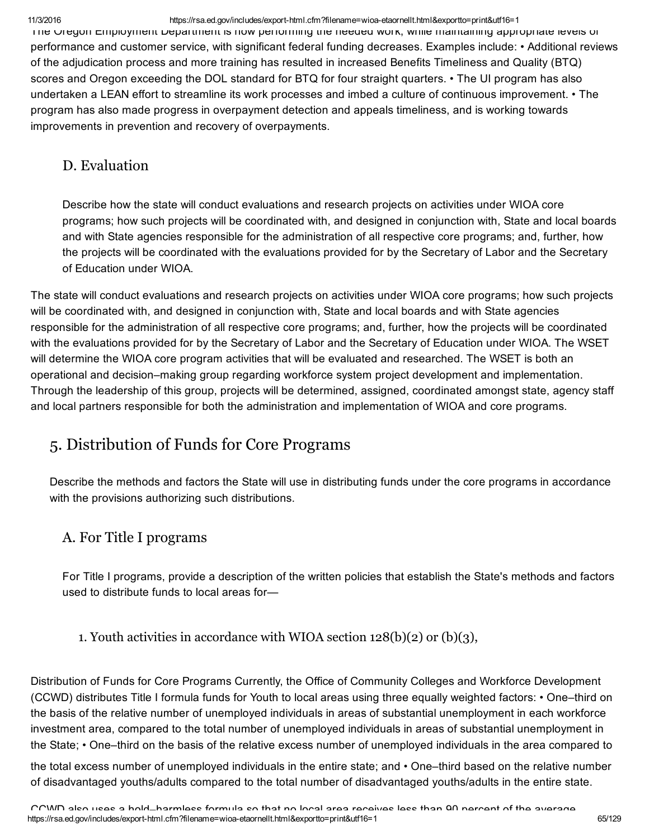The Oregon Employment Department is now performing the needed work, while maintaining appropriate levels of performance and customer service, with significant federal funding decreases. Examples include: • Additional reviews of the adjudication process and more training has resulted in increased Benefits Timeliness and Quality (BTQ) scores and Oregon exceeding the DOL standard for BTQ for four straight quarters. • The UI program has also undertaken a LEAN effort to streamline its work processes and imbed a culture of continuous improvement. • The program has also made progress in overpayment detection and appeals timeliness, and is working towards improvements in prevention and recovery of overpayments.

## D. Evaluation

Describe how the state will conduct evaluations and research projects on activities under WIOA core programs; how such projects will be coordinated with, and designed in conjunction with, State and local boards and with State agencies responsible for the administration of all respective core programs; and, further, how the projects will be coordinated with the evaluations provided for by the Secretary of Labor and the Secretary of Education under WIOA.

The state will conduct evaluations and research projects on activities under WIOA core programs; how such projects will be coordinated with, and designed in conjunction with, State and local boards and with State agencies responsible for the administration of all respective core programs; and, further, how the projects will be coordinated with the evaluations provided for by the Secretary of Labor and the Secretary of Education under WIOA. The WSET will determine the WIOA core program activities that will be evaluated and researched. The WSET is both an operational and decision–making group regarding workforce system project development and implementation. Through the leadership of this group, projects will be determined, assigned, coordinated amongst state, agency staff and local partners responsible for both the administration and implementation of WIOA and core programs.

# 5. Distribution of Funds for Core Programs

Describe the methods and factors the State will use in distributing funds under the core programs in accordance with the provisions authorizing such distributions.

## A. For Title I programs

For Title I programs, provide a description of the written policies that establish the State's methods and factors used to distribute funds to local areas for—

## 1. Youth activities in accordance with WIOA section 128(b)(2) or (b)(3),

Distribution of Funds for Core Programs Currently, the Office of Community Colleges and Workforce Development (CCWD) distributes Title I formula funds for Youth to local areas using three equally weighted factors: • One–third on the basis of the relative number of unemployed individuals in areas of substantial unemployment in each workforce investment area, compared to the total number of unemployed individuals in areas of substantial unemployment in the State; • One–third on the basis of the relative excess number of unemployed individuals in the area compared to

the total excess number of unemployed individuals in the entire state; and • One–third based on the relative number of disadvantaged youths/adults compared to the total number of disadvantaged youths/adults in the entire state.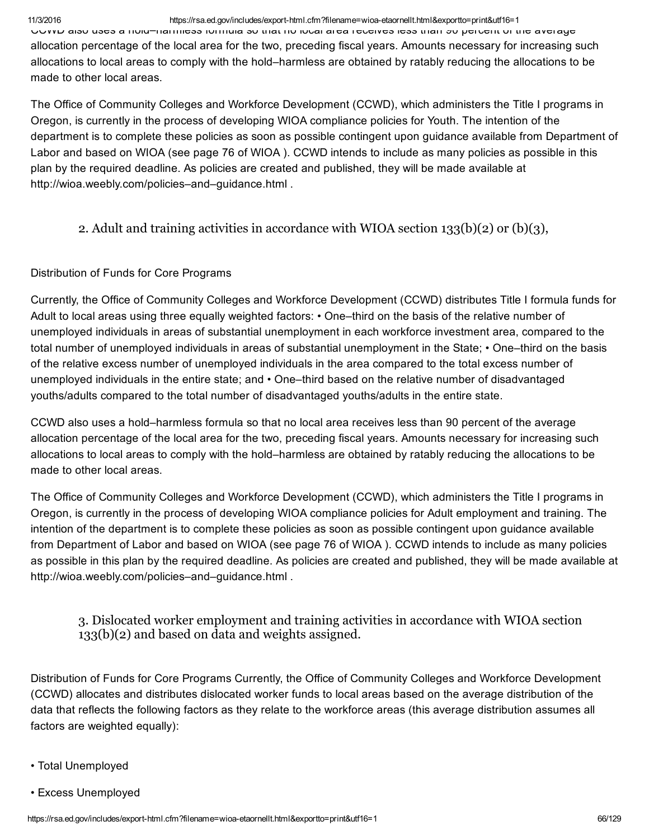CCWD also uses a hold–harmless formula so that no local area receives less than 90 percent of the average allocation percentage of the local area for the two, preceding fiscal years. Amounts necessary for increasing such allocations to local areas to comply with the hold–harmless are obtained by ratably reducing the allocations to be made to other local areas.

The Office of Community Colleges and Workforce Development (CCWD), which administers the Title I programs in Oregon, is currently in the process of developing WIOA compliance policies for Youth. The intention of the department is to complete these policies as soon as possible contingent upon guidance available from Department of Labor and based on WIOA (see page 76 of WIOA ). CCWD intends to include as many policies as possible in this plan by the required deadline. As policies are created and published, they will be made available at http://wioa.weebly.com/policies–and–guidance.html .

## 2. Adult and training activities in accordance with WIOA section 133(b)(2) or (b)(3),

### Distribution of Funds for Core Programs

Currently, the Office of Community Colleges and Workforce Development (CCWD) distributes Title I formula funds for Adult to local areas using three equally weighted factors: • One–third on the basis of the relative number of unemployed individuals in areas of substantial unemployment in each workforce investment area, compared to the total number of unemployed individuals in areas of substantial unemployment in the State; • One–third on the basis of the relative excess number of unemployed individuals in the area compared to the total excess number of unemployed individuals in the entire state; and • One–third based on the relative number of disadvantaged youths/adults compared to the total number of disadvantaged youths/adults in the entire state.

CCWD also uses a hold–harmless formula so that no local area receives less than 90 percent of the average allocation percentage of the local area for the two, preceding fiscal years. Amounts necessary for increasing such allocations to local areas to comply with the hold–harmless are obtained by ratably reducing the allocations to be made to other local areas.

The Office of Community Colleges and Workforce Development (CCWD), which administers the Title I programs in Oregon, is currently in the process of developing WIOA compliance policies for Adult employment and training. The intention of the department is to complete these policies as soon as possible contingent upon guidance available from Department of Labor and based on WIOA (see page 76 of WIOA ). CCWD intends to include as many policies as possible in this plan by the required deadline. As policies are created and published, they will be made available at http://wioa.weebly.com/policies–and–guidance.html .

### 3. Dislocated worker employment and training activities in accordance with WIOA section 133(b)(2) and based on data and weights assigned.

Distribution of Funds for Core Programs Currently, the Office of Community Colleges and Workforce Development (CCWD) allocates and distributes dislocated worker funds to local areas based on the average distribution of the data that reflects the following factors as they relate to the workforce areas (this average distribution assumes all factors are weighted equally):

- Total Unemployed
- Excess Unemployed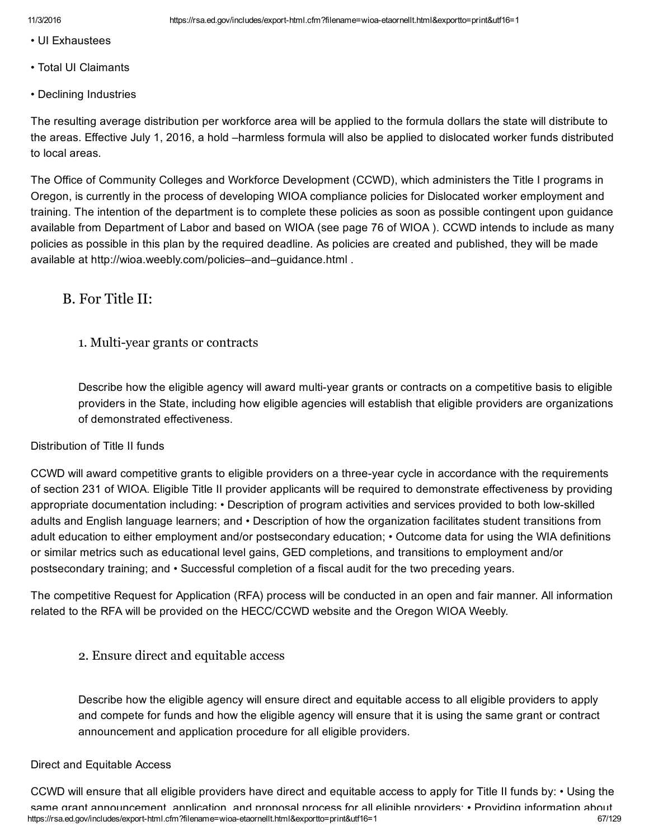- UI Exhaustees
- Total UI Claimants
- Declining Industries

The resulting average distribution per workforce area will be applied to the formula dollars the state will distribute to the areas. Effective July 1, 2016, a hold –harmless formula will also be applied to dislocated worker funds distributed to local areas.

The Office of Community Colleges and Workforce Development (CCWD), which administers the Title I programs in Oregon, is currently in the process of developing WIOA compliance policies for Dislocated worker employment and training. The intention of the department is to complete these policies as soon as possible contingent upon guidance available from Department of Labor and based on WIOA (see page 76 of WIOA ). CCWD intends to include as many policies as possible in this plan by the required deadline. As policies are created and published, they will be made available at http://wioa.weebly.com/policies–and–guidance.html .

## B. For Title II:

## 1. Multi-year grants or contracts

Describe how the eligible agency will award multi-year grants or contracts on a competitive basis to eligible providers in the State, including how eligible agencies will establish that eligible providers are organizations of demonstrated effectiveness.

### Distribution of Title II funds

CCWD will award competitive grants to eligible providers on a three-year cycle in accordance with the requirements of section 231 of WIOA. Eligible Title II provider applicants will be required to demonstrate effectiveness by providing appropriate documentation including: • Description of program activities and services provided to both lowskilled adults and English language learners; and • Description of how the organization facilitates student transitions from adult education to either employment and/or postsecondary education; • Outcome data for using the WIA definitions or similar metrics such as educational level gains, GED completions, and transitions to employment and/or postsecondary training; and • Successful completion of a fiscal audit for the two preceding years.

The competitive Request for Application (RFA) process will be conducted in an open and fair manner. All information related to the RFA will be provided on the HECC/CCWD website and the Oregon WIOA Weebly.

### 2. Ensure direct and equitable access

Describe how the eligible agency will ensure direct and equitable access to all eligible providers to apply and compete for funds and how the eligible agency will ensure that it is using the same grant or contract announcement and application procedure for all eligible providers.

### Direct and Equitable Access

https://rsa.ed.gov/includes/exporthtml.cfm?filename=wioaetaornellt.html&exportto=print&utf16=1 67/129 CCWD will ensure that all eligible providers have direct and equitable access to apply for Title II funds by: • Using the same grant announcement, application, and proposal process for all eligible providers; • Providing information about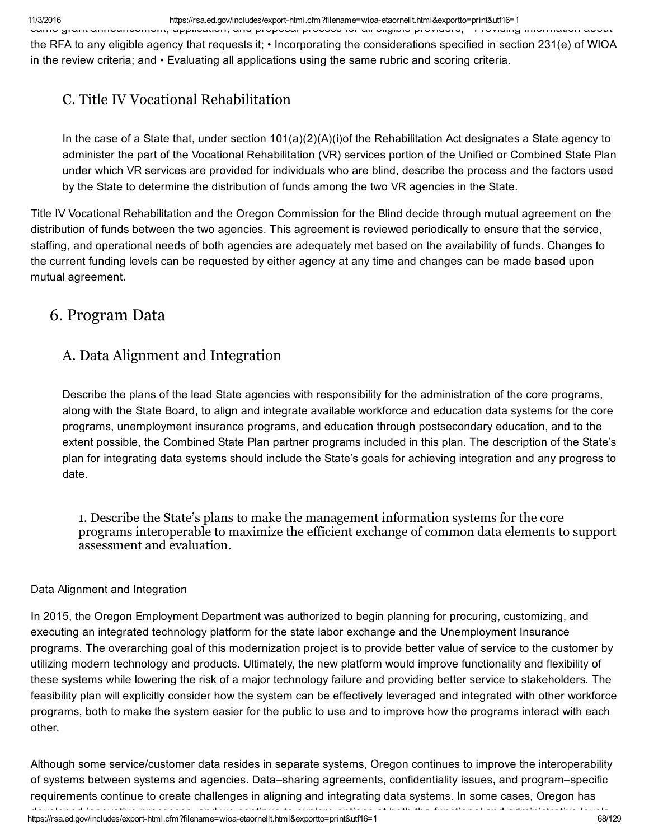same grant announcement, application, and proposal process for all eligible providers; • Providing information about the RFA to any eligible agency that requests it; • Incorporating the considerations specified in section 231(e) of WIOA in the review criteria; and • Evaluating all applications using the same rubric and scoring criteria.

## C. Title IV Vocational Rehabilitation

In the case of a State that, under section 101(a)(2)(A)(i)of the Rehabilitation Act designates a State agency to administer the part of the Vocational Rehabilitation (VR) services portion of the Unified or Combined State Plan under which VR services are provided for individuals who are blind, describe the process and the factors used by the State to determine the distribution of funds among the two VR agencies in the State.

Title IV Vocational Rehabilitation and the Oregon Commission for the Blind decide through mutual agreement on the distribution of funds between the two agencies. This agreement is reviewed periodically to ensure that the service, staffing, and operational needs of both agencies are adequately met based on the availability of funds. Changes to the current funding levels can be requested by either agency at any time and changes can be made based upon mutual agreement.

## 6. Program Data

## A. Data Alignment and Integration

Describe the plans of the lead State agencies with responsibility for the administration of the core programs, along with the State Board, to align and integrate available workforce and education data systems for the core programs, unemployment insurance programs, and education through postsecondary education, and to the extent possible, the Combined State Plan partner programs included in this plan. The description of the State's plan for integrating data systems should include the State's goals for achieving integration and any progress to date.

1. Describe the State's plans to make the management information systems for the core programs interoperable to maximize the efficient exchange of common data elements to support assessment and evaluation.

### Data Alignment and Integration

In 2015, the Oregon Employment Department was authorized to begin planning for procuring, customizing, and executing an integrated technology platform for the state labor exchange and the Unemployment Insurance programs. The overarching goal of this modernization project is to provide better value of service to the customer by utilizing modern technology and products. Ultimately, the new platform would improve functionality and flexibility of these systems while lowering the risk of a major technology failure and providing better service to stakeholders. The feasibility plan will explicitly consider how the system can be effectively leveraged and integrated with other workforce programs, both to make the system easier for the public to use and to improve how the programs interact with each other.

Although some service/customer data resides in separate systems, Oregon continues to improve the interoperability of systems between systems and agencies. Data–sharing agreements, confidentiality issues, and program–specific requirements continue to create challenges in aligning and integrating data systems. In some cases, Oregon has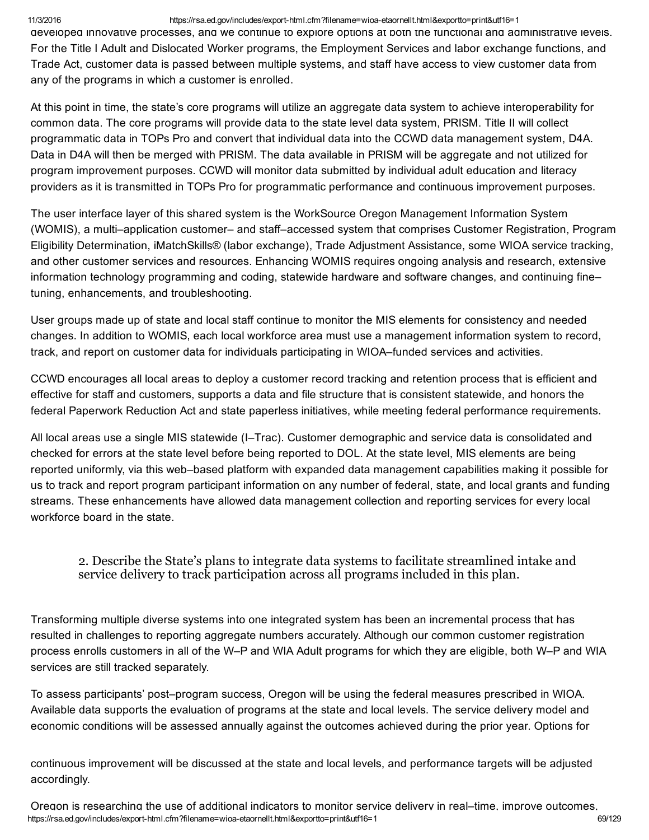developed innovative processes, and we continue to explore options at both the functional and administrative levels. For the Title I Adult and Dislocated Worker programs, the Employment Services and labor exchange functions, and Trade Act, customer data is passed between multiple systems, and staff have access to view customer data from any of the programs in which a customer is enrolled.

At this point in time, the state's core programs will utilize an aggregate data system to achieve interoperability for common data. The core programs will provide data to the state level data system, PRISM. Title II will collect programmatic data in TOPs Pro and convert that individual data into the CCWD data management system, D4A. Data in D4A will then be merged with PRISM. The data available in PRISM will be aggregate and not utilized for program improvement purposes. CCWD will monitor data submitted by individual adult education and literacy providers as it is transmitted in TOPs Pro for programmatic performance and continuous improvement purposes.

The user interface layer of this shared system is the WorkSource Oregon Management Information System (WOMIS), a multi–application customer– and staff–accessed system that comprises Customer Registration, Program Eligibility Determination, iMatchSkills® (labor exchange), Trade Adjustment Assistance, some WIOA service tracking, and other customer services and resources. Enhancing WOMIS requires ongoing analysis and research, extensive information technology programming and coding, statewide hardware and software changes, and continuing fine– tuning, enhancements, and troubleshooting.

User groups made up of state and local staff continue to monitor the MIS elements for consistency and needed changes. In addition to WOMIS, each local workforce area must use a management information system to record, track, and report on customer data for individuals participating in WIOA–funded services and activities.

CCWD encourages all local areas to deploy a customer record tracking and retention process that is efficient and effective for staff and customers, supports a data and file structure that is consistent statewide, and honors the federal Paperwork Reduction Act and state paperless initiatives, while meeting federal performance requirements.

All local areas use a single MIS statewide (I–Trac). Customer demographic and service data is consolidated and checked for errors at the state level before being reported to DOL. At the state level, MIS elements are being reported uniformly, via this web–based platform with expanded data management capabilities making it possible for us to track and report program participant information on any number of federal, state, and local grants and funding streams. These enhancements have allowed data management collection and reporting services for every local workforce board in the state.

### 2. Describe the State's plans to integrate data systems to facilitate streamlined intake and service delivery to track participation across all programs included in this plan.

Transforming multiple diverse systems into one integrated system has been an incremental process that has resulted in challenges to reporting aggregate numbers accurately. Although our common customer registration process enrolls customers in all of the W–P and WIA Adult programs for which they are eligible, both W–P and WIA services are still tracked separately.

To assess participants' post–program success, Oregon will be using the federal measures prescribed in WIOA. Available data supports the evaluation of programs at the state and local levels. The service delivery model and economic conditions will be assessed annually against the outcomes achieved during the prior year. Options for

continuous improvement will be discussed at the state and local levels, and performance targets will be adjusted accordingly.

https://rsa.ed.gov/includes/exporthtml.cfm?filename=wioaetaornellt.html&exportto=print&utf16=1 69/129 Oregon is researching the use of additional indicators to monitor service delivery in real–time, improve outcomes,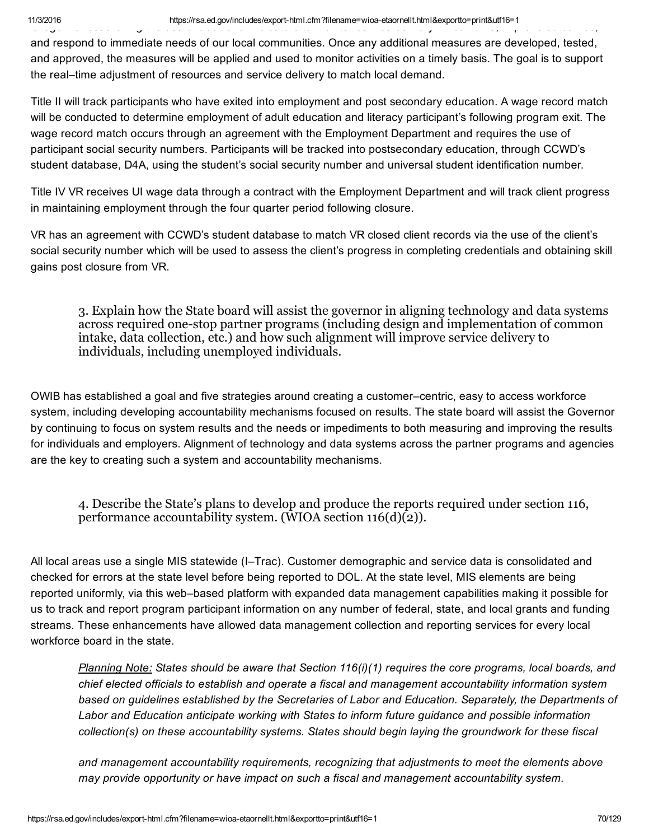Oregon is researching the use of additional indicators to monitor service delivery in real–time, improve outcomes, and respond to immediate needs of our local communities. Once any additional measures are developed, tested, and approved, the measures will be applied and used to monitor activities on a timely basis. The goal is to support the real–time adjustment of resources and service delivery to match local demand.

Title II will track participants who have exited into employment and post secondary education. A wage record match will be conducted to determine employment of adult education and literacy participant's following program exit. The wage record match occurs through an agreement with the Employment Department and requires the use of participant social security numbers. Participants will be tracked into postsecondary education, through CCWD's student database, D4A, using the student's social security number and universal student identification number.

Title IV VR receives UI wage data through a contract with the Employment Department and will track client progress in maintaining employment through the four quarter period following closure.

VR has an agreement with CCWD's student database to match VR closed client records via the use of the client's social security number which will be used to assess the client's progress in completing credentials and obtaining skill gains post closure from VR.

3. Explain how the State board will assist the governor in aligning technology and data systems across required one-stop partner programs (including design and implementation of common intake, data collection, etc.) and how such alignment will improve service delivery to individuals, including unemployed individuals.

OWIB has established a goal and five strategies around creating a customer–centric, easy to access workforce system, including developing accountability mechanisms focused on results. The state board will assist the Governor by continuing to focus on system results and the needs or impediments to both measuring and improving the results for individuals and employers. Alignment of technology and data systems across the partner programs and agencies are the key to creating such a system and accountability mechanisms.

4. Describe the State's plans to develop and produce the reports required under section 116, performance accountability system. (WIOA section 116(d)(2)).

All local areas use a single MIS statewide (I–Trac). Customer demographic and service data is consolidated and checked for errors at the state level before being reported to DOL. At the state level, MIS elements are being reported uniformly, via this web–based platform with expanded data management capabilities making it possible for us to track and report program participant information on any number of federal, state, and local grants and funding streams. These enhancements have allowed data management collection and reporting services for every local workforce board in the state.

Planning Note: States should be aware that Section 116(i)(1) requires the core programs, local boards, and chief elected officials to establish and operate a fiscal and management accountability information system based on guidelines established by the Secretaries of Labor and Education. Separately, the Departments of Labor and Education anticipate working with States to inform future guidance and possible information collection(s) on these accountability systems. States should begin laying the groundwork for these fiscal

and management accountability requirements, recognizing that adjustments to meet the elements above may provide opportunity or have impact on such a fiscal and management accountability system.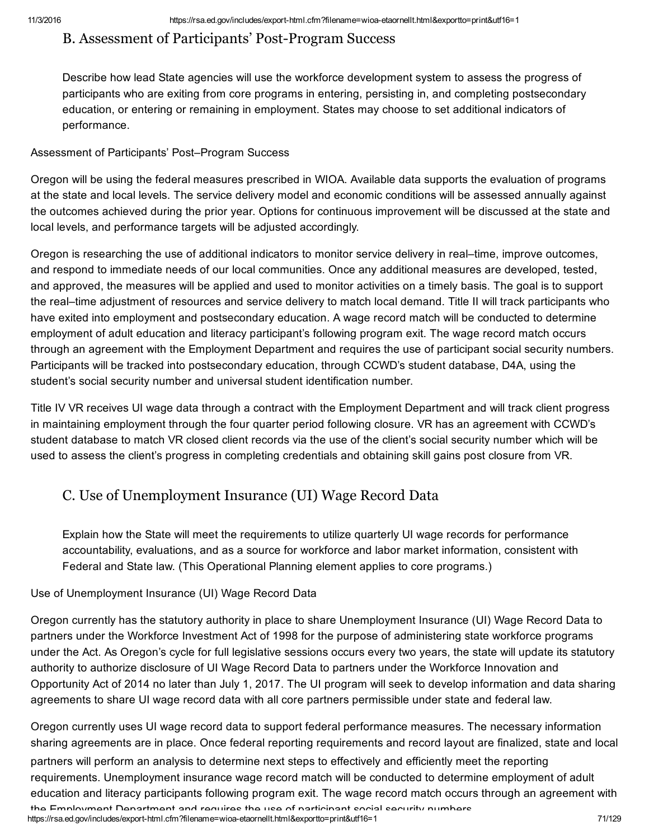## B. Assessment of Participants' Post-Program Success

Describe how lead State agencies will use the workforce development system to assess the progress of participants who are exiting from core programs in entering, persisting in, and completing postsecondary education, or entering or remaining in employment. States may choose to set additional indicators of performance.

### Assessment of Participants' Post–Program Success

Oregon will be using the federal measures prescribed in WIOA. Available data supports the evaluation of programs at the state and local levels. The service delivery model and economic conditions will be assessed annually against the outcomes achieved during the prior year. Options for continuous improvement will be discussed at the state and local levels, and performance targets will be adjusted accordingly.

Oregon is researching the use of additional indicators to monitor service delivery in real–time, improve outcomes, and respond to immediate needs of our local communities. Once any additional measures are developed, tested, and approved, the measures will be applied and used to monitor activities on a timely basis. The goal is to support the real–time adjustment of resources and service delivery to match local demand. Title II will track participants who have exited into employment and postsecondary education. A wage record match will be conducted to determine employment of adult education and literacy participant's following program exit. The wage record match occurs through an agreement with the Employment Department and requires the use of participant social security numbers. Participants will be tracked into postsecondary education, through CCWD's student database, D4A, using the student's social security number and universal student identification number.

Title IV VR receives UI wage data through a contract with the Employment Department and will track client progress in maintaining employment through the four quarter period following closure. VR has an agreement with CCWD's student database to match VR closed client records via the use of the client's social security number which will be used to assess the client's progress in completing credentials and obtaining skill gains post closure from VR.

## C. Use of Unemployment Insurance (UI) Wage Record Data

Explain how the State will meet the requirements to utilize quarterly UI wage records for performance accountability, evaluations, and as a source for workforce and labor market information, consistent with Federal and State law. (This Operational Planning element applies to core programs.)

### Use of Unemployment Insurance (UI) Wage Record Data

Oregon currently has the statutory authority in place to share Unemployment Insurance (UI) Wage Record Data to partners under the Workforce Investment Act of 1998 for the purpose of administering state workforce programs under the Act. As Oregon's cycle for full legislative sessions occurs every two years, the state will update its statutory authority to authorize disclosure of UI Wage Record Data to partners under the Workforce Innovation and Opportunity Act of 2014 no later than July 1, 2017. The UI program will seek to develop information and data sharing agreements to share UI wage record data with all core partners permissible under state and federal law.

https://rsa.ed.gov/includes/exporthtml.cfm?filename=wioaetaornellt.html&exportto=print&utf16=1 71/129 Oregon currently uses UI wage record data to support federal performance measures. The necessary information sharing agreements are in place. Once federal reporting requirements and record layout are finalized, state and local partners will perform an analysis to determine next steps to effectively and efficiently meet the reporting requirements. Unemployment insurance wage record match will be conducted to determine employment of adult education and literacy participants following program exit. The wage record match occurs through an agreement with the Employment Department and requires the use of participant social security numbers.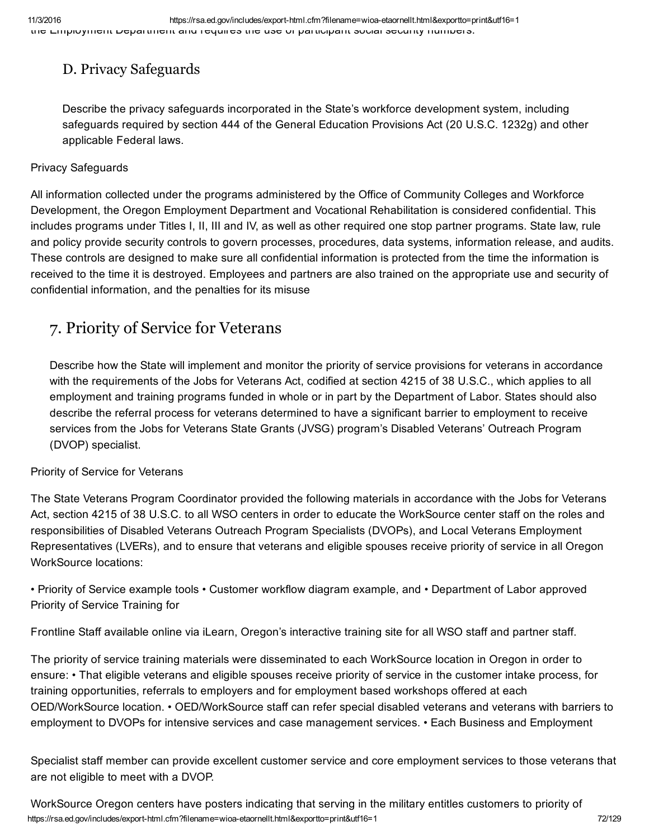# D. Privacy Safeguards

Describe the privacy safeguards incorporated in the State's workforce development system, including safeguards required by section 444 of the General Education Provisions Act (20 U.S.C. 1232g) and other applicable Federal laws.

## Privacy Safeguards

All information collected under the programs administered by the Office of Community Colleges and Workforce Development, the Oregon Employment Department and Vocational Rehabilitation is considered confidential. This includes programs under Titles I, II, III and IV, as well as other required one stop partner programs. State law, rule and policy provide security controls to govern processes, procedures, data systems, information release, and audits. These controls are designed to make sure all confidential information is protected from the time the information is received to the time it is destroyed. Employees and partners are also trained on the appropriate use and security of confidential information, and the penalties for its misuse

# 7. Priority of Service for Veterans

Describe how the State will implement and monitor the priority of service provisions for veterans in accordance with the requirements of the Jobs for Veterans Act, codified at section 4215 of 38 U.S.C., which applies to all employment and training programs funded in whole or in part by the Department of Labor. States should also describe the referral process for veterans determined to have a significant barrier to employment to receive services from the Jobs for Veterans State Grants (JVSG) program's Disabled Veterans' Outreach Program (DVOP) specialist.

## Priority of Service for Veterans

The State Veterans Program Coordinator provided the following materials in accordance with the Jobs for Veterans Act, section 4215 of 38 U.S.C. to all WSO centers in order to educate the WorkSource center staff on the roles and responsibilities of Disabled Veterans Outreach Program Specialists (DVOPs), and Local Veterans Employment Representatives (LVERs), and to ensure that veterans and eligible spouses receive priority of service in all Oregon WorkSource locations:

• Priority of Service example tools • Customer workflow diagram example, and • Department of Labor approved Priority of Service Training for

Frontline Staff available online via iLearn, Oregon's interactive training site for all WSO staff and partner staff.

The priority of service training materials were disseminated to each WorkSource location in Oregon in order to ensure: • That eligible veterans and eligible spouses receive priority of service in the customer intake process, for training opportunities, referrals to employers and for employment based workshops offered at each OED/WorkSource location. • OED/WorkSource staff can refer special disabled veterans and veterans with barriers to employment to DVOPs for intensive services and case management services. • Each Business and Employment

Specialist staff member can provide excellent customer service and core employment services to those veterans that are not eligible to meet with a DVOP.

https://rsa.ed.gov/includes/exporthtml.cfm?filename=wioaetaornellt.html&exportto=print&utf16=1 72/129 WorkSource Oregon centers have posters indicating that serving in the military entitles customers to priority of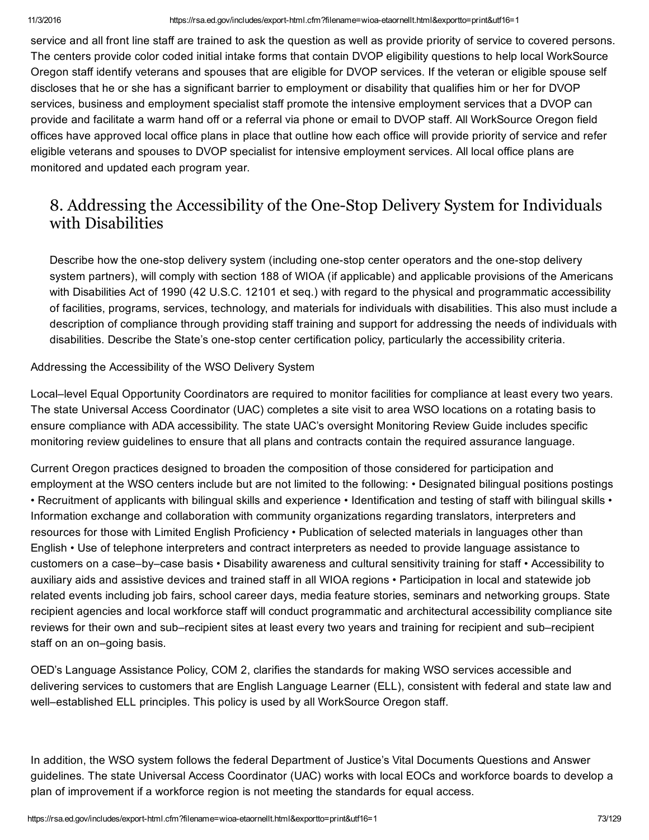service and all front line staff are trained to ask the question as well as provide priority of service to covered persons. The centers provide color coded initial intake forms that contain DVOP eligibility questions to help local WorkSource Oregon staff identify veterans and spouses that are eligible for DVOP services. If the veteran or eligible spouse self discloses that he or she has a significant barrier to employment or disability that qualifies him or her for DVOP services, business and employment specialist staff promote the intensive employment services that a DVOP can provide and facilitate a warm hand off or a referral via phone or email to DVOP staff. All WorkSource Oregon field offices have approved local office plans in place that outline how each office will provide priority of service and refer eligible veterans and spouses to DVOP specialist for intensive employment services. All local office plans are monitored and updated each program year.

### 8. Addressing the Accessibility of the One-Stop Delivery System for Individuals with Disabilities

Describe how the one-stop delivery system (including one-stop center operators and the one-stop delivery system partners), will comply with section 188 of WIOA (if applicable) and applicable provisions of the Americans with Disabilities Act of 1990 (42 U.S.C. 12101 et seq.) with regard to the physical and programmatic accessibility of facilities, programs, services, technology, and materials for individuals with disabilities. This also must include a description of compliance through providing staff training and support for addressing the needs of individuals with disabilities. Describe the State's one-stop center certification policy, particularly the accessibility criteria.

#### Addressing the Accessibility of the WSO Delivery System

Local–level Equal Opportunity Coordinators are required to monitor facilities for compliance at least every two years. The state Universal Access Coordinator (UAC) completes a site visit to area WSO locations on a rotating basis to ensure compliance with ADA accessibility. The state UAC's oversight Monitoring Review Guide includes specific monitoring review guidelines to ensure that all plans and contracts contain the required assurance language.

Current Oregon practices designed to broaden the composition of those considered for participation and employment at the WSO centers include but are not limited to the following: • Designated bilingual positions postings • Recruitment of applicants with bilingual skills and experience • Identification and testing of staff with bilingual skills • Information exchange and collaboration with community organizations regarding translators, interpreters and resources for those with Limited English Proficiency • Publication of selected materials in languages other than English • Use of telephone interpreters and contract interpreters as needed to provide language assistance to customers on a case–by–case basis • Disability awareness and cultural sensitivity training for staff • Accessibility to auxiliary aids and assistive devices and trained staff in all WIOA regions • Participation in local and statewide job related events including job fairs, school career days, media feature stories, seminars and networking groups. State recipient agencies and local workforce staff will conduct programmatic and architectural accessibility compliance site reviews for their own and sub–recipient sites at least every two years and training for recipient and sub–recipient staff on an on–going basis.

OED's Language Assistance Policy, COM 2, clarifies the standards for making WSO services accessible and delivering services to customers that are English Language Learner (ELL), consistent with federal and state law and well–established ELL principles. This policy is used by all WorkSource Oregon staff.

In addition, the WSO system follows the federal Department of Justice's Vital Documents Questions and Answer guidelines. The state Universal Access Coordinator (UAC) works with local EOCs and workforce boards to develop a plan of improvement if a workforce region is not meeting the standards for equal access.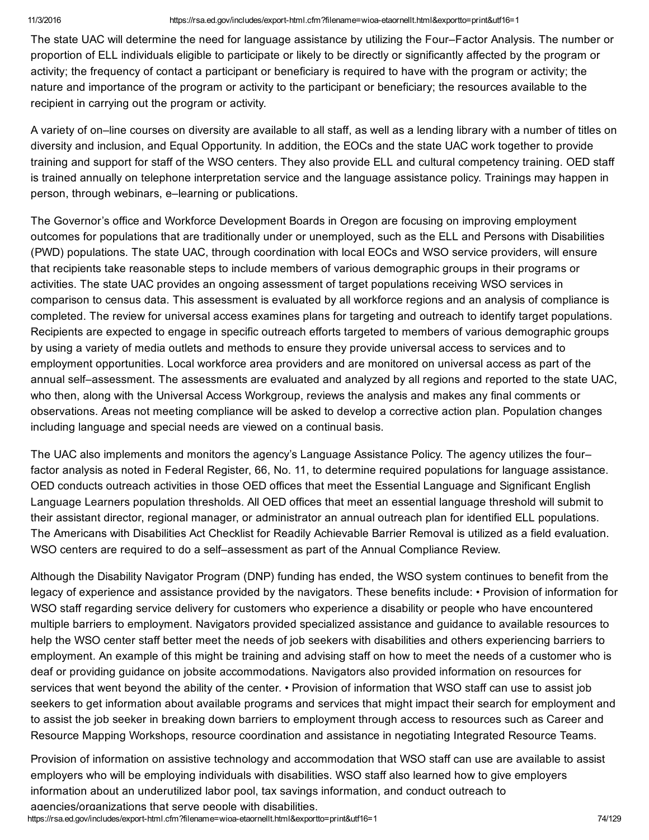The state UAC will determine the need for language assistance by utilizing the Four–Factor Analysis. The number or proportion of ELL individuals eligible to participate or likely to be directly or significantly affected by the program or activity; the frequency of contact a participant or beneficiary is required to have with the program or activity; the nature and importance of the program or activity to the participant or beneficiary; the resources available to the recipient in carrying out the program or activity.

A variety of on–line courses on diversity are available to all staff, as well as a lending library with a number of titles on diversity and inclusion, and Equal Opportunity. In addition, the EOCs and the state UAC work together to provide training and support for staff of the WSO centers. They also provide ELL and cultural competency training. OED staff is trained annually on telephone interpretation service and the language assistance policy. Trainings may happen in person, through webinars, e–learning or publications.

The Governor's office and Workforce Development Boards in Oregon are focusing on improving employment outcomes for populations that are traditionally under or unemployed, such as the ELL and Persons with Disabilities (PWD) populations. The state UAC, through coordination with local EOCs and WSO service providers, will ensure that recipients take reasonable steps to include members of various demographic groups in their programs or activities. The state UAC provides an ongoing assessment of target populations receiving WSO services in comparison to census data. This assessment is evaluated by all workforce regions and an analysis of compliance is completed. The review for universal access examines plans for targeting and outreach to identify target populations. Recipients are expected to engage in specific outreach efforts targeted to members of various demographic groups by using a variety of media outlets and methods to ensure they provide universal access to services and to employment opportunities. Local workforce area providers and are monitored on universal access as part of the annual self–assessment. The assessments are evaluated and analyzed by all regions and reported to the state UAC, who then, along with the Universal Access Workgroup, reviews the analysis and makes any final comments or observations. Areas not meeting compliance will be asked to develop a corrective action plan. Population changes including language and special needs are viewed on a continual basis.

The UAC also implements and monitors the agency's Language Assistance Policy. The agency utilizes the four– factor analysis as noted in Federal Register, 66, No. 11, to determine required populations for language assistance. OED conducts outreach activities in those OED offices that meet the Essential Language and Significant English Language Learners population thresholds. All OED offices that meet an essential language threshold will submit to their assistant director, regional manager, or administrator an annual outreach plan for identified ELL populations. The Americans with Disabilities Act Checklist for Readily Achievable Barrier Removal is utilized as a field evaluation. WSO centers are required to do a self–assessment as part of the Annual Compliance Review.

Although the Disability Navigator Program (DNP) funding has ended, the WSO system continues to benefit from the legacy of experience and assistance provided by the navigators. These benefits include: • Provision of information for WSO staff regarding service delivery for customers who experience a disability or people who have encountered multiple barriers to employment. Navigators provided specialized assistance and guidance to available resources to help the WSO center staff better meet the needs of job seekers with disabilities and others experiencing barriers to employment. An example of this might be training and advising staff on how to meet the needs of a customer who is deaf or providing guidance on jobsite accommodations. Navigators also provided information on resources for services that went beyond the ability of the center. • Provision of information that WSO staff can use to assist job seekers to get information about available programs and services that might impact their search for employment and to assist the job seeker in breaking down barriers to employment through access to resources such as Career and Resource Mapping Workshops, resource coordination and assistance in negotiating Integrated Resource Teams.

https://rsa.ed.gov/includes/exporthtml.cfm?filename=wioaetaornellt.html&exportto=print&utf16=1 74/129 Provision of information on assistive technology and accommodation that WSO staff can use are available to assist employers who will be employing individuals with disabilities. WSO staff also learned how to give employers information about an underutilized labor pool, tax savings information, and conduct outreach to agencies/organizations that serve people with disabilities.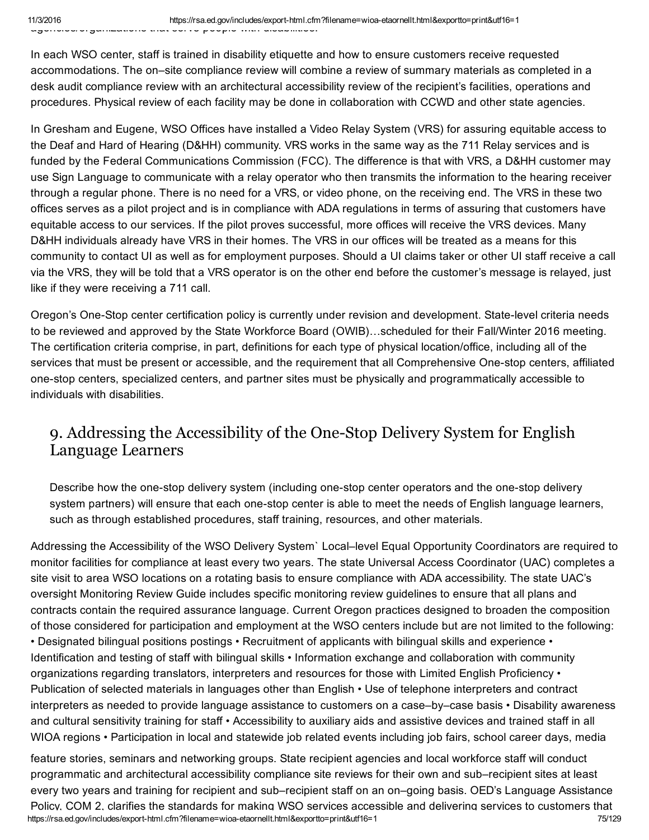agencies/organizations that serve people with disabilities.

In each WSO center, staff is trained in disability etiquette and how to ensure customers receive requested accommodations. The on–site compliance review will combine a review of summary materials as completed in a desk audit compliance review with an architectural accessibility review of the recipient's facilities, operations and procedures. Physical review of each facility may be done in collaboration with CCWD and other state agencies.

In Gresham and Eugene, WSO Offices have installed a Video Relay System (VRS) for assuring equitable access to the Deaf and Hard of Hearing (D&HH) community. VRS works in the same way as the 711 Relay services and is funded by the Federal Communications Commission (FCC). The difference is that with VRS, a D&HH customer may use Sign Language to communicate with a relay operator who then transmits the information to the hearing receiver through a regular phone. There is no need for a VRS, or video phone, on the receiving end. The VRS in these two offices serves as a pilot project and is in compliance with ADA regulations in terms of assuring that customers have equitable access to our services. If the pilot proves successful, more offices will receive the VRS devices. Many D&HH individuals already have VRS in their homes. The VRS in our offices will be treated as a means for this community to contact UI as well as for employment purposes. Should a UI claims taker or other UI staff receive a call via the VRS, they will be told that a VRS operator is on the other end before the customer's message is relayed, just like if they were receiving a 711 call.

Oregon's One-Stop center certification policy is currently under revision and development. State-level criteria needs to be reviewed and approved by the State Workforce Board (OWIB)…scheduled for their Fall/Winter 2016 meeting. The certification criteria comprise, in part, definitions for each type of physical location/office, including all of the services that must be present or accessible, and the requirement that all Comprehensive Onestop centers, affiliated one-stop centers, specialized centers, and partner sites must be physically and programmatically accessible to individuals with disabilities.

### 9. Addressing the Accessibility of the One-Stop Delivery System for English Language Learners

Describe how the one-stop delivery system (including one-stop center operators and the one-stop delivery system partners) will ensure that each one-stop center is able to meet the needs of English language learners, such as through established procedures, staff training, resources, and other materials.

Addressing the Accessibility of the WSO Delivery System` Local–level Equal Opportunity Coordinators are required to monitor facilities for compliance at least every two years. The state Universal Access Coordinator (UAC) completes a site visit to area WSO locations on a rotating basis to ensure compliance with ADA accessibility. The state UAC's oversight Monitoring Review Guide includes specific monitoring review guidelines to ensure that all plans and contracts contain the required assurance language. Current Oregon practices designed to broaden the composition of those considered for participation and employment at the WSO centers include but are not limited to the following: • Designated bilingual positions postings • Recruitment of applicants with bilingual skills and experience • Identification and testing of staff with bilingual skills • Information exchange and collaboration with community organizations regarding translators, interpreters and resources for those with Limited English Proficiency • Publication of selected materials in languages other than English • Use of telephone interpreters and contract interpreters as needed to provide language assistance to customers on a case–by–case basis • Disability awareness and cultural sensitivity training for staff • Accessibility to auxiliary aids and assistive devices and trained staff in all WIOA regions • Participation in local and statewide job related events including job fairs, school career days, media

https://rsa.ed.gov/includes/exporthtml.cfm?filename=wioaetaornellt.html&exportto=print&utf16=1 75/129 feature stories, seminars and networking groups. State recipient agencies and local workforce staff will conduct programmatic and architectural accessibility compliance site reviews for their own and sub–recipient sites at least every two years and training for recipient and sub–recipient staff on an on–going basis. OED's Language Assistance Policy, COM 2, clarifies the standards for making WSO services accessible and delivering services to customers that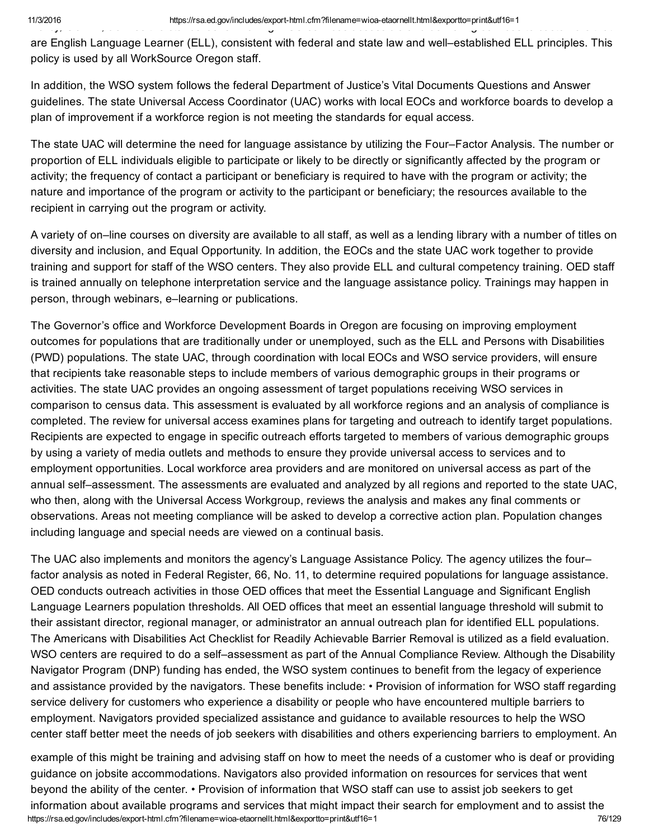Policy, COM 2, clarifies the standards for making WSO services accessible and delivering services to customers that are English Language Learner (ELL), consistent with federal and state law and well–established ELL principles. This policy is used by all WorkSource Oregon staff.

In addition, the WSO system follows the federal Department of Justice's Vital Documents Questions and Answer guidelines. The state Universal Access Coordinator (UAC) works with local EOCs and workforce boards to develop a plan of improvement if a workforce region is not meeting the standards for equal access.

The state UAC will determine the need for language assistance by utilizing the Four–Factor Analysis. The number or proportion of ELL individuals eligible to participate or likely to be directly or significantly affected by the program or activity; the frequency of contact a participant or beneficiary is required to have with the program or activity; the nature and importance of the program or activity to the participant or beneficiary; the resources available to the recipient in carrying out the program or activity.

A variety of on–line courses on diversity are available to all staff, as well as a lending library with a number of titles on diversity and inclusion, and Equal Opportunity. In addition, the EOCs and the state UAC work together to provide training and support for staff of the WSO centers. They also provide ELL and cultural competency training. OED staff is trained annually on telephone interpretation service and the language assistance policy. Trainings may happen in person, through webinars, e–learning or publications.

The Governor's office and Workforce Development Boards in Oregon are focusing on improving employment outcomes for populations that are traditionally under or unemployed, such as the ELL and Persons with Disabilities (PWD) populations. The state UAC, through coordination with local EOCs and WSO service providers, will ensure that recipients take reasonable steps to include members of various demographic groups in their programs or activities. The state UAC provides an ongoing assessment of target populations receiving WSO services in comparison to census data. This assessment is evaluated by all workforce regions and an analysis of compliance is completed. The review for universal access examines plans for targeting and outreach to identify target populations. Recipients are expected to engage in specific outreach efforts targeted to members of various demographic groups by using a variety of media outlets and methods to ensure they provide universal access to services and to employment opportunities. Local workforce area providers and are monitored on universal access as part of the annual self–assessment. The assessments are evaluated and analyzed by all regions and reported to the state UAC, who then, along with the Universal Access Workgroup, reviews the analysis and makes any final comments or observations. Areas not meeting compliance will be asked to develop a corrective action plan. Population changes including language and special needs are viewed on a continual basis.

The UAC also implements and monitors the agency's Language Assistance Policy. The agency utilizes the four– factor analysis as noted in Federal Register, 66, No. 11, to determine required populations for language assistance. OED conducts outreach activities in those OED offices that meet the Essential Language and Significant English Language Learners population thresholds. All OED offices that meet an essential language threshold will submit to their assistant director, regional manager, or administrator an annual outreach plan for identified ELL populations. The Americans with Disabilities Act Checklist for Readily Achievable Barrier Removal is utilized as a field evaluation. WSO centers are required to do a self–assessment as part of the Annual Compliance Review. Although the Disability Navigator Program (DNP) funding has ended, the WSO system continues to benefit from the legacy of experience and assistance provided by the navigators. These benefits include: • Provision of information for WSO staff regarding service delivery for customers who experience a disability or people who have encountered multiple barriers to employment. Navigators provided specialized assistance and guidance to available resources to help the WSO center staff better meet the needs of job seekers with disabilities and others experiencing barriers to employment. An

https://rsa.ed.gov/includes/exporthtml.cfm?filename=wioaetaornellt.html&exportto=print&utf16=1 76/129 example of this might be training and advising staff on how to meet the needs of a customer who is deaf or providing guidance on jobsite accommodations. Navigators also provided information on resources for services that went beyond the ability of the center. • Provision of information that WSO staff can use to assist job seekers to get information about available programs and services that might impact their search for employment and to assist the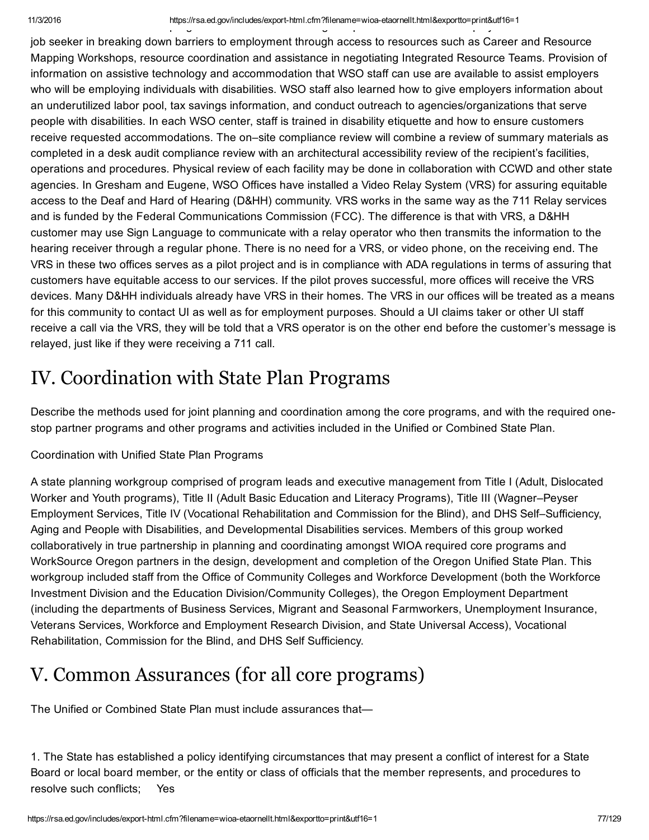### 11/3/2016 https://rsa.ed.gov/includes/export-html.cfm?filename=wioa-etaornellt.html&exportto=print&utf16=1<br>https://rsa.ed.gov/includes/export-html.cfm?filename=wioa-etaornellt.html&exportto=print&utf16=1

job seeker in breaking down barriers to employment through access to resources such as Career and Resource Mapping Workshops, resource coordination and assistance in negotiating Integrated Resource Teams. Provision of information on assistive technology and accommodation that WSO staff can use are available to assist employers who will be employing individuals with disabilities. WSO staff also learned how to give employers information about an underutilized labor pool, tax savings information, and conduct outreach to agencies/organizations that serve people with disabilities. In each WSO center, staff is trained in disability etiquette and how to ensure customers receive requested accommodations. The on–site compliance review will combine a review of summary materials as completed in a desk audit compliance review with an architectural accessibility review of the recipient's facilities, operations and procedures. Physical review of each facility may be done in collaboration with CCWD and other state agencies. In Gresham and Eugene, WSO Offices have installed a Video Relay System (VRS) for assuring equitable access to the Deaf and Hard of Hearing (D&HH) community. VRS works in the same way as the 711 Relay services and is funded by the Federal Communications Commission (FCC). The difference is that with VRS, a D&HH customer may use Sign Language to communicate with a relay operator who then transmits the information to the hearing receiver through a regular phone. There is no need for a VRS, or video phone, on the receiving end. The VRS in these two offices serves as a pilot project and is in compliance with ADA regulations in terms of assuring that customers have equitable access to our services. If the pilot proves successful, more offices will receive the VRS devices. Many D&HH individuals already have VRS in their homes. The VRS in our offices will be treated as a means for this community to contact UI as well as for employment purposes. Should a UI claims taker or other UI staff receive a call via the VRS, they will be told that a VRS operator is on the other end before the customer's message is relayed, just like if they were receiving a 711 call.

# IV. Coordination with State Plan Programs

Describe the methods used for joint planning and coordination among the core programs, and with the required onestop partner programs and other programs and activities included in the Unified or Combined State Plan.

#### Coordination with Unified State Plan Programs

A state planning workgroup comprised of program leads and executive management from Title I (Adult, Dislocated Worker and Youth programs), Title II (Adult Basic Education and Literacy Programs), Title III (Wagner–Peyser Employment Services, Title IV (Vocational Rehabilitation and Commission for the Blind), and DHS Self–Sufficiency, Aging and People with Disabilities, and Developmental Disabilities services. Members of this group worked collaboratively in true partnership in planning and coordinating amongst WIOA required core programs and WorkSource Oregon partners in the design, development and completion of the Oregon Unified State Plan. This workgroup included staff from the Office of Community Colleges and Workforce Development (both the Workforce Investment Division and the Education Division/Community Colleges), the Oregon Employment Department (including the departments of Business Services, Migrant and Seasonal Farmworkers, Unemployment Insurance, Veterans Services, Workforce and Employment Research Division, and State Universal Access), Vocational Rehabilitation, Commission for the Blind, and DHS Self Sufficiency.

# V. Common Assurances (for all core programs)

The Unified or Combined State Plan must include assurances that—

1. The State has established a policy identifying circumstances that may present a conflict of interest for a State Board or local board member, or the entity or class of officials that the member represents, and procedures to resolve such conflicts; Yes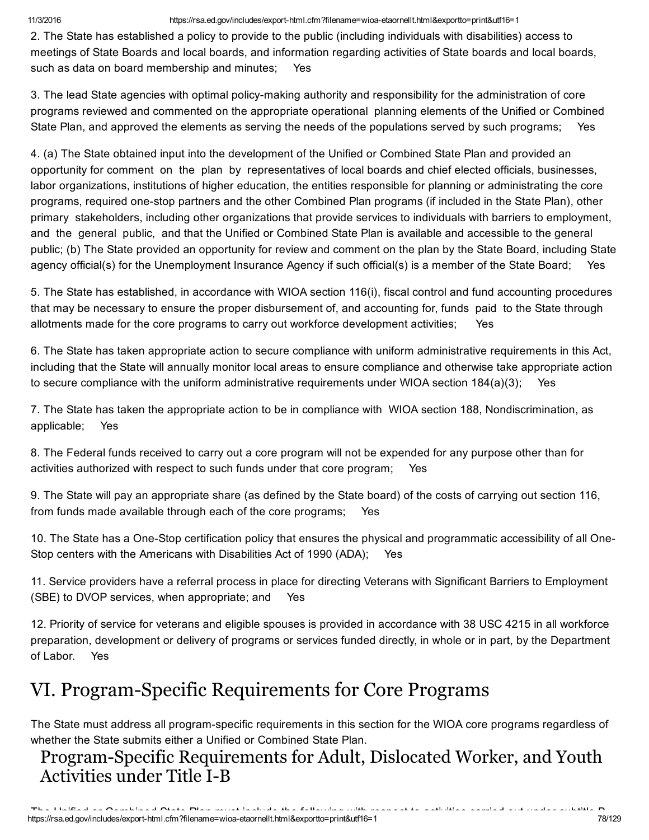2. The State has established a policy to provide to the public (including individuals with disabilities) access to meetings of State Boards and local boards, and information regarding activities of State boards and local boards, such as data on board membership and minutes; Yes

3. The lead State agencies with optimal policy-making authority and responsibility for the administration of core programs reviewed and commented on the appropriate operational planning elements of the Unified or Combined State Plan, and approved the elements as serving the needs of the populations served by such programs; Yes

4. (a) The State obtained input into the development of the Unified or Combined State Plan and provided an opportunity for comment on the plan by representatives of local boards and chief elected officials, businesses, labor organizations, institutions of higher education, the entities responsible for planning or administrating the core programs, required onestop partners and the other Combined Plan programs (if included in the State Plan), other primary stakeholders, including other organizations that provide services to individuals with barriers to employment, and the general public, and that the Unified or Combined State Plan is available and accessible to the general public; (b) The State provided an opportunity for review and comment on the plan by the State Board, including State agency official(s) for the Unemployment Insurance Agency if such official(s) is a member of the State Board; Yes

5. The State has established, in accordance with WIOA section 116(i), fiscal control and fund accounting procedures that may be necessary to ensure the proper disbursement of, and accounting for, funds paid to the State through allotments made for the core programs to carry out workforce development activities; Yes

6. The State has taken appropriate action to secure compliance with uniform administrative requirements in this Act, including that the State will annually monitor local areas to ensure compliance and otherwise take appropriate action to secure compliance with the uniform administrative requirements under WIOA section 184(a)(3); Yes

7. The State has taken the appropriate action to be in compliance with WIOA section 188, Nondiscrimination, as applicable; Yes

8. The Federal funds received to carry out a core program will not be expended for any purpose other than for activities authorized with respect to such funds under that core program; Yes

9. The State will pay an appropriate share (as defined by the State board) of the costs of carrying out section 116, from funds made available through each of the core programs; Yes

10. The State has a One-Stop certification policy that ensures the physical and programmatic accessibility of all One-Stop centers with the Americans with Disabilities Act of 1990 (ADA); Yes

11. Service providers have a referral process in place for directing Veterans with Significant Barriers to Employment (SBE) to DVOP services, when appropriate; and Yes

12. Priority of service for veterans and eligible spouses is provided in accordance with 38 USC 4215 in all workforce preparation, development or delivery of programs or services funded directly, in whole or in part, by the Department of Labor. Yes

# VI. Program-Specific Requirements for Core Programs

The State must address all program-specific requirements in this section for the WIOA core programs regardless of whether the State submits either a Unified or Combined State Plan.

## Program-Specific Requirements for Adult, Dislocated Worker, and Youth Activities under Title I-B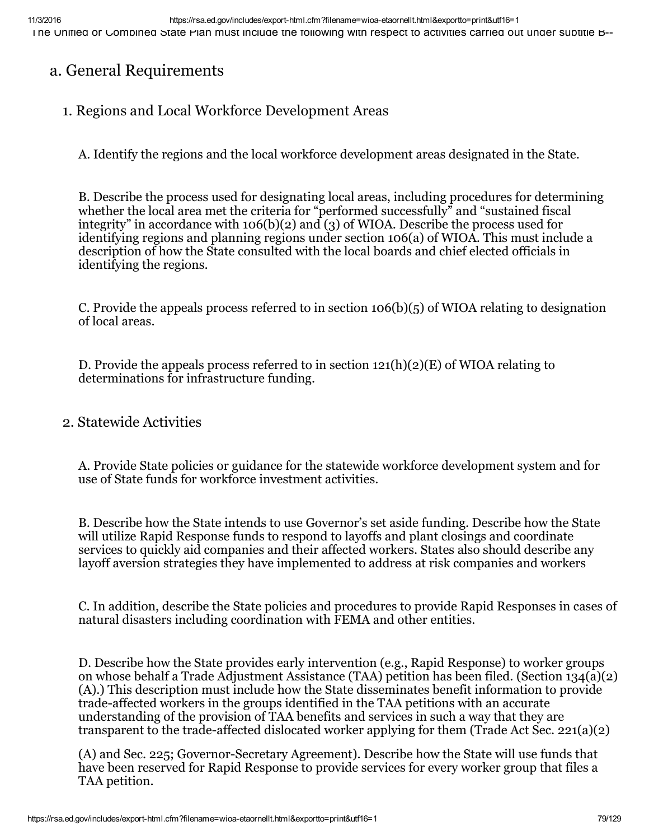The Unified or Combined State Plan must include the following with respect to activities carried out under subtitle B--

### a. General Requirements

#### 1. Regions and Local Workforce Development Areas

A. Identify the regions and the local workforce development areas designated in the State.

B. Describe the process used for designating local areas, including procedures for determining whether the local area met the criteria for "performed successfully" and "sustained fiscal integrity" in accordance with 106(b)(2) and (3) of WIOA. Describe the process used for identifying regions and planning regions under section 106(a) of WIOA. This must include a description of how the State consulted with the local boards and chief elected officials in identifying the regions.

C. Provide the appeals process referred to in section  $106(b)(5)$  of WIOA relating to designation of local areas.

D. Provide the appeals process referred to in section 121(h)(2)(E) of WIOA relating to determinations for infrastructure funding.

#### 2. Statewide Activities

A. Provide State policies or guidance for the statewide workforce development system and for use of State funds for workforce investment activities.

B. Describe how the State intends to use Governor's set aside funding. Describe how the State will utilize Rapid Response funds to respond to layoffs and plant closings and coordinate services to quickly aid companies and their affected workers. States also should describe any layoff aversion strategies they have implemented to address at risk companies and workers

C. In addition, describe the State policies and procedures to provide Rapid Responses in cases of natural disasters including coordination with FEMA and other entities.

D. Describe how the State provides early intervention (e.g., Rapid Response) to worker groups on whose behalf a Trade Adjustment Assistance (TAA) petition has been filed. (Section 134(a)(2) (A).) This description must include how the State disseminates benefit information to provide trade-affected workers in the groups identified in the TAA petitions with an accurate understanding of the provision of TAA benefits and services in such a way that they are transparent to the trade-affected dislocated worker applying for them (Trade Act Sec. 221(a)(2)

(A) and Sec. 225; Governor-Secretary Agreement). Describe how the State will use funds that have been reserved for Rapid Response to provide services for every worker group that files a TAA petition.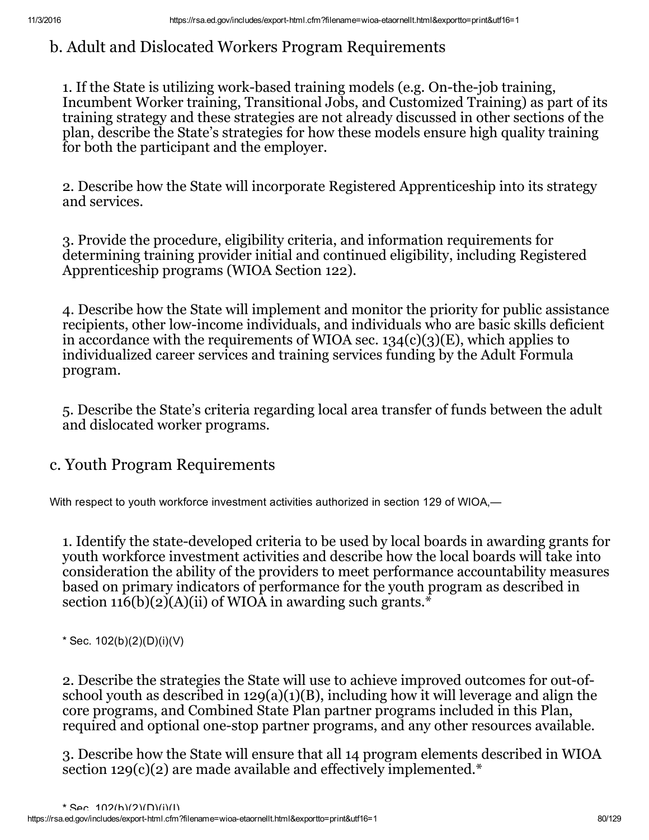# b. Adult and Dislocated Workers Program Requirements

1. If the State is utilizing work-based training models (e.g. On-the-job training, Incumbent Worker training, Transitional Jobs, and Customized Training) as part of its training strategy and these strategies are not already discussed in other sections of the plan, describe the State's strategies for how these models ensure high quality training for both the participant and the employer.

2. Describe how the State will incorporate Registered Apprenticeship into its strategy and services.

3. Provide the procedure, eligibility criteria, and information requirements for determining training provider initial and continued eligibility, including Registered Apprenticeship programs (WIOA Section 122).

4. Describe how the State will implement and monitor the priority for public assistance recipients, other low-income individuals, and individuals who are basic skills deficient in accordance with the requirements of WIOA sec.  $134(c)(3)(E)$ , which applies to individualized career services and training services funding by the Adult Formula program.

5. Describe the State's criteria regarding local area transfer of funds between the adult and dislocated worker programs.

## c. Youth Program Requirements

With respect to youth workforce investment activities authorized in section 129 of WIOA,—

1. Identify the state-developed criteria to be used by local boards in awarding grants for youth workforce investment activities and describe how the local boards will take into consideration the ability of the providers to meet performance accountability measures based on primary indicators of performance for the youth program as described in section 116(b)(2)(A)(ii) of WIOA in awarding such grants.\*

\* Sec. 102(b)(2)(D)(i)(V)

2. Describe the strategies the State will use to achieve improved outcomes for out-ofschool youth as described in  $129(a)(1)(B)$ , including how it will leverage and align the core programs, and Combined State Plan partner programs included in this Plan, required and optional one-stop partner programs, and any other resources available.

3. Describe how the State will ensure that all 14 program elements described in WIOA section 129 $(c)(2)$  are made available and effectively implemented.\*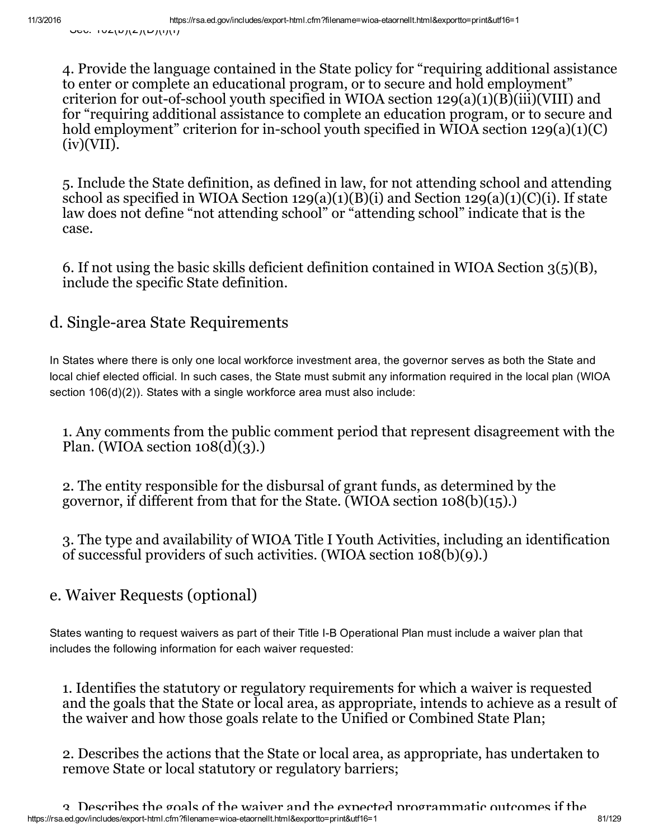4. Provide the language contained in the State policy for "requiring additional assistance to enter or complete an educational program, or to secure and hold employment" criterion for out-of-school youth specified in WIOA section  $129(a)(1)(B)(iii)(VIII)$  and for "requiring additional assistance to complete an education program, or to secure and hold employment" criterion for in-school youth specified in  $\overline{W}$ IOA section 129(a)(1)(C)  $(iv)(VII).$ 

5. Include the State definition, as defined in law, for not attending school and attending school as specified in WIOA Section  $129(a)(1)(B)(i)$  and Section  $129(a)(1)(C)(i)$ . If state law does not define "not attending school" or "attending school" indicate that is the case.

6. If not using the basic skills deficient definition contained in WIOA Section 3(5)(B), include the specific State definition.

## d. Single-area State Requirements

In States where there is only one local workforce investment area, the governor serves as both the State and local chief elected official. In such cases, the State must submit any information required in the local plan (WIOA section 106(d)(2)). States with a single workforce area must also include:

1. Any comments from the public comment period that represent disagreement with the Plan. (WIOA section  $108(d)(3)$ .)

2. The entity responsible for the disbursal of grant funds, as determined by the governor, if different from that for the State. (WIOA section 108(b)(15).)

3. The type and availability of WIOA Title I Youth Activities, including an identification of successful providers of such activities. (WIOA section 108(b)(9).)

## e. Waiver Requests (optional)

States wanting to request waivers as part of their Title I-B Operational Plan must include a waiver plan that includes the following information for each waiver requested:

1. Identifies the statutory or regulatory requirements for which a waiver is requested and the goals that the State or local area, as appropriate, intends to achieve as a result of the waiver and how those goals relate to the Unified or Combined State Plan;

2. Describes the actions that the State or local area, as appropriate, has undertaken to remove State or local statutory or regulatory barriers;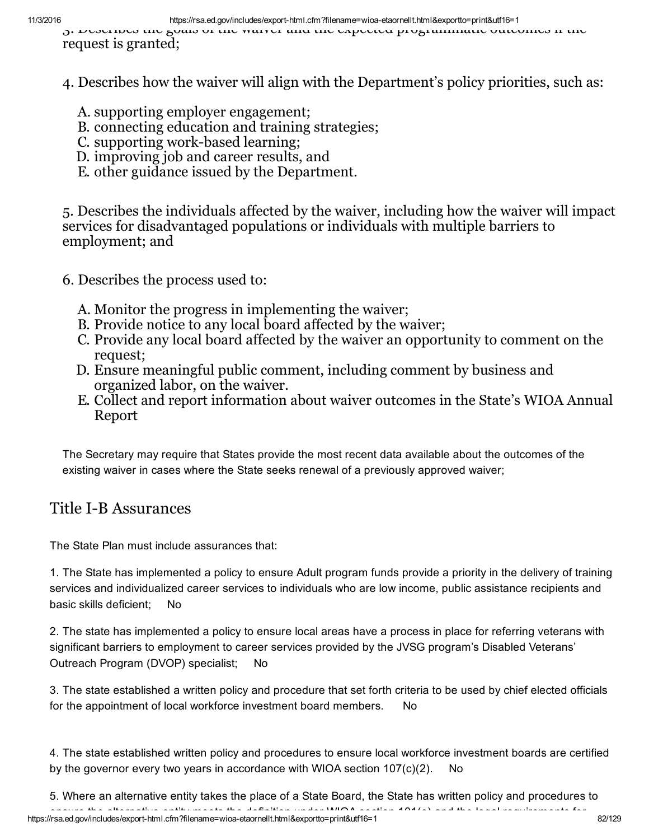3. Describes the goals of the waiver and the expected programmatic outcomes if the request is granted;

- 4. Describes how the waiver will align with the Department's policy priorities, such as:
	- A. supporting employer engagement;
	- B. connecting education and training strategies;
	- C. supporting work-based learning;
	- D. improving job and career results, and
	- E. other guidance issued by the Department.

5. Describes the individuals affected by the waiver, including how the waiver will impact services for disadvantaged populations or individuals with multiple barriers to employment; and

- 6. Describes the process used to:
	- A. Monitor the progress in implementing the waiver;
	- B. Provide notice to any local board affected by the waiver;
	- C. Provide any local board affected by the waiver an opportunity to comment on the request;
	- D. Ensure meaningful public comment, including comment by business and organized labor, on the waiver.
	- E. Collect and report information about waiver outcomes in the State's WIOA Annual Report

The Secretary may require that States provide the most recent data available about the outcomes of the existing waiver in cases where the State seeks renewal of a previously approved waiver;

### Title I-B Assurances

The State Plan must include assurances that:

1. The State has implemented a policy to ensure Adult program funds provide a priority in the delivery of training services and individualized career services to individuals who are low income, public assistance recipients and basic skills deficient; No

2. The state has implemented a policy to ensure local areas have a process in place for referring veterans with significant barriers to employment to career services provided by the JVSG program's Disabled Veterans' Outreach Program (DVOP) specialist; No

3. The state established a written policy and procedure that set forth criteria to be used by chief elected officials for the appointment of local workforce investment board members. No

4. The state established written policy and procedures to ensure local workforce investment boards are certified by the governor every two years in accordance with WIOA section  $107(c)(2)$ . No

https://rsa.ed.gov/includes/export-html.cfm?filename=wioa-etaornellt.html&exportto=print&utf16=1 82/129 5. Where an alternative entity takes the place of a State Board, the State has written policy and procedures to ensure the alternative entity meets the definition under WIOA section 101(e) and the legal requirements for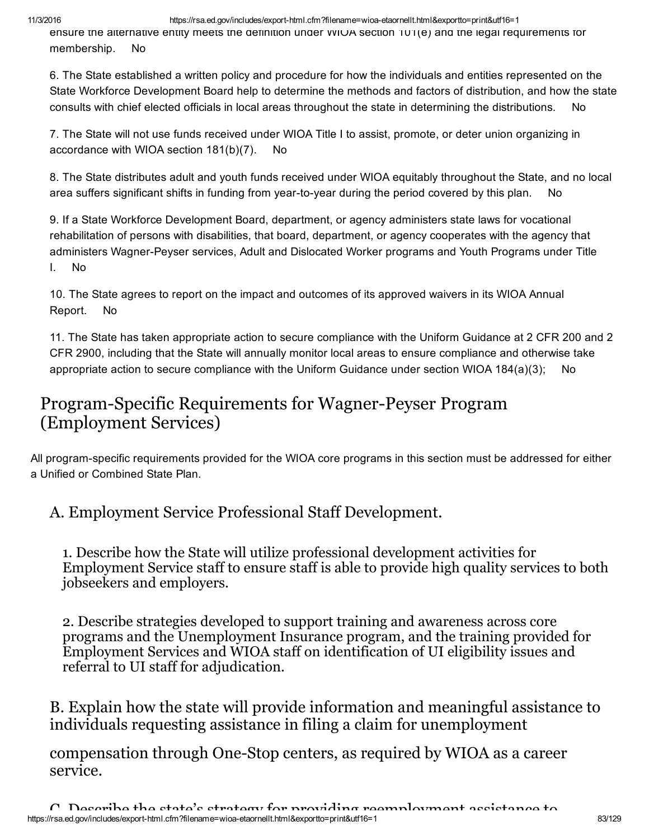ensure the alternative entity meets the definition under WIOA section 101(e) and the legal requirements for membership. No

6. The State established a written policy and procedure for how the individuals and entities represented on the State Workforce Development Board help to determine the methods and factors of distribution, and how the state consults with chief elected officials in local areas throughout the state in determining the distributions. No

7. The State will not use funds received under WIOA Title I to assist, promote, or deter union organizing in accordance with WIOA section 181(b)(7). No

8. The State distributes adult and youth funds received under WIOA equitably throughout the State, and no local area suffers significant shifts in funding from year-to-year during the period covered by this plan. No

9. If a State Workforce Development Board, department, or agency administers state laws for vocational rehabilitation of persons with disabilities, that board, department, or agency cooperates with the agency that administers Wagner-Peyser services, Adult and Dislocated Worker programs and Youth Programs under Title I. No

10. The State agrees to report on the impact and outcomes of its approved waivers in its WIOA Annual Report. No

11. The State has taken appropriate action to secure compliance with the Uniform Guidance at 2 CFR 200 and 2 CFR 2900, including that the State will annually monitor local areas to ensure compliance and otherwise take appropriate action to secure compliance with the Uniform Guidance under section WIOA 184(a)(3); No

# Program-Specific Requirements for Wagner-Peyser Program (Employment Services)

All program-specific requirements provided for the WIOA core programs in this section must be addressed for either a Unified or Combined State Plan.

# A. Employment Service Professional Staff Development.

1. Describe how the State will utilize professional development activities for Employment Service staff to ensure staff is able to provide high quality services to both jobseekers and employers.

2. Describe strategies developed to support training and awareness across core programs and the Unemployment Insurance program, and the training provided for Employment Services and WIOA staff on identification of UI eligibility issues and referral to UI staff for adjudication.

B. Explain how the state will provide information and meaningful assistance to individuals requesting assistance in filing a claim for unemployment

compensation through One-Stop centers, as required by WIOA as a career service.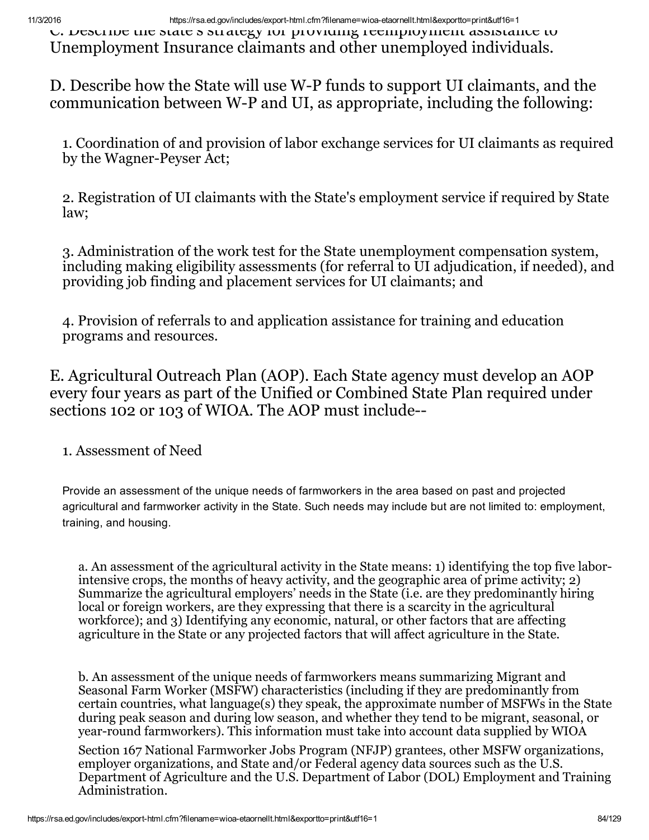C. Describe the state's strategy for providing reemployment assistance to Unemployment Insurance claimants and other unemployed individuals.

D. Describe how the State will use W-P funds to support UI claimants, and the communication between W-P and UI, as appropriate, including the following:

1. Coordination of and provision of labor exchange services for UI claimants as required by the Wagner-Peyser Act;

2. Registration of UI claimants with the State's employment service if required by State law;

3. Administration of the work test for the State unemployment compensation system, including making eligibility assessments (for referral to UI adjudication, if needed), and providing job finding and placement services for UI claimants; and

4. Provision of referrals to and application assistance for training and education programs and resources.

E. Agricultural Outreach Plan (AOP). Each State agency must develop an AOP every four years as part of the Unified or Combined State Plan required under sections 102 or 103 of WIOA. The AOP must include

1. Assessment of Need

Provide an assessment of the unique needs of farmworkers in the area based on past and projected agricultural and farmworker activity in the State. Such needs may include but are not limited to: employment, training, and housing.

a. An assessment of the agricultural activity in the State means: 1) identifying the top five laborintensive crops, the months of heavy activity, and the geographic area of prime activity; 2) Summarize the agricultural employers' needs in the State (i.e. are they predominantly hiring local or foreign workers, are they expressing that there is a scarcity in the agricultural workforce); and 3) Identifying any economic, natural, or other factors that are affecting agriculture in the State or any projected factors that will affect agriculture in the State.

b. An assessment of the unique needs of farmworkers means summarizing Migrant and Seasonal Farm Worker (MSFW) characteristics (including if they are predominantly from certain countries, what language(s) they speak, the approximate number of MSFWs in the State during peak season and during low season, and whether they tend to be migrant, seasonal, or year-round farmworkers). This information must take into account data supplied by WIOA

Section 167 National Farmworker Jobs Program (NFJP) grantees, other MSFW organizations, employer organizations, and State and/or Federal agency data sources such as the U.S. Department of Agriculture and the U.S. Department of Labor (DOL) Employment and Training Administration.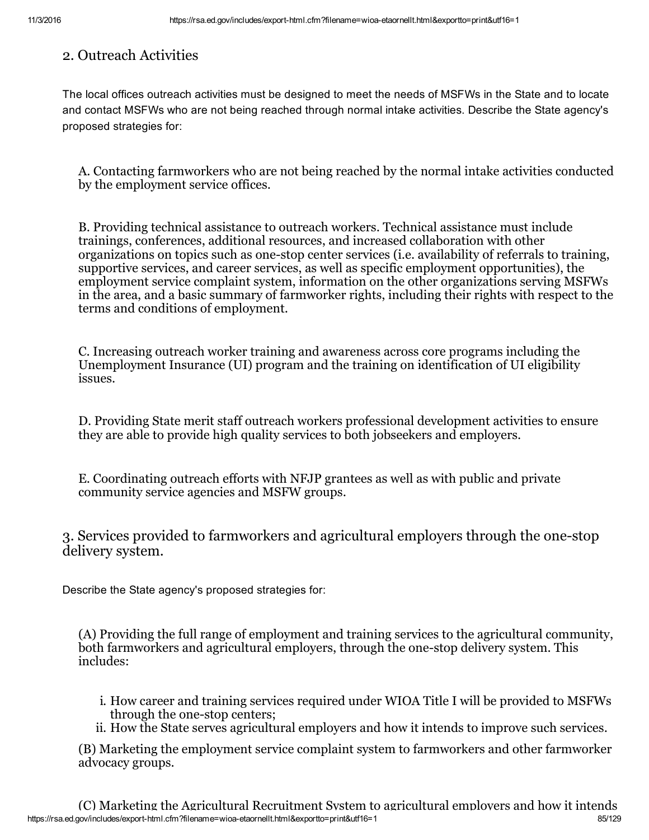#### 2. Outreach Activities

The local offices outreach activities must be designed to meet the needs of MSFWs in the State and to locate and contact MSFWs who are not being reached through normal intake activities. Describe the State agency's proposed strategies for:

A. Contacting farmworkers who are not being reached by the normal intake activities conducted by the employment service offices.

B. Providing technical assistance to outreach workers. Technical assistance must include trainings, conferences, additional resources, and increased collaboration with other organizations on topics such as onestop center services (i.e. availability of referrals to training, supportive services, and career services, as well as specific employment opportunities), the employment service complaint system, information on the other organizations serving MSFWs in the area, and a basic summary of farmworker rights, including their rights with respect to the terms and conditions of employment.

C. Increasing outreach worker training and awareness across core programs including the Unemployment Insurance (UI) program and the training on identification of UI eligibility issues.

D. Providing State merit staff outreach workers professional development activities to ensure they are able to provide high quality services to both jobseekers and employers.

E. Coordinating outreach efforts with NFJP grantees as well as with public and private community service agencies and MSFW groups.

3. Services provided to farmworkers and agricultural employers through the onestop delivery system.

Describe the State agency's proposed strategies for:

(A) Providing the full range of employment and training services to the agricultural community, both farmworkers and agricultural employers, through the one-stop delivery system. This includes:

- i. How career and training services required under WIOA Title I will be provided to MSFWs through the one-stop centers;
- ii. How the State serves agricultural employers and how it intends to improve such services.

(B) Marketing the employment service complaint system to farmworkers and other farmworker advocacy groups.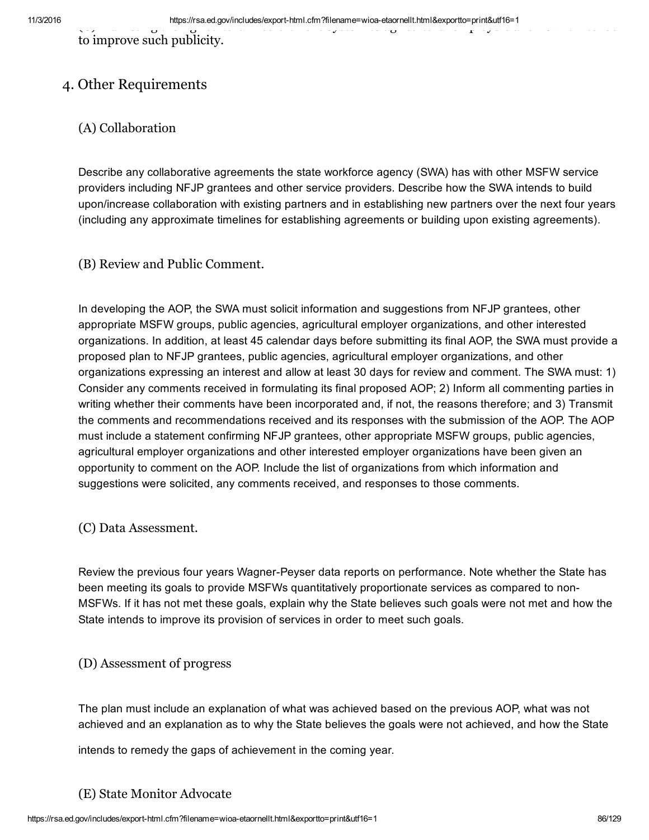11/3/2016 https://rsa.ed.gov/includes/export-html.cfm?filename=wioa-etaornellt.html&exportto=print&utf16=1<br>(C) Marketing the Agricultural Computers and how it is intended to a gricultural employers and how it is inten to improve such publicity.

### 4. Other Requirements

#### (A) Collaboration

Describe any collaborative agreements the state workforce agency (SWA) has with other MSFW service providers including NFJP grantees and other service providers. Describe how the SWA intends to build upon/increase collaboration with existing partners and in establishing new partners over the next four years (including any approximate timelines for establishing agreements or building upon existing agreements).

#### (B) Review and Public Comment.

In developing the AOP, the SWA must solicit information and suggestions from NFJP grantees, other appropriate MSFW groups, public agencies, agricultural employer organizations, and other interested organizations. In addition, at least 45 calendar days before submitting its final AOP, the SWA must provide a proposed plan to NFJP grantees, public agencies, agricultural employer organizations, and other organizations expressing an interest and allow at least 30 days for review and comment. The SWA must: 1) Consider any comments received in formulating its final proposed AOP; 2) Inform all commenting parties in writing whether their comments have been incorporated and, if not, the reasons therefore; and 3) Transmit the comments and recommendations received and its responses with the submission of the AOP. The AOP must include a statement confirming NFJP grantees, other appropriate MSFW groups, public agencies, agricultural employer organizations and other interested employer organizations have been given an opportunity to comment on the AOP. Include the list of organizations from which information and suggestions were solicited, any comments received, and responses to those comments.

#### (C) Data Assessment.

Review the previous four years Wagner-Peyser data reports on performance. Note whether the State has been meeting its goals to provide MSFWs quantitatively proportionate services as compared to non-MSFWs. If it has not met these goals, explain why the State believes such goals were not met and how the State intends to improve its provision of services in order to meet such goals.

#### (D) Assessment of progress

The plan must include an explanation of what was achieved based on the previous AOP, what was not achieved and an explanation as to why the State believes the goals were not achieved, and how the State

intends to remedy the gaps of achievement in the coming year.

#### (E) State Monitor Advocate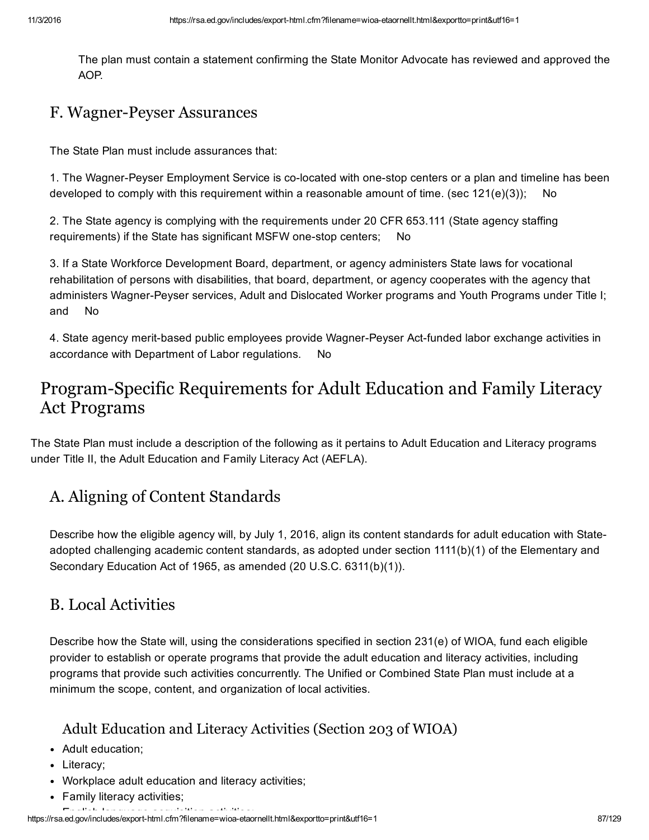The plan must contain a statement confirming the State Monitor Advocate has reviewed and approved the AOP.

### F. Wagner-Peyser Assurances

The State Plan must include assurances that:

1. The Wagner-Peyser Employment Service is co-located with one-stop centers or a plan and timeline has been developed to comply with this requirement within a reasonable amount of time. (sec 121(e)(3)); No

2. The State agency is complying with the requirements under 20 CFR 653.111 (State agency staffing requirements) if the State has significant MSFW one-stop centers; No

3. If a State Workforce Development Board, department, or agency administers State laws for vocational rehabilitation of persons with disabilities, that board, department, or agency cooperates with the agency that administers Wagner-Peyser services, Adult and Dislocated Worker programs and Youth Programs under Title I; and No

4. State agency merit-based public employees provide Wagner-Peyser Act-funded labor exchange activities in accordance with Department of Labor regulations. No

# Program-Specific Requirements for Adult Education and Family Literacy Act Programs

The State Plan must include a description of the following as it pertains to Adult Education and Literacy programs under Title II, the Adult Education and Family Literacy Act (AEFLA).

# A. Aligning of Content Standards

Describe how the eligible agency will, by July 1, 2016, align its content standards for adult education with Stateadopted challenging academic content standards, as adopted under section 1111(b)(1) of the Elementary and Secondary Education Act of 1965, as amended (20 U.S.C. 6311(b)(1)).

## B. Local Activities

Describe how the State will, using the considerations specified in section 231(e) of WIOA, fund each eligible provider to establish or operate programs that provide the adult education and literacy activities, including programs that provide such activities concurrently. The Unified or Combined State Plan must include at a minimum the scope, content, and organization of local activities.

### Adult Education and Literacy Activities (Section 203 of WIOA)

- Adult education;
- Literacy;
- Workplace adult education and literacy activities;
- Family literacy activities;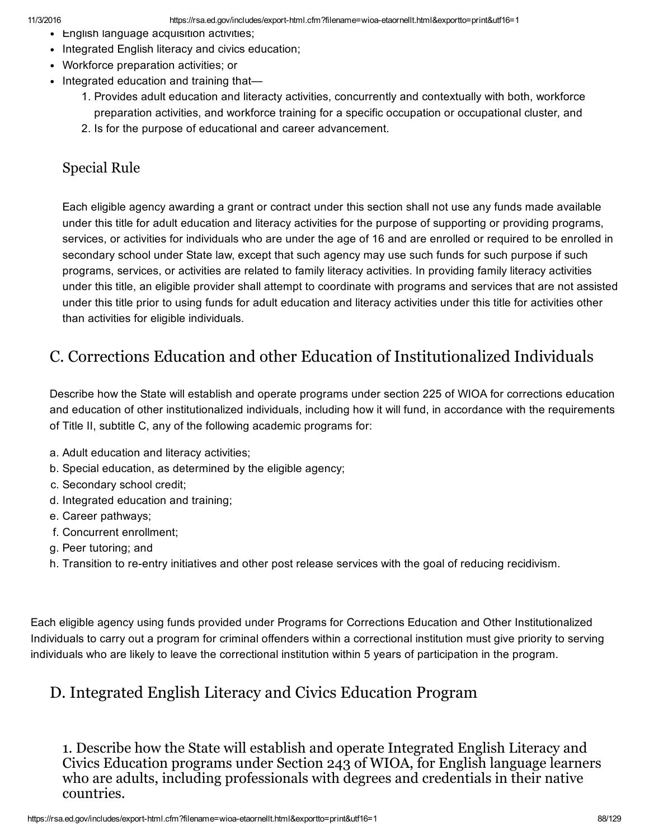- English language acquisition activities;
- Integrated English literacy and civics education;
- Workforce preparation activities; or
- Integrated education and training that—
	- 1. Provides adult education and literacty activities, concurrently and contextually with both, workforce preparation activities, and workforce training for a specific occupation or occupational cluster, and
	- 2. Is for the purpose of educational and career advancement.

### Special Rule

Each eligible agency awarding a grant or contract under this section shall not use any funds made available under this title for adult education and literacy activities for the purpose of supporting or providing programs, services, or activities for individuals who are under the age of 16 and are enrolled or required to be enrolled in secondary school under State law, except that such agency may use such funds for such purpose if such programs, services, or activities are related to family literacy activities. In providing family literacy activities under this title, an eligible provider shall attempt to coordinate with programs and services that are not assisted under this title prior to using funds for adult education and literacy activities under this title for activities other than activities for eligible individuals.

# C. Corrections Education and other Education of Institutionalized Individuals

Describe how the State will establish and operate programs under section 225 of WIOA for corrections education and education of other institutionalized individuals, including how it will fund, in accordance with the requirements of Title II, subtitle C, any of the following academic programs for:

- a. Adult education and literacy activities;
- b. Special education, as determined by the eligible agency;
- c. Secondary school credit;
- d. Integrated education and training;
- e. Career pathways;
- f. Concurrent enrollment;
- g. Peer tutoring; and
- h. Transition to re-entry initiatives and other post release services with the goal of reducing recidivism.

Each eligible agency using funds provided under Programs for Corrections Education and Other Institutionalized Individuals to carry out a program for criminal offenders within a correctional institution must give priority to serving individuals who are likely to leave the correctional institution within 5 years of participation in the program.

## D. Integrated English Literacy and Civics Education Program

1. Describe how the State will establish and operate Integrated English Literacy and Civics Education programs under Section 243 of WIOA, for English language learners who are adults, including professionals with degrees and credentials in their native countries.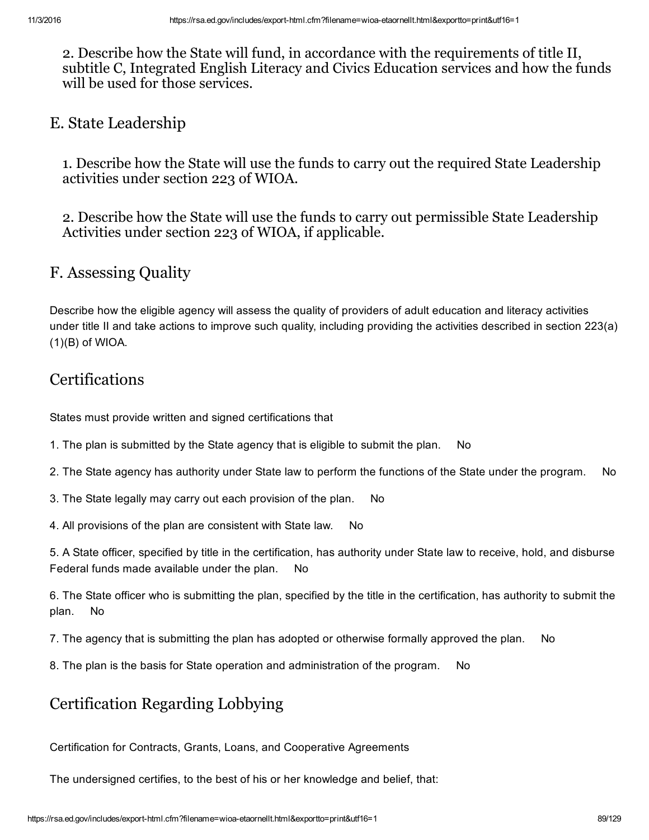2. Describe how the State will fund, in accordance with the requirements of title II, subtitle C, Integrated English Literacy and Civics Education services and how the funds will be used for those services.

### E. State Leadership

1. Describe how the State will use the funds to carry out the required State Leadership activities under section 223 of WIOA.

2. Describe how the State will use the funds to carry out permissible State Leadership Activities under section 223 of WIOA, if applicable.

### F. Assessing Quality

Describe how the eligible agency will assess the quality of providers of adult education and literacy activities under title II and take actions to improve such quality, including providing the activities described in section 223(a) (1)(B) of WIOA.

# Certifications

States must provide written and signed certifications that

- 1. The plan is submitted by the State agency that is eligible to submit the plan. No
- 2. The State agency has authority under State law to perform the functions of the State under the program. No
- 3. The State legally may carry out each provision of the plan. No
- 4. All provisions of the plan are consistent with State law. No

5. A State officer, specified by title in the certification, has authority under State law to receive, hold, and disburse Federal funds made available under the plan. No

6. The State officer who is submitting the plan, specified by the title in the certification, has authority to submit the plan. No

- 7. The agency that is submitting the plan has adopted or otherwise formally approved the plan. No
- 8. The plan is the basis for State operation and administration of the program. No

## Certification Regarding Lobbying

Certification for Contracts, Grants, Loans, and Cooperative Agreements

The undersigned certifies, to the best of his or her knowledge and belief, that: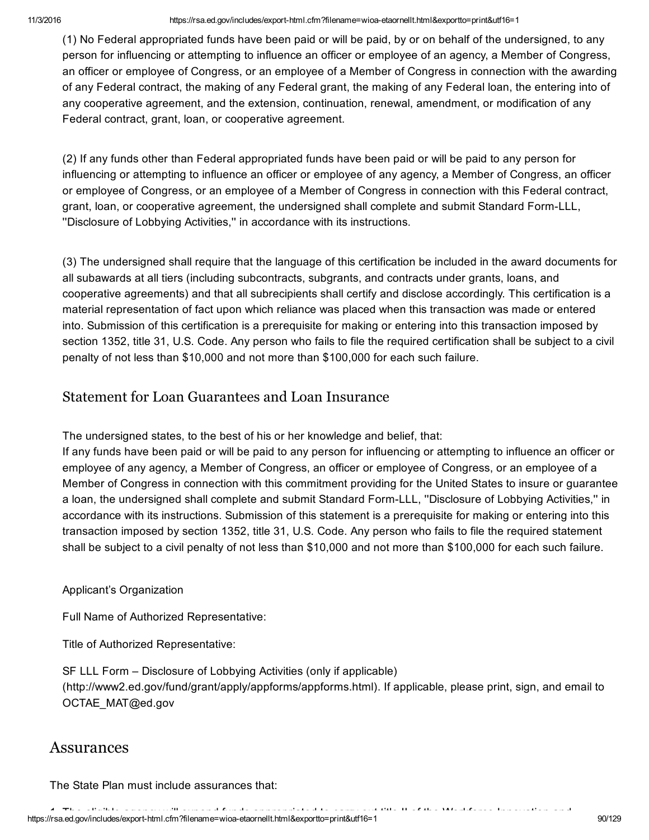(1) No Federal appropriated funds have been paid or will be paid, by or on behalf of the undersigned, to any person for influencing or attempting to influence an officer or employee of an agency, a Member of Congress, an officer or employee of Congress, or an employee of a Member of Congress in connection with the awarding of any Federal contract, the making of any Federal grant, the making of any Federal loan, the entering into of any cooperative agreement, and the extension, continuation, renewal, amendment, or modification of any Federal contract, grant, loan, or cooperative agreement.

(2) If any funds other than Federal appropriated funds have been paid or will be paid to any person for influencing or attempting to influence an officer or employee of any agency, a Member of Congress, an officer or employee of Congress, or an employee of a Member of Congress in connection with this Federal contract, grant, loan, or cooperative agreement, the undersigned shall complete and submit Standard Form-LLL, ''Disclosure of Lobbying Activities,'' in accordance with its instructions.

(3) The undersigned shall require that the language of this certification be included in the award documents for all subawards at all tiers (including subcontracts, subgrants, and contracts under grants, loans, and cooperative agreements) and that all subrecipients shall certify and disclose accordingly. This certification is a material representation of fact upon which reliance was placed when this transaction was made or entered into. Submission of this certification is a prerequisite for making or entering into this transaction imposed by section 1352, title 31, U.S. Code. Any person who fails to file the required certification shall be subject to a civil penalty of not less than \$10,000 and not more than \$100,000 for each such failure.

### Statement for Loan Guarantees and Loan Insurance

The undersigned states, to the best of his or her knowledge and belief, that:

If any funds have been paid or will be paid to any person for influencing or attempting to influence an officer or employee of any agency, a Member of Congress, an officer or employee of Congress, or an employee of a Member of Congress in connection with this commitment providing for the United States to insure or guarantee a loan, the undersigned shall complete and submit Standard FormLLL, ''Disclosure of Lobbying Activities,'' in accordance with its instructions. Submission of this statement is a prerequisite for making or entering into this transaction imposed by section 1352, title 31, U.S. Code. Any person who fails to file the required statement shall be subject to a civil penalty of not less than \$10,000 and not more than \$100,000 for each such failure.

#### Applicant's Organization

Full Name of Authorized Representative:

Title of Authorized Representative:

SF LLL Form – Disclosure of Lobbying Activities (only if applicable) (http://www2.ed.gov/fund/grant/apply/appforms/appforms.html). If applicable, please print, sign, and email to OCTAE\_MAT@ed.gov

### Assurances

The State Plan must include assurances that: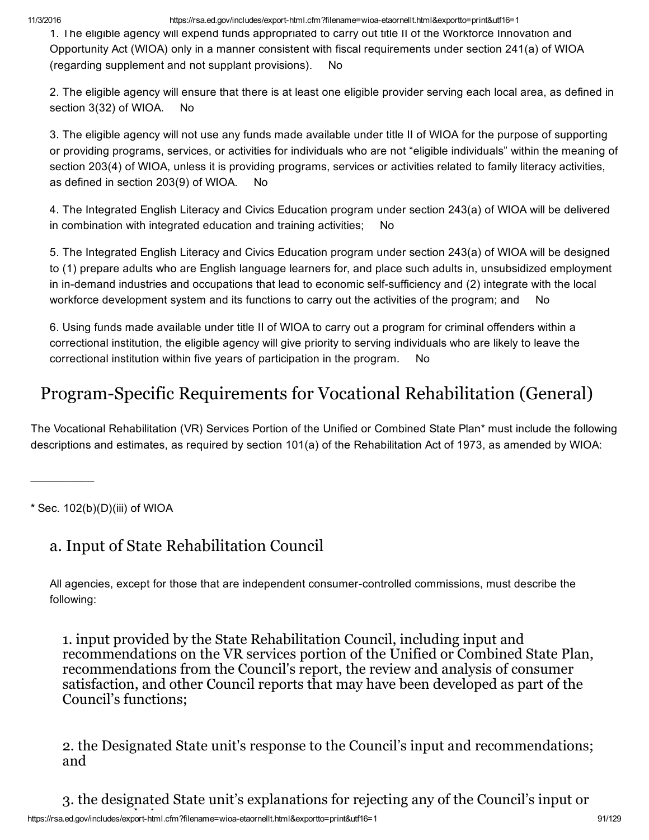1. The eligible agency will expend funds appropriated to carry out title II of the Workforce Innovation and Opportunity Act (WIOA) only in a manner consistent with fiscal requirements under section 241(a) of WIOA (regarding supplement and not supplant provisions). No

2. The eligible agency will ensure that there is at least one eligible provider serving each local area, as defined in section 3(32) of WIOA. No

3. The eligible agency will not use any funds made available under title II of WIOA for the purpose of supporting or providing programs, services, or activities for individuals who are not "eligible individuals" within the meaning of section 203(4) of WIOA, unless it is providing programs, services or activities related to family literacy activities, as defined in section 203(9) of WIOA. No

4. The Integrated English Literacy and Civics Education program under section 243(a) of WIOA will be delivered in combination with integrated education and training activities; No

5. The Integrated English Literacy and Civics Education program under section 243(a) of WIOA will be designed to (1) prepare adults who are English language learners for, and place such adults in, unsubsidized employment in in-demand industries and occupations that lead to economic self-sufficiency and (2) integrate with the local workforce development system and its functions to carry out the activities of the program; and No

6. Using funds made available under title II of WIOA to carry out a program for criminal offenders within a correctional institution, the eligible agency will give priority to serving individuals who are likely to leave the correctional institution within five years of participation in the program. No

# Program-Specific Requirements for Vocational Rehabilitation (General)

The Vocational Rehabilitation (VR) Services Portion of the Unified or Combined State Plan\* must include the following descriptions and estimates, as required by section 101(a) of the Rehabilitation Act of 1973, as amended by WIOA:

 $*$  Sec. 102(b)(D)(iii) of WIOA

 $\frac{1}{2}$ 

# a. Input of State Rehabilitation Council

All agencies, except for those that are independent consumer-controlled commissions, must describe the following:

1. input provided by the State Rehabilitation Council, including input and recommendations on the VR services portion of the Unified or Combined State Plan, recommendations from the Council's report, the review and analysis of consumer satisfaction, and other Council reports that may have been developed as part of the Council's functions;

2. the Designated State unit's response to the Council's input and recommendations; and

https://rsa.ed.gov/includes/exporthtml.cfm?filename=wioaetaornellt.html&exportto=print&utf16=1 91/129 recommendations.3. the designated State unit's explanations for rejecting any of the Council's input or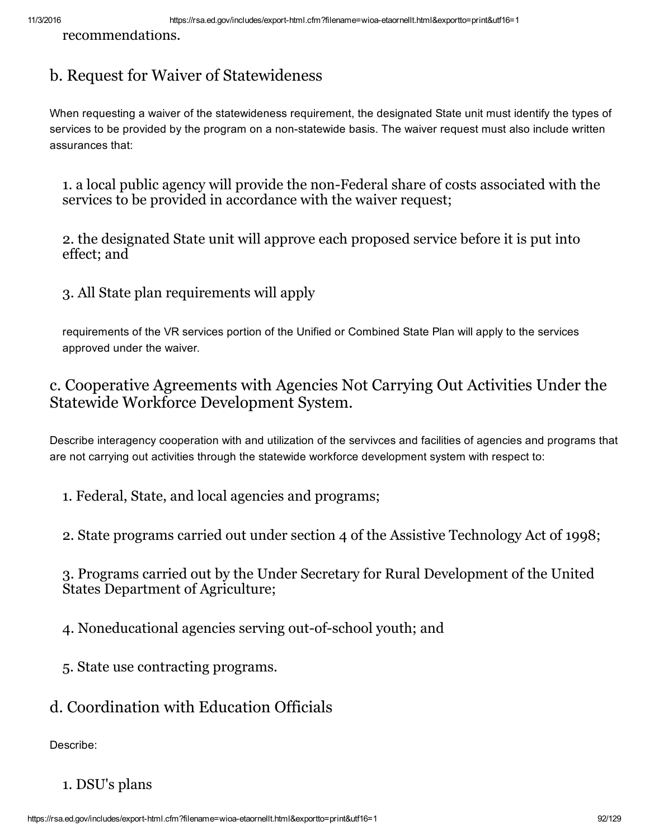recommendations.

# b. Request for Waiver of Statewideness

When requesting a waiver of the statewideness requirement, the designated State unit must identify the types of services to be provided by the program on a non-statewide basis. The waiver request must also include written assurances that:

1. a local public agency will provide the non-Federal share of costs associated with the services to be provided in accordance with the waiver request;

2. the designated State unit will approve each proposed service before it is put into effect; and

3. All State plan requirements will apply

requirements of the VR services portion of the Unified or Combined State Plan will apply to the services approved under the waiver.

### c. Cooperative Agreements with Agencies Not Carrying Out Activities Under the Statewide Workforce Development System.

Describe interagency cooperation with and utilization of the servivces and facilities of agencies and programs that are not carrying out activities through the statewide workforce development system with respect to:

1. Federal, State, and local agencies and programs;

2. State programs carried out under section 4 of the Assistive Technology Act of 1998;

3. Programs carried out by the Under Secretary for Rural Development of the United States Department of Agriculture;

4. Noneducational agencies serving out-of-school youth; and

5. State use contracting programs.

## d. Coordination with Education Officials

Describe:

1. DSU's plans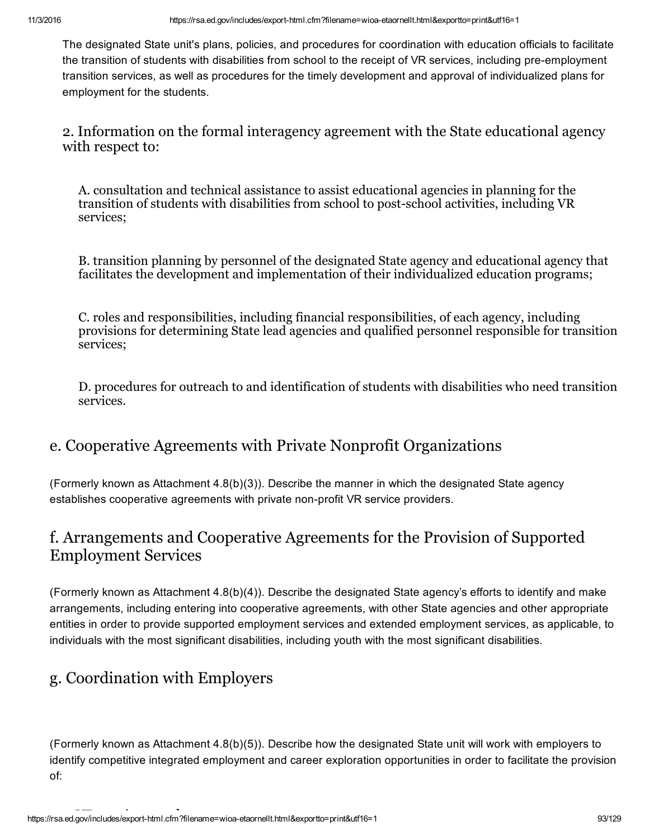The designated State unit's plans, policies, and procedures for coordination with education officials to facilitate the transition of students with disabilities from school to the receipt of VR services, including pre-employment transition services, as well as procedures for the timely development and approval of individualized plans for employment for the students.

2. Information on the formal interagency agreement with the State educational agency with respect to:

A. consultation and technical assistance to assist educational agencies in planning for the transition of students with disabilities from school to post-school activities, including VR services;

B. transition planning by personnel of the designated State agency and educational agency that facilitates the development and implementation of their individualized education programs;

C. roles and responsibilities, including financial responsibilities, of each agency, including provisions for determining State lead agencies and qualified personnel responsible for transition services;

D. procedures for outreach to and identification of students with disabilities who need transition services.

## e. Cooperative Agreements with Private Nonprofit Organizations

(Formerly known as Attachment 4.8(b)(3)). Describe the manner in which the designated State agency establishes cooperative agreements with private non-profit VR service providers.

### f. Arrangements and Cooperative Agreements for the Provision of Supported Employment Services

(Formerly known as Attachment 4.8(b)(4)). Describe the designated State agency's efforts to identify and make arrangements, including entering into cooperative agreements, with other State agencies and other appropriate entities in order to provide supported employment services and extended employment services, as applicable, to individuals with the most significant disabilities, including youth with the most significant disabilities.

# g. Coordination with Employers

(Formerly known as Attachment 4.8(b)(5)). Describe how the designated State unit will work with employers to identify competitive integrated employment and career exploration opportunities in order to facilitate the provision of: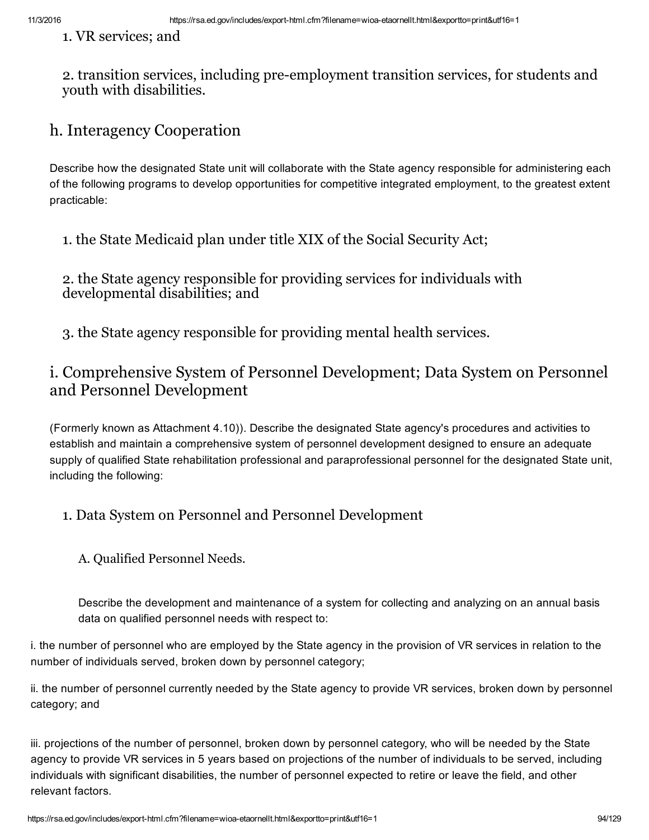#### 1. VR services; and

2. transition services, including pre-employment transition services, for students and youth with disabilities.

### h. Interagency Cooperation

Describe how the designated State unit will collaborate with the State agency responsible for administering each of the following programs to develop opportunities for competitive integrated employment, to the greatest extent practicable:

1. the State Medicaid plan under title XIX of the Social Security Act;

2. the State agency responsible for providing services for individuals with developmental disabilities; and

3. the State agency responsible for providing mental health services.

### i. Comprehensive System of Personnel Development; Data System on Personnel and Personnel Development

(Formerly known as Attachment 4.10)). Describe the designated State agency's procedures and activities to establish and maintain a comprehensive system of personnel development designed to ensure an adequate supply of qualified State rehabilitation professional and paraprofessional personnel for the designated State unit, including the following:

### 1. Data System on Personnel and Personnel Development

A. Qualified Personnel Needs.

Describe the development and maintenance of a system for collecting and analyzing on an annual basis data on qualified personnel needs with respect to:

i. the number of personnel who are employed by the State agency in the provision of VR services in relation to the number of individuals served, broken down by personnel category;

ii. the number of personnel currently needed by the State agency to provide VR services, broken down by personnel category; and

iii. projections of the number of personnel, broken down by personnel category, who will be needed by the State agency to provide VR services in 5 years based on projections of the number of individuals to be served, including individuals with significant disabilities, the number of personnel expected to retire or leave the field, and other relevant factors.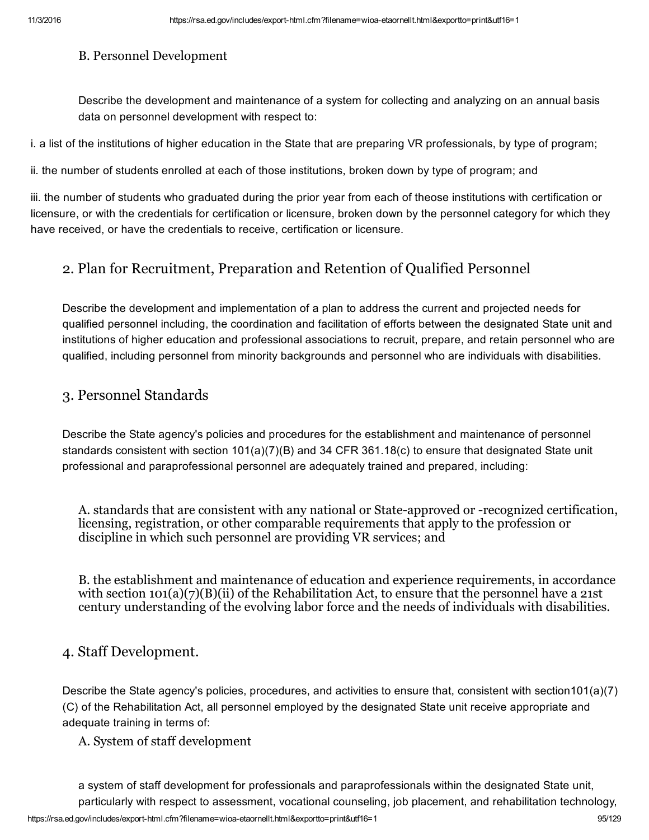#### B. Personnel Development

Describe the development and maintenance of a system for collecting and analyzing on an annual basis data on personnel development with respect to:

i. a list of the institutions of higher education in the State that are preparing VR professionals, by type of program;

ii. the number of students enrolled at each of those institutions, broken down by type of program; and

iii. the number of students who graduated during the prior year from each of theose institutions with certification or licensure, or with the credentials for certification or licensure, broken down by the personnel category for which they have received, or have the credentials to receive, certification or licensure.

### 2. Plan for Recruitment, Preparation and Retention of Qualified Personnel

Describe the development and implementation of a plan to address the current and projected needs for qualified personnel including, the coordination and facilitation of efforts between the designated State unit and institutions of higher education and professional associations to recruit, prepare, and retain personnel who are qualified, including personnel from minority backgrounds and personnel who are individuals with disabilities.

#### 3. Personnel Standards

Describe the State agency's policies and procedures for the establishment and maintenance of personnel standards consistent with section 101(a)(7)(B) and 34 CFR 361.18(c) to ensure that designated State unit professional and paraprofessional personnel are adequately trained and prepared, including:

A. standards that are consistent with any national or State-approved or -recognized certification, licensing, registration, or other comparable requirements that apply to the profession or discipline in which such personnel are providing VR services; and

B. the establishment and maintenance of education and experience requirements, in accordance with section 101(a)(7)(B)(ii) of the Rehabilitation Act, to ensure that the personnel have a 21st century understanding of the evolving labor force and the needs of individuals with disabilities.

### 4. Staff Development.

Describe the State agency's policies, procedures, and activities to ensure that, consistent with section101(a)(7) (C) of the Rehabilitation Act, all personnel employed by the designated State unit receive appropriate and adequate training in terms of:

A. System of staff development

a system of staff development for professionals and paraprofessionals within the designated State unit, particularly with respect to assessment, vocational counseling, job placement, and rehabilitation technology,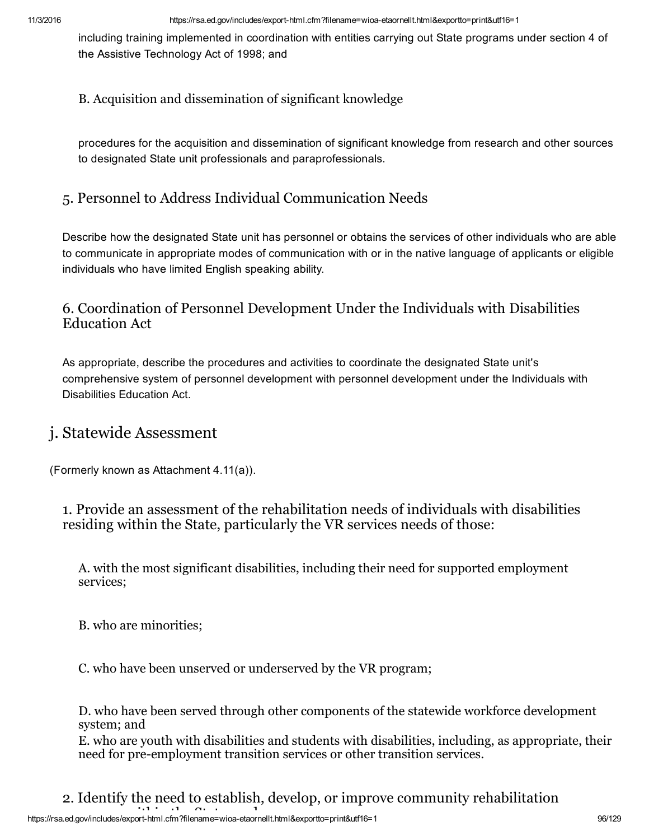including training implemented in coordination with entities carrying out State programs under section 4 of the Assistive Technology Act of 1998; and

#### B. Acquisition and dissemination of significant knowledge

procedures for the acquisition and dissemination of significant knowledge from research and other sources to designated State unit professionals and paraprofessionals.

### 5. Personnel to Address Individual Communication Needs

Describe how the designated State unit has personnel or obtains the services of other individuals who are able to communicate in appropriate modes of communication with or in the native language of applicants or eligible individuals who have limited English speaking ability.

### 6. Coordination of Personnel Development Under the Individuals with Disabilities Education Act

As appropriate, describe the procedures and activities to coordinate the designated State unit's comprehensive system of personnel development with personnel development under the Individuals with Disabilities Education Act.

### j. Statewide Assessment

(Formerly known as Attachment 4.11(a)).

#### 1. Provide an assessment of the rehabilitation needs of individuals with disabilities residing within the State, particularly the VR services needs of those:

A. with the most significant disabilities, including their need for supported employment services;

B. who are minorities;

C. who have been unserved or underserved by the VR program;

D. who have been served through other components of the statewide workforce development system; and

E. who are youth with disabilities and students with disabilities, including, as appropriate, their need for pre-employment transition services or other transition services.

2. Identify the need to establish, develop, or improve community rehabilitation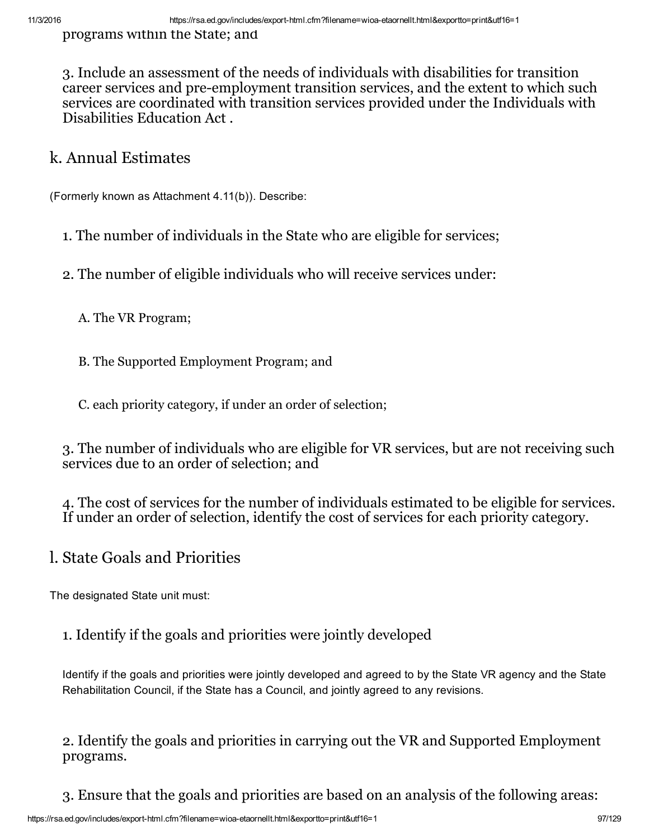programs within the State; and

3. Include an assessment of the needs of individuals with disabilities for transition career services and pre-employment transition services, and the extent to which such services are coordinated with transition services provided under the Individuals with Disabilities Education Act .

## k. Annual Estimates

(Formerly known as Attachment 4.11(b)). Describe:

1. The number of individuals in the State who are eligible for services;

2. The number of eligible individuals who will receive services under:

A. The VR Program;

B. The Supported Employment Program; and

C. each priority category, if under an order of selection;

3. The number of individuals who are eligible for VR services, but are not receiving such services due to an order of selection; and

4. The cost of services for the number of individuals estimated to be eligible for services. If under an order of selection, identify the cost of services for each priority category.

### l. State Goals and Priorities

The designated State unit must:

1. Identify if the goals and priorities were jointly developed

Identify if the goals and priorities were jointly developed and agreed to by the State VR agency and the State Rehabilitation Council, if the State has a Council, and jointly agreed to any revisions.

2. Identify the goals and priorities in carrying out the VR and Supported Employment programs.

3. Ensure that the goals and priorities are based on an analysis of the following areas: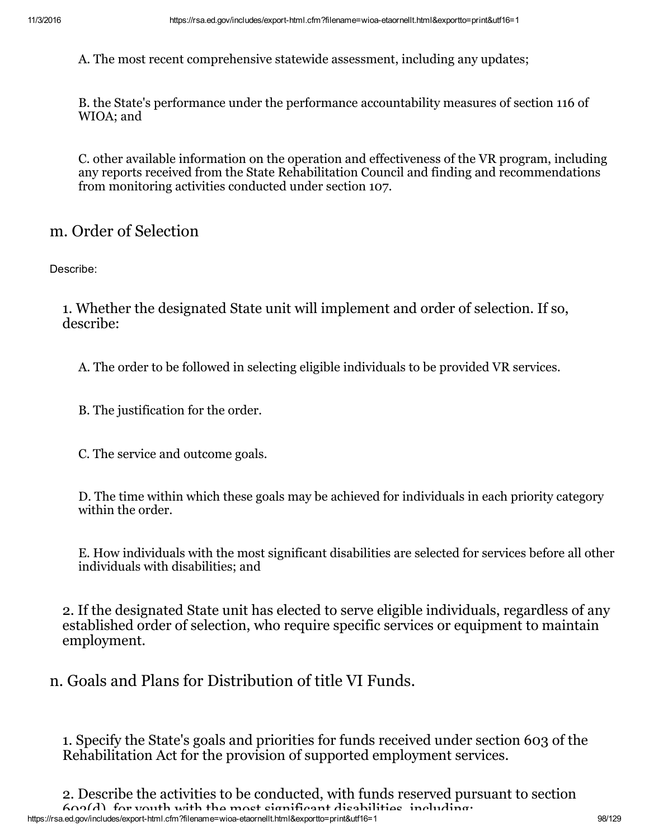A. The most recent comprehensive statewide assessment, including any updates;

B. the State's performance under the performance accountability measures of section 116 of WIOA; and

C. other available information on the operation and effectiveness of the VR program, including any reports received from the State Rehabilitation Council and finding and recommendations from monitoring activities conducted under section 107.

### m. Order of Selection

Describe:

1. Whether the designated State unit will implement and order of selection. If so, describe:

A. The order to be followed in selecting eligible individuals to be provided VR services.

B. The justification for the order.

C. The service and outcome goals.

D. The time within which these goals may be achieved for individuals in each priority category within the order.

E. How individuals with the most significant disabilities are selected for services before all other individuals with disabilities; and

2. If the designated State unit has elected to serve eligible individuals, regardless of any established order of selection, who require specific services or equipment to maintain employment.

n. Goals and Plans for Distribution of title VI Funds.

1. Specify the State's goals and priorities for funds received under section 603 of the Rehabilitation Act for the provision of supported employment services.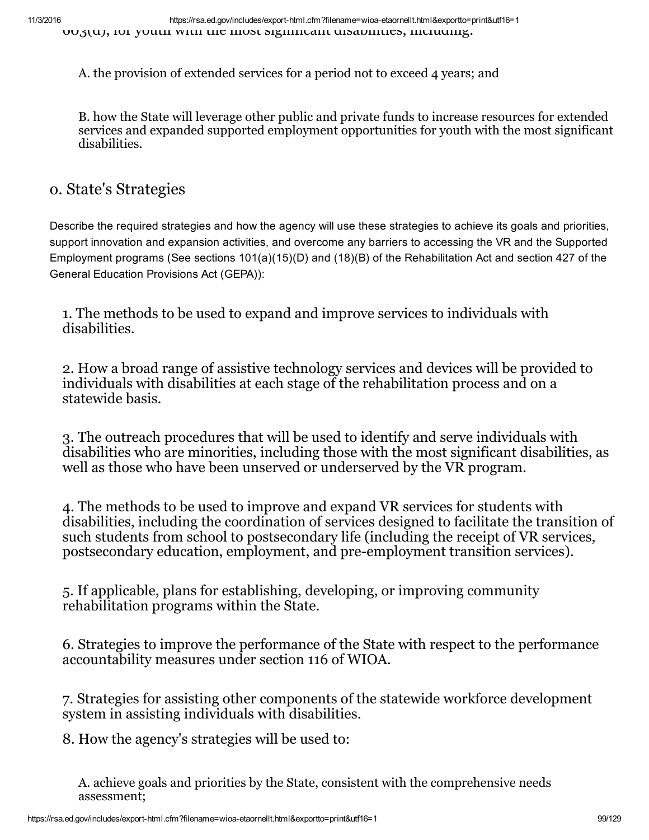A. the provision of extended services for a period not to exceed 4 years; and

B. how the State will leverage other public and private funds to increase resources for extended services and expanded supported employment opportunities for youth with the most significant disabilities.

## o. State's Strategies

Describe the required strategies and how the agency will use these strategies to achieve its goals and priorities, support innovation and expansion activities, and overcome any barriers to accessing the VR and the Supported Employment programs (See sections 101(a)(15)(D) and (18)(B) of the Rehabilitation Act and section 427 of the General Education Provisions Act (GEPA)):

1. The methods to be used to expand and improve services to individuals with disabilities.

2. How a broad range of assistive technology services and devices will be provided to individuals with disabilities at each stage of the rehabilitation process and on a statewide basis.

3. The outreach procedures that will be used to identify and serve individuals with disabilities who are minorities, including those with the most significant disabilities, as well as those who have been unserved or underserved by the VR program.

4. The methods to be used to improve and expand VR services for students with disabilities, including the coordination of services designed to facilitate the transition of such students from school to postsecondary life (including the receipt of VR services, postsecondary education, employment, and pre-employment transition services).

5. If applicable, plans for establishing, developing, or improving community rehabilitation programs within the State.

6. Strategies to improve the performance of the State with respect to the performance accountability measures under section 116 of WIOA.

7. Strategies for assisting other components of the statewide workforce development system in assisting individuals with disabilities.

8. How the agency's strategies will be used to:

A. achieve goals and priorities by the State, consistent with the comprehensive needs assessment;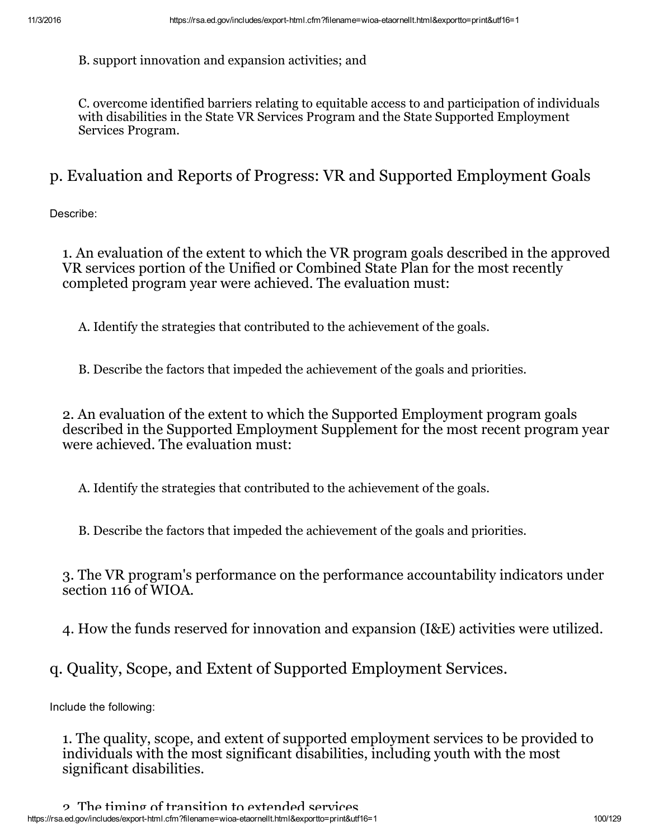B. support innovation and expansion activities; and

C. overcome identified barriers relating to equitable access to and participation of individuals with disabilities in the State VR Services Program and the State Supported Employment Services Program.

## p. Evaluation and Reports of Progress: VR and Supported Employment Goals

Describe:

1. An evaluation of the extent to which the VR program goals described in the approved VR services portion of the Unified or Combined State Plan for the most recently completed program year were achieved. The evaluation must:

A. Identify the strategies that contributed to the achievement of the goals.

B. Describe the factors that impeded the achievement of the goals and priorities.

2. An evaluation of the extent to which the Supported Employment program goals described in the Supported Employment Supplement for the most recent program year were achieved. The evaluation must:

A. Identify the strategies that contributed to the achievement of the goals.

B. Describe the factors that impeded the achievement of the goals and priorities.

3. The VR program's performance on the performance accountability indicators under section 116 of WIOA.

4. How the funds reserved for innovation and expansion (I&E) activities were utilized.

q. Quality, Scope, and Extent of Supported Employment Services.

Include the following:

1. The quality, scope, and extent of supported employment services to be provided to individuals with the most significant disabilities, including youth with the most significant disabilities.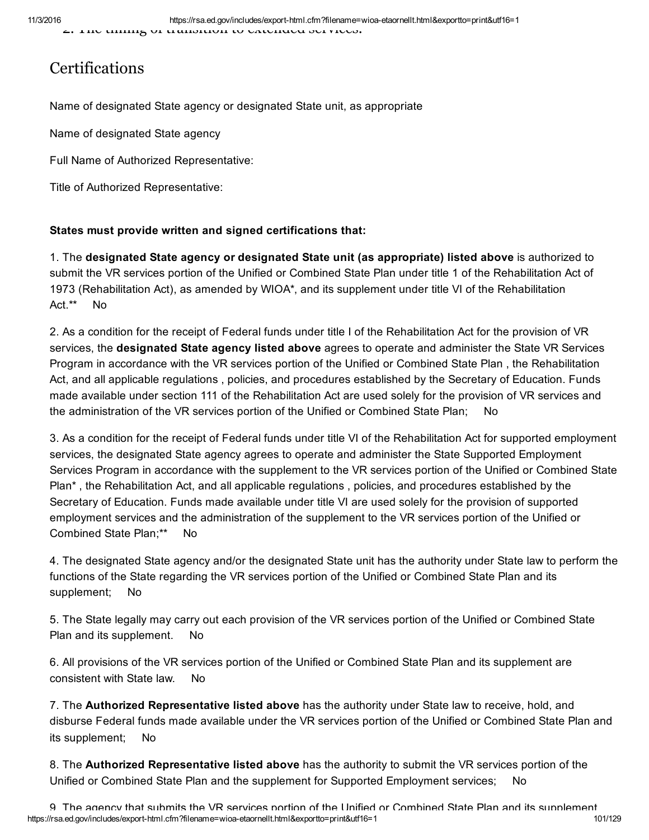# **Certifications**

Name of designated State agency or designated State unit, as appropriate

Name of designated State agency

Full Name of Authorized Representative:

Title of Authorized Representative:

#### States must provide written and signed certifications that:

1. The designated State agency or designated State unit (as appropriate) listed above is authorized to submit the VR services portion of the Unified or Combined State Plan under title 1 of the Rehabilitation Act of 1973 (Rehabilitation Act), as amended by WIOA\*, and its supplement under title VI of the Rehabilitation Act.\*\* No

2. As a condition for the receipt of Federal funds under title I of the Rehabilitation Act for the provision of VR services, the **designated State agency listed above** agrees to operate and administer the State VR Services Program in accordance with the VR services portion of the Unified or Combined State Plan , the Rehabilitation Act, and all applicable regulations , policies, and procedures established by the Secretary of Education. Funds made available under section 111 of the Rehabilitation Act are used solely for the provision of VR services and the administration of the VR services portion of the Unified or Combined State Plan; No

3. As a condition for the receipt of Federal funds under title VI of the Rehabilitation Act for supported employment services, the designated State agency agrees to operate and administer the State Supported Employment Services Program in accordance with the supplement to the VR services portion of the Unified or Combined State Plan\* , the Rehabilitation Act, and all applicable regulations , policies, and procedures established by the Secretary of Education. Funds made available under title VI are used solely for the provision of supported employment services and the administration of the supplement to the VR services portion of the Unified or Combined State Plan;\*\* No

4. The designated State agency and/or the designated State unit has the authority under State law to perform the functions of the State regarding the VR services portion of the Unified or Combined State Plan and its supplement; No

5. The State legally may carry out each provision of the VR services portion of the Unified or Combined State Plan and its supplement. No

6. All provisions of the VR services portion of the Unified or Combined State Plan and its supplement are consistent with State law. No

7. The Authorized Representative listed above has the authority under State law to receive, hold, and disburse Federal funds made available under the VR services portion of the Unified or Combined State Plan and its supplement; No

8. The **Authorized Representative listed above** has the authority to submit the VR services portion of the Unified or Combined State Plan and the supplement for Supported Employment services; No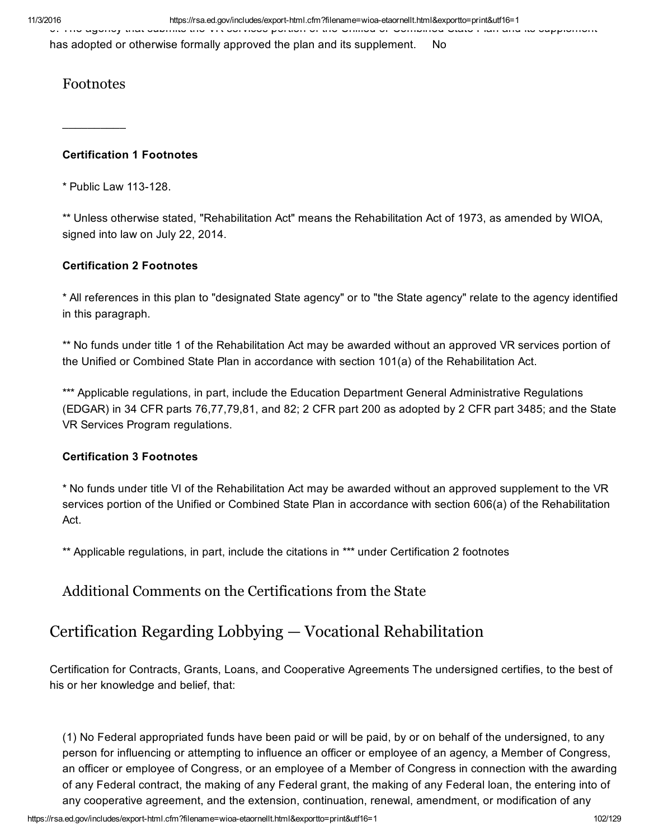9. The agency that submits the VR services portion of the Unified or Combined State Plan and its supplement has adopted or otherwise formally approved the plan and its supplement. No

Footnotes

 $\mathcal{L}=\mathcal{L}$ 

#### Certification 1 Footnotes

 $*$  Public Law 113-128.

\*\* Unless otherwise stated, "Rehabilitation Act" means the Rehabilitation Act of 1973, as amended by WIOA, signed into law on July 22, 2014.

#### Certification 2 Footnotes

\* All references in this plan to "designated State agency" or to "the State agency" relate to the agency identified in this paragraph.

\*\* No funds under title 1 of the Rehabilitation Act may be awarded without an approved VR services portion of the Unified or Combined State Plan in accordance with section 101(a) of the Rehabilitation Act.

\*\*\* Applicable regulations, in part, include the Education Department General Administrative Regulations (EDGAR) in 34 CFR parts 76,77,79,81, and 82; 2 CFR part 200 as adopted by 2 CFR part 3485; and the State VR Services Program regulations.

#### Certification 3 Footnotes

\* No funds under title VI of the Rehabilitation Act may be awarded without an approved supplement to the VR services portion of the Unified or Combined State Plan in accordance with section 606(a) of the Rehabilitation Act.

\*\* Applicable regulations, in part, include the citations in \*\*\* under Certification 2 footnotes

Additional Comments on the Certifications from the State

# Certification Regarding Lobbying — Vocational Rehabilitation

Certification for Contracts, Grants, Loans, and Cooperative Agreements The undersigned certifies, to the best of his or her knowledge and belief, that:

(1) No Federal appropriated funds have been paid or will be paid, by or on behalf of the undersigned, to any person for influencing or attempting to influence an officer or employee of an agency, a Member of Congress, an officer or employee of Congress, or an employee of a Member of Congress in connection with the awarding of any Federal contract, the making of any Federal grant, the making of any Federal loan, the entering into of any cooperative agreement, and the extension, continuation, renewal, amendment, or modification of any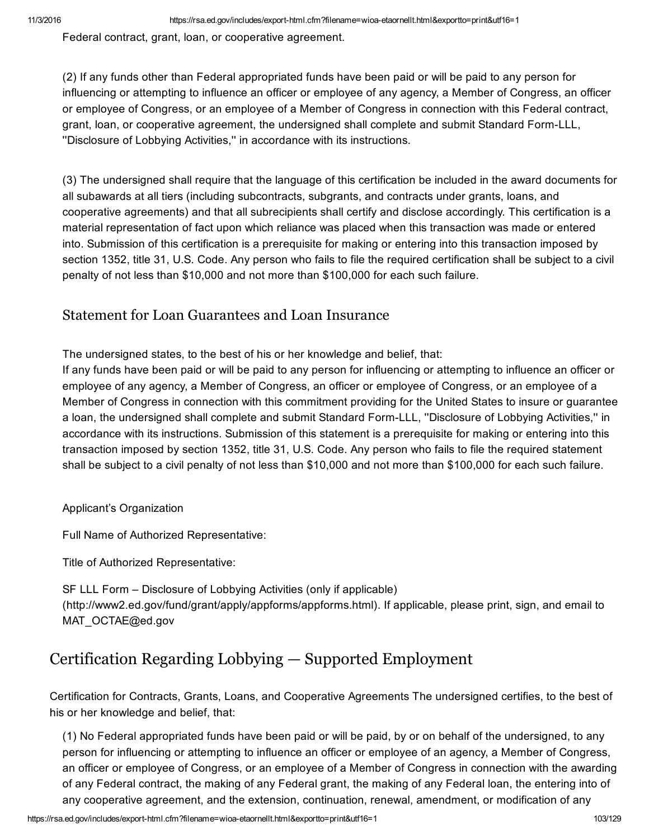Federal contract, grant, loan, or cooperative agreement.

(2) If any funds other than Federal appropriated funds have been paid or will be paid to any person for influencing or attempting to influence an officer or employee of any agency, a Member of Congress, an officer or employee of Congress, or an employee of a Member of Congress in connection with this Federal contract, grant, loan, or cooperative agreement, the undersigned shall complete and submit Standard Form-LLL, ''Disclosure of Lobbying Activities,'' in accordance with its instructions.

(3) The undersigned shall require that the language of this certification be included in the award documents for all subawards at all tiers (including subcontracts, subgrants, and contracts under grants, loans, and cooperative agreements) and that all subrecipients shall certify and disclose accordingly. This certification is a material representation of fact upon which reliance was placed when this transaction was made or entered into. Submission of this certification is a prerequisite for making or entering into this transaction imposed by section 1352, title 31, U.S. Code. Any person who fails to file the required certification shall be subject to a civil penalty of not less than \$10,000 and not more than \$100,000 for each such failure.

#### Statement for Loan Guarantees and Loan Insurance

The undersigned states, to the best of his or her knowledge and belief, that:

If any funds have been paid or will be paid to any person for influencing or attempting to influence an officer or employee of any agency, a Member of Congress, an officer or employee of Congress, or an employee of a Member of Congress in connection with this commitment providing for the United States to insure or guarantee a loan, the undersigned shall complete and submit Standard FormLLL, ''Disclosure of Lobbying Activities,'' in accordance with its instructions. Submission of this statement is a prerequisite for making or entering into this transaction imposed by section 1352, title 31, U.S. Code. Any person who fails to file the required statement shall be subject to a civil penalty of not less than \$10,000 and not more than \$100,000 for each such failure.

#### Applicant's Organization

Full Name of Authorized Representative:

Title of Authorized Representative:

SF LLL Form – Disclosure of Lobbying Activities (only if applicable) (http://www2.ed.gov/fund/grant/apply/appforms/appforms.html). If applicable, please print, sign, and email to MAT\_OCTAE@ed.gov

# Certification Regarding Lobbying — Supported Employment

Certification for Contracts, Grants, Loans, and Cooperative Agreements The undersigned certifies, to the best of his or her knowledge and belief, that:

(1) No Federal appropriated funds have been paid or will be paid, by or on behalf of the undersigned, to any person for influencing or attempting to influence an officer or employee of an agency, a Member of Congress, an officer or employee of Congress, or an employee of a Member of Congress in connection with the awarding of any Federal contract, the making of any Federal grant, the making of any Federal loan, the entering into of any cooperative agreement, and the extension, continuation, renewal, amendment, or modification of any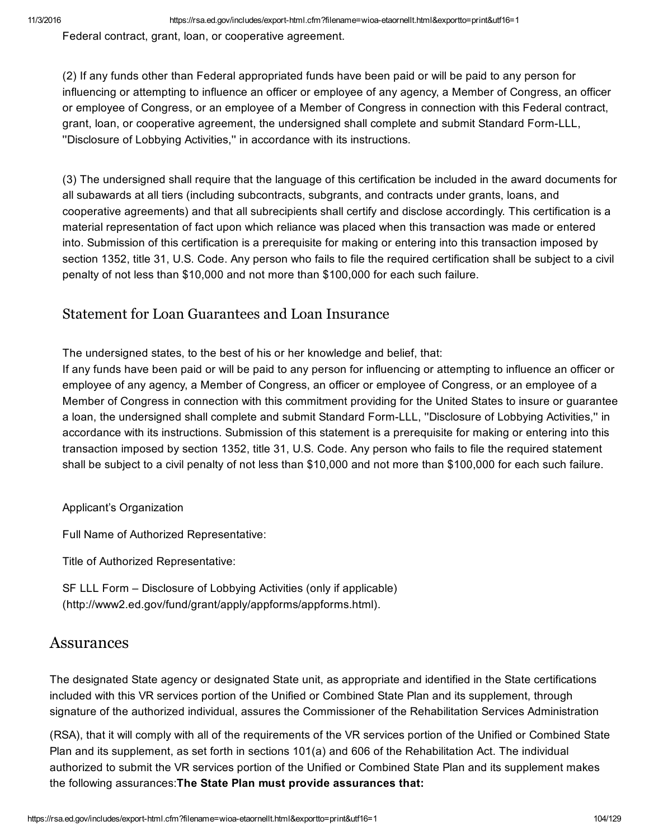Federal contract, grant, loan, or cooperative agreement.

(2) If any funds other than Federal appropriated funds have been paid or will be paid to any person for influencing or attempting to influence an officer or employee of any agency, a Member of Congress, an officer or employee of Congress, or an employee of a Member of Congress in connection with this Federal contract, grant, loan, or cooperative agreement, the undersigned shall complete and submit Standard Form-LLL, ''Disclosure of Lobbying Activities,'' in accordance with its instructions.

(3) The undersigned shall require that the language of this certification be included in the award documents for all subawards at all tiers (including subcontracts, subgrants, and contracts under grants, loans, and cooperative agreements) and that all subrecipients shall certify and disclose accordingly. This certification is a material representation of fact upon which reliance was placed when this transaction was made or entered into. Submission of this certification is a prerequisite for making or entering into this transaction imposed by section 1352, title 31, U.S. Code. Any person who fails to file the required certification shall be subject to a civil penalty of not less than \$10,000 and not more than \$100,000 for each such failure.

#### Statement for Loan Guarantees and Loan Insurance

The undersigned states, to the best of his or her knowledge and belief, that:

If any funds have been paid or will be paid to any person for influencing or attempting to influence an officer or employee of any agency, a Member of Congress, an officer or employee of Congress, or an employee of a Member of Congress in connection with this commitment providing for the United States to insure or guarantee a loan, the undersigned shall complete and submit Standard Form-LLL, "Disclosure of Lobbying Activities," in accordance with its instructions. Submission of this statement is a prerequisite for making or entering into this transaction imposed by section 1352, title 31, U.S. Code. Any person who fails to file the required statement shall be subject to a civil penalty of not less than \$10,000 and not more than \$100,000 for each such failure.

#### Applicant's Organization

Full Name of Authorized Representative:

Title of Authorized Representative:

SF LLL Form – Disclosure of Lobbying Activities (only if applicable) (http://www2.ed.gov/fund/grant/apply/appforms/appforms.html).

#### Assurances

The designated State agency or designated State unit, as appropriate and identified in the State certifications included with this VR services portion of the Unified or Combined State Plan and its supplement, through signature of the authorized individual, assures the Commissioner of the Rehabilitation Services Administration

(RSA), that it will comply with all of the requirements of the VR services portion of the Unified or Combined State Plan and its supplement, as set forth in sections 101(a) and 606 of the Rehabilitation Act. The individual authorized to submit the VR services portion of the Unified or Combined State Plan and its supplement makes the following assurances:The State Plan must provide assurances that: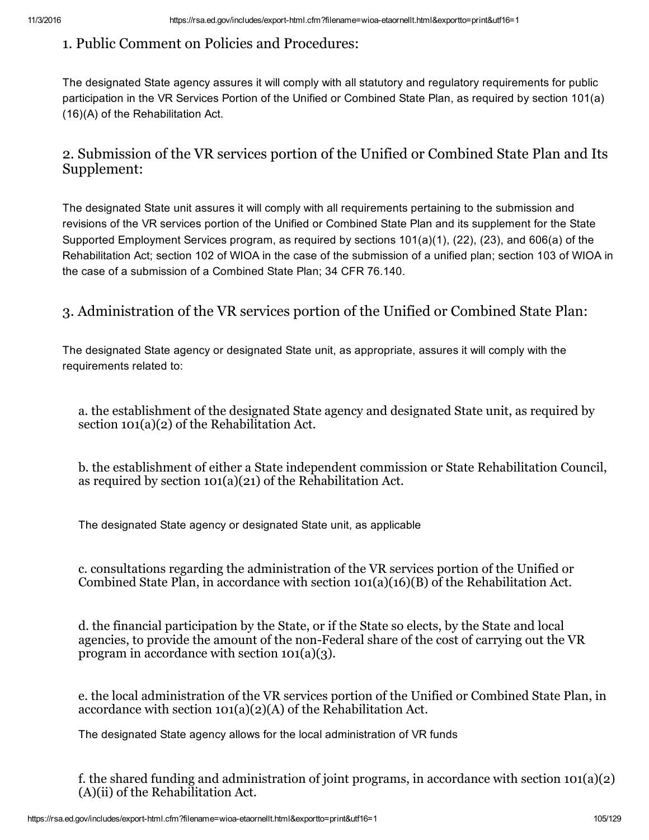### 1. Public Comment on Policies and Procedures:

The designated State agency assures it will comply with all statutory and regulatory requirements for public participation in the VR Services Portion of the Unified or Combined State Plan, as required by section 101(a) (16)(A) of the Rehabilitation Act.

### 2. Submission of the VR services portion of the Unified or Combined State Plan and Its Supplement:

The designated State unit assures it will comply with all requirements pertaining to the submission and revisions of the VR services portion of the Unified or Combined State Plan and its supplement for the State Supported Employment Services program, as required by sections 101(a)(1), (22), (23), and 606(a) of the Rehabilitation Act; section 102 of WIOA in the case of the submission of a unified plan; section 103 of WIOA in the case of a submission of a Combined State Plan; 34 CFR 76.140.

### 3. Administration of the VR services portion of the Unified or Combined State Plan:

The designated State agency or designated State unit, as appropriate, assures it will comply with the requirements related to:

a. the establishment of the designated State agency and designated State unit, as required by section 101(a)(2) of the Rehabilitation Act.

b. the establishment of either a State independent commission or State Rehabilitation Council, as required by section 101(a)(21) of the Rehabilitation Act.

The designated State agency or designated State unit, as applicable

c. consultations regarding the administration of the VR services portion of the Unified or Combined State Plan, in accordance with section 101(a)(16)(B) of the Rehabilitation Act.

d. the financial participation by the State, or if the State so elects, by the State and local agencies, to provide the amount of the non-Federal share of the cost of carrying out the VR program in accordance with section 101(a)(3).

e. the local administration of the VR services portion of the Unified or Combined State Plan, in accordance with section 101(a)(2)(A) of the Rehabilitation Act.

The designated State agency allows for the local administration of VR funds

f. the shared funding and administration of joint programs, in accordance with section 101(a)(2) (A)(ii) of the Rehabilitation Act.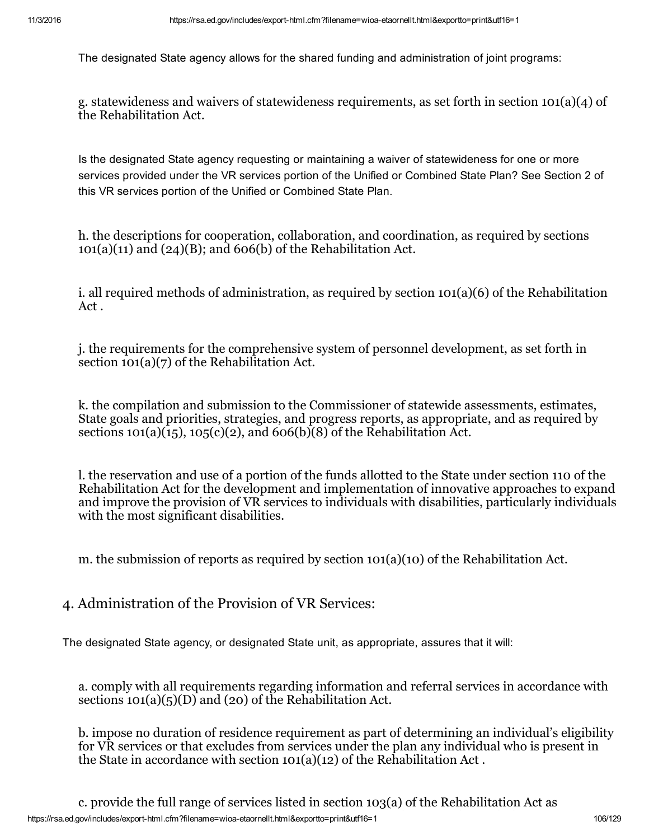The designated State agency allows for the shared funding and administration of joint programs:

g. statewideness and waivers of statewideness requirements, as set forth in section 101(a)(4) of the Rehabilitation Act.

Is the designated State agency requesting or maintaining a waiver of statewideness for one or more services provided under the VR services portion of the Unified or Combined State Plan? See Section 2 of this VR services portion of the Unified or Combined State Plan.

h. the descriptions for cooperation, collaboration, and coordination, as required by sections  $101(a)(11)$  and  $(24)(B)$ ; and  $606(b)$  of the Rehabilitation Act.

i. all required methods of administration, as required by section 101(a)(6) of the Rehabilitation Act .

j. the requirements for the comprehensive system of personnel development, as set forth in section 101(a)(7) of the Rehabilitation Act.

k. the compilation and submission to the Commissioner of statewide assessments, estimates, State goals and priorities, strategies, and progress reports, as appropriate, and as required by sections  $101(a)(15)$ ,  $105(c)(2)$ , and  $606(b)(8)$  of the Rehabilitation Act.

l. the reservation and use of a portion of the funds allotted to the State under section 110 of the Rehabilitation Act for the development and implementation of innovative approaches to expand and improve the provision of VR services to individuals with disabilities, particularly individuals with the most significant disabilities.

m. the submission of reports as required by section 101(a)(10) of the Rehabilitation Act.

#### 4. Administration of the Provision of VR Services:

The designated State agency, or designated State unit, as appropriate, assures that it will:

a. comply with all requirements regarding information and referral services in accordance with sections  $101(a)(5)(D)$  and  $(20)$  of the Rehabilitation Act.

b. impose no duration of residence requirement as part of determining an individual's eligibility for VR services or that excludes from services under the plan any individual who is present in the State in accordance with section 101(a)(12) of the Rehabilitation Act .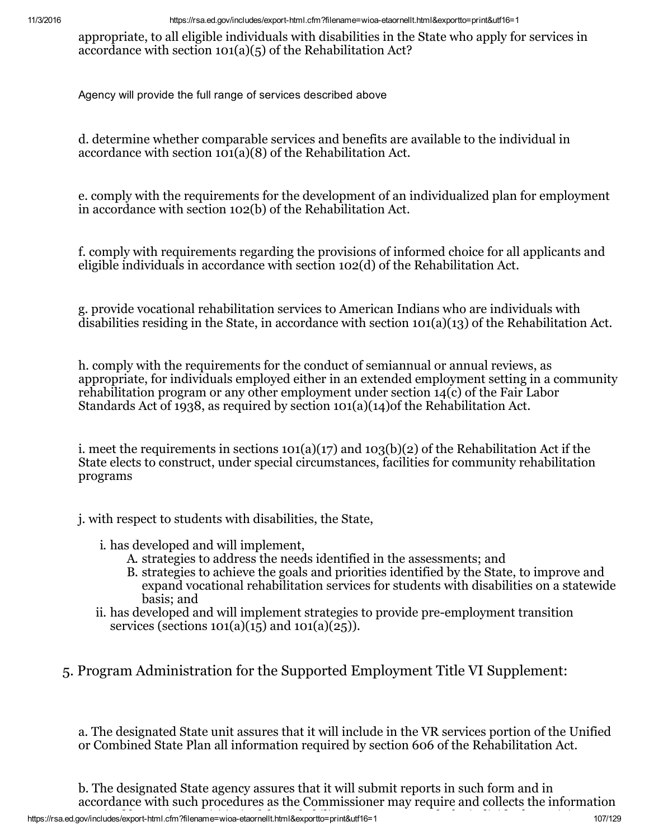appropriate, to all eligible individuals with disabilities in the State who apply for services in accordance with section  $101(a)(5)$  of the Rehabilitation Act?

Agency will provide the full range of services described above

d. determine whether comparable services and benefits are available to the individual in accordance with section 101(a)(8) of the Rehabilitation Act.

e. comply with the requirements for the development of an individualized plan for employment in accordance with section 102(b) of the Rehabilitation Act.

f. comply with requirements regarding the provisions of informed choice for all applicants and eligible individuals in accordance with section 102(d) of the Rehabilitation Act.

g. provide vocational rehabilitation services to American Indians who are individuals with disabilities residing in the State, in accordance with section 101(a)(13) of the Rehabilitation Act.

h. comply with the requirements for the conduct of semiannual or annual reviews, as appropriate, for individuals employed either in an extended employment setting in a community rehabilitation program or any other employment under section 14(c) of the Fair Labor Standards Act of 1938, as required by section 101(a)(14)of the Rehabilitation Act.

i. meet the requirements in sections  $101(a)(17)$  and  $103(b)(2)$  of the Rehabilitation Act if the State elects to construct, under special circumstances, facilities for community rehabilitation programs

- j. with respect to students with disabilities, the State,
	- i. has developed and will implement,
		- A. strategies to address the needs identified in the assessments; and
		- B. strategies to achieve the goals and priorities identified by the State, to improve and expand vocational rehabilitation services for students with disabilities on a statewide basis; and
	- ii. has developed and will implement strategies to provide pre-employment transition services (sections  $101(a)(15)$  and  $101(a)(25)$ ).

### 5. Program Administration for the Supported Employment Title VI Supplement:

a. The designated State unit assures that it will include in the VR services portion of the Unified or Combined State Plan all information required by section 606 of the Rehabilitation Act.

b. The designated State agency assures that it will submit reports in such form and in accordance with such procedures as the Commissioner may require and collects the information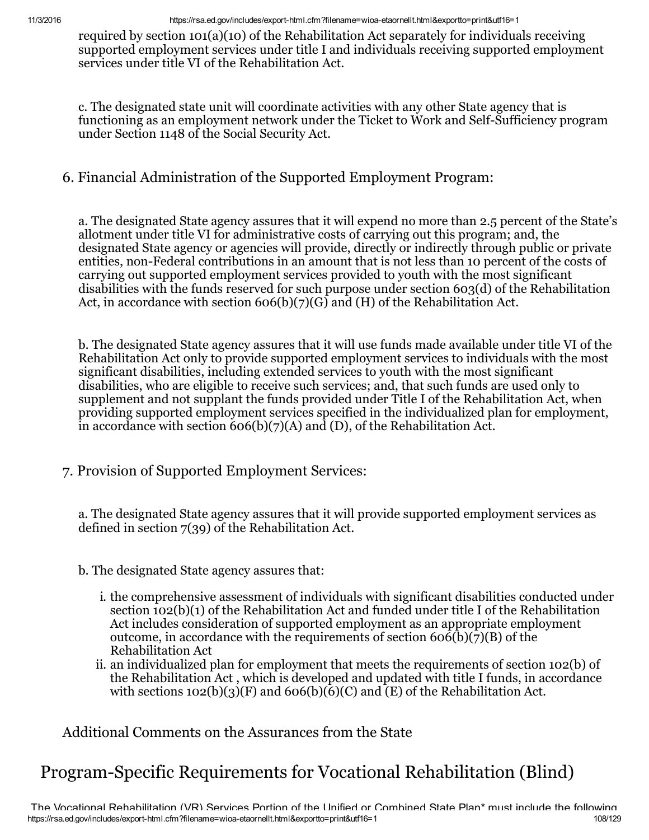required by section 101(a)(10) of the Rehabilitation Act separately for individuals receiving supported employment services under title I and individuals receiving supported employment services under title VI of the Rehabilitation Act.

c. The designated state unit will coordinate activities with any other State agency that is functioning as an employment network under the Ticket to Work and Self-Sufficiency program under Section 1148 of the Social Security Act.

#### 6. Financial Administration of the Supported Employment Program:

a. The designated State agency assures that it will expend no more than 2.5 percent of the State's allotment under title VI for administrative costs of carrying out this program; and, the designated State agency or agencies will provide, directly or indirectly through public or private entities, non-Federal contributions in an amount that is not less than 10 percent of the costs of carrying out supported employment services provided to youth with the most significant disabilities with the funds reserved for such purpose under section 603(d) of the Rehabilitation Act, in accordance with section  $606(b)(7)(G)$  and (H) of the Rehabilitation Act.

b. The designated State agency assures that it will use funds made available under title VI of the Rehabilitation Act only to provide supported employment services to individuals with the most significant disabilities, including extended services to youth with the most significant disabilities, who are eligible to receive such services; and, that such funds are used only to supplement and not supplant the funds provided under Title I of the Rehabilitation Act, when providing supported employment services specified in the individualized plan for employment, in accordance with section  $606(b)(7)(A)$  and (D), of the Rehabilitation Act.

#### 7. Provision of Supported Employment Services:

a. The designated State agency assures that it will provide supported employment services as defined in section 7(39) of the Rehabilitation Act.

b. The designated State agency assures that:

- i. the comprehensive assessment of individuals with significant disabilities conducted under section 102(b)(1) of the Rehabilitation Act and funded under title I of the Rehabilitation Act includes consideration of supported employment as an appropriate employment outcome, in accordance with the requirements of section  $606(b)(7)(B)$  of the Rehabilitation Act
- ii. an individualized plan for employment that meets the requirements of section 102(b) of the Rehabilitation Act , which is developed and updated with title I funds, in accordance with sections  $102(b)(3)(F)$  and  $606(b)(6)(C)$  and  $(E)$  of the Rehabilitation Act.

Additional Comments on the Assurances from the State

# Program-Specific Requirements for Vocational Rehabilitation (Blind)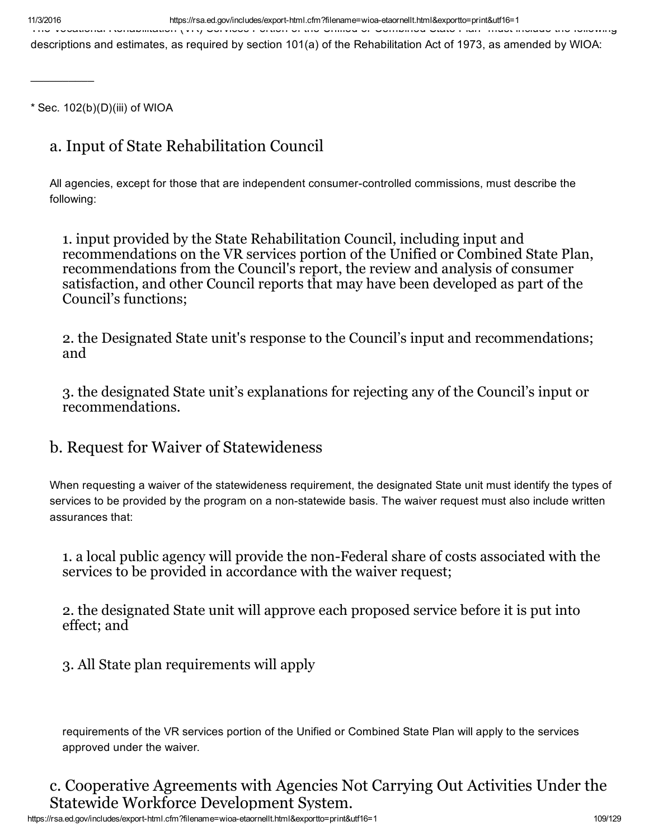$\frac{1}{2}$ 

11/3/2016 https://rsa.ed.gov/includes/exporthtml.cfm?filename=wioaetaornellt.html&exportto=print&utf16=1

The Vocational Rehabilitation (VR) Services Portion of the Unified or Combined State Plan\* must include the following descriptions and estimates, as required by section 101(a) of the Rehabilitation Act of 1973, as amended by WIOA:

 $*$  Sec. 102(b)(D)(iii) of WIOA

## a. Input of State Rehabilitation Council

All agencies, except for those that are independent consumer-controlled commissions, must describe the following:

1. input provided by the State Rehabilitation Council, including input and recommendations on the VR services portion of the Unified or Combined State Plan, recommendations from the Council's report, the review and analysis of consumer satisfaction, and other Council reports that may have been developed as part of the Council's functions;

2. the Designated State unit's response to the Council's input and recommendations; and

3. the designated State unit's explanations for rejecting any of the Council's input or recommendations.

## b. Request for Waiver of Statewideness

When requesting a waiver of the statewideness requirement, the designated State unit must identify the types of services to be provided by the program on a non-statewide basis. The waiver request must also include written assurances that:

1. a local public agency will provide the non-Federal share of costs associated with the services to be provided in accordance with the waiver request;

2. the designated State unit will approve each proposed service before it is put into effect; and

3. All State plan requirements will apply

requirements of the VR services portion of the Unified or Combined State Plan will apply to the services approved under the waiver.

## c. Cooperative Agreements with Agencies Not Carrying Out Activities Under the Statewide Workforce Development System.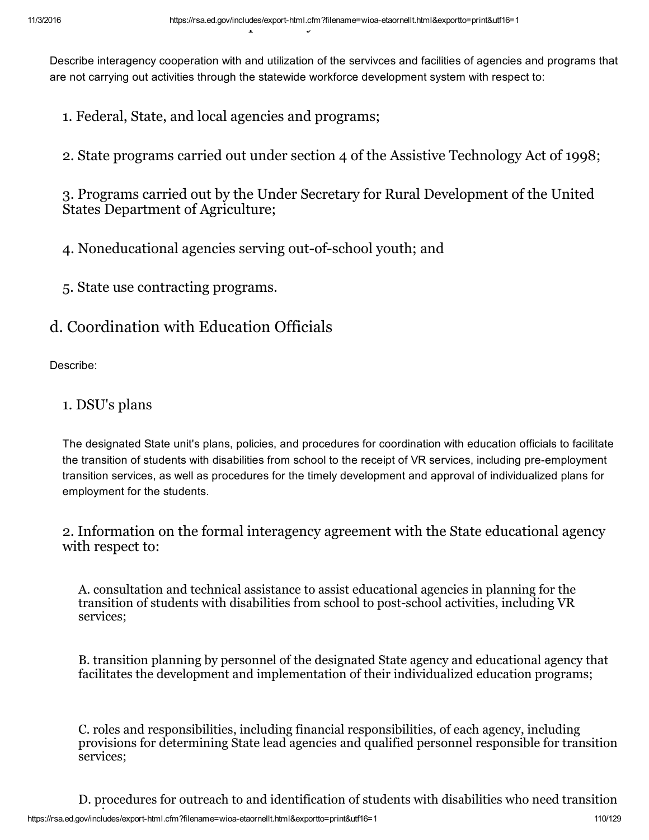Describe interagency cooperation with and utilization of the servivces and facilities of agencies and programs that are not carrying out activities through the statewide workforce development system with respect to:

1. Federal, State, and local agencies and programs;

2. State programs carried out under section 4 of the Assistive Technology Act of 1998;

3. Programs carried out by the Under Secretary for Rural Development of the United States Department of Agriculture;

- 4. Noneducational agencies serving out-of-school youth; and
- 5. State use contracting programs.

## d. Coordination with Education Officials

Describe:

1. DSU's plans

The designated State unit's plans, policies, and procedures for coordination with education officials to facilitate the transition of students with disabilities from school to the receipt of VR services, including pre-employment transition services, as well as procedures for the timely development and approval of individualized plans for employment for the students.

2. Information on the formal interagency agreement with the State educational agency with respect to:

A. consultation and technical assistance to assist educational agencies in planning for the transition of students with disabilities from school to post-school activities, including VR services;

B. transition planning by personnel of the designated State agency and educational agency that facilitates the development and implementation of their individualized education programs;

C. roles and responsibilities, including financial responsibilities, of each agency, including provisions for determining State lead agencies and qualified personnel responsible for transition services;

https://rsa.ed.gov/includes/export-html.cfm?filename=wioa-etaornellt.html&exportto=print&utf16=1 110/129 110/129 D. procedures for outreach to and identification of students with disabilities who need transition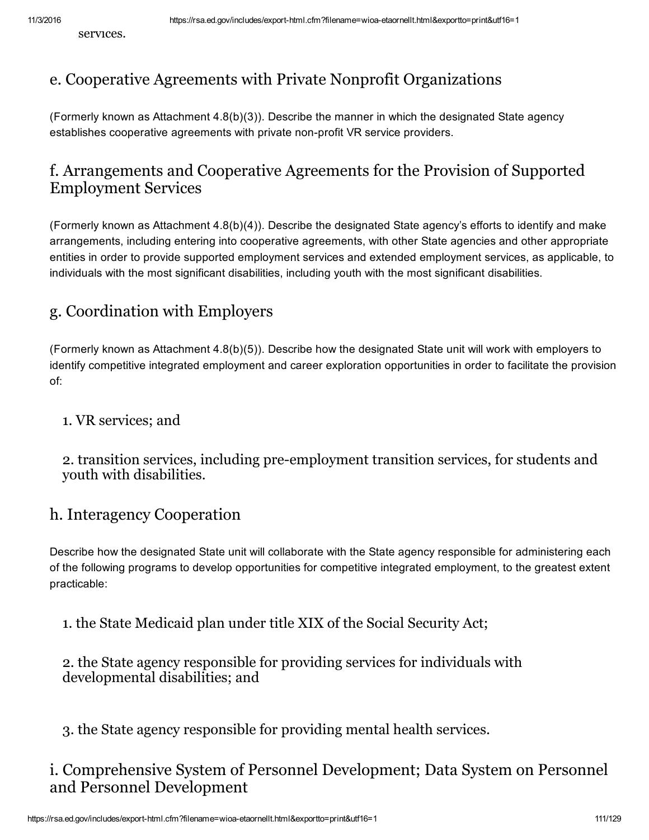services.

## e. Cooperative Agreements with Private Nonprofit Organizations

(Formerly known as Attachment 4.8(b)(3)). Describe the manner in which the designated State agency establishes cooperative agreements with private non-profit VR service providers.

## f. Arrangements and Cooperative Agreements for the Provision of Supported Employment Services

(Formerly known as Attachment 4.8(b)(4)). Describe the designated State agency's efforts to identify and make arrangements, including entering into cooperative agreements, with other State agencies and other appropriate entities in order to provide supported employment services and extended employment services, as applicable, to individuals with the most significant disabilities, including youth with the most significant disabilities.

## g. Coordination with Employers

(Formerly known as Attachment 4.8(b)(5)). Describe how the designated State unit will work with employers to identify competitive integrated employment and career exploration opportunities in order to facilitate the provision of:

#### 1. VR services; and

2. transition services, including pre-employment transition services, for students and youth with disabilities.

## h. Interagency Cooperation

Describe how the designated State unit will collaborate with the State agency responsible for administering each of the following programs to develop opportunities for competitive integrated employment, to the greatest extent practicable:

### 1. the State Medicaid plan under title XIX of the Social Security Act;

2. the State agency responsible for providing services for individuals with developmental disabilities; and

3. the State agency responsible for providing mental health services.

i. Comprehensive System of Personnel Development; Data System on Personnel and Personnel Development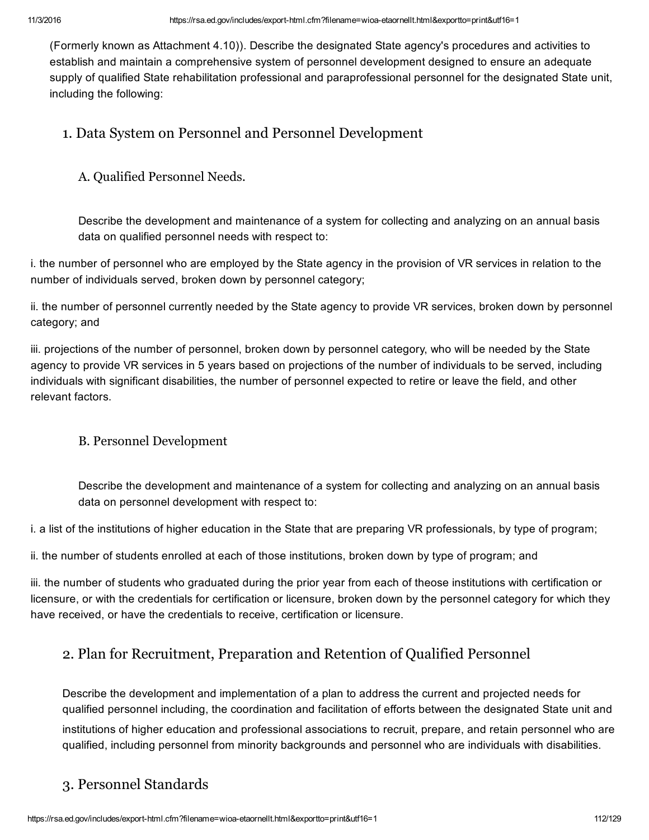(Formerly known as Attachment 4.10)). Describe the designated State agency's procedures and activities to establish and maintain a comprehensive system of personnel development designed to ensure an adequate supply of qualified State rehabilitation professional and paraprofessional personnel for the designated State unit, including the following:

### 1. Data System on Personnel and Personnel Development

#### A. Qualified Personnel Needs.

Describe the development and maintenance of a system for collecting and analyzing on an annual basis data on qualified personnel needs with respect to:

i. the number of personnel who are employed by the State agency in the provision of VR services in relation to the number of individuals served, broken down by personnel category;

ii. the number of personnel currently needed by the State agency to provide VR services, broken down by personnel category; and

iii. projections of the number of personnel, broken down by personnel category, who will be needed by the State agency to provide VR services in 5 years based on projections of the number of individuals to be served, including individuals with significant disabilities, the number of personnel expected to retire or leave the field, and other relevant factors.

#### B. Personnel Development

Describe the development and maintenance of a system for collecting and analyzing on an annual basis data on personnel development with respect to:

i. a list of the institutions of higher education in the State that are preparing VR professionals, by type of program;

ii. the number of students enrolled at each of those institutions, broken down by type of program; and

iii. the number of students who graduated during the prior year from each of theose institutions with certification or licensure, or with the credentials for certification or licensure, broken down by the personnel category for which they have received, or have the credentials to receive, certification or licensure.

## 2. Plan for Recruitment, Preparation and Retention of Qualified Personnel

Describe the development and implementation of a plan to address the current and projected needs for qualified personnel including, the coordination and facilitation of efforts between the designated State unit and institutions of higher education and professional associations to recruit, prepare, and retain personnel who are qualified, including personnel from minority backgrounds and personnel who are individuals with disabilities.

## 3. Personnel Standards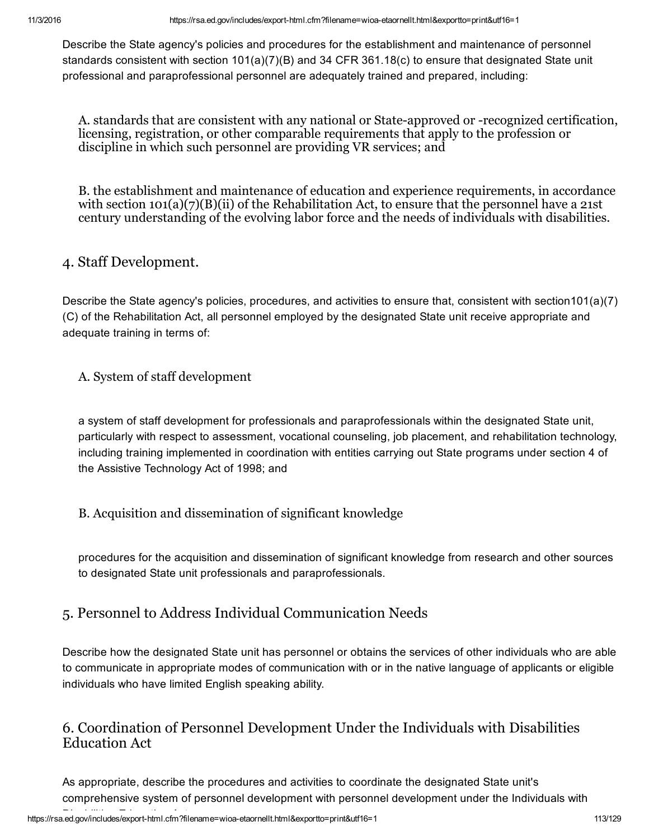Describe the State agency's policies and procedures for the establishment and maintenance of personnel standards consistent with section 101(a)(7)(B) and 34 CFR 361.18(c) to ensure that designated State unit professional and paraprofessional personnel are adequately trained and prepared, including:

A. standards that are consistent with any national or State-approved or -recognized certification, licensing, registration, or other comparable requirements that apply to the profession or discipline in which such personnel are providing VR services; and

B. the establishment and maintenance of education and experience requirements, in accordance with section 101(a)(7)(B)(ii) of the Rehabilitation Act, to ensure that the personnel have a 21st century understanding of the evolving labor force and the needs of individuals with disabilities.

### 4. Staff Development.

Describe the State agency's policies, procedures, and activities to ensure that, consistent with section101(a)(7) (C) of the Rehabilitation Act, all personnel employed by the designated State unit receive appropriate and adequate training in terms of:

#### A. System of staff development

a system of staff development for professionals and paraprofessionals within the designated State unit, particularly with respect to assessment, vocational counseling, job placement, and rehabilitation technology, including training implemented in coordination with entities carrying out State programs under section 4 of the Assistive Technology Act of 1998; and

### B. Acquisition and dissemination of significant knowledge

procedures for the acquisition and dissemination of significant knowledge from research and other sources to designated State unit professionals and paraprofessionals.

## 5. Personnel to Address Individual Communication Needs

Describe how the designated State unit has personnel or obtains the services of other individuals who are able to communicate in appropriate modes of communication with or in the native language of applicants or eligible individuals who have limited English speaking ability.

## 6. Coordination of Personnel Development Under the Individuals with Disabilities Education Act

As appropriate, describe the procedures and activities to coordinate the designated State unit's comprehensive system of personnel development with personnel development under the Individuals with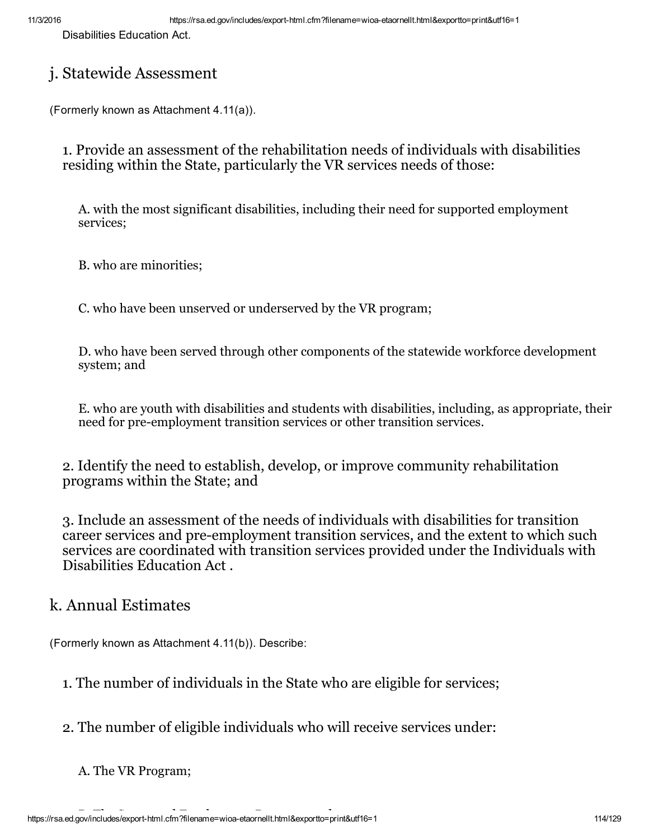Disabilities Education Act.

### j. Statewide Assessment

(Formerly known as Attachment 4.11(a)).

1. Provide an assessment of the rehabilitation needs of individuals with disabilities residing within the State, particularly the VR services needs of those:

A. with the most significant disabilities, including their need for supported employment services;

B. who are minorities;

C. who have been unserved or underserved by the VR program;

D. who have been served through other components of the statewide workforce development system; and

E. who are youth with disabilities and students with disabilities, including, as appropriate, their need for pre-employment transition services or other transition services.

2. Identify the need to establish, develop, or improve community rehabilitation programs within the State; and

3. Include an assessment of the needs of individuals with disabilities for transition career services and pre-employment transition services, and the extent to which such services are coordinated with transition services provided under the Individuals with Disabilities Education Act .

## k. Annual Estimates

(Formerly known as Attachment 4.11(b)). Describe:

1. The number of individuals in the State who are eligible for services;

2. The number of eligible individuals who will receive services under:

A. The VR Program;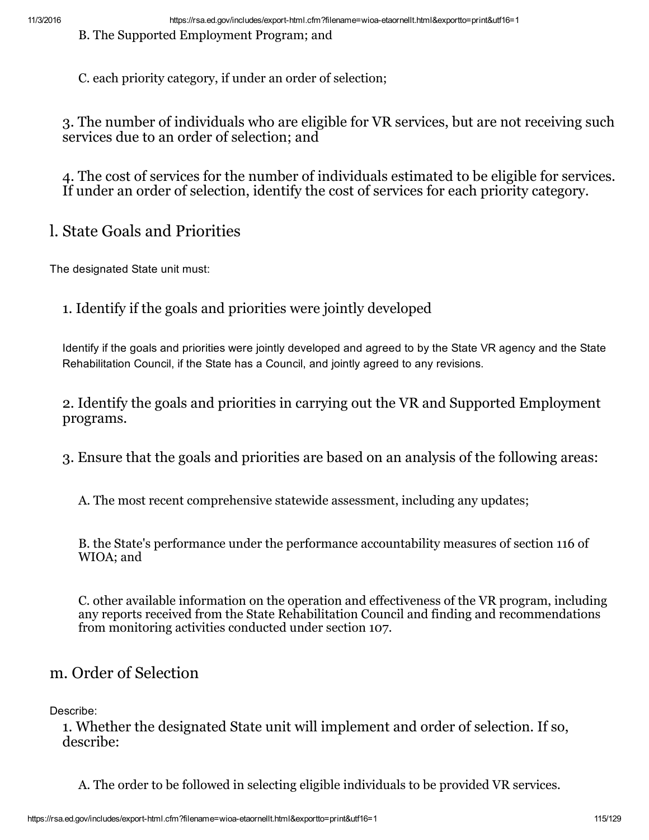B. The Supported Employment Program; and

C. each priority category, if under an order of selection;

3. The number of individuals who are eligible for VR services, but are not receiving such services due to an order of selection; and

4. The cost of services for the number of individuals estimated to be eligible for services. If under an order of selection, identify the cost of services for each priority category.

l. State Goals and Priorities

The designated State unit must:

1. Identify if the goals and priorities were jointly developed

Identify if the goals and priorities were jointly developed and agreed to by the State VR agency and the State Rehabilitation Council, if the State has a Council, and jointly agreed to any revisions.

2. Identify the goals and priorities in carrying out the VR and Supported Employment programs.

3. Ensure that the goals and priorities are based on an analysis of the following areas:

A. The most recent comprehensive statewide assessment, including any updates;

B. the State's performance under the performance accountability measures of section 116 of WIOA; and

C. other available information on the operation and effectiveness of the VR program, including any reports received from the State Rehabilitation Council and finding and recommendations from monitoring activities conducted under section 107.

## m. Order of Selection

Describe:

1. Whether the designated State unit will implement and order of selection. If so, describe:

A. The order to be followed in selecting eligible individuals to be provided VR services.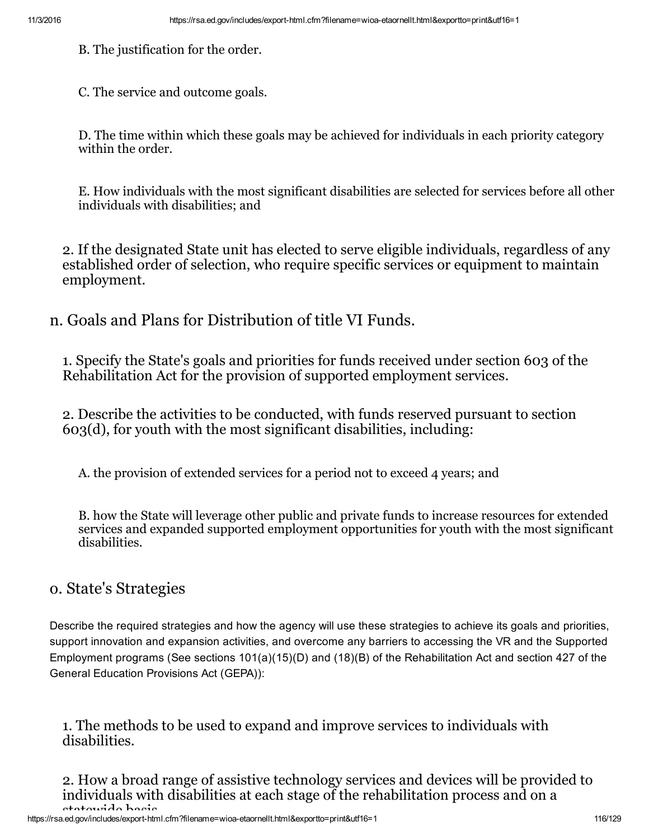B. The justification for the order.

C. The service and outcome goals.

D. The time within which these goals may be achieved for individuals in each priority category within the order.

E. How individuals with the most significant disabilities are selected for services before all other individuals with disabilities; and

2. If the designated State unit has elected to serve eligible individuals, regardless of any established order of selection, who require specific services or equipment to maintain employment.

n. Goals and Plans for Distribution of title VI Funds.

1. Specify the State's goals and priorities for funds received under section 603 of the Rehabilitation Act for the provision of supported employment services.

2. Describe the activities to be conducted, with funds reserved pursuant to section 603(d), for youth with the most significant disabilities, including:

A. the provision of extended services for a period not to exceed 4 years; and

B. how the State will leverage other public and private funds to increase resources for extended services and expanded supported employment opportunities for youth with the most significant disabilities.

## o. State's Strategies

Describe the required strategies and how the agency will use these strategies to achieve its goals and priorities, support innovation and expansion activities, and overcome any barriers to accessing the VR and the Supported Employment programs (See sections 101(a)(15)(D) and (18)(B) of the Rehabilitation Act and section 427 of the General Education Provisions Act (GEPA)):

1. The methods to be used to expand and improve services to individuals with disabilities.

2. How a broad range of assistive technology services and devices will be provided to individuals with disabilities at each stage of the rehabilitation process and on a statewide basis.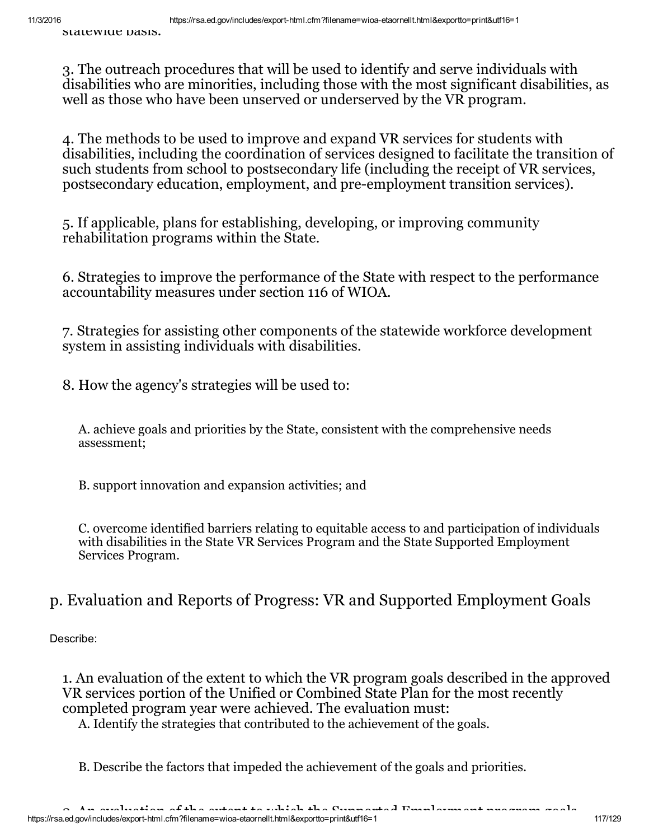statewitte basis.

3. The outreach procedures that will be used to identify and serve individuals with disabilities who are minorities, including those with the most significant disabilities, as well as those who have been unserved or underserved by the VR program.

4. The methods to be used to improve and expand VR services for students with disabilities, including the coordination of services designed to facilitate the transition of such students from school to postsecondary life (including the receipt of VR services, postsecondary education, employment, and pre-employment transition services).

5. If applicable, plans for establishing, developing, or improving community rehabilitation programs within the State.

6. Strategies to improve the performance of the State with respect to the performance accountability measures under section 116 of WIOA.

7. Strategies for assisting other components of the statewide workforce development system in assisting individuals with disabilities.

8. How the agency's strategies will be used to:

A. achieve goals and priorities by the State, consistent with the comprehensive needs assessment;

B. support innovation and expansion activities; and

C. overcome identified barriers relating to equitable access to and participation of individuals with disabilities in the State VR Services Program and the State Supported Employment Services Program.

## p. Evaluation and Reports of Progress: VR and Supported Employment Goals

Describe:

1. An evaluation of the extent to which the VR program goals described in the approved VR services portion of the Unified or Combined State Plan for the most recently completed program year were achieved. The evaluation must:

A. Identify the strategies that contributed to the achievement of the goals.

B. Describe the factors that impeded the achievement of the goals and priorities.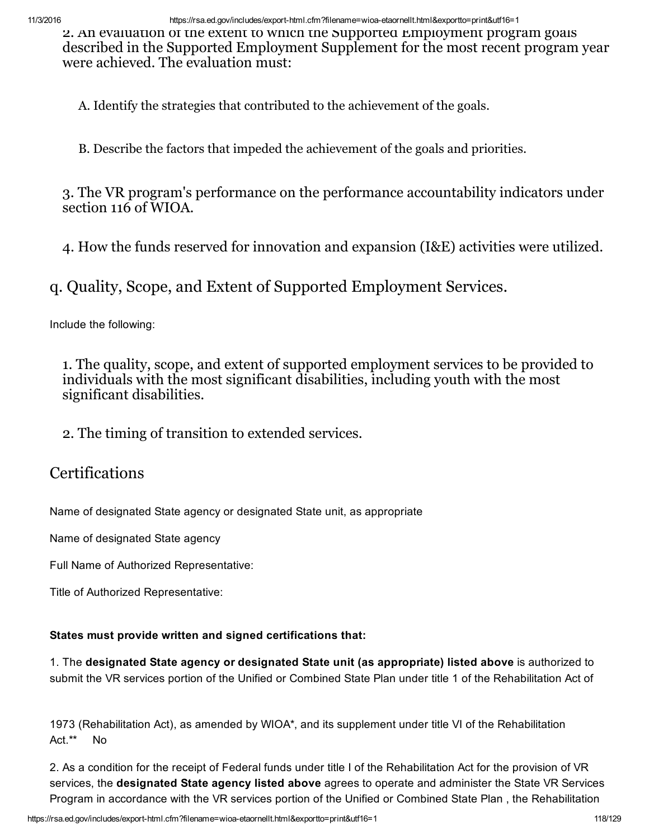2. An evaluation of the extent to which the Supported Employment program goals described in the Supported Employment Supplement for the most recent program year were achieved. The evaluation must:

A. Identify the strategies that contributed to the achievement of the goals.

B. Describe the factors that impeded the achievement of the goals and priorities.

3. The VR program's performance on the performance accountability indicators under section 116 of WIOA.

4. How the funds reserved for innovation and expansion (I&E) activities were utilized.

q. Quality, Scope, and Extent of Supported Employment Services.

Include the following:

1. The quality, scope, and extent of supported employment services to be provided to individuals with the most significant disabilities, including youth with the most significant disabilities.

2. The timing of transition to extended services.

## Certifications

Name of designated State agency or designated State unit, as appropriate

Name of designated State agency

Full Name of Authorized Representative:

Title of Authorized Representative:

#### States must provide written and signed certifications that:

1. The designated State agency or designated State unit (as appropriate) listed above is authorized to submit the VR services portion of the Unified or Combined State Plan under title 1 of the Rehabilitation Act of

1973 (Rehabilitation Act), as amended by WIOA\*, and its supplement under title VI of the Rehabilitation Act.\*\* No

2. As a condition for the receipt of Federal funds under title I of the Rehabilitation Act for the provision of VR services, the **designated State agency listed above** agrees to operate and administer the State VR Services Program in accordance with the VR services portion of the Unified or Combined State Plan , the Rehabilitation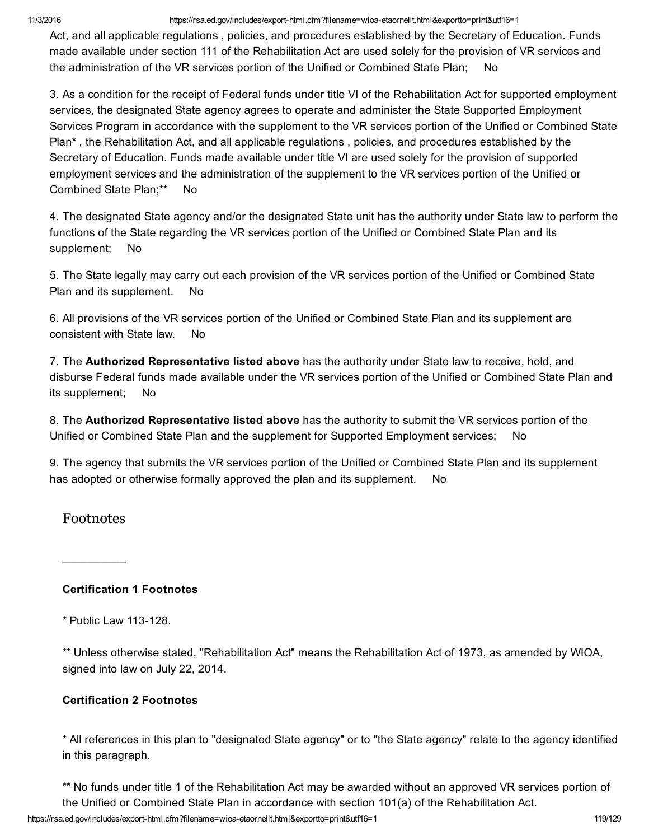Act, and all applicable regulations , policies, and procedures established by the Secretary of Education. Funds made available under section 111 of the Rehabilitation Act are used solely for the provision of VR services and the administration of the VR services portion of the Unified or Combined State Plan; No

3. As a condition for the receipt of Federal funds under title VI of the Rehabilitation Act for supported employment services, the designated State agency agrees to operate and administer the State Supported Employment Services Program in accordance with the supplement to the VR services portion of the Unified or Combined State Plan\* , the Rehabilitation Act, and all applicable regulations , policies, and procedures established by the Secretary of Education. Funds made available under title VI are used solely for the provision of supported employment services and the administration of the supplement to the VR services portion of the Unified or Combined State Plan;\*\* No

4. The designated State agency and/or the designated State unit has the authority under State law to perform the functions of the State regarding the VR services portion of the Unified or Combined State Plan and its supplement; No

5. The State legally may carry out each provision of the VR services portion of the Unified or Combined State Plan and its supplement. No

6. All provisions of the VR services portion of the Unified or Combined State Plan and its supplement are consistent with State law. No

7. The Authorized Representative listed above has the authority under State law to receive, hold, and disburse Federal funds made available under the VR services portion of the Unified or Combined State Plan and its supplement; No

8. The **Authorized Representative listed above** has the authority to submit the VR services portion of the Unified or Combined State Plan and the supplement for Supported Employment services; No

9. The agency that submits the VR services portion of the Unified or Combined State Plan and its supplement has adopted or otherwise formally approved the plan and its supplement. No

### Footnotes

 $\frac{1}{2}$ 

#### Certification 1 Footnotes

\* Public Law 113-128.

\*\* Unless otherwise stated, "Rehabilitation Act" means the Rehabilitation Act of 1973, as amended by WIOA, signed into law on July 22, 2014.

#### Certification 2 Footnotes

\* All references in this plan to "designated State agency" or to "the State agency" relate to the agency identified in this paragraph.

\*\* No funds under title 1 of the Rehabilitation Act may be awarded without an approved VR services portion of the Unified or Combined State Plan in accordance with section 101(a) of the Rehabilitation Act.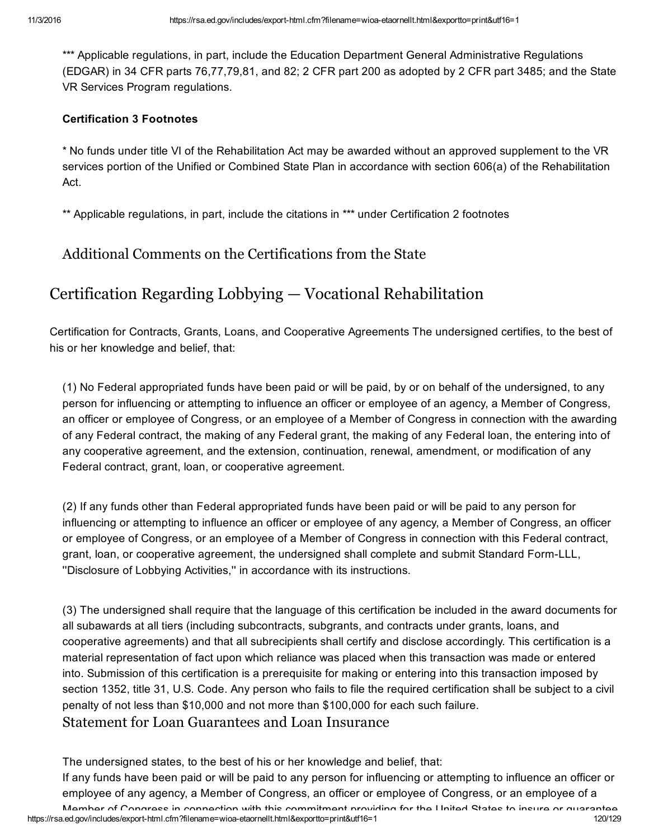\*\*\* Applicable regulations, in part, include the Education Department General Administrative Regulations (EDGAR) in 34 CFR parts 76,77,79,81, and 82; 2 CFR part 200 as adopted by 2 CFR part 3485; and the State VR Services Program regulations.

#### Certification 3 Footnotes

\* No funds under title VI of the Rehabilitation Act may be awarded without an approved supplement to the VR services portion of the Unified or Combined State Plan in accordance with section 606(a) of the Rehabilitation Act.

\*\* Applicable regulations, in part, include the citations in \*\*\* under Certification 2 footnotes

#### Additional Comments on the Certifications from the State

## Certification Regarding Lobbying — Vocational Rehabilitation

Certification for Contracts, Grants, Loans, and Cooperative Agreements The undersigned certifies, to the best of his or her knowledge and belief, that:

(1) No Federal appropriated funds have been paid or will be paid, by or on behalf of the undersigned, to any person for influencing or attempting to influence an officer or employee of an agency, a Member of Congress, an officer or employee of Congress, or an employee of a Member of Congress in connection with the awarding of any Federal contract, the making of any Federal grant, the making of any Federal loan, the entering into of any cooperative agreement, and the extension, continuation, renewal, amendment, or modification of any Federal contract, grant, loan, or cooperative agreement.

(2) If any funds other than Federal appropriated funds have been paid or will be paid to any person for influencing or attempting to influence an officer or employee of any agency, a Member of Congress, an officer or employee of Congress, or an employee of a Member of Congress in connection with this Federal contract, grant, loan, or cooperative agreement, the undersigned shall complete and submit Standard Form-LLL, ''Disclosure of Lobbying Activities,'' in accordance with its instructions.

(3) The undersigned shall require that the language of this certification be included in the award documents for all subawards at all tiers (including subcontracts, subgrants, and contracts under grants, loans, and cooperative agreements) and that all subrecipients shall certify and disclose accordingly. This certification is a material representation of fact upon which reliance was placed when this transaction was made or entered into. Submission of this certification is a prerequisite for making or entering into this transaction imposed by section 1352, title 31, U.S. Code. Any person who fails to file the required certification shall be subject to a civil penalty of not less than \$10,000 and not more than \$100,000 for each such failure.

Statement for Loan Guarantees and Loan Insurance

The undersigned states, to the best of his or her knowledge and belief, that:

If any funds have been paid or will be paid to any person for influencing or attempting to influence an officer or employee of any agency, a Member of Congress, an officer or employee of Congress, or an employee of a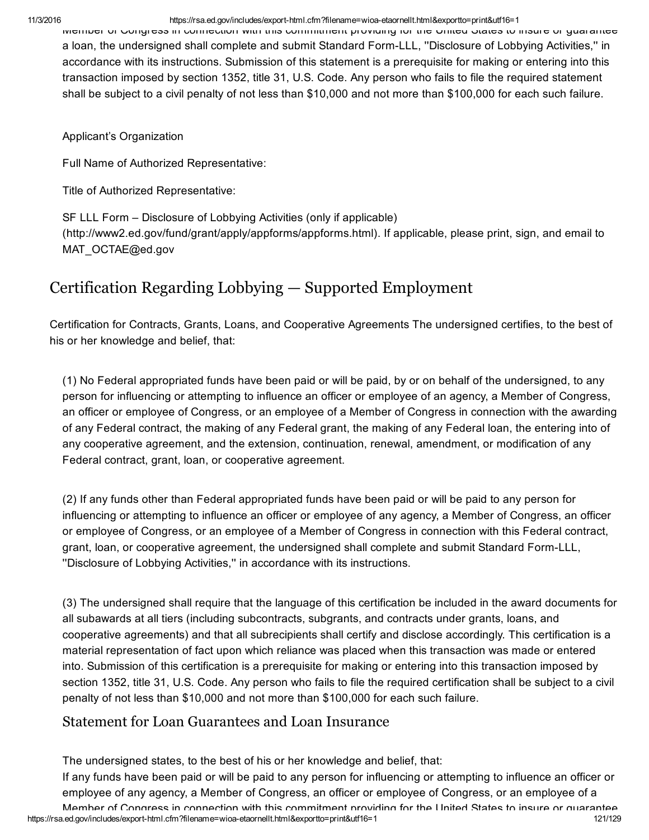Member of Congress in connection with this commitment providing for the United States to insure or guarantee a loan, the undersigned shall complete and submit Standard FormLLL, ''Disclosure of Lobbying Activities,'' in accordance with its instructions. Submission of this statement is a prerequisite for making or entering into this transaction imposed by section 1352, title 31, U.S. Code. Any person who fails to file the required statement shall be subject to a civil penalty of not less than \$10,000 and not more than \$100,000 for each such failure.

Applicant's Organization

Full Name of Authorized Representative:

Title of Authorized Representative:

SF LLL Form – Disclosure of Lobbying Activities (only if applicable) (http://www2.ed.gov/fund/grant/apply/appforms/appforms.html). If applicable, please print, sign, and email to MAT\_OCTAE@ed.gov

## Certification Regarding Lobbying — Supported Employment

Certification for Contracts, Grants, Loans, and Cooperative Agreements The undersigned certifies, to the best of his or her knowledge and belief, that:

(1) No Federal appropriated funds have been paid or will be paid, by or on behalf of the undersigned, to any person for influencing or attempting to influence an officer or employee of an agency, a Member of Congress, an officer or employee of Congress, or an employee of a Member of Congress in connection with the awarding of any Federal contract, the making of any Federal grant, the making of any Federal loan, the entering into of any cooperative agreement, and the extension, continuation, renewal, amendment, or modification of any Federal contract, grant, loan, or cooperative agreement.

(2) If any funds other than Federal appropriated funds have been paid or will be paid to any person for influencing or attempting to influence an officer or employee of any agency, a Member of Congress, an officer or employee of Congress, or an employee of a Member of Congress in connection with this Federal contract, grant, loan, or cooperative agreement, the undersigned shall complete and submit Standard Form-LLL, ''Disclosure of Lobbying Activities,'' in accordance with its instructions.

(3) The undersigned shall require that the language of this certification be included in the award documents for all subawards at all tiers (including subcontracts, subgrants, and contracts under grants, loans, and cooperative agreements) and that all subrecipients shall certify and disclose accordingly. This certification is a material representation of fact upon which reliance was placed when this transaction was made or entered into. Submission of this certification is a prerequisite for making or entering into this transaction imposed by section 1352, title 31, U.S. Code. Any person who fails to file the required certification shall be subject to a civil penalty of not less than \$10,000 and not more than \$100,000 for each such failure.

#### Statement for Loan Guarantees and Loan Insurance

The undersigned states, to the best of his or her knowledge and belief, that:

If any funds have been paid or will be paid to any person for influencing or attempting to influence an officer or employee of any agency, a Member of Congress, an officer or employee of Congress, or an employee of a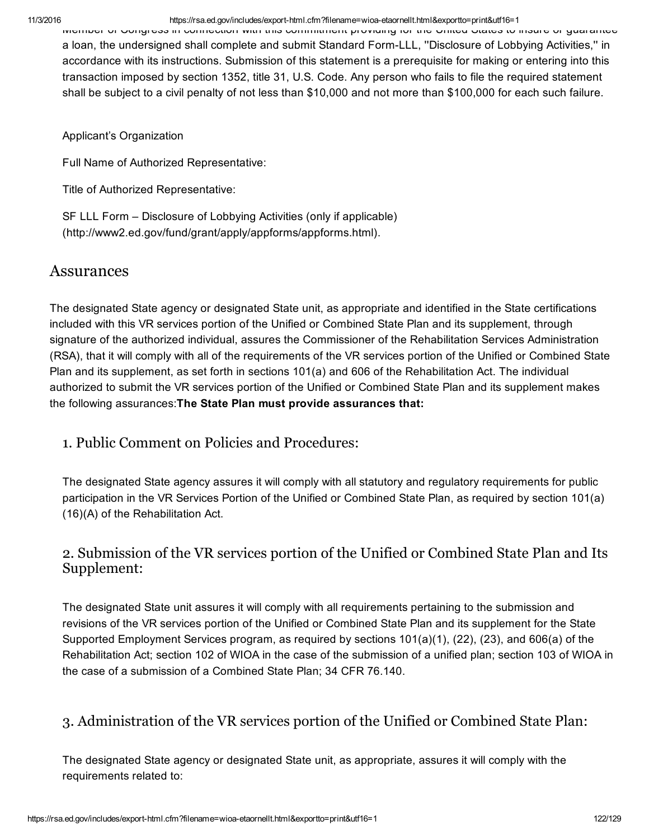Member of Congress in connection with this commitment providing for the United States to insure or guarantee a loan, the undersigned shall complete and submit Standard FormLLL, ''Disclosure of Lobbying Activities,'' in accordance with its instructions. Submission of this statement is a prerequisite for making or entering into this transaction imposed by section 1352, title 31, U.S. Code. Any person who fails to file the required statement shall be subject to a civil penalty of not less than \$10,000 and not more than \$100,000 for each such failure.

Applicant's Organization

Full Name of Authorized Representative:

Title of Authorized Representative:

SF LLL Form – Disclosure of Lobbying Activities (only if applicable) (http://www2.ed.gov/fund/grant/apply/appforms/appforms.html).

## Assurances

The designated State agency or designated State unit, as appropriate and identified in the State certifications included with this VR services portion of the Unified or Combined State Plan and its supplement, through signature of the authorized individual, assures the Commissioner of the Rehabilitation Services Administration (RSA), that it will comply with all of the requirements of the VR services portion of the Unified or Combined State Plan and its supplement, as set forth in sections 101(a) and 606 of the Rehabilitation Act. The individual authorized to submit the VR services portion of the Unified or Combined State Plan and its supplement makes the following assurances:The State Plan must provide assurances that:

### 1. Public Comment on Policies and Procedures:

The designated State agency assures it will comply with all statutory and regulatory requirements for public participation in the VR Services Portion of the Unified or Combined State Plan, as required by section 101(a) (16)(A) of the Rehabilitation Act.

### 2. Submission of the VR services portion of the Unified or Combined State Plan and Its Supplement:

The designated State unit assures it will comply with all requirements pertaining to the submission and revisions of the VR services portion of the Unified or Combined State Plan and its supplement for the State Supported Employment Services program, as required by sections 101(a)(1), (22), (23), and 606(a) of the Rehabilitation Act; section 102 of WIOA in the case of the submission of a unified plan; section 103 of WIOA in the case of a submission of a Combined State Plan; 34 CFR 76.140.

## 3. Administration of the VR services portion of the Unified or Combined State Plan:

The designated State agency or designated State unit, as appropriate, assures it will comply with the requirements related to: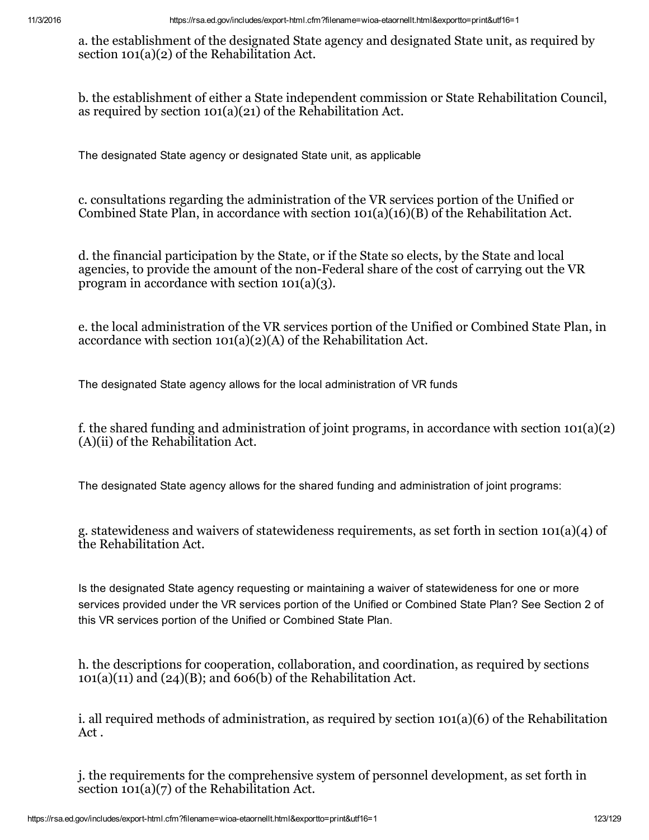a. the establishment of the designated State agency and designated State unit, as required by section 101(a)(2) of the Rehabilitation Act.

b. the establishment of either a State independent commission or State Rehabilitation Council, as required by section 101(a)(21) of the Rehabilitation Act.

The designated State agency or designated State unit, as applicable

c. consultations regarding the administration of the VR services portion of the Unified or Combined State Plan, in accordance with section 101(a)(16)(B) of the Rehabilitation Act.

d. the financial participation by the State, or if the State so elects, by the State and local agencies, to provide the amount of the non-Federal share of the cost of carrying out the VR program in accordance with section 101(a)(3).

e. the local administration of the VR services portion of the Unified or Combined State Plan, in accordance with section  $101(a)(2)(A)$  of the Rehabilitation Act.

The designated State agency allows for the local administration of VR funds

f. the shared funding and administration of joint programs, in accordance with section 101(a)(2) (A)(ii) of the Rehabilitation Act.

The designated State agency allows for the shared funding and administration of joint programs:

g. statewideness and waivers of statewideness requirements, as set forth in section 101(a)(4) of the Rehabilitation Act.

Is the designated State agency requesting or maintaining a waiver of statewideness for one or more services provided under the VR services portion of the Unified or Combined State Plan? See Section 2 of this VR services portion of the Unified or Combined State Plan.

h. the descriptions for cooperation, collaboration, and coordination, as required by sections  $101(a)(11)$  and  $(24)(B)$ ; and  $606(b)$  of the Rehabilitation Act.

i. all required methods of administration, as required by section 101(a)(6) of the Rehabilitation Act .

j. the requirements for the comprehensive system of personnel development, as set forth in section 101(a)(7) of the Rehabilitation Act.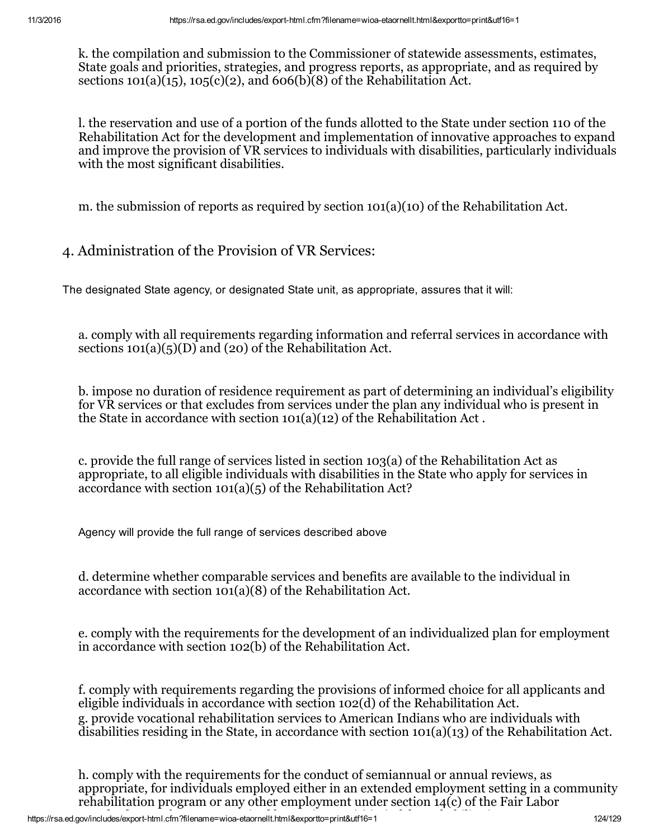k. the compilation and submission to the Commissioner of statewide assessments, estimates, State goals and priorities, strategies, and progress reports, as appropriate, and as required by sections 101(a)(15), 105(c)(2), and  $606(b)(8)$  of the Rehabilitation Act.

l. the reservation and use of a portion of the funds allotted to the State under section 110 of the Rehabilitation Act for the development and implementation of innovative approaches to expand and improve the provision of VR services to individuals with disabilities, particularly individuals with the most significant disabilities.

m. the submission of reports as required by section 101(a)(10) of the Rehabilitation Act.

## 4. Administration of the Provision of VR Services:

The designated State agency, or designated State unit, as appropriate, assures that it will:

a. comply with all requirements regarding information and referral services in accordance with sections  $101(a)(5)(D)$  and  $(20)$  of the Rehabilitation Act.

b. impose no duration of residence requirement as part of determining an individual's eligibility for VR services or that excludes from services under the plan any individual who is present in the State in accordance with section  $101(a)(12)$  of the Rehabilitation Act.

c. provide the full range of services listed in section 103(a) of the Rehabilitation Act as appropriate, to all eligible individuals with disabilities in the State who apply for services in accordance with section  $101(a)(5)$  of the Rehabilitation Act?

Agency will provide the full range of services described above

d. determine whether comparable services and benefits are available to the individual in accordance with section 101(a)(8) of the Rehabilitation Act.

e. comply with the requirements for the development of an individualized plan for employment in accordance with section 102(b) of the Rehabilitation Act.

f. comply with requirements regarding the provisions of informed choice for all applicants and eligible individuals in accordance with section 102(d) of the Rehabilitation Act. g. provide vocational rehabilitation services to American Indians who are individuals with disabilities residing in the State, in accordance with section 101(a)(13) of the Rehabilitation Act.

h. comply with the requirements for the conduct of semiannual or annual reviews, as appropriate, for individuals employed either in an extended employment setting in a community rehabilitation program or any other employment under section 14(c) of the Fair Labor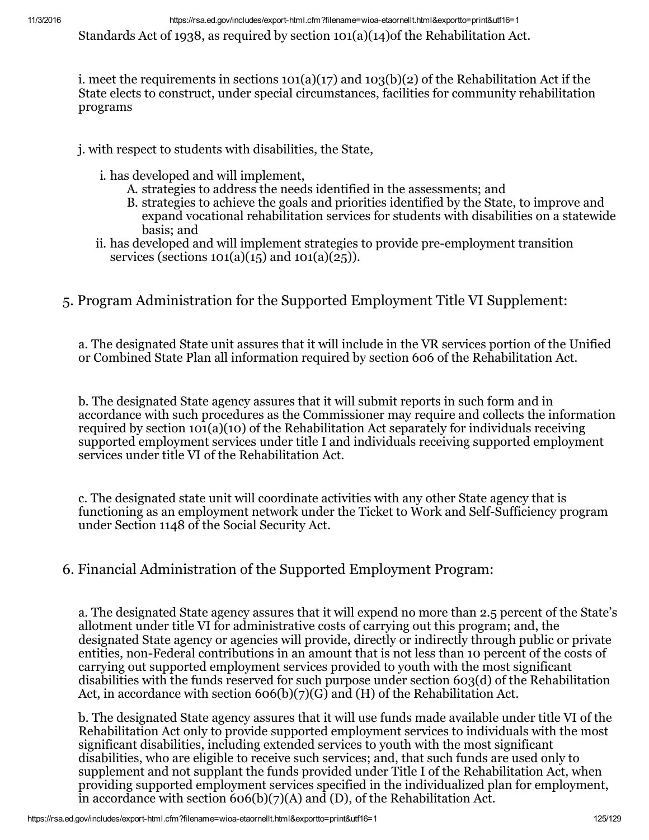Standards Act of 1938, as required by section 101(a)(14)of the Rehabilitation Act.

i. meet the requirements in sections  $101(a)(17)$  and  $103(b)(2)$  of the Rehabilitation Act if the State elects to construct, under special circumstances, facilities for community rehabilitation programs

j. with respect to students with disabilities, the State,

- i. has developed and will implement,
	- A. strategies to address the needs identified in the assessments; and
	- B. strategies to achieve the goals and priorities identified by the State, to improve and expand vocational rehabilitation services for students with disabilities on a statewide basis; and
- ii. has developed and will implement strategies to provide pre-employment transition services (sections  $101(a)(15)$  and  $101(a)(25)$ ).
- 5. Program Administration for the Supported Employment Title VI Supplement:

a. The designated State unit assures that it will include in the VR services portion of the Unified or Combined State Plan all information required by section 606 of the Rehabilitation Act.

b. The designated State agency assures that it will submit reports in such form and in accordance with such procedures as the Commissioner may require and collects the information required by section 101(a)(10) of the Rehabilitation Act separately for individuals receiving supported employment services under title I and individuals receiving supported employment services under title VI of the Rehabilitation Act.

c. The designated state unit will coordinate activities with any other State agency that is functioning as an employment network under the Ticket to Work and Self-Sufficiency program under Section 1148 of the Social Security Act.

6. Financial Administration of the Supported Employment Program:

a. The designated State agency assures that it will expend no more than 2.5 percent of the State's allotment under title VI for administrative costs of carrying out this program; and, the designated State agency or agencies will provide, directly or indirectly through public or private entities, non-Federal contributions in an amount that is not less than 10 percent of the costs of carrying out supported employment services provided to youth with the most significant disabilities with the funds reserved for such purpose under section 603(d) of the Rehabilitation Act, in accordance with section 606(b)(7)(G) and (H) of the Rehabilitation Act.

b. The designated State agency assures that it will use funds made available under title VI of the Rehabilitation Act only to provide supported employment services to individuals with the most significant disabilities, including extended services to youth with the most significant disabilities, who are eligible to receive such services; and, that such funds are used only to supplement and not supplant the funds provided under Title I of the Rehabilitation Act, when providing supported employment services specified in the individualized plan for employment, in accordance with section  $606(b)(7)(A)$  and (D), of the Rehabilitation Act.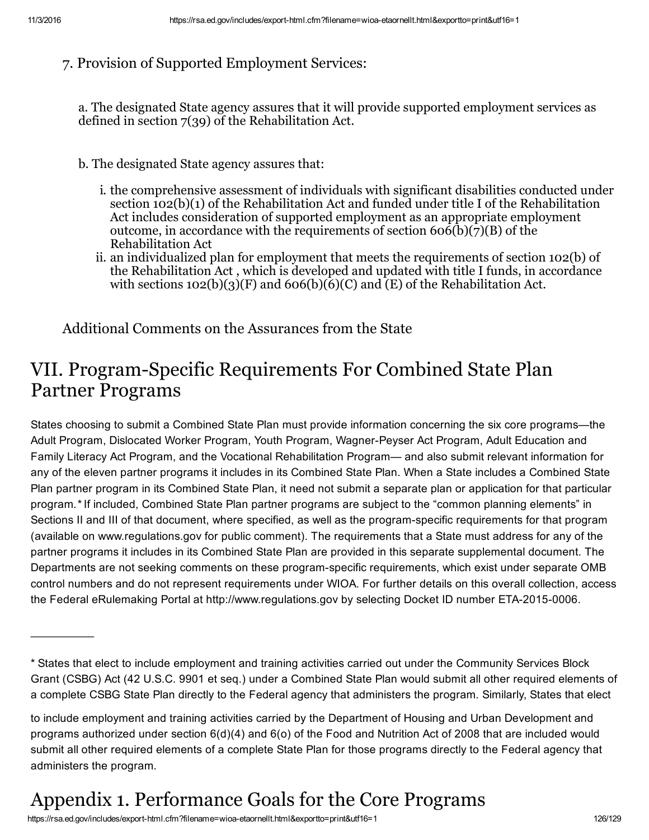$\frac{1}{2}$ 

7. Provision of Supported Employment Services:

a. The designated State agency assures that it will provide supported employment services as defined in section 7(39) of the Rehabilitation Act.

b. The designated State agency assures that:

- i. the comprehensive assessment of individuals with significant disabilities conducted under section 102(b)(1) of the Rehabilitation Act and funded under title I of the Rehabilitation Act includes consideration of supported employment as an appropriate employment outcome, in accordance with the requirements of section  $606(\bar{b})(\bar{7})(B)$  of the Rehabilitation Act
- ii. an individualized plan for employment that meets the requirements of section 102(b) of the Rehabilitation Act , which is developed and updated with title I funds, in accordance with sections  $102(b)(3)(F)$  and  $606(b)(6)(C)$  and  $(E)$  of the Rehabilitation Act.

Additional Comments on the Assurances from the State

# VII. Program-Specific Requirements For Combined State Plan Partner Programs

States choosing to submit a Combined State Plan must provide information concerning the six core programs—the Adult Program, Dislocated Worker Program, Youth Program, Wagner-Peyser Act Program, Adult Education and Family Literacy Act Program, and the Vocational Rehabilitation Program— and also submit relevant information for any of the eleven partner programs it includes in its Combined State Plan. When a State includes a Combined State Plan partner program in its Combined State Plan, it need not submit a separate plan or application for that particular program.\* If included, Combined State Plan partner programs are subject to the "common planning elements" in Sections II and III of that document, where specified, as well as the program-specific requirements for that program (available on www.regulations.gov for public comment). The requirements that a State must address for any of the partner programs it includes in its Combined State Plan are provided in this separate supplemental document. The Departments are not seeking comments on these program-specific requirements, which exist under separate OMB control numbers and do not represent requirements under WIOA. For further details on this overall collection, access the Federal eRulemaking Portal at http://www.regulations.gov by selecting Docket ID number ETA-2015-0006.

<sup>\*</sup> States that elect to include employment and training activities carried out under the Community Services Block Grant (CSBG) Act (42 U.S.C. 9901 et seq.) under a Combined State Plan would submit all other required elements of a complete CSBG State Plan directly to the Federal agency that administers the program. Similarly, States that elect

to include employment and training activities carried by the Department of Housing and Urban Development and programs authorized under section 6(d)(4) and 6(o) of the Food and Nutrition Act of 2008 that are included would submit all other required elements of a complete State Plan for those programs directly to the Federal agency that administers the program.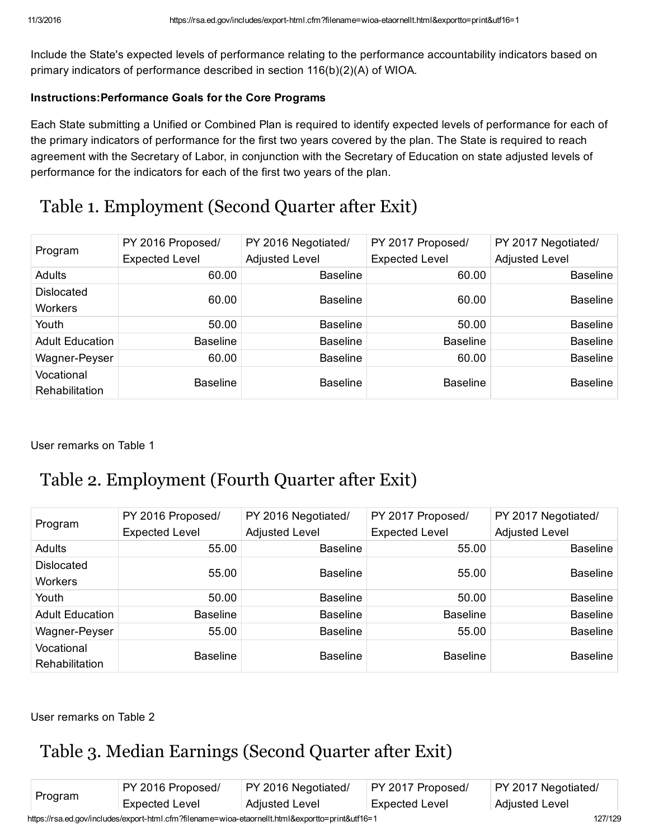Include the State's expected levels of performance relating to the performance accountability indicators based on primary indicators of performance described in section 116(b)(2)(A) of WIOA.

#### Instructions:Performance Goals for the Core Programs

Each State submitting a Unified or Combined Plan is required to identify expected levels of performance for each of the primary indicators of performance for the first two years covered by the plan. The State is required to reach agreement with the Secretary of Labor, in conjunction with the Secretary of Education on state adjusted levels of performance for the indicators for each of the first two years of the plan.

# Table 1. Employment (Second Quarter after Exit)

| Program                             | PY 2016 Proposed/<br><b>Expected Level</b> | PY 2016 Negotiated/<br><b>Adjusted Level</b> | PY 2017 Proposed/<br><b>Expected Level</b> | PY 2017 Negotiated/<br><b>Adjusted Level</b> |
|-------------------------------------|--------------------------------------------|----------------------------------------------|--------------------------------------------|----------------------------------------------|
| Adults                              | 60.00                                      | <b>Baseline</b>                              | 60.00                                      | <b>Baseline</b>                              |
| <b>Dislocated</b><br><b>Workers</b> | 60.00                                      | <b>Baseline</b>                              | 60.00                                      | <b>Baseline</b>                              |
| Youth                               | 50.00                                      | <b>Baseline</b>                              | 50.00                                      | <b>Baseline</b>                              |
| <b>Adult Education</b>              | <b>Baseline</b>                            | <b>Baseline</b>                              | <b>Baseline</b>                            | <b>Baseline</b>                              |
| Wagner-Peyser                       | 60.00                                      | <b>Baseline</b>                              | 60.00                                      | <b>Baseline</b>                              |
| Vocational<br>Rehabilitation        | <b>Baseline</b>                            | <b>Baseline</b>                              | <b>Baseline</b>                            | <b>Baseline</b>                              |

User remarks on Table 1

## Table 2. Employment (Fourth Quarter after Exit)

| Program                             | PY 2016 Proposed/<br><b>Expected Level</b> | PY 2016 Negotiated/<br><b>Adjusted Level</b> | PY 2017 Proposed/<br><b>Expected Level</b> | PY 2017 Negotiated/<br>Adjusted Level |
|-------------------------------------|--------------------------------------------|----------------------------------------------|--------------------------------------------|---------------------------------------|
| <b>Adults</b>                       | 55.00                                      | <b>Baseline</b>                              | 55.00                                      | <b>Baseline</b>                       |
| <b>Dislocated</b><br><b>Workers</b> | 55.00                                      | <b>Baseline</b>                              | 55.00                                      | <b>Baseline</b>                       |
| Youth                               | 50.00                                      | <b>Baseline</b>                              | 50.00                                      | <b>Baseline</b>                       |
| <b>Adult Education</b>              | <b>Baseline</b>                            | <b>Baseline</b>                              | <b>Baseline</b>                            | <b>Baseline</b>                       |
| Wagner-Peyser                       | 55.00                                      | <b>Baseline</b>                              | 55.00                                      | <b>Baseline</b>                       |
| Vocational<br><b>Rehabilitation</b> | <b>Baseline</b>                            | <b>Baseline</b>                              | <b>Baseline</b>                            | <b>Baseline</b>                       |

User remarks on Table 2

# Table 3. Median Earnings (Second Quarter after Exit)

Program

PY 2016 Proposed/ Expected Level

PY 2016 Negotiated/ Adjusted Level

PY 2017 Proposed/ Expected Level

https://rsa.ed.gov/includes/export-html.cfm?filename=wioa-etaornellt.html&exportto=print&utf16=1 127/129 127/129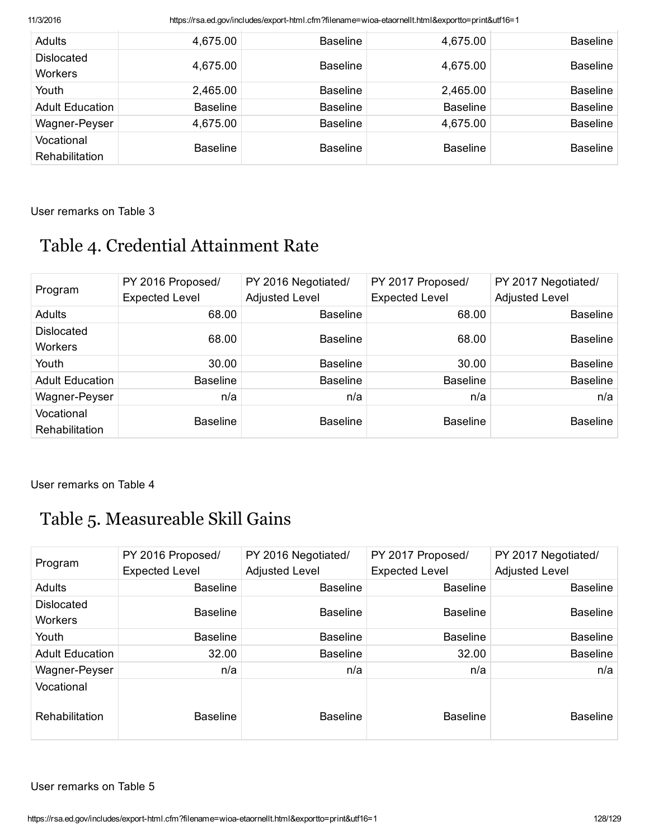| <b>Adults</b>                | 4,675.00        | <b>Baseline</b> | 4,675.00        | <b>Baseline</b> |
|------------------------------|-----------------|-----------------|-----------------|-----------------|
| <b>Dislocated</b>            |                 |                 |                 |                 |
| Workers                      | 4,675.00        | <b>Baseline</b> | 4,675.00        | <b>Baseline</b> |
| Youth                        | 2,465.00        | <b>Baseline</b> | 2,465.00        | <b>Baseline</b> |
| <b>Adult Education</b>       | <b>Baseline</b> | <b>Baseline</b> | <b>Baseline</b> | <b>Baseline</b> |
| Wagner-Peyser                | 4,675.00        | <b>Baseline</b> | 4,675.00        | <b>Baseline</b> |
| Vocational<br>Rehabilitation | <b>Baseline</b> | <b>Baseline</b> | <b>Baseline</b> | <b>Baseline</b> |

User remarks on Table 3

## Table 4. Credential Attainment Rate

| Program                             | PY 2016 Proposed/<br><b>Expected Level</b> | PY 2016 Negotiated/<br><b>Adjusted Level</b> | PY 2017 Proposed/<br><b>Expected Level</b> | PY 2017 Negotiated/<br><b>Adjusted Level</b> |
|-------------------------------------|--------------------------------------------|----------------------------------------------|--------------------------------------------|----------------------------------------------|
| Adults                              | 68.00                                      | <b>Baseline</b>                              | 68.00                                      | <b>Baseline</b>                              |
| <b>Dislocated</b><br><b>Workers</b> | 68.00                                      | <b>Baseline</b>                              | 68.00                                      | <b>Baseline</b>                              |
| Youth                               | 30.00                                      | <b>Baseline</b>                              | 30.00                                      | <b>Baseline</b>                              |
| <b>Adult Education</b>              | <b>Baseline</b>                            | <b>Baseline</b>                              | <b>Baseline</b>                            | <b>Baseline</b>                              |
| Wagner-Peyser                       | n/a                                        | n/a                                          | n/a                                        | n/a                                          |
| Vocational<br>Rehabilitation        | <b>Baseline</b>                            | <b>Baseline</b>                              | <b>Baseline</b>                            | <b>Baseline</b>                              |

User remarks on Table 4

# Table 5. Measureable Skill Gains

| Program                      | PY 2016 Proposed/<br><b>Expected Level</b> | PY 2016 Negotiated/<br><b>Adjusted Level</b> | PY 2017 Proposed/<br><b>Expected Level</b> | PY 2017 Negotiated/<br><b>Adjusted Level</b> |
|------------------------------|--------------------------------------------|----------------------------------------------|--------------------------------------------|----------------------------------------------|
| Adults                       | <b>Baseline</b>                            | <b>Baseline</b>                              | <b>Baseline</b>                            | <b>Baseline</b>                              |
| <b>Dislocated</b><br>Workers | <b>Baseline</b>                            | <b>Baseline</b>                              | <b>Baseline</b>                            | <b>Baseline</b>                              |
| Youth                        | <b>Baseline</b>                            | <b>Baseline</b>                              | <b>Baseline</b>                            | <b>Baseline</b>                              |
| <b>Adult Education</b>       | 32.00                                      | <b>Baseline</b>                              | 32.00                                      | <b>Baseline</b>                              |
| Wagner-Peyser                | n/a                                        | n/a                                          | n/a                                        | n/a                                          |
| Vocational                   |                                            |                                              |                                            |                                              |
| Rehabilitation               | <b>Baseline</b>                            | <b>Baseline</b>                              | <b>Baseline</b>                            | <b>Baseline</b>                              |

#### User remarks on Table 5